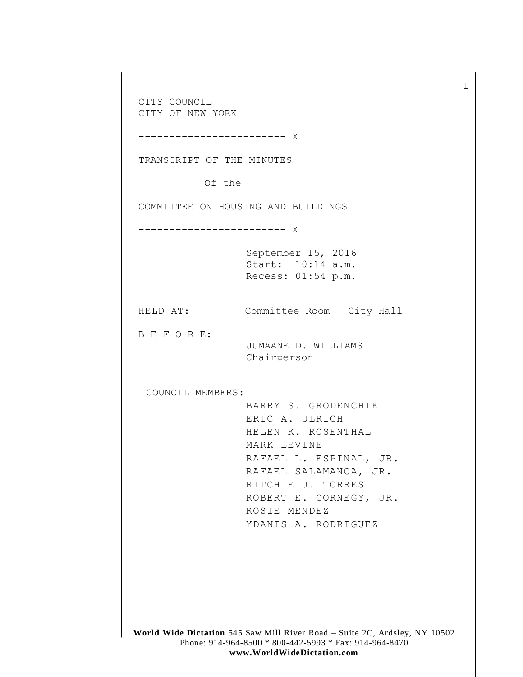CITY COUNCIL CITY OF NEW YORK ------------------------ X TRANSCRIPT OF THE MINUTES Of the COMMITTEE ON HOUSING AND BUILDINGS ------------------------ X September 15, 2016 Start: 10:14 a.m. Recess: 01:54 p.m. HELD AT: Committee Room – City Hall B E F O R E: JUMAANE D. WILLIAMS Chairperson COUNCIL MEMBERS: BARRY S. GRODENCHIK ERIC A. ULRICH HELEN K. ROSENTHAL MARK LEVINE RAFAEL L. ESPINAL, JR. RAFAEL SALAMANCA, JR. RITCHIE J. TORRES ROBERT E. CORNEGY, JR. ROSIE MENDEZ YDANIS A. RODRIGUEZ

1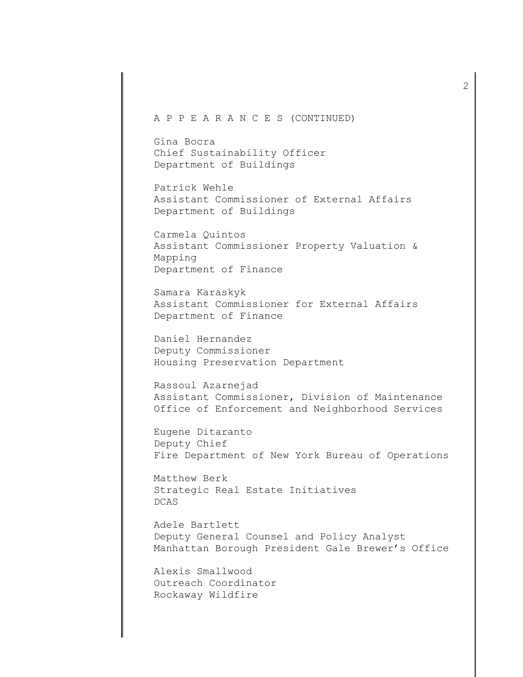## A P P E A R A N C E S (CONTINUED)

Gina Bocra Chief Sustainability Officer Department of Buildings

Patrick Wehle Assistant Commissioner of External Affairs Department of Buildings

Carmela Quintos Assistant Commissioner Property Valuation & Mapping Department of Finance

Samara Karaskyk Assistant Commissioner for External Affairs Department of Finance

Daniel Hernandez Deputy Commissioner Housing Preservation Department

Rassoul Azarnejad Assistant Commissioner, Division of Maintenance Office of Enforcement and Neighborhood Services

Eugene Ditaranto Deputy Chief Fire Department of New York Bureau of Operations

Matthew Berk Strategic Real Estate Initiatives DCAS

Adele Bartlett Deputy General Counsel and Policy Analyst Manhattan Borough President Gale Brewer's Office

Alexis Smallwood Outreach Coordinator Rockaway Wildfire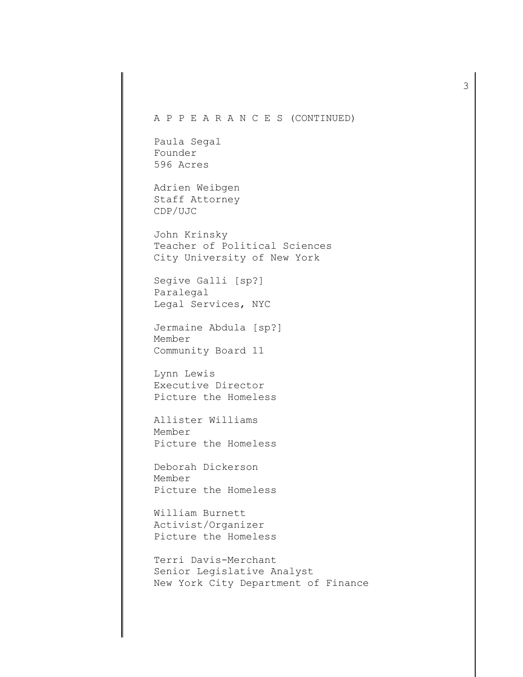## A P P E A R A N C E S (CONTINUED)

Paula Segal Founder 596 Acres

Adrien Weibgen Staff Attorney CDP/UJC

John Krinsky Teacher of Political Sciences City University of New York

Segive Galli [sp?] Paralegal Legal Services, NYC

Jermaine Abdula [sp?] Member Community Board 11

Lynn Lewis Executive Director Picture the Homeless

Allister Williams Member Picture the Homeless

Deborah Dickerson Member Picture the Homeless

William Burnett Activist/Organizer Picture the Homeless

Terri Davis-Merchant Senior Legislative Analyst New York City Department of Finance 3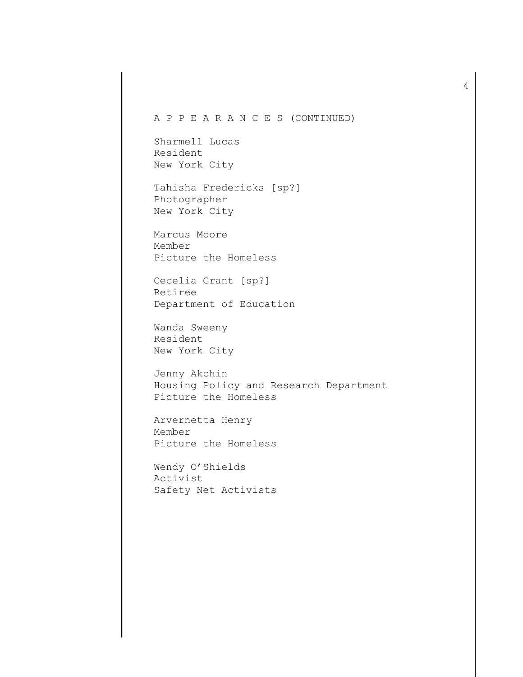## A P P E A R A N C E S (CONTINUED)

Sharmell Lucas Resident New York City

Tahisha Fredericks [sp?] Photographer New York City

Marcus Moore Member Picture the Homeless

Cecelia Grant [sp?] Retiree Department of Education

Wanda Sweeny Resident New York City

Jenny Akchin Housing Policy and Research Department Picture the Homeless

Arvernetta Henry Member Picture the Homeless

Wendy O'Shields Activist Safety Net Activists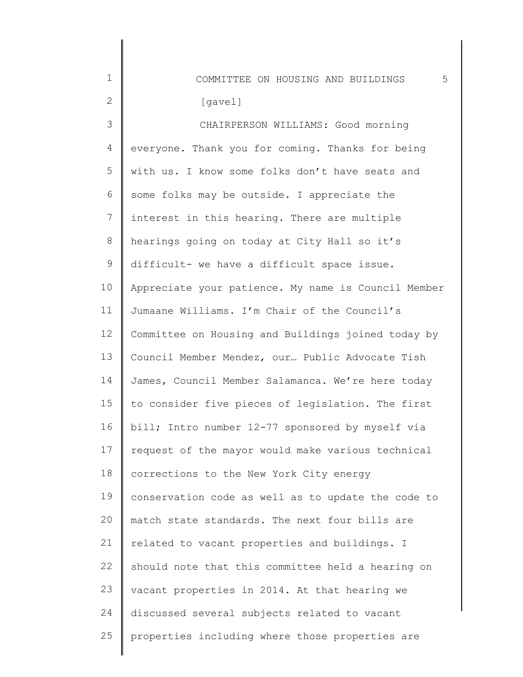| $\mathbf 1$    | 5<br>COMMITTEE ON HOUSING AND BUILDINGS             |
|----------------|-----------------------------------------------------|
| $\mathbf{2}$   | [gavel]                                             |
| 3              | CHAIRPERSON WILLIAMS: Good morning                  |
| $\overline{4}$ | everyone. Thank you for coming. Thanks for being    |
| 5              | with us. I know some folks don't have seats and     |
| 6              | some folks may be outside. I appreciate the         |
| 7              | interest in this hearing. There are multiple        |
| $8\,$          | hearings going on today at City Hall so it's        |
| $\mathsf 9$    | difficult- we have a difficult space issue.         |
| 10             | Appreciate your patience. My name is Council Member |
| 11             | Jumaane Williams. I'm Chair of the Council's        |
| 12             | Committee on Housing and Buildings joined today by  |
| 13             | Council Member Mendez, our Public Advocate Tish     |
| 14             | James, Council Member Salamanca. We're here today   |
| 15             | to consider five pieces of legislation. The first   |
| 16             | bill; Intro number 12-77 sponsored by myself via    |
| 17             | request of the mayor would make various technical   |
| 18             | corrections to the New York City energy             |
| 19             | conservation code as well as to update the code to  |
| 20             | match state standards. The next four bills are      |
| 21             | related to vacant properties and buildings. I       |
| 22             | should note that this committee held a hearing on   |
| 23             | vacant properties in 2014. At that hearing we       |
| 24             | discussed several subjects related to vacant        |
| 25             | properties including where those properties are     |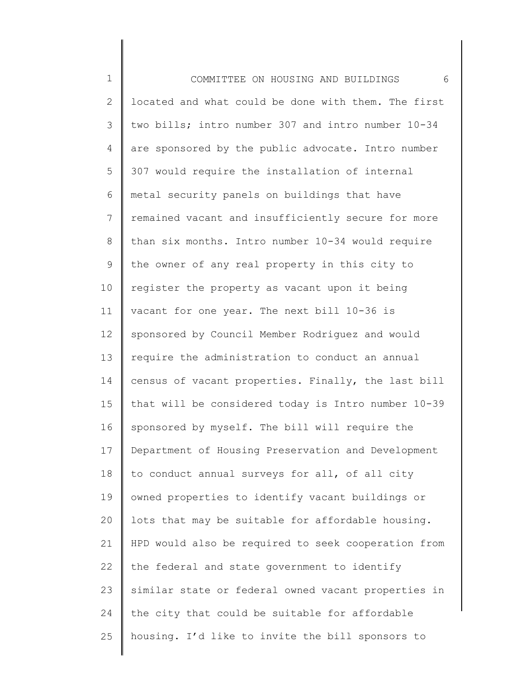1 2 3 4 5 6 7 8 9 10 11 12 13 14 15 16 17 18 19 20 21 22 23 24 25 COMMITTEE ON HOUSING AND BUILDINGS 6 located and what could be done with them. The first two bills; intro number 307 and intro number 10-34 are sponsored by the public advocate. Intro number 307 would require the installation of internal metal security panels on buildings that have remained vacant and insufficiently secure for more than six months. Intro number 10-34 would require the owner of any real property in this city to register the property as vacant upon it being vacant for one year. The next bill 10-36 is sponsored by Council Member Rodriguez and would require the administration to conduct an annual census of vacant properties. Finally, the last bill that will be considered today is Intro number 10-39 sponsored by myself. The bill will require the Department of Housing Preservation and Development to conduct annual surveys for all, of all city owned properties to identify vacant buildings or lots that may be suitable for affordable housing. HPD would also be required to seek cooperation from the federal and state government to identify similar state or federal owned vacant properties in the city that could be suitable for affordable housing. I'd like to invite the bill sponsors to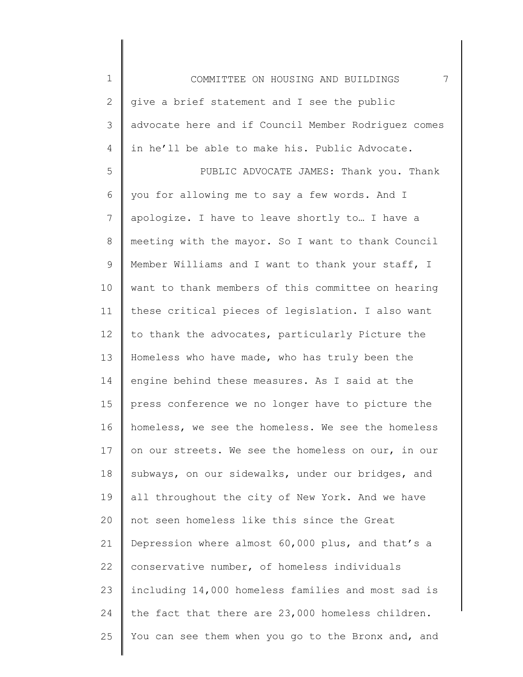1 2 3 4 5 6 7 8 9 10 11 12 13 14 15 16 17 18 19 20 21 22 23 24 COMMITTEE ON HOUSING AND BUILDINGS 7 give a brief statement and I see the public advocate here and if Council Member Rodriguez comes in he'll be able to make his. Public Advocate. PUBLIC ADVOCATE JAMES: Thank you. Thank you for allowing me to say a few words. And I apologize. I have to leave shortly to… I have a meeting with the mayor. So I want to thank Council Member Williams and I want to thank your staff, I want to thank members of this committee on hearing these critical pieces of legislation. I also want to thank the advocates, particularly Picture the Homeless who have made, who has truly been the engine behind these measures. As I said at the press conference we no longer have to picture the homeless, we see the homeless. We see the homeless on our streets. We see the homeless on our, in our subways, on our sidewalks, under our bridges, and all throughout the city of New York. And we have not seen homeless like this since the Great Depression where almost 60,000 plus, and that's a conservative number, of homeless individuals including 14,000 homeless families and most sad is the fact that there are 23,000 homeless children.

You can see them when you go to the Bronx and, and

25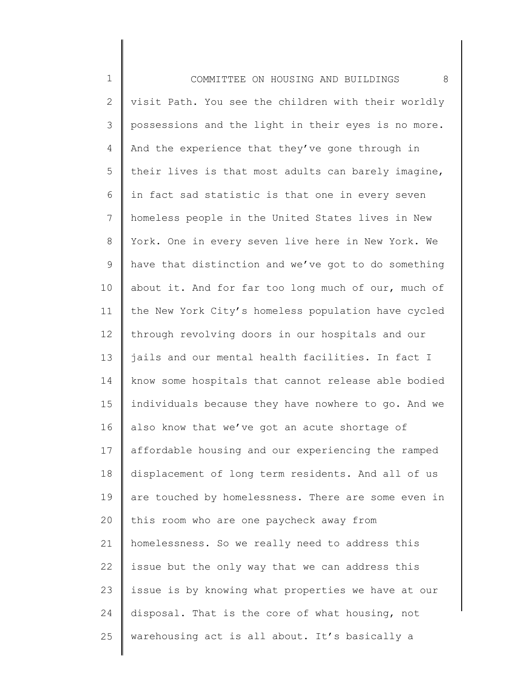1 2 3 4 5 6 7 8 9 10 11 12 13 14 15 16 17 18 19 20 21 22 23 24 25 COMMITTEE ON HOUSING AND BUILDINGS 8 visit Path. You see the children with their worldly possessions and the light in their eyes is no more. And the experience that they've gone through in their lives is that most adults can barely imagine, in fact sad statistic is that one in every seven homeless people in the United States lives in New York. One in every seven live here in New York. We have that distinction and we've got to do something about it. And for far too long much of our, much of the New York City's homeless population have cycled through revolving doors in our hospitals and our jails and our mental health facilities. In fact I know some hospitals that cannot release able bodied individuals because they have nowhere to go. And we also know that we've got an acute shortage of affordable housing and our experiencing the ramped displacement of long term residents. And all of us are touched by homelessness. There are some even in this room who are one paycheck away from homelessness. So we really need to address this issue but the only way that we can address this issue is by knowing what properties we have at our disposal. That is the core of what housing, not warehousing act is all about. It's basically a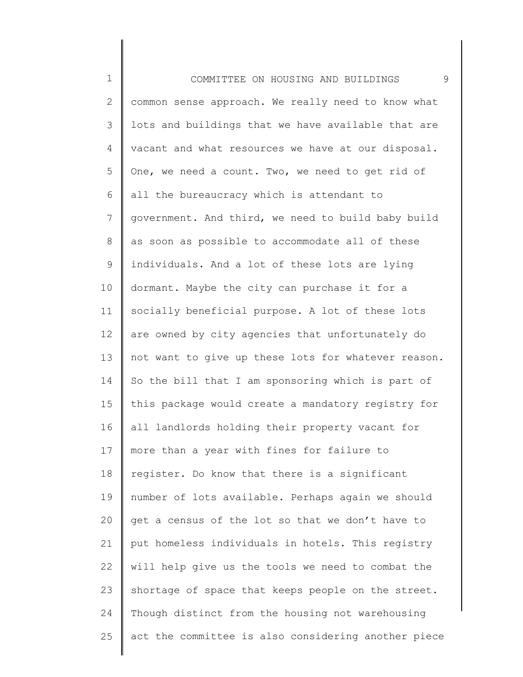1 2 3 4 5 6 7 8 9 10 11 12 13 14 15 16 17 18 19 20 21 22 23 24 25 COMMITTEE ON HOUSING AND BUILDINGS 9 common sense approach. We really need to know what lots and buildings that we have available that are vacant and what resources we have at our disposal. One, we need a count. Two, we need to get rid of all the bureaucracy which is attendant to government. And third, we need to build baby build as soon as possible to accommodate all of these individuals. And a lot of these lots are lying dormant. Maybe the city can purchase it for a socially beneficial purpose. A lot of these lots are owned by city agencies that unfortunately do not want to give up these lots for whatever reason. So the bill that I am sponsoring which is part of this package would create a mandatory registry for all landlords holding their property vacant for more than a year with fines for failure to register. Do know that there is a significant number of lots available. Perhaps again we should get a census of the lot so that we don't have to put homeless individuals in hotels. This registry will help give us the tools we need to combat the shortage of space that keeps people on the street. Though distinct from the housing not warehousing act the committee is also considering another piece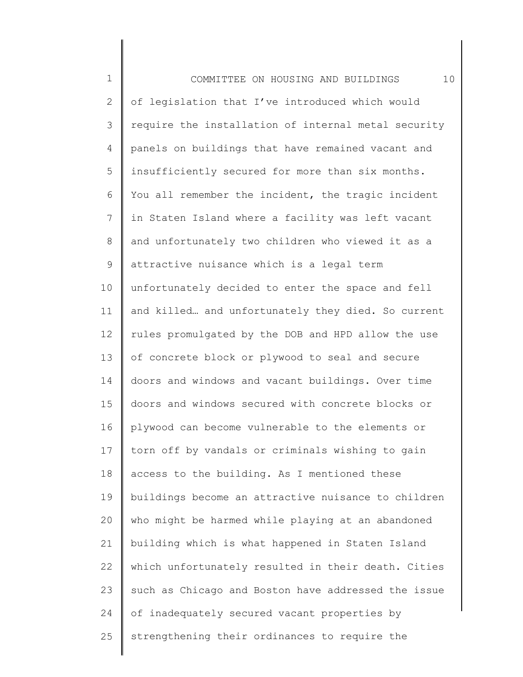| $\mathbf 1$    | 10<br>COMMITTEE ON HOUSING AND BUILDINGS            |
|----------------|-----------------------------------------------------|
| $\mathbf{2}$   | of legislation that I've introduced which would     |
| 3              | require the installation of internal metal security |
| 4              | panels on buildings that have remained vacant and   |
| 5              | insufficiently secured for more than six months.    |
| 6              | You all remember the incident, the tragic incident  |
| $\overline{7}$ | in Staten Island where a facility was left vacant   |
| 8              | and unfortunately two children who viewed it as a   |
| $\mathsf 9$    | attractive nuisance which is a legal term           |
| 10             | unfortunately decided to enter the space and fell   |
| 11             | and killed and unfortunately they died. So current  |
| 12             | rules promulgated by the DOB and HPD allow the use  |
| 13             | of concrete block or plywood to seal and secure     |
| 14             | doors and windows and vacant buildings. Over time   |
| 15             | doors and windows secured with concrete blocks or   |
| 16             | plywood can become vulnerable to the elements or    |
| 17             | torn off by vandals or criminals wishing to gain    |
| 18             | access to the building. As I mentioned these        |
| 19             | buildings become an attractive nuisance to children |
| 20             | who might be harmed while playing at an abandoned   |
| 21             | building which is what happened in Staten Island    |
| 22             | which unfortunately resulted in their death. Cities |
| 23             | such as Chicago and Boston have addressed the issue |
| 24             | of inadequately secured vacant properties by        |
| 25             | strengthening their ordinances to require the       |
|                |                                                     |

║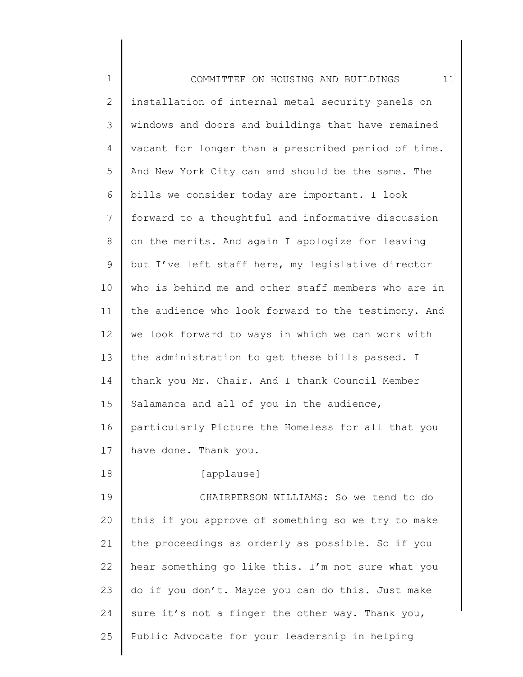| $\mathbf 1$  | 11<br>COMMITTEE ON HOUSING AND BUILDINGS            |
|--------------|-----------------------------------------------------|
| $\mathbf{2}$ | installation of internal metal security panels on   |
| 3            | windows and doors and buildings that have remained  |
| 4            | vacant for longer than a prescribed period of time. |
| 5            | And New York City can and should be the same. The   |
| 6            | bills we consider today are important. I look       |
| 7            | forward to a thoughtful and informative discussion  |
| 8            | on the merits. And again I apologize for leaving    |
| 9            | but I've left staff here, my legislative director   |
| 10           | who is behind me and other staff members who are in |
| 11           | the audience who look forward to the testimony. And |
| 12           | we look forward to ways in which we can work with   |
| 13           | the administration to get these bills passed. I     |
| 14           | thank you Mr. Chair. And I thank Council Member     |
| 15           | Salamanca and all of you in the audience,           |
| 16           | particularly Picture the Homeless for all that you  |
| 17           | have done. Thank you.                               |
| 18           | [applause]                                          |
| 19           | CHAIRPERSON WILLIAMS: So we tend to do              |
| 20           | this if you approve of something so we try to make  |
| 21           | the proceedings as orderly as possible. So if you   |
| 22           | hear something go like this. I'm not sure what you  |
| 23           | do if you don't. Maybe you can do this. Just make   |
| 24           | sure it's not a finger the other way. Thank you,    |
| 25           | Public Advocate for your leadership in helping      |
|              |                                                     |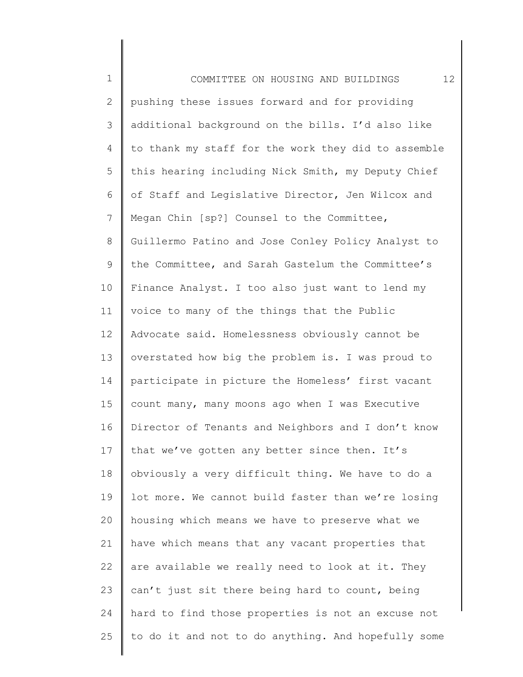1 2 3 4 5 6 7 8 9 10 11 12 13 14 15 16 17 18 19 20 21 22 23 24 25 COMMITTEE ON HOUSING AND BUILDINGS 12 pushing these issues forward and for providing additional background on the bills. I'd also like to thank my staff for the work they did to assemble this hearing including Nick Smith, my Deputy Chief of Staff and Legislative Director, Jen Wilcox and Megan Chin [sp?] Counsel to the Committee, Guillermo Patino and Jose Conley Policy Analyst to the Committee, and Sarah Gastelum the Committee's Finance Analyst. I too also just want to lend my voice to many of the things that the Public Advocate said. Homelessness obviously cannot be overstated how big the problem is. I was proud to participate in picture the Homeless' first vacant count many, many moons ago when I was Executive Director of Tenants and Neighbors and I don't know that we've gotten any better since then. It's obviously a very difficult thing. We have to do a lot more. We cannot build faster than we're losing housing which means we have to preserve what we have which means that any vacant properties that are available we really need to look at it. They can't just sit there being hard to count, being hard to find those properties is not an excuse not to do it and not to do anything. And hopefully some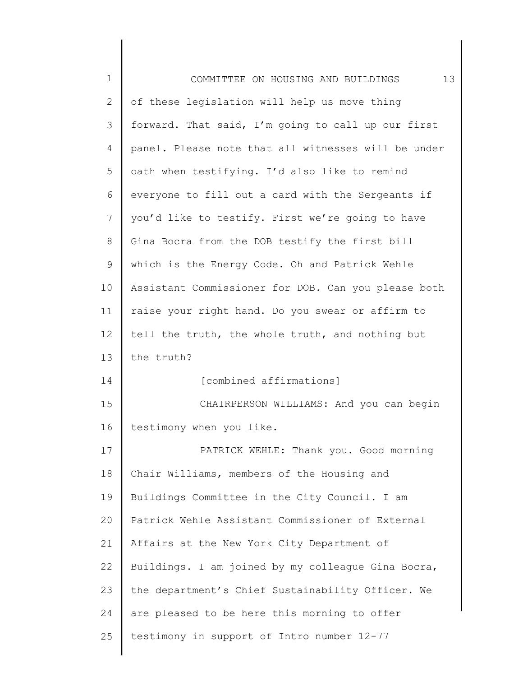| $\mathbf 1$  | 13<br>COMMITTEE ON HOUSING AND BUILDINGS            |
|--------------|-----------------------------------------------------|
| $\mathbf{2}$ | of these legislation will help us move thing        |
| 3            | forward. That said, I'm going to call up our first  |
| 4            | panel. Please note that all witnesses will be under |
| 5            | oath when testifying. I'd also like to remind       |
| 6            | everyone to fill out a card with the Sergeants if   |
| 7            | you'd like to testify. First we're going to have    |
| $\,8\,$      | Gina Bocra from the DOB testify the first bill      |
| 9            | which is the Energy Code. Oh and Patrick Wehle      |
| 10           | Assistant Commissioner for DOB. Can you please both |
| 11           | raise your right hand. Do you swear or affirm to    |
| 12           | tell the truth, the whole truth, and nothing but    |
| 13           | the truth?                                          |
| 14           | [combined affirmations]                             |
| 15           | CHAIRPERSON WILLIAMS: And you can begin             |
| 16           | testimony when you like.                            |
| 17           | PATRICK WEHLE: Thank you. Good morning              |
| 18           | Chair Williams, members of the Housing and          |
| 19           | Buildings Committee in the City Council. I am       |
| 20           | Patrick Wehle Assistant Commissioner of External    |
| 21           | Affairs at the New York City Department of          |
| 22           | Buildings. I am joined by my colleague Gina Bocra,  |
| 23           | the department's Chief Sustainability Officer. We   |
| 24           | are pleased to be here this morning to offer        |
| 25           | testimony in support of Intro number 12-77          |
|              |                                                     |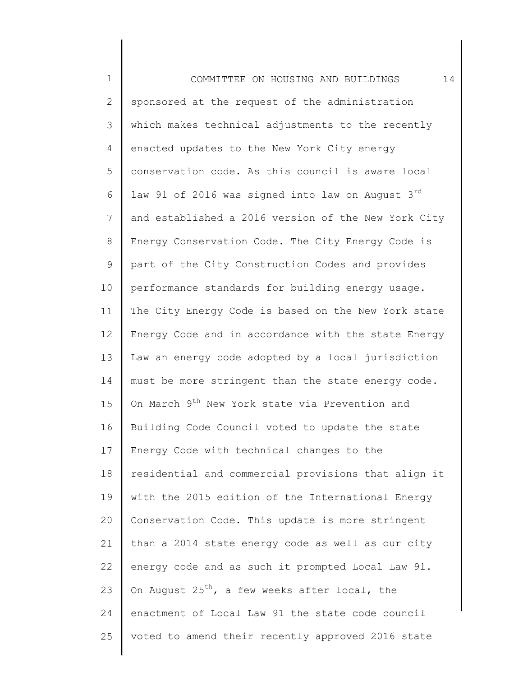1 2 3 4 5 6 7 8 9 10 11 12 13 14 15 16 17 18 19 20 21 22 23 24 25 COMMITTEE ON HOUSING AND BUILDINGS 14 sponsored at the request of the administration which makes technical adjustments to the recently enacted updates to the New York City energy conservation code. As this council is aware local law 91 of 2016 was signed into law on August  $3^{rd}$ and established a 2016 version of the New York City Energy Conservation Code. The City Energy Code is part of the City Construction Codes and provides performance standards for building energy usage. The City Energy Code is based on the New York state Energy Code and in accordance with the state Energy Law an energy code adopted by a local jurisdiction must be more stringent than the state energy code. On March 9<sup>th</sup> New York state via Prevention and Building Code Council voted to update the state Energy Code with technical changes to the residential and commercial provisions that align it with the 2015 edition of the International Energy Conservation Code. This update is more stringent than a 2014 state energy code as well as our city energy code and as such it prompted Local Law 91. On August  $25^{th}$ , a few weeks after local, the enactment of Local Law 91 the state code council voted to amend their recently approved 2016 state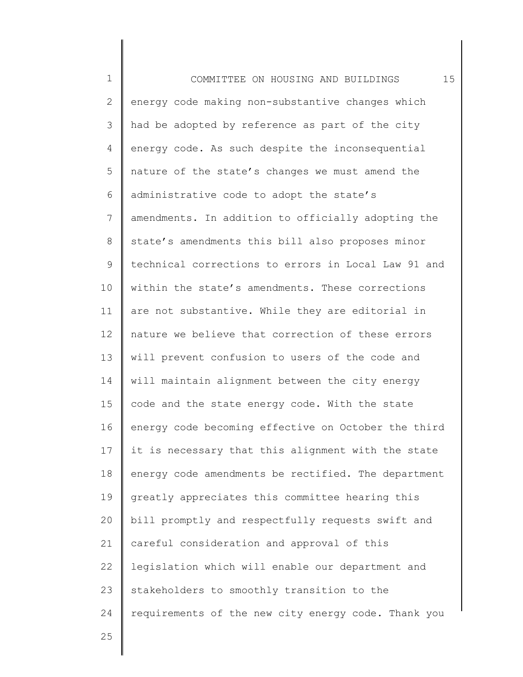1 2 3 4 5 6 7 8 9 10 11 12 13 14 15 16 17 18 19 20 21 22 23 24 COMMITTEE ON HOUSING AND BUILDINGS 15 energy code making non-substantive changes which had be adopted by reference as part of the city energy code. As such despite the inconsequential nature of the state's changes we must amend the administrative code to adopt the state's amendments. In addition to officially adopting the state's amendments this bill also proposes minor technical corrections to errors in Local Law 91 and within the state's amendments. These corrections are not substantive. While they are editorial in nature we believe that correction of these errors will prevent confusion to users of the code and will maintain alignment between the city energy code and the state energy code. With the state energy code becoming effective on October the third it is necessary that this alignment with the state energy code amendments be rectified. The department greatly appreciates this committee hearing this bill promptly and respectfully requests swift and careful consideration and approval of this legislation which will enable our department and stakeholders to smoothly transition to the requirements of the new city energy code. Thank you

25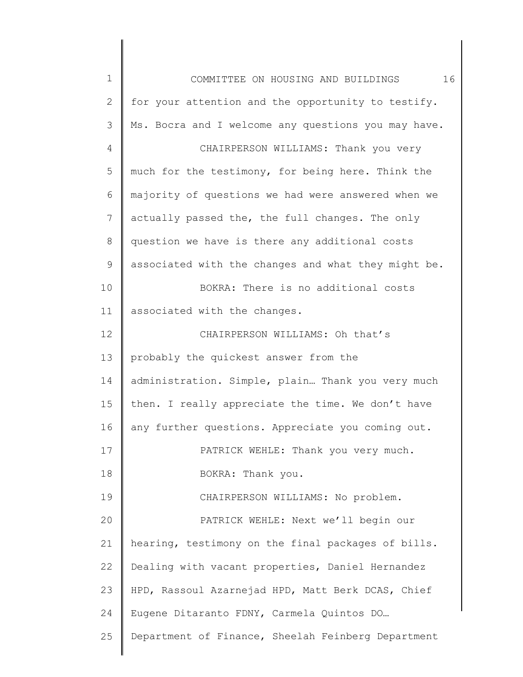| 1            | 16<br>COMMITTEE ON HOUSING AND BUILDINGS            |
|--------------|-----------------------------------------------------|
| $\mathbf{2}$ | for your attention and the opportunity to testify.  |
| 3            | Ms. Bocra and I welcome any questions you may have. |
| 4            | CHAIRPERSON WILLIAMS: Thank you very                |
| 5            | much for the testimony, for being here. Think the   |
| 6            | majority of questions we had were answered when we  |
| 7            | actually passed the, the full changes. The only     |
| $8\,$        | question we have is there any additional costs      |
| 9            | associated with the changes and what they might be. |
| 10           | BOKRA: There is no additional costs                 |
| 11           | associated with the changes.                        |
| 12           | CHAIRPERSON WILLIAMS: Oh that's                     |
| 13           | probably the quickest answer from the               |
| 14           | administration. Simple, plain Thank you very much   |
| 15           | then. I really appreciate the time. We don't have   |
| 16           | any further questions. Appreciate you coming out.   |
| 17           | PATRICK WEHLE: Thank you very much.                 |
| 18           | BOKRA: Thank you.                                   |
| 19           | CHAIRPERSON WILLIAMS: No problem.                   |
| 20           | PATRICK WEHLE: Next we'll begin our                 |
| 21           | hearing, testimony on the final packages of bills.  |
| 22           | Dealing with vacant properties, Daniel Hernandez    |
| 23           | HPD, Rassoul Azarnejad HPD, Matt Berk DCAS, Chief   |
| 24           | Eugene Ditaranto FDNY, Carmela Quintos DO           |
| 25           | Department of Finance, Sheelah Feinberg Department  |
|              |                                                     |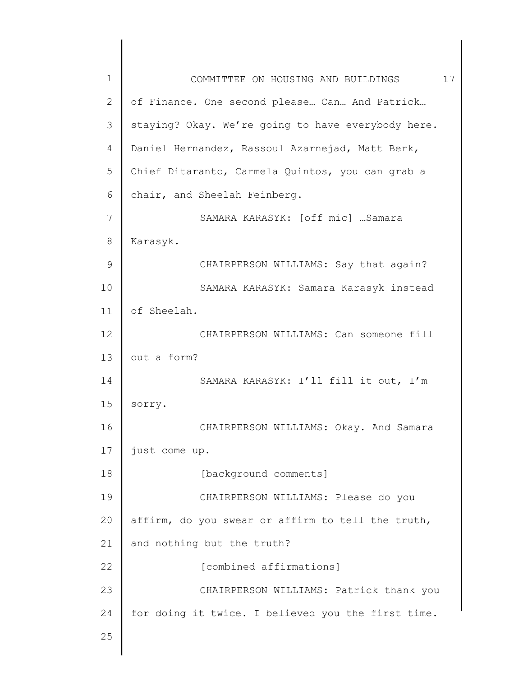| $\mathbf 1$   | 17<br>COMMITTEE ON HOUSING AND BUILDINGS           |
|---------------|----------------------------------------------------|
| $\mathbf{2}$  | of Finance. One second please Can And Patrick      |
| 3             | staying? Okay. We're going to have everybody here. |
| 4             | Daniel Hernandez, Rassoul Azarnejad, Matt Berk,    |
| 5             | Chief Ditaranto, Carmela Quintos, you can grab a   |
| 6             | chair, and Sheelah Feinberg.                       |
| 7             | SAMARA KARASYK: [off mic]  Samara                  |
| 8             | Karasyk.                                           |
| $\mathcal{G}$ | CHAIRPERSON WILLIAMS: Say that again?              |
| 10            | SAMARA KARASYK: Samara Karasyk instead             |
| 11            | of Sheelah.                                        |
| 12            | CHAIRPERSON WILLIAMS: Can someone fill             |
| 13            | out a form?                                        |
| 14            | SAMARA KARASYK: I'll fill it out, I'm              |
| 15            | sorry.                                             |
| 16            | CHAIRPERSON WILLIAMS: Okay. And Samara             |
| $17$          | just come up.                                      |
| 18            | [background comments]                              |
| 19            | CHAIRPERSON WILLIAMS: Please do you                |
| 20            | affirm, do you swear or affirm to tell the truth,  |
| 21            | and nothing but the truth?                         |
| 22            | [combined affirmations]                            |
| 23            | CHAIRPERSON WILLIAMS: Patrick thank you            |
| 24            | for doing it twice. I believed you the first time. |
| 25            |                                                    |
|               |                                                    |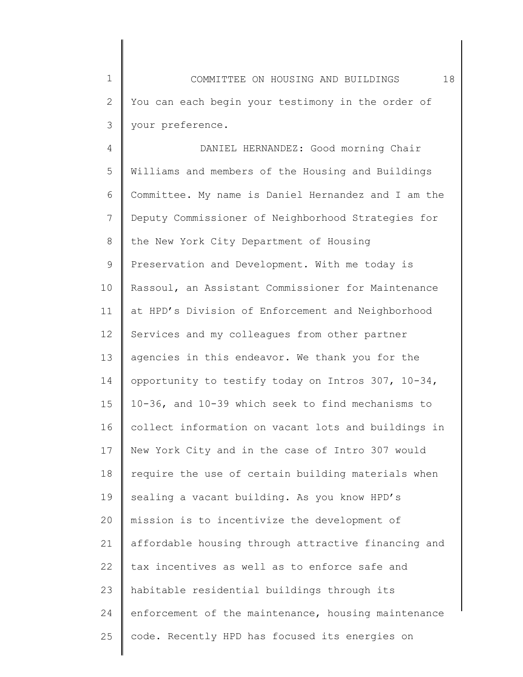1 2 3 COMMITTEE ON HOUSING AND BUILDINGS 18 You can each begin your testimony in the order of your preference.

4 5 6 7 8 9 10 11 12 13 14 15 16 17 18 19 20 21 22 23 24 25 DANIEL HERNANDEZ: Good morning Chair Williams and members of the Housing and Buildings Committee. My name is Daniel Hernandez and I am the Deputy Commissioner of Neighborhood Strategies for the New York City Department of Housing Preservation and Development. With me today is Rassoul, an Assistant Commissioner for Maintenance at HPD's Division of Enforcement and Neighborhood Services and my colleagues from other partner agencies in this endeavor. We thank you for the opportunity to testify today on Intros 307, 10-34, 10-36, and 10-39 which seek to find mechanisms to collect information on vacant lots and buildings in New York City and in the case of Intro 307 would require the use of certain building materials when sealing a vacant building. As you know HPD's mission is to incentivize the development of affordable housing through attractive financing and tax incentives as well as to enforce safe and habitable residential buildings through its enforcement of the maintenance, housing maintenance code. Recently HPD has focused its energies on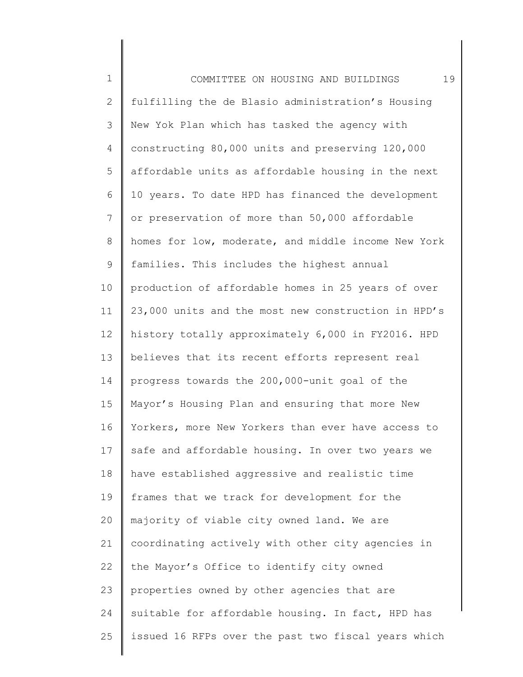| $1\,$        | 19<br>COMMITTEE ON HOUSING AND BUILDINGS            |
|--------------|-----------------------------------------------------|
| $\mathbf{2}$ | fulfilling the de Blasio administration's Housing   |
| 3            | New Yok Plan which has tasked the agency with       |
| 4            | constructing 80,000 units and preserving 120,000    |
| 5            | affordable units as affordable housing in the next  |
| 6            | 10 years. To date HPD has financed the development  |
| 7            | or preservation of more than 50,000 affordable      |
| $\,8\,$      | homes for low, moderate, and middle income New York |
| $\mathsf 9$  | families. This includes the highest annual          |
| 10           | production of affordable homes in 25 years of over  |
| 11           | 23,000 units and the most new construction in HPD's |
| 12           | history totally approximately 6,000 in FY2016. HPD  |
| 13           | believes that its recent efforts represent real     |
| 14           | progress towards the 200,000-unit goal of the       |
| 15           | Mayor's Housing Plan and ensuring that more New     |
| 16           | Yorkers, more New Yorkers than ever have access to  |
| 17           | safe and affordable housing. In over two years we   |
| 18           | have established aggressive and realistic time      |
| 19           | frames that we track for development for the        |
| 20           | majority of viable city owned land. We are          |
| 21           | coordinating actively with other city agencies in   |
| 22           | the Mayor's Office to identify city owned           |
| 23           | properties owned by other agencies that are         |
| 24           | suitable for affordable housing. In fact, HPD has   |
| 25           | issued 16 RFPs over the past two fiscal years which |
|              |                                                     |

║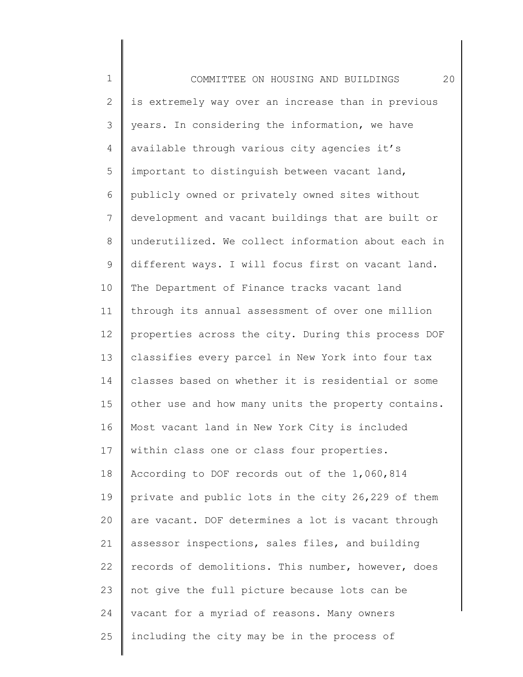1 2 3 4 5 6 7 8 9 10 11 12 13 14 15 16 17 18 19 20 21 22 23 24 25 COMMITTEE ON HOUSING AND BUILDINGS 20 is extremely way over an increase than in previous years. In considering the information, we have available through various city agencies it's important to distinguish between vacant land, publicly owned or privately owned sites without development and vacant buildings that are built or underutilized. We collect information about each in different ways. I will focus first on vacant land. The Department of Finance tracks vacant land through its annual assessment of over one million properties across the city. During this process DOF classifies every parcel in New York into four tax classes based on whether it is residential or some other use and how many units the property contains. Most vacant land in New York City is included within class one or class four properties. According to DOF records out of the 1,060,814 private and public lots in the city 26,229 of them are vacant. DOF determines a lot is vacant through assessor inspections, sales files, and building records of demolitions. This number, however, does not give the full picture because lots can be vacant for a myriad of reasons. Many owners including the city may be in the process of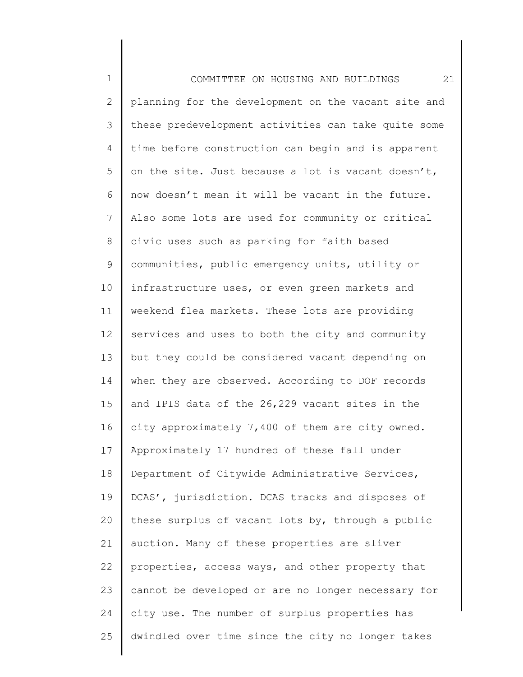| $\mathbf 1$  | 21<br>COMMITTEE ON HOUSING AND BUILDINGS            |
|--------------|-----------------------------------------------------|
| $\mathbf{2}$ | planning for the development on the vacant site and |
| 3            | these predevelopment activities can take quite some |
| 4            | time before construction can begin and is apparent  |
| 5            | on the site. Just because a lot is vacant doesn't,  |
| 6            | now doesn't mean it will be vacant in the future.   |
| 7            | Also some lots are used for community or critical   |
| $\,8\,$      | civic uses such as parking for faith based          |
| 9            | communities, public emergency units, utility or     |
| 10           | infrastructure uses, or even green markets and      |
| 11           | weekend flea markets. These lots are providing      |
| 12           | services and uses to both the city and community    |
| 13           | but they could be considered vacant depending on    |
| 14           | when they are observed. According to DOF records    |
| 15           | and IPIS data of the 26,229 vacant sites in the     |
| 16           | city approximately 7,400 of them are city owned.    |
| 17           | Approximately 17 hundred of these fall under        |
| 18           | Department of Citywide Administrative Services,     |
| 19           | DCAS', jurisdiction. DCAS tracks and disposes of    |
| 20           | these surplus of vacant lots by, through a public   |
| 21           | auction. Many of these properties are sliver        |
| 22           | properties, access ways, and other property that    |
| 23           | cannot be developed or are no longer necessary for  |
| 24           | city use. The number of surplus properties has      |
| 25           | dwindled over time since the city no longer takes   |
|              |                                                     |

II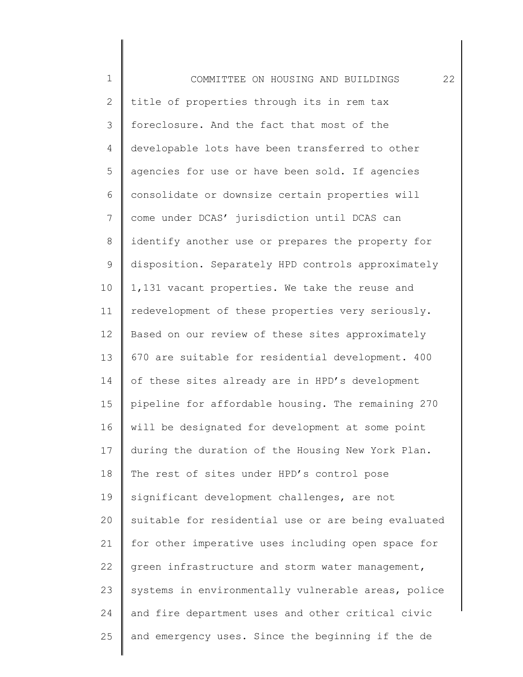1 2 3 4 5 6 7 8 9 10 11 12 13 14 15 16 17 18 19 20 21 22 23 24 25 COMMITTEE ON HOUSING AND BUILDINGS 22 title of properties through its in rem tax foreclosure. And the fact that most of the developable lots have been transferred to other agencies for use or have been sold. If agencies consolidate or downsize certain properties will come under DCAS' jurisdiction until DCAS can identify another use or prepares the property for disposition. Separately HPD controls approximately 1,131 vacant properties. We take the reuse and redevelopment of these properties very seriously. Based on our review of these sites approximately 670 are suitable for residential development. 400 of these sites already are in HPD's development pipeline for affordable housing. The remaining 270 will be designated for development at some point during the duration of the Housing New York Plan. The rest of sites under HPD's control pose significant development challenges, are not suitable for residential use or are being evaluated for other imperative uses including open space for green infrastructure and storm water management, systems in environmentally vulnerable areas, police and fire department uses and other critical civic and emergency uses. Since the beginning if the de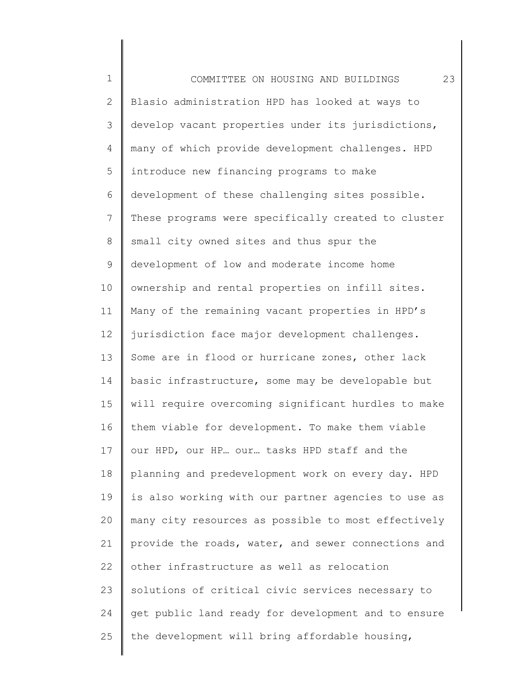1 2 3 4 5 6 7 8 9 10 11 12 13 14 15 16 17 18 19 20 21 22 23 24 25 COMMITTEE ON HOUSING AND BUILDINGS 23 Blasio administration HPD has looked at ways to develop vacant properties under its jurisdictions, many of which provide development challenges. HPD introduce new financing programs to make development of these challenging sites possible. These programs were specifically created to cluster small city owned sites and thus spur the development of low and moderate income home ownership and rental properties on infill sites. Many of the remaining vacant properties in HPD's jurisdiction face major development challenges. Some are in flood or hurricane zones, other lack basic infrastructure, some may be developable but will require overcoming significant hurdles to make them viable for development. To make them viable our HPD, our HP… our… tasks HPD staff and the planning and predevelopment work on every day. HPD is also working with our partner agencies to use as many city resources as possible to most effectively provide the roads, water, and sewer connections and other infrastructure as well as relocation solutions of critical civic services necessary to get public land ready for development and to ensure the development will bring affordable housing,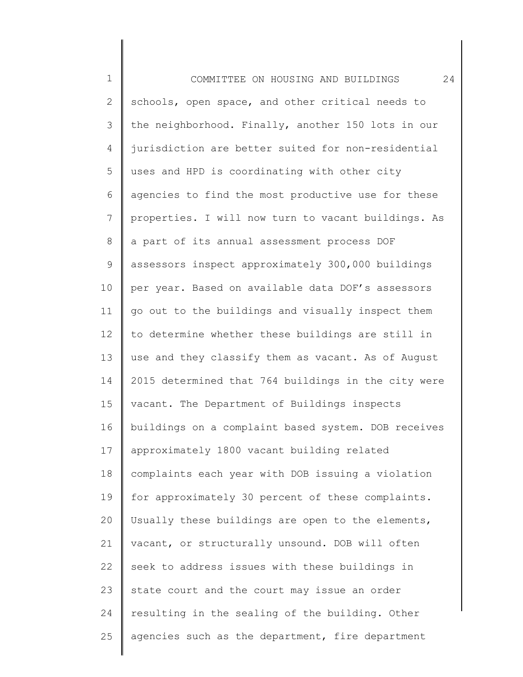1 2 3 4 5 6 7 8 9 10 11 12 13 14 15 16 17 18 19 20 21 22 23 24 25 COMMITTEE ON HOUSING AND BUILDINGS 24 schools, open space, and other critical needs to the neighborhood. Finally, another 150 lots in our jurisdiction are better suited for non-residential uses and HPD is coordinating with other city agencies to find the most productive use for these properties. I will now turn to vacant buildings. As a part of its annual assessment process DOF assessors inspect approximately 300,000 buildings per year. Based on available data DOF's assessors go out to the buildings and visually inspect them to determine whether these buildings are still in use and they classify them as vacant. As of August 2015 determined that 764 buildings in the city were vacant. The Department of Buildings inspects buildings on a complaint based system. DOB receives approximately 1800 vacant building related complaints each year with DOB issuing a violation for approximately 30 percent of these complaints. Usually these buildings are open to the elements, vacant, or structurally unsound. DOB will often seek to address issues with these buildings in state court and the court may issue an order resulting in the sealing of the building. Other agencies such as the department, fire department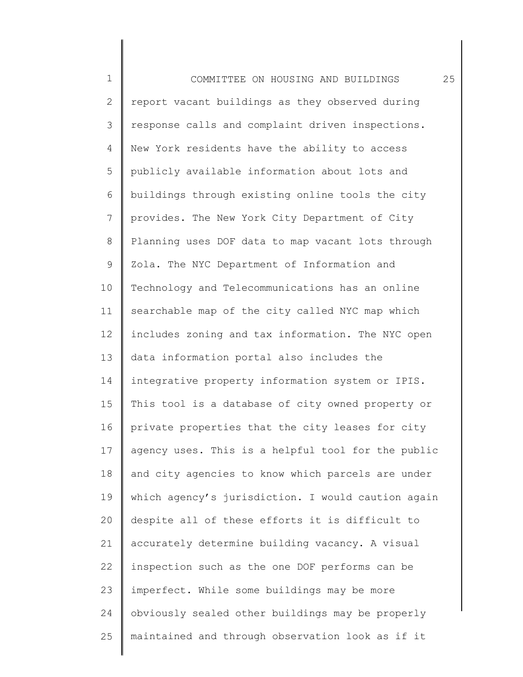1 2 3 4 5 6 7 8 9 10 11 12 13 14 15 16 17 18 19 20 21 22 23 24 25 COMMITTEE ON HOUSING AND BUILDINGS 25 report vacant buildings as they observed during response calls and complaint driven inspections. New York residents have the ability to access publicly available information about lots and buildings through existing online tools the city provides. The New York City Department of City Planning uses DOF data to map vacant lots through Zola. The NYC Department of Information and Technology and Telecommunications has an online searchable map of the city called NYC map which includes zoning and tax information. The NYC open data information portal also includes the integrative property information system or IPIS. This tool is a database of city owned property or private properties that the city leases for city agency uses. This is a helpful tool for the public and city agencies to know which parcels are under which agency's jurisdiction. I would caution again despite all of these efforts it is difficult to accurately determine building vacancy. A visual inspection such as the one DOF performs can be imperfect. While some buildings may be more obviously sealed other buildings may be properly maintained and through observation look as if it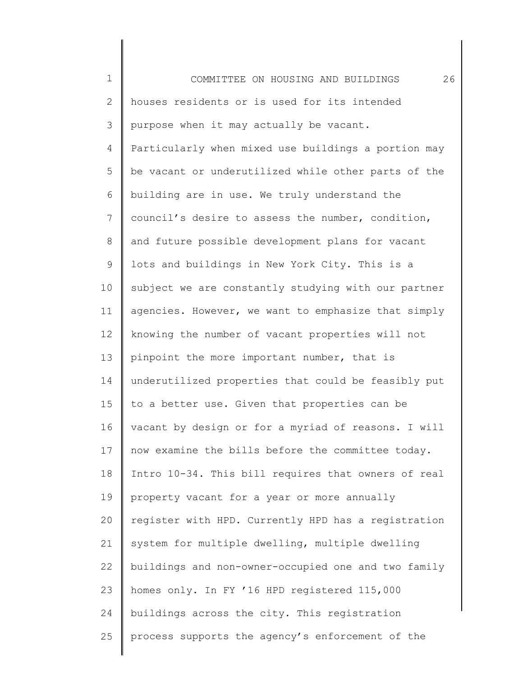1 2 3 4 5 6 7 8 9 10 11 12 13 14 15 16 17 18 19 20 21 22 23 24 25 COMMITTEE ON HOUSING AND BUILDINGS 26 houses residents or is used for its intended purpose when it may actually be vacant. Particularly when mixed use buildings a portion may be vacant or underutilized while other parts of the building are in use. We truly understand the council's desire to assess the number, condition, and future possible development plans for vacant lots and buildings in New York City. This is a subject we are constantly studying with our partner agencies. However, we want to emphasize that simply knowing the number of vacant properties will not pinpoint the more important number, that is underutilized properties that could be feasibly put to a better use. Given that properties can be vacant by design or for a myriad of reasons. I will now examine the bills before the committee today. Intro 10-34. This bill requires that owners of real property vacant for a year or more annually register with HPD. Currently HPD has a registration system for multiple dwelling, multiple dwelling buildings and non-owner-occupied one and two family homes only. In FY '16 HPD registered 115,000 buildings across the city. This registration process supports the agency's enforcement of the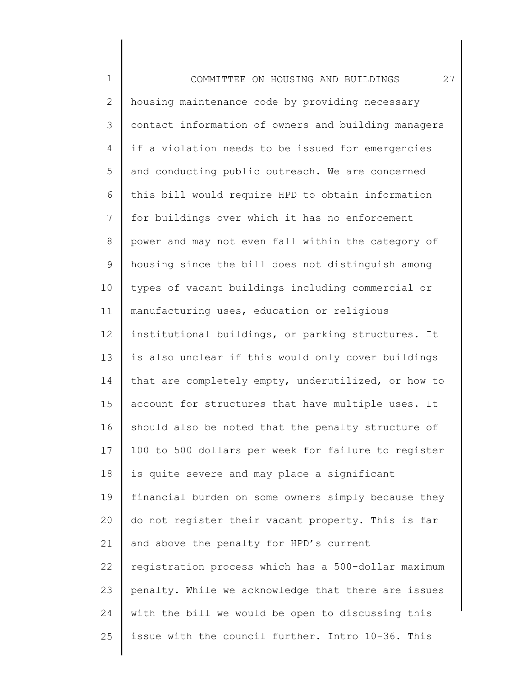| $\mathbf 1$  | 27<br>COMMITTEE ON HOUSING AND BUILDINGS            |
|--------------|-----------------------------------------------------|
| $\mathbf{2}$ | housing maintenance code by providing necessary     |
| 3            | contact information of owners and building managers |
| 4            | if a violation needs to be issued for emergencies   |
| 5            | and conducting public outreach. We are concerned    |
| 6            | this bill would require HPD to obtain information   |
| 7            | for buildings over which it has no enforcement      |
| $\,8\,$      | power and may not even fall within the category of  |
| $\mathsf 9$  | housing since the bill does not distinguish among   |
| 10           | types of vacant buildings including commercial or   |
| 11           | manufacturing uses, education or religious          |
| 12           | institutional buildings, or parking structures. It  |
| 13           | is also unclear if this would only cover buildings  |
| 14           | that are completely empty, underutilized, or how to |
| 15           | account for structures that have multiple uses. It  |
| 16           | should also be noted that the penalty structure of  |
| 17           | 100 to 500 dollars per week for failure to register |
| 18           | is quite severe and may place a significant         |
| 19           | financial burden on some owners simply because they |
| 20           | do not register their vacant property. This is far  |
| 21           | and above the penalty for HPD's current             |
| 22           | registration process which has a 500-dollar maximum |
| 23           | penalty. While we acknowledge that there are issues |
| 24           | with the bill we would be open to discussing this   |
| 25           | issue with the council further. Intro 10-36. This   |
|              |                                                     |

║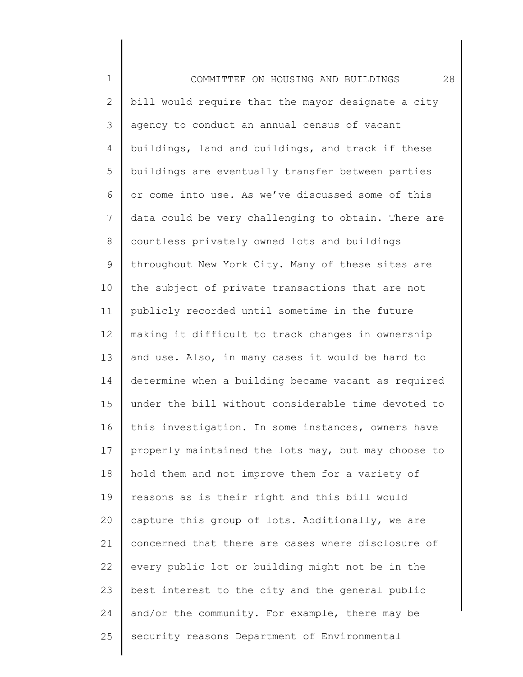1 2 3 4 5 6 7 8 9 10 11 12 13 14 15 16 17 18 19 20 21 22 23 24 25 COMMITTEE ON HOUSING AND BUILDINGS 28 bill would require that the mayor designate a city agency to conduct an annual census of vacant buildings, land and buildings, and track if these buildings are eventually transfer between parties or come into use. As we've discussed some of this data could be very challenging to obtain. There are countless privately owned lots and buildings throughout New York City. Many of these sites are the subject of private transactions that are not publicly recorded until sometime in the future making it difficult to track changes in ownership and use. Also, in many cases it would be hard to determine when a building became vacant as required under the bill without considerable time devoted to this investigation. In some instances, owners have properly maintained the lots may, but may choose to hold them and not improve them for a variety of reasons as is their right and this bill would capture this group of lots. Additionally, we are concerned that there are cases where disclosure of every public lot or building might not be in the best interest to the city and the general public and/or the community. For example, there may be security reasons Department of Environmental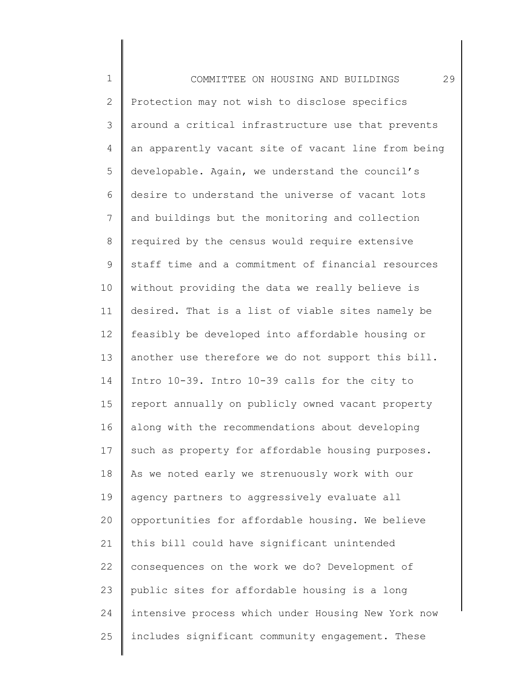1 2 3 4 5 6 7 8 9 10 11 12 13 14 15 16 17 18 19 20 21 22 23 24 25 COMMITTEE ON HOUSING AND BUILDINGS 29 Protection may not wish to disclose specifics around a critical infrastructure use that prevents an apparently vacant site of vacant line from being developable. Again, we understand the council's desire to understand the universe of vacant lots and buildings but the monitoring and collection required by the census would require extensive staff time and a commitment of financial resources without providing the data we really believe is desired. That is a list of viable sites namely be feasibly be developed into affordable housing or another use therefore we do not support this bill. Intro 10-39. Intro 10-39 calls for the city to report annually on publicly owned vacant property along with the recommendations about developing such as property for affordable housing purposes. As we noted early we strenuously work with our agency partners to aggressively evaluate all opportunities for affordable housing. We believe this bill could have significant unintended consequences on the work we do? Development of public sites for affordable housing is a long intensive process which under Housing New York now includes significant community engagement. These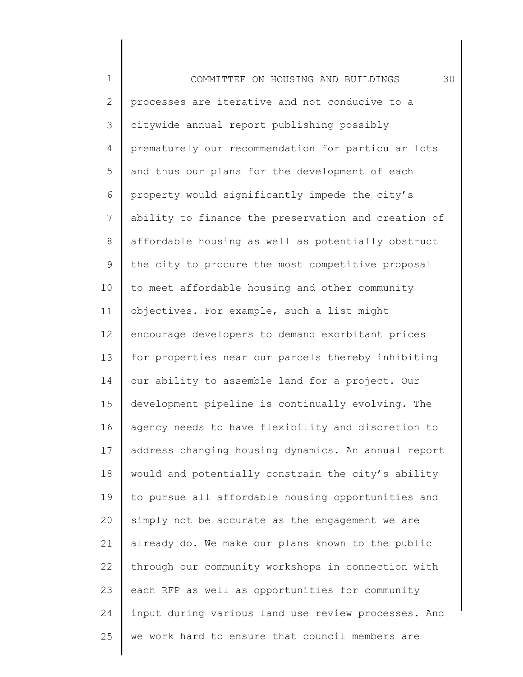1 2 3 4 5 6 7 8 9 10 11 12 13 14 15 16 17 18 19 20 21 22 23 24 25 COMMITTEE ON HOUSING AND BUILDINGS 30 processes are iterative and not conducive to a citywide annual report publishing possibly prematurely our recommendation for particular lots and thus our plans for the development of each property would significantly impede the city's ability to finance the preservation and creation of affordable housing as well as potentially obstruct the city to procure the most competitive proposal to meet affordable housing and other community objectives. For example, such a list might encourage developers to demand exorbitant prices for properties near our parcels thereby inhibiting our ability to assemble land for a project. Our development pipeline is continually evolving. The agency needs to have flexibility and discretion to address changing housing dynamics. An annual report would and potentially constrain the city's ability to pursue all affordable housing opportunities and simply not be accurate as the engagement we are already do. We make our plans known to the public through our community workshops in connection with each RFP as well as opportunities for community input during various land use review processes. And we work hard to ensure that council members are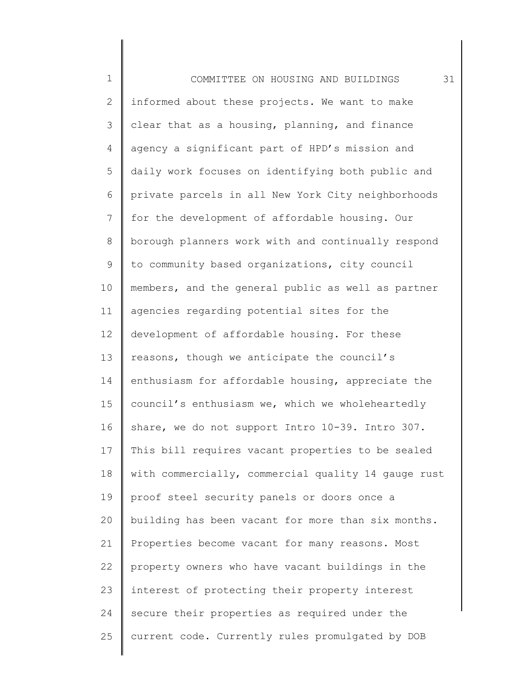1 2 3 4 5 6 7 8 9 10 11 12 13 14 15 16 17 18 19 20 21 22 23 24 25 COMMITTEE ON HOUSING AND BUILDINGS 31 informed about these projects. We want to make clear that as a housing, planning, and finance agency a significant part of HPD's mission and daily work focuses on identifying both public and private parcels in all New York City neighborhoods for the development of affordable housing. Our borough planners work with and continually respond to community based organizations, city council members, and the general public as well as partner agencies regarding potential sites for the development of affordable housing. For these reasons, though we anticipate the council's enthusiasm for affordable housing, appreciate the council's enthusiasm we, which we wholeheartedly share, we do not support Intro 10-39. Intro 307. This bill requires vacant properties to be sealed with commercially, commercial quality 14 gauge rust proof steel security panels or doors once a building has been vacant for more than six months. Properties become vacant for many reasons. Most property owners who have vacant buildings in the interest of protecting their property interest secure their properties as required under the current code. Currently rules promulgated by DOB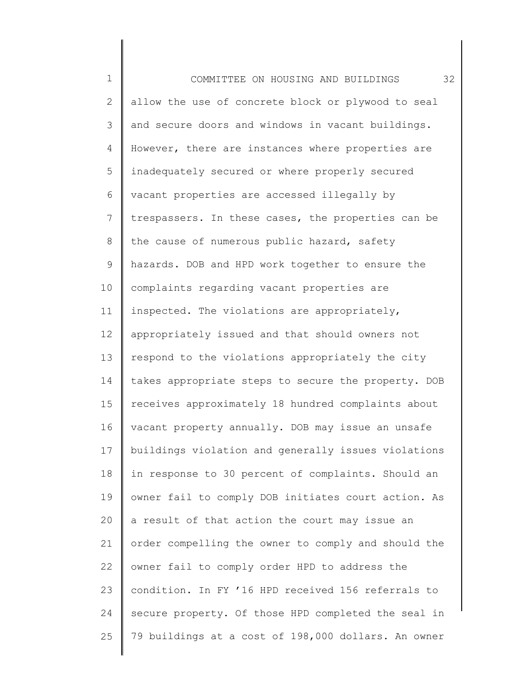1 2 3 4 5 6 7 8 9 10 11 12 13 14 15 16 17 18 19 20 21 22 23 24 25 COMMITTEE ON HOUSING AND BUILDINGS 32 allow the use of concrete block or plywood to seal and secure doors and windows in vacant buildings. However, there are instances where properties are inadequately secured or where properly secured vacant properties are accessed illegally by trespassers. In these cases, the properties can be the cause of numerous public hazard, safety hazards. DOB and HPD work together to ensure the complaints regarding vacant properties are inspected. The violations are appropriately, appropriately issued and that should owners not respond to the violations appropriately the city takes appropriate steps to secure the property. DOB receives approximately 18 hundred complaints about vacant property annually. DOB may issue an unsafe buildings violation and generally issues violations in response to 30 percent of complaints. Should an owner fail to comply DOB initiates court action. As a result of that action the court may issue an order compelling the owner to comply and should the owner fail to comply order HPD to address the condition. In FY '16 HPD received 156 referrals to secure property. Of those HPD completed the seal in 79 buildings at a cost of 198,000 dollars. An owner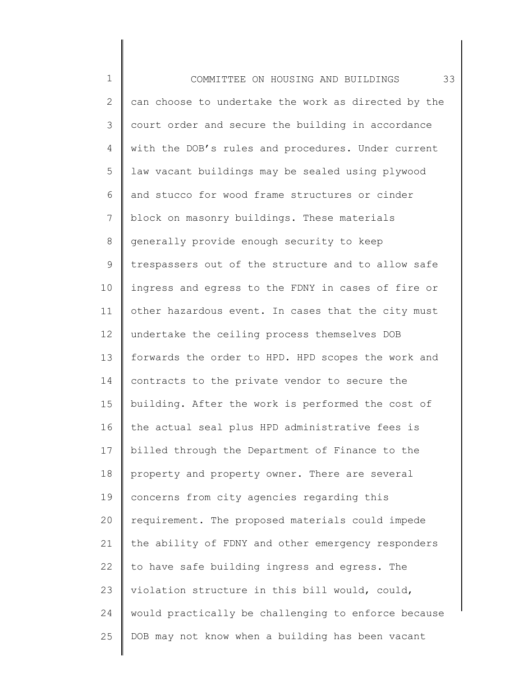1 2 3 4 5 6 7 8 9 10 11 12 13 14 15 16 17 18 19 20 21 22 23 24 25 COMMITTEE ON HOUSING AND BUILDINGS 33 can choose to undertake the work as directed by the court order and secure the building in accordance with the DOB's rules and procedures. Under current law vacant buildings may be sealed using plywood and stucco for wood frame structures or cinder block on masonry buildings. These materials generally provide enough security to keep trespassers out of the structure and to allow safe ingress and egress to the FDNY in cases of fire or other hazardous event. In cases that the city must undertake the ceiling process themselves DOB forwards the order to HPD. HPD scopes the work and contracts to the private vendor to secure the building. After the work is performed the cost of the actual seal plus HPD administrative fees is billed through the Department of Finance to the property and property owner. There are several concerns from city agencies regarding this requirement. The proposed materials could impede the ability of FDNY and other emergency responders to have safe building ingress and egress. The violation structure in this bill would, could, would practically be challenging to enforce because DOB may not know when a building has been vacant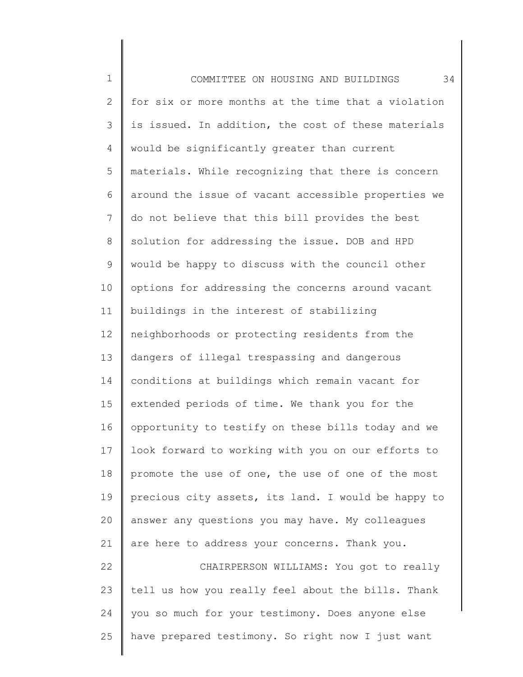1 2 3 4 5 6 7 8 9 10 11 12 13 14 15 16 17 18 19 20 21 22 23 24 25 COMMITTEE ON HOUSING AND BUILDINGS 34 for six or more months at the time that a violation is issued. In addition, the cost of these materials would be significantly greater than current materials. While recognizing that there is concern around the issue of vacant accessible properties we do not believe that this bill provides the best solution for addressing the issue. DOB and HPD would be happy to discuss with the council other options for addressing the concerns around vacant buildings in the interest of stabilizing neighborhoods or protecting residents from the dangers of illegal trespassing and dangerous conditions at buildings which remain vacant for extended periods of time. We thank you for the opportunity to testify on these bills today and we look forward to working with you on our efforts to promote the use of one, the use of one of the most precious city assets, its land. I would be happy to answer any questions you may have. My colleagues are here to address your concerns. Thank you. CHAIRPERSON WILLIAMS: You got to really tell us how you really feel about the bills. Thank you so much for your testimony. Does anyone else have prepared testimony. So right now I just want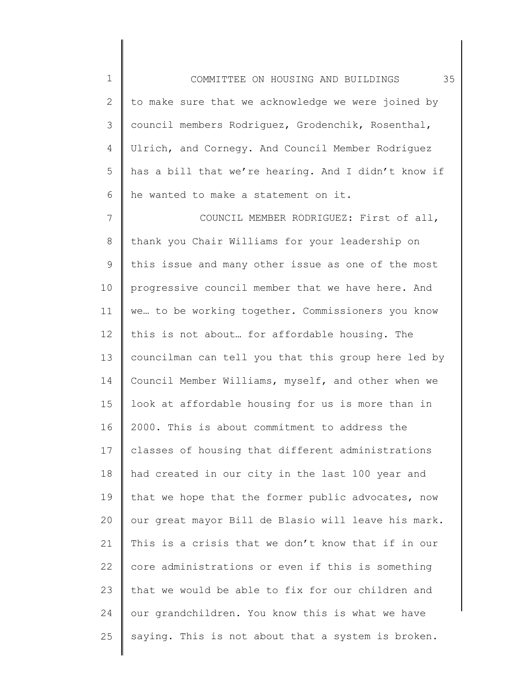1 2 3 4 5 6 COMMITTEE ON HOUSING AND BUILDINGS 35 to make sure that we acknowledge we were joined by council members Rodriguez, Grodenchik, Rosenthal, Ulrich, and Cornegy. And Council Member Rodriguez has a bill that we're hearing. And I didn't know if he wanted to make a statement on it.

7 8 9 10 11 12 13 14 15 16 17 18 19 20 21 22 23 24 25 COUNCIL MEMBER RODRIGUEZ: First of all, thank you Chair Williams for your leadership on this issue and many other issue as one of the most progressive council member that we have here. And we… to be working together. Commissioners you know this is not about… for affordable housing. The councilman can tell you that this group here led by Council Member Williams, myself, and other when we look at affordable housing for us is more than in 2000. This is about commitment to address the classes of housing that different administrations had created in our city in the last 100 year and that we hope that the former public advocates, now our great mayor Bill de Blasio will leave his mark. This is a crisis that we don't know that if in our core administrations or even if this is something that we would be able to fix for our children and our grandchildren. You know this is what we have saying. This is not about that a system is broken.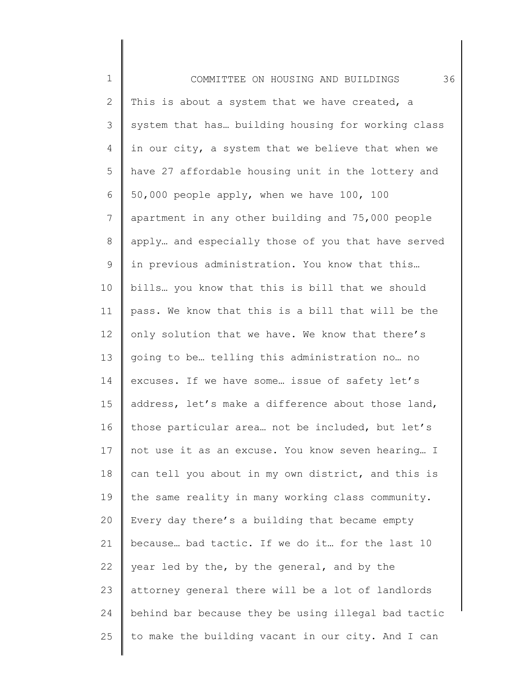1 2 3 4 5 6 7 8 9 10 11 12 13 14 15 16 17 18 19 20 21 22 23 24 25 COMMITTEE ON HOUSING AND BUILDINGS 36 This is about a system that we have created, a system that has… building housing for working class in our city, a system that we believe that when we have 27 affordable housing unit in the lottery and 50,000 people apply, when we have 100, 100 apartment in any other building and 75,000 people apply… and especially those of you that have served in previous administration. You know that this… bills… you know that this is bill that we should pass. We know that this is a bill that will be the only solution that we have. We know that there's going to be… telling this administration no… no excuses. If we have some… issue of safety let's address, let's make a difference about those land, those particular area… not be included, but let's not use it as an excuse. You know seven hearing… I can tell you about in my own district, and this is the same reality in many working class community. Every day there's a building that became empty because… bad tactic. If we do it… for the last 10 year led by the, by the general, and by the attorney general there will be a lot of landlords behind bar because they be using illegal bad tactic to make the building vacant in our city. And I can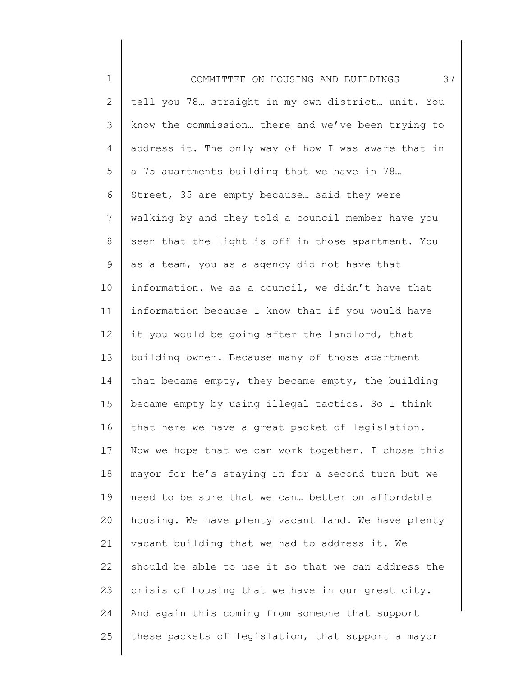1 2 3 4 5 6 7 8 9 10 11 12 13 14 15 16 17 18 19 20 21 22 23 24 25 COMMITTEE ON HOUSING AND BUILDINGS 37 tell you 78… straight in my own district… unit. You know the commission… there and we've been trying to address it. The only way of how I was aware that in a 75 apartments building that we have in 78… Street, 35 are empty because… said they were walking by and they told a council member have you seen that the light is off in those apartment. You as a team, you as a agency did not have that information. We as a council, we didn't have that information because I know that if you would have it you would be going after the landlord, that building owner. Because many of those apartment that became empty, they became empty, the building became empty by using illegal tactics. So I think that here we have a great packet of legislation. Now we hope that we can work together. I chose this mayor for he's staying in for a second turn but we need to be sure that we can… better on affordable housing. We have plenty vacant land. We have plenty vacant building that we had to address it. We should be able to use it so that we can address the crisis of housing that we have in our great city. And again this coming from someone that support these packets of legislation, that support a mayor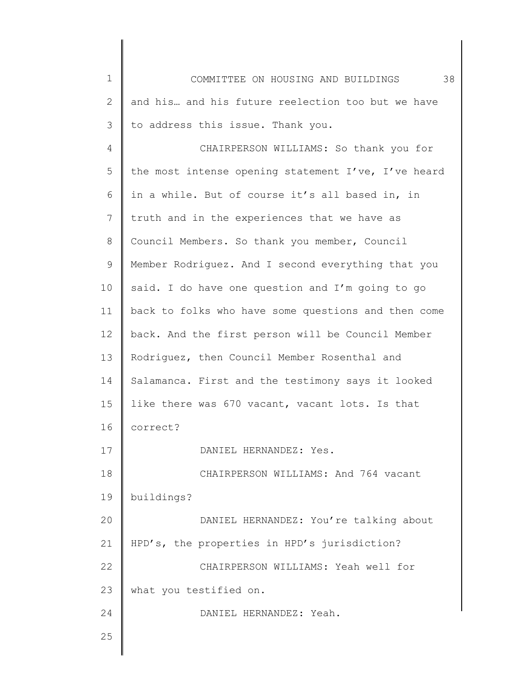| $\mathbf 1$  | 38<br>COMMITTEE ON HOUSING AND BUILDINGS            |
|--------------|-----------------------------------------------------|
| $\mathbf{2}$ | and his and his future reelection too but we have   |
| 3            | to address this issue. Thank you.                   |
| 4            | CHAIRPERSON WILLIAMS: So thank you for              |
| 5            | the most intense opening statement I've, I've heard |
| 6            | in a while. But of course it's all based in, in     |
| 7            | truth and in the experiences that we have as        |
| $\,8\,$      | Council Members. So thank you member, Council       |
| 9            | Member Rodriquez. And I second everything that you  |
| 10           | said. I do have one question and I'm going to go    |
| 11           | back to folks who have some questions and then come |
| 12           | back. And the first person will be Council Member   |
| 13           | Rodriquez, then Council Member Rosenthal and        |
| 14           | Salamanca. First and the testimony says it looked   |
| 15           | like there was 670 vacant, vacant lots. Is that     |
| 16           | correct?                                            |
| 17           | DANIEL HERNANDEZ: Yes.                              |
| 18           | CHAIRPERSON WILLIAMS: And 764 vacant                |
| 19           | buildings?                                          |
| 20           | DANIEL HERNANDEZ: You're talking about              |
| 21           | HPD's, the properties in HPD's jurisdiction?        |
| 22           | CHAIRPERSON WILLIAMS: Yeah well for                 |
| 23           | what you testified on.                              |
| 24           | DANIEL HERNANDEZ: Yeah.                             |
| 25           |                                                     |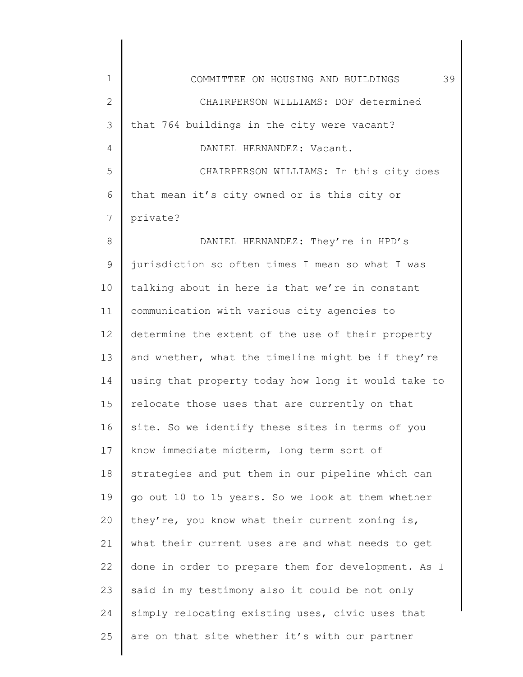| $\mathbf 1$  | 39<br>COMMITTEE ON HOUSING AND BUILDINGS            |
|--------------|-----------------------------------------------------|
| $\mathbf{2}$ | CHAIRPERSON WILLIAMS: DOF determined                |
| 3            | that 764 buildings in the city were vacant?         |
| 4            | DANIEL HERNANDEZ: Vacant.                           |
| 5            | CHAIRPERSON WILLIAMS: In this city does             |
| 6            | that mean it's city owned or is this city or        |
| 7            | private?                                            |
| 8            | DANIEL HERNANDEZ: They're in HPD's                  |
| $\mathsf 9$  | jurisdiction so often times I mean so what I was    |
| 10           | talking about in here is that we're in constant     |
| 11           | communication with various city agencies to         |
| 12           | determine the extent of the use of their property   |
| 13           | and whether, what the timeline might be if they're  |
| 14           | using that property today how long it would take to |
| 15           | relocate those uses that are currently on that      |
| 16           | site. So we identify these sites in terms of you    |
| 17           | know immediate midterm, long term sort of           |
| 18           | strategies and put them in our pipeline which can   |
| 19           | go out 10 to 15 years. So we look at them whether   |
| 20           | they're, you know what their current zoning is,     |
| 21           | what their current uses are and what needs to get   |
| 22           | done in order to prepare them for development. As I |
| 23           | said in my testimony also it could be not only      |
| 24           | simply relocating existing uses, civic uses that    |
| 25           | are on that site whether it's with our partner      |
|              |                                                     |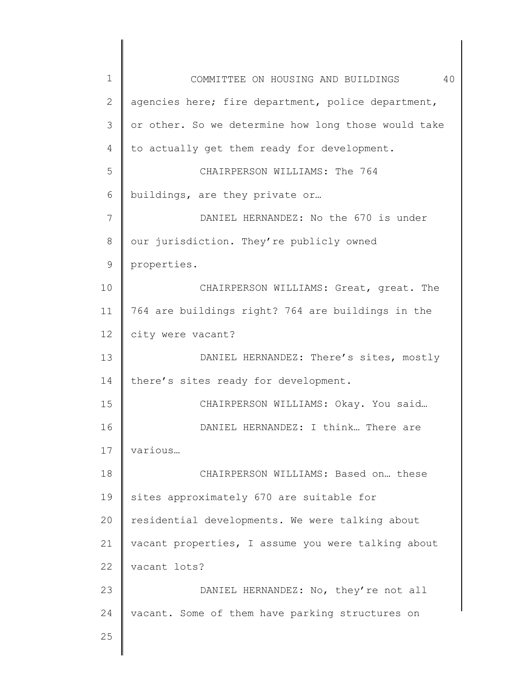| $\mathbf 1$    | 40<br>COMMITTEE ON HOUSING AND BUILDINGS            |
|----------------|-----------------------------------------------------|
| 2              | agencies here; fire department, police department,  |
| 3              | or other. So we determine how long those would take |
| 4              | to actually get them ready for development.         |
| 5              | CHAIRPERSON WILLIAMS: The 764                       |
| 6              | buildings, are they private or                      |
| $\overline{7}$ | DANIEL HERNANDEZ: No the 670 is under               |
| 8              | our jurisdiction. They're publicly owned            |
| 9              | properties.                                         |
| 10             | CHAIRPERSON WILLIAMS: Great, great. The             |
| 11             | 764 are buildings right? 764 are buildings in the   |
| 12             | city were vacant?                                   |
| 13             | DANIEL HERNANDEZ: There's sites, mostly             |
| 14             | there's sites ready for development.                |
| 15             | CHAIRPERSON WILLIAMS: Okay. You said                |
| 16             | DANIEL HERNANDEZ: I think There are                 |
| 17             | various                                             |
| 18             | CHAIRPERSON WILLIAMS: Based on these                |
| 19             | sites approximately 670 are suitable for            |
| 20             | residential developments. We were talking about     |
| 21             | vacant properties, I assume you were talking about  |
| 22             | vacant lots?                                        |
| 23             | DANIEL HERNANDEZ: No, they're not all               |
| 24             | vacant. Some of them have parking structures on     |
| 25             |                                                     |
|                |                                                     |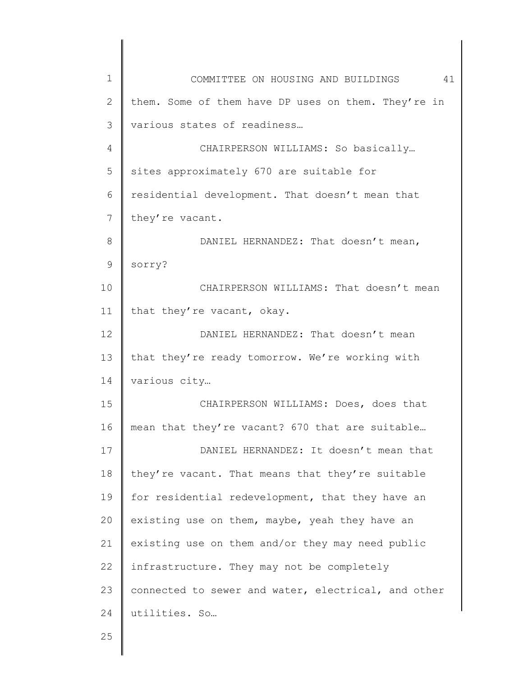| $\mathbf 1$  | 41<br>COMMITTEE ON HOUSING AND BUILDINGS            |
|--------------|-----------------------------------------------------|
| $\mathbf{2}$ | them. Some of them have DP uses on them. They're in |
| 3            | various states of readiness                         |
| 4            | CHAIRPERSON WILLIAMS: So basically                  |
| 5            | sites approximately 670 are suitable for            |
| 6            | residential development. That doesn't mean that     |
| 7            | they're vacant.                                     |
| 8            | DANIEL HERNANDEZ: That doesn't mean,                |
| 9            | sorry?                                              |
| 10           | CHAIRPERSON WILLIAMS: That doesn't mean             |
| 11           | that they're vacant, okay.                          |
| 12           | DANIEL HERNANDEZ: That doesn't mean                 |
| 13           | that they're ready tomorrow. We're working with     |
| 14           | various city                                        |
| 15           | CHAIRPERSON WILLIAMS: Does, does that               |
| 16           | mean that they're vacant? 670 that are suitable     |
| 17           | DANIEL HERNANDEZ: It doesn't mean that              |
| 18           | they're vacant. That means that they're suitable    |
| 19           | for residential redevelopment, that they have an    |
| 20           | existing use on them, maybe, yeah they have an      |
| 21           | existing use on them and/or they may need public    |
| 22           | infrastructure. They may not be completely          |
| 23           | connected to sewer and water, electrical, and other |
| 24           | utilities. So                                       |
| 25           |                                                     |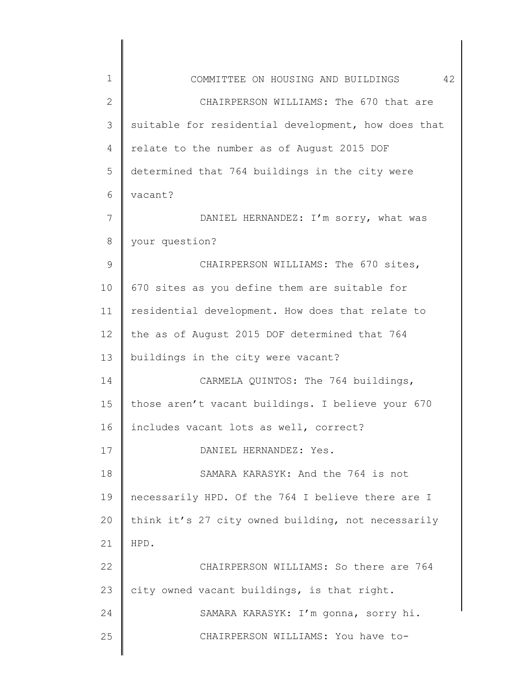| 1             | 42<br>COMMITTEE ON HOUSING AND BUILDINGS            |
|---------------|-----------------------------------------------------|
| $\mathbf{2}$  | CHAIRPERSON WILLIAMS: The 670 that are              |
| 3             | suitable for residential development, how does that |
| 4             | relate to the number as of August 2015 DOF          |
| 5             | determined that 764 buildings in the city were      |
| 6             | vacant?                                             |
| 7             | DANIEL HERNANDEZ: I'm sorry, what was               |
| 8             | your question?                                      |
| $\mathcal{G}$ | CHAIRPERSON WILLIAMS: The 670 sites,                |
| 10            | 670 sites as you define them are suitable for       |
| 11            | residential development. How does that relate to    |
| 12            | the as of August 2015 DOF determined that 764       |
| 13            | buildings in the city were vacant?                  |
| 14            | CARMELA QUINTOS: The 764 buildings,                 |
| 15            | those aren't vacant buildings. I believe your 670   |
| 16            | includes vacant lots as well, correct?              |
| 17            | DANIEL HERNANDEZ: Yes.                              |
| 18            | SAMARA KARASYK: And the 764 is not                  |
| 19            | necessarily HPD. Of the 764 I believe there are I   |
| 20            | think it's 27 city owned building, not necessarily  |
| 21            | HPD.                                                |
| 22            | CHAIRPERSON WILLIAMS: So there are 764              |
| 23            | city owned vacant buildings, is that right.         |
| 24            | SAMARA KARASYK: I'm gonna, sorry hi.                |
| 25            | CHAIRPERSON WILLIAMS: You have to-                  |
|               |                                                     |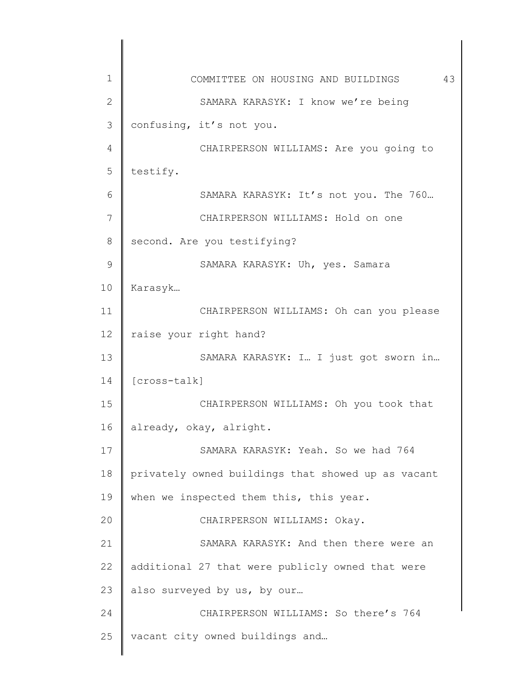| 1            | COMMITTEE ON HOUSING AND BUILDINGS<br>43           |
|--------------|----------------------------------------------------|
| $\mathbf{2}$ | SAMARA KARASYK: I know we're being                 |
| 3            | confusing, it's not you.                           |
| 4            | CHAIRPERSON WILLIAMS: Are you going to             |
| 5            | testify.                                           |
| 6            | SAMARA KARASYK: It's not you. The 760              |
| 7            | CHAIRPERSON WILLIAMS: Hold on one                  |
| 8            | second. Are you testifying?                        |
| 9            | SAMARA KARASYK: Uh, yes. Samara                    |
| 10           | Karasyk                                            |
| 11           | CHAIRPERSON WILLIAMS: Oh can you please            |
| 12           | raise your right hand?                             |
| 13           | SAMARA KARASYK: I I just got sworn in              |
| 14           | [cross-talk]                                       |
| 15           | CHAIRPERSON WILLIAMS: Oh you took that             |
| 16           | already, okay, alright.                            |
| 17           | SAMARA KARASYK: Yeah. So we had 764                |
| 18           | privately owned buildings that showed up as vacant |
| 19           | when we inspected them this, this year.            |
| 20           | CHAIRPERSON WILLIAMS: Okay.                        |
| 21           | SAMARA KARASYK: And then there were an             |
| 22           | additional 27 that were publicly owned that were   |
| 23           | also surveyed by us, by our                        |
| 24           | CHAIRPERSON WILLIAMS: So there's 764               |
| 25           | vacant city owned buildings and                    |
|              |                                                    |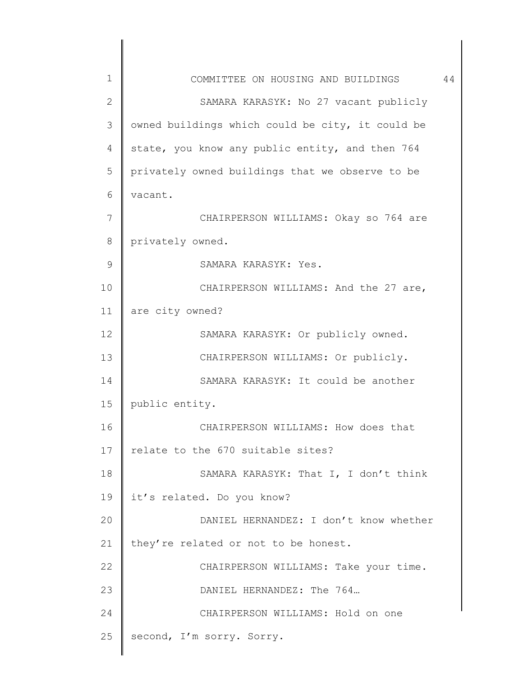| $\mathbf 1$  | COMMITTEE ON HOUSING AND BUILDINGS               | 44 |
|--------------|--------------------------------------------------|----|
| $\mathbf{2}$ | SAMARA KARASYK: No 27 vacant publicly            |    |
| 3            | owned buildings which could be city, it could be |    |
| 4            | state, you know any public entity, and then 764  |    |
| 5            | privately owned buildings that we observe to be  |    |
| 6            | vacant.                                          |    |
| 7            | CHAIRPERSON WILLIAMS: Okay so 764 are            |    |
| $8\,$        | privately owned.                                 |    |
| $\mathsf 9$  | SAMARA KARASYK: Yes.                             |    |
| 10           | CHAIRPERSON WILLIAMS: And the 27 are,            |    |
| 11           | are city owned?                                  |    |
| 12           | SAMARA KARASYK: Or publicly owned.               |    |
| 13           | CHAIRPERSON WILLIAMS: Or publicly.               |    |
| 14           | SAMARA KARASYK: It could be another              |    |
| 15           | public entity.                                   |    |
| 16           | CHAIRPERSON WILLIAMS: How does that              |    |
| 17           | relate to the 670 suitable sites?                |    |
| 18           | SAMARA KARASYK: That I, I don't think            |    |
| 19           | it's related. Do you know?                       |    |
| 20           | DANIEL HERNANDEZ: I don't know whether           |    |
| 21           | they're related or not to be honest.             |    |
| 22           | CHAIRPERSON WILLIAMS: Take your time.            |    |
| 23           | DANIEL HERNANDEZ: The 764                        |    |
| 24           | CHAIRPERSON WILLIAMS: Hold on one                |    |
| 25           | second, I'm sorry. Sorry.                        |    |
|              |                                                  |    |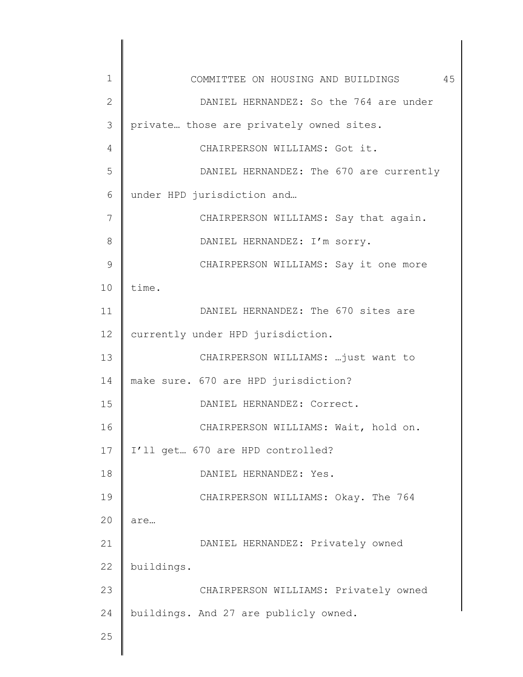| 1  | COMMITTEE ON HOUSING AND BUILDINGS 45    |
|----|------------------------------------------|
| 2  | DANIEL HERNANDEZ: So the 764 are under   |
| 3  | private those are privately owned sites. |
| 4  | CHAIRPERSON WILLIAMS: Got it.            |
| 5  | DANIEL HERNANDEZ: The 670 are currently  |
| 6  | under HPD jurisdiction and               |
| 7  | CHAIRPERSON WILLIAMS: Say that again.    |
| 8  | DANIEL HERNANDEZ: I'm sorry.             |
| 9  | CHAIRPERSON WILLIAMS: Say it one more    |
| 10 | time.                                    |
| 11 | DANIEL HERNANDEZ: The 670 sites are      |
| 12 | currently under HPD jurisdiction.        |
| 13 | CHAIRPERSON WILLIAMS: just want to       |
| 14 | make sure. 670 are HPD jurisdiction?     |
| 15 | DANIEL HERNANDEZ: Correct.               |
| 16 | CHAIRPERSON WILLIAMS: Wait, hold on.     |
| 17 | I'll get 670 are HPD controlled?         |
| 18 | DANIEL HERNANDEZ: Yes.                   |
| 19 | CHAIRPERSON WILLIAMS: Okay. The 764      |
| 20 | are                                      |
| 21 | DANIEL HERNANDEZ: Privately owned        |
| 22 | buildings.                               |
| 23 | CHAIRPERSON WILLIAMS: Privately owned    |
| 24 | buildings. And 27 are publicly owned.    |
| 25 |                                          |
|    |                                          |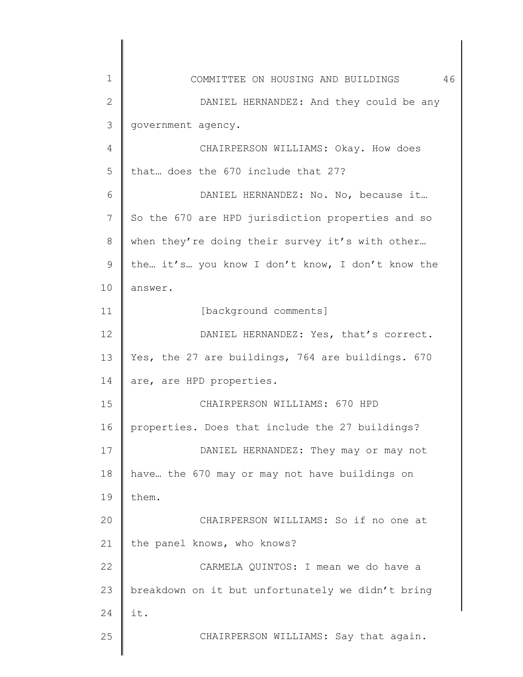| 1            | 46<br>COMMITTEE ON HOUSING AND BUILDINGS          |
|--------------|---------------------------------------------------|
| $\mathbf{2}$ | DANIEL HERNANDEZ: And they could be any           |
| 3            | government agency.                                |
| 4            | CHAIRPERSON WILLIAMS: Okay. How does              |
| 5            | that does the 670 include that 27?                |
| 6            | DANIEL HERNANDEZ: No. No, because it              |
| 7            | So the 670 are HPD jurisdiction properties and so |
| 8            | when they're doing their survey it's with other   |
| 9            | the it's you know I don't know, I don't know the  |
| 10           | answer.                                           |
| 11           | [background comments]                             |
| 12           | DANIEL HERNANDEZ: Yes, that's correct.            |
| 13           | Yes, the 27 are buildings, 764 are buildings. 670 |
| 14           | are, are HPD properties.                          |
| 15           | CHAIRPERSON WILLIAMS: 670 HPD                     |
| 16           | properties. Does that include the 27 buildings?   |
| 17           | DANIEL HERNANDEZ: They may or may not             |
| 18           | have the 670 may or may not have buildings on     |
| 19           | them.                                             |
| 20           | CHAIRPERSON WILLIAMS: So if no one at             |
| 21           | the panel knows, who knows?                       |
| 22           | CARMELA QUINTOS: I mean we do have a              |
| 23           | breakdown on it but unfortunately we didn't bring |
| 24           | it.                                               |
| 25           | CHAIRPERSON WILLIAMS: Say that again.             |
|              |                                                   |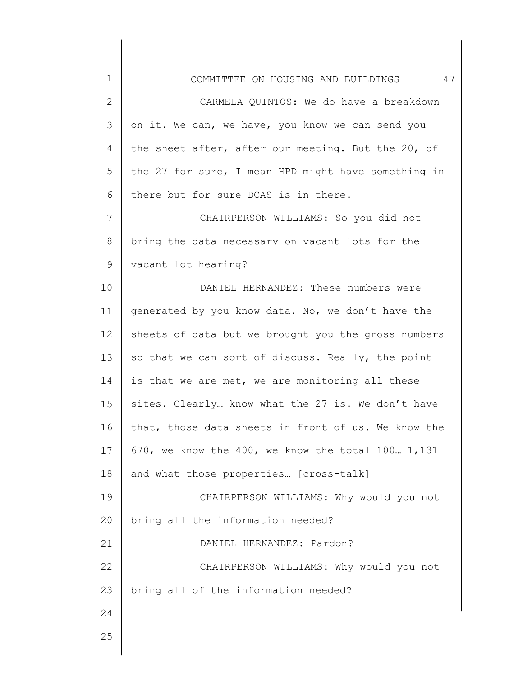| $\mathbf 1$    | 47<br>COMMITTEE ON HOUSING AND BUILDINGS            |
|----------------|-----------------------------------------------------|
| $\mathbf 2$    | CARMELA QUINTOS: We do have a breakdown             |
| $\mathfrak{Z}$ | on it. We can, we have, you know we can send you    |
| 4              | the sheet after, after our meeting. But the 20, of  |
| 5              | the 27 for sure, I mean HPD might have something in |
| 6              | there but for sure DCAS is in there.                |
| 7              | CHAIRPERSON WILLIAMS: So you did not                |
| 8              | bring the data necessary on vacant lots for the     |
| 9              | vacant lot hearing?                                 |
| 10             | DANIEL HERNANDEZ: These numbers were                |
| 11             | generated by you know data. No, we don't have the   |
| 12             | sheets of data but we brought you the gross numbers |
| 13             | so that we can sort of discuss. Really, the point   |
| 14             | is that we are met, we are monitoring all these     |
| 15             | sites. Clearly know what the 27 is. We don't have   |
| 16             | that, those data sheets in front of us. We know the |
| 17             | 670, we know the 400, we know the total 100 1,131   |
| 18             | and what those properties [cross-talk]              |
| 19             | CHAIRPERSON WILLIAMS: Why would you not             |
| 20             | bring all the information needed?                   |
| 21             | DANIEL HERNANDEZ: Pardon?                           |
| 22             | CHAIRPERSON WILLIAMS: Why would you not             |
| 23             | bring all of the information needed?                |
| 24             |                                                     |
| 25             |                                                     |
|                |                                                     |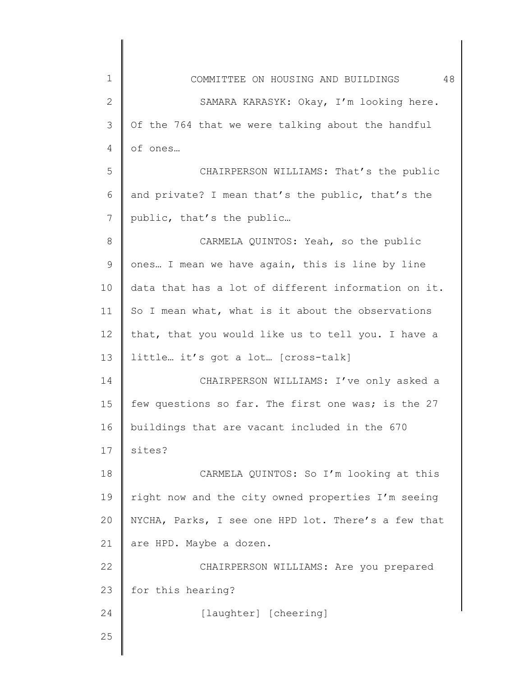| $\mathbf 1$ | 48<br>COMMITTEE ON HOUSING AND BUILDINGS            |
|-------------|-----------------------------------------------------|
| 2           | SAMARA KARASYK: Okay, I'm looking here.             |
| 3           | Of the 764 that we were talking about the handful   |
| 4           | of ones                                             |
| 5           | CHAIRPERSON WILLIAMS: That's the public             |
| 6           | and private? I mean that's the public, that's the   |
| 7           | public, that's the public                           |
| 8           | CARMELA QUINTOS: Yeah, so the public                |
| 9           | ones I mean we have again, this is line by line     |
| 10          | data that has a lot of different information on it. |
| 11          | So I mean what, what is it about the observations   |
| 12          | that, that you would like us to tell you. I have a  |
| 13          | little it's got a lot [cross-talk]                  |
| 14          | CHAIRPERSON WILLIAMS: I've only asked a             |
| 15          | few questions so far. The first one was; is the 27  |
| 16          | buildings that are vacant included in the 670       |
| 17          | sites?                                              |
| 18          | CARMELA QUINTOS: So I'm looking at this             |
| 19          | right now and the city owned properties I'm seeing  |
| 20          | NYCHA, Parks, I see one HPD lot. There's a few that |
| 21          | are HPD. Maybe a dozen.                             |
| 22          | CHAIRPERSON WILLIAMS: Are you prepared              |
| 23          | for this hearing?                                   |
| 24          | [laughter] [cheering]                               |
| 25          |                                                     |
|             |                                                     |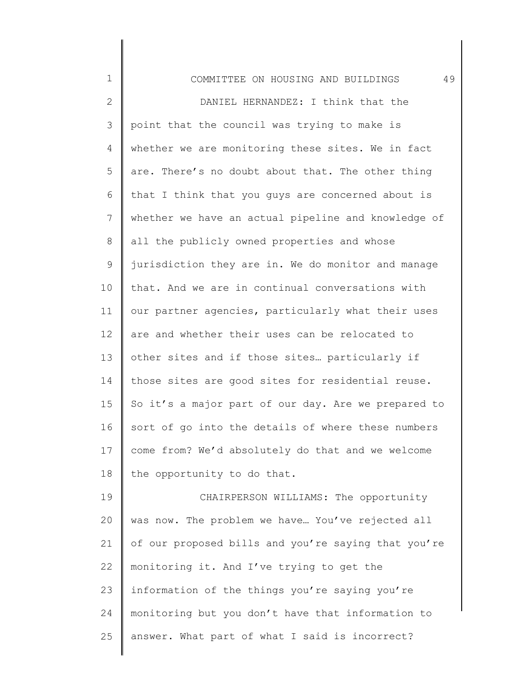| $\mathbf 1$  | 49<br>COMMITTEE ON HOUSING AND BUILDINGS            |
|--------------|-----------------------------------------------------|
| $\mathbf{2}$ | DANIEL HERNANDEZ: I think that the                  |
| 3            | point that the council was trying to make is        |
| 4            | whether we are monitoring these sites. We in fact   |
| 5            | are. There's no doubt about that. The other thing   |
| 6            | that I think that you guys are concerned about is   |
| 7            | whether we have an actual pipeline and knowledge of |
| 8            | all the publicly owned properties and whose         |
| 9            | jurisdiction they are in. We do monitor and manage  |
| 10           | that. And we are in continual conversations with    |
| 11           | our partner agencies, particularly what their uses  |
| 12           | are and whether their uses can be relocated to      |
| 13           | other sites and if those sites particularly if      |
| 14           | those sites are good sites for residential reuse.   |
| 15           | So it's a major part of our day. Are we prepared to |
| 16           | sort of go into the details of where these numbers  |
| 17           | come from? We'd absolutely do that and we welcome   |
| 18           | the opportunity to do that.                         |
| 19           | CHAIRPERSON WILLIAMS: The opportunity               |
| 20           | was now. The problem we have You've rejected all    |
| 21           | of our proposed bills and you're saying that you're |
| 22           | monitoring it. And I've trying to get the           |
| 23           | information of the things you're saying you're      |
| 24           | monitoring but you don't have that information to   |
| 25           | answer. What part of what I said is incorrect?      |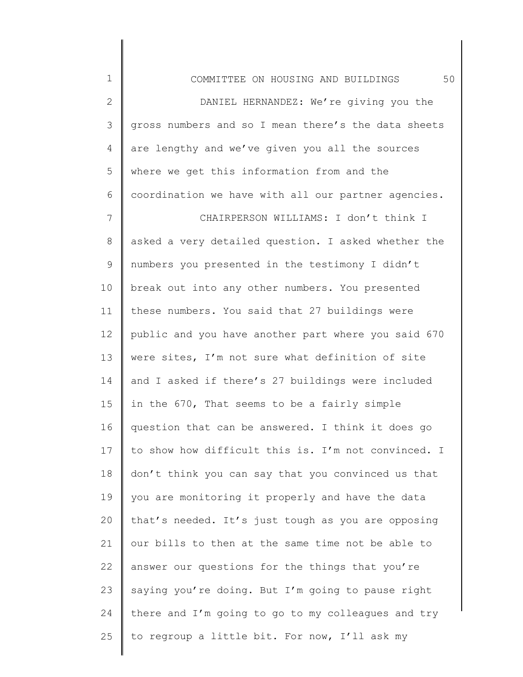| $\mathbf 1$    | 50<br>COMMITTEE ON HOUSING AND BUILDINGS            |
|----------------|-----------------------------------------------------|
| $\mathbf{2}$   | DANIEL HERNANDEZ: We're giving you the              |
| 3              | gross numbers and so I mean there's the data sheets |
| 4              | are lengthy and we've given you all the sources     |
| 5              | where we get this information from and the          |
| 6              | coordination we have with all our partner agencies. |
| $\overline{7}$ | CHAIRPERSON WILLIAMS: I don't think I               |
| 8              | asked a very detailed question. I asked whether the |
| 9              | numbers you presented in the testimony I didn't     |
| 10             | break out into any other numbers. You presented     |
| 11             | these numbers. You said that 27 buildings were      |
| 12             | public and you have another part where you said 670 |
| 13             | were sites, I'm not sure what definition of site    |
| 14             | and I asked if there's 27 buildings were included   |
| 15             | in the 670, That seems to be a fairly simple        |
| 16             | question that can be answered. I think it does go   |
| 17             | to show how difficult this is. I'm not convinced. I |
| 18             | don't think you can say that you convinced us that  |
| 19             | you are monitoring it properly and have the data    |
| 20             | that's needed. It's just tough as you are opposing  |
| 21             | our bills to then at the same time not be able to   |
| 22             | answer our questions for the things that you're     |
| 23             | saying you're doing. But I'm going to pause right   |
| 24             | there and I'm going to go to my colleagues and try  |
| 25             | to regroup a little bit. For now, I'll ask my       |
|                |                                                     |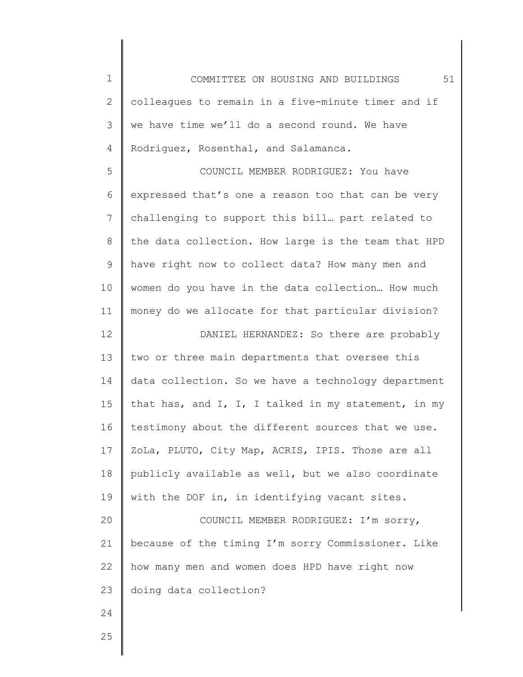1 2 3 4 COMMITTEE ON HOUSING AND BUILDINGS 51 colleagues to remain in a five-minute timer and if we have time we'll do a second round. We have Rodriguez, Rosenthal, and Salamanca.

5 6 7 8 9 10 11 COUNCIL MEMBER RODRIGUEZ: You have expressed that's one a reason too that can be very challenging to support this bill… part related to the data collection. How large is the team that HPD have right now to collect data? How many men and women do you have in the data collection… How much money do we allocate for that particular division?

12 13 14 15 16 17 18 19 DANIEL HERNANDEZ: So there are probably two or three main departments that oversee this data collection. So we have a technology department that has, and I, I, I talked in my statement, in my testimony about the different sources that we use. ZoLa, PLUTO, City Map, ACRIS, IPIS. Those are all publicly available as well, but we also coordinate with the DOF in, in identifying vacant sites.

20 21 22 23 COUNCIL MEMBER RODRIGUEZ: I'm sorry, because of the timing I'm sorry Commissioner. Like how many men and women does HPD have right now doing data collection?

25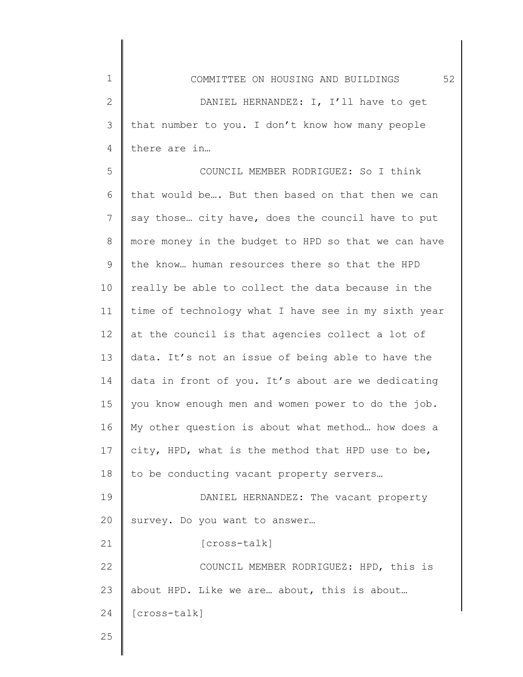2 3 4 DANIEL HERNANDEZ: I, I'll have to get that number to you. I don't know how many people there are in…

5 6 7 8 9 10 11 12 13 14 15 16 17 18 19 20 21 22 23 24 COUNCIL MEMBER RODRIGUEZ: So I think that would be…. But then based on that then we can say those… city have, does the council have to put more money in the budget to HPD so that we can have the know… human resources there so that the HPD really be able to collect the data because in the time of technology what I have see in my sixth year at the council is that agencies collect a lot of data. It's not an issue of being able to have the data in front of you. It's about are we dedicating you know enough men and women power to do the job. My other question is about what method… how does a city, HPD, what is the method that HPD use to be, to be conducting vacant property servers… DANIEL HERNANDEZ: The vacant property survey. Do you want to answer… [cross-talk] COUNCIL MEMBER RODRIGUEZ: HPD, this is about HPD. Like we are… about, this is about… [cross-talk]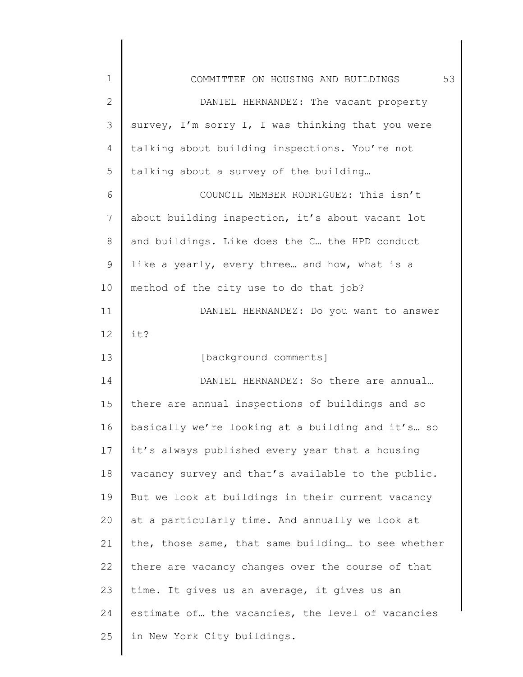| $\mathbf 1$     | 53<br>COMMITTEE ON HOUSING AND BUILDINGS           |
|-----------------|----------------------------------------------------|
| $\mathbf{2}$    | DANIEL HERNANDEZ: The vacant property              |
| 3               | survey, I'm sorry I, I was thinking that you were  |
| 4               | talking about building inspections. You're not     |
| 5               | talking about a survey of the building             |
| 6               | COUNCIL MEMBER RODRIGUEZ: This isn't               |
| 7               | about building inspection, it's about vacant lot   |
| 8               | and buildings. Like does the C the HPD conduct     |
| 9               | like a yearly, every three and how, what is a      |
| 10              | method of the city use to do that job?             |
| 11              | DANIEL HERNANDEZ: Do you want to answer            |
| 12 <sup>°</sup> | it?                                                |
| 13              | [background comments]                              |
| 14              | DANIEL HERNANDEZ: So there are annual              |
| 15              | there are annual inspections of buildings and so   |
| 16              | basically we're looking at a building and it's so  |
| 17              | it's always published every year that a housing    |
| 18              | vacancy survey and that's available to the public. |
| 19              | But we look at buildings in their current vacancy  |
| 20              | at a particularly time. And annually we look at    |
| 21              | the, those same, that same building to see whether |
| 22              | there are vacancy changes over the course of that  |
| 23              | time. It gives us an average, it gives us an       |
| 24              | estimate of the vacancies, the level of vacancies  |
| 25              | in New York City buildings.                        |
|                 |                                                    |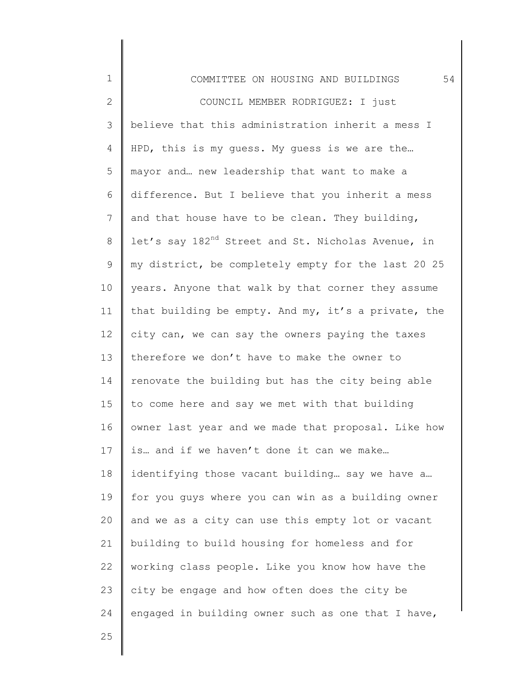| $\mathbf 1$  | 54<br>COMMITTEE ON HOUSING AND BUILDINGS                       |
|--------------|----------------------------------------------------------------|
| $\mathbf{2}$ | COUNCIL MEMBER RODRIGUEZ: I just                               |
| 3            | believe that this administration inherit a mess I              |
| 4            | HPD, this is my quess. My quess is we are the                  |
| 5            | mayor and new leadership that want to make a                   |
| 6            | difference. But I believe that you inherit a mess              |
| 7            | and that house have to be clean. They building,                |
| 8            | let's say 182 <sup>nd</sup> Street and St. Nicholas Avenue, in |
| 9            | my district, be completely empty for the last 20 25            |
| 10           | years. Anyone that walk by that corner they assume             |
| 11           | that building be empty. And my, it's a private, the            |
| 12           | city can, we can say the owners paying the taxes               |
| 13           | therefore we don't have to make the owner to                   |
| 14           | renovate the building but has the city being able              |
| 15           | to come here and say we met with that building                 |
| 16           | owner last year and we made that proposal. Like how            |
| 17           | is and if we haven't done it can we make                       |
| 18           | identifying those vacant building say we have a                |
| 19           | for you guys where you can win as a building owner             |
| 20           | and we as a city can use this empty lot or vacant              |
| 21           | building to build housing for homeless and for                 |
| 22           | working class people. Like you know how have the               |
| 23           | city be engage and how often does the city be                  |
| 24           | engaged in building owner such as one that I have,             |
| 25           |                                                                |
|              |                                                                |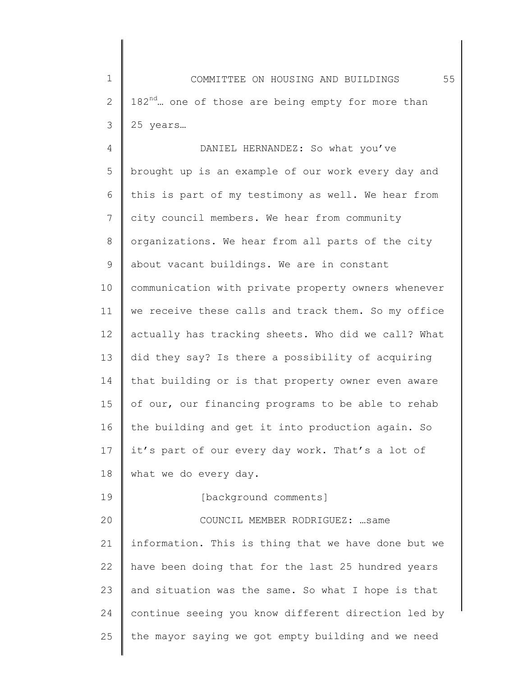1 2 3 COMMITTEE ON HOUSING AND BUILDINGS 55 182<sup>nd</sup>... one of those are being empty for more than 25 years…

4 5 6 7 8 9 10 11 12 13 14 15 16 17 18 19 20 21 22 23 DANIEL HERNANDEZ: So what you've brought up is an example of our work every day and this is part of my testimony as well. We hear from city council members. We hear from community organizations. We hear from all parts of the city about vacant buildings. We are in constant communication with private property owners whenever we receive these calls and track them. So my office actually has tracking sheets. Who did we call? What did they say? Is there a possibility of acquiring that building or is that property owner even aware of our, our financing programs to be able to rehab the building and get it into production again. So it's part of our every day work. That's a lot of what we do every day. [background comments] COUNCIL MEMBER RODRIGUEZ: …same information. This is thing that we have done but we have been doing that for the last 25 hundred years and situation was the same. So what I hope is that

25 the mayor saying we got empty building and we need

continue seeing you know different direction led by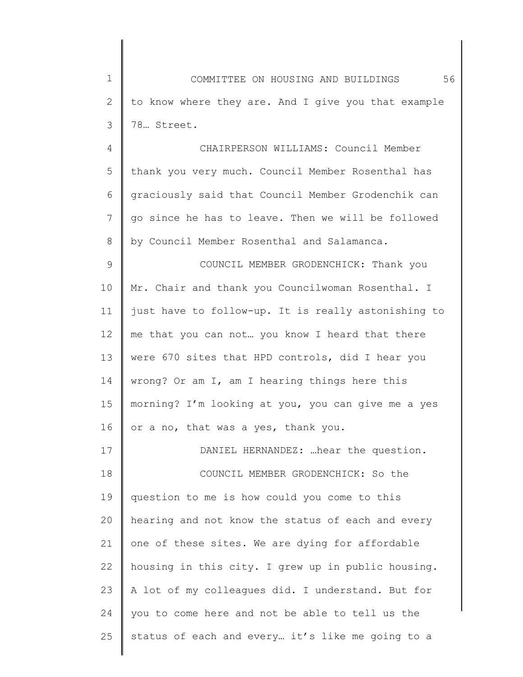1 2 3 COMMITTEE ON HOUSING AND BUILDINGS 56 to know where they are. And I give you that example 78… Street.

4 5 6 7 8 CHAIRPERSON WILLIAMS: Council Member thank you very much. Council Member Rosenthal has graciously said that Council Member Grodenchik can go since he has to leave. Then we will be followed by Council Member Rosenthal and Salamanca.

9 10 11 12 13 14 15 16 COUNCIL MEMBER GRODENCHICK: Thank you Mr. Chair and thank you Councilwoman Rosenthal. I just have to follow-up. It is really astonishing to me that you can not… you know I heard that there were 670 sites that HPD controls, did I hear you wrong? Or am I, am I hearing things here this morning? I'm looking at you, you can give me a yes or a no, that was a yes, thank you.

17 18 19 20 21 22 23 24 25 DANIEL HERNANDEZ: …hear the question. COUNCIL MEMBER GRODENCHICK: So the question to me is how could you come to this hearing and not know the status of each and every one of these sites. We are dying for affordable housing in this city. I grew up in public housing. A lot of my colleagues did. I understand. But for you to come here and not be able to tell us the status of each and every… it's like me going to a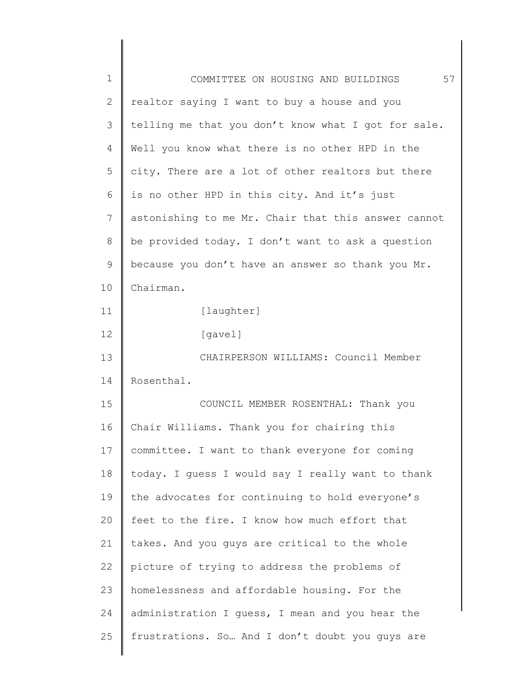| $1\,$          | 57<br>COMMITTEE ON HOUSING AND BUILDINGS            |
|----------------|-----------------------------------------------------|
| $\mathbf{2}$   | realtor saying I want to buy a house and you        |
| 3              | telling me that you don't know what I got for sale. |
| $\overline{4}$ | Well you know what there is no other HPD in the     |
| 5              | city. There are a lot of other realtors but there   |
| 6              | is no other HPD in this city. And it's just         |
| $\overline{7}$ | astonishing to me Mr. Chair that this answer cannot |
| $\,8\,$        | be provided today. I don't want to ask a question   |
| $\mathsf 9$    | because you don't have an answer so thank you Mr.   |
| 10             | Chairman.                                           |
| 11             | [laughter]                                          |
| 12             | [gavel]                                             |
| 13             | CHAIRPERSON WILLIAMS: Council Member                |
| 14             | Rosenthal.                                          |
| 15             | COUNCIL MEMBER ROSENTHAL: Thank you                 |
| 16             | Chair Williams. Thank you for chairing this         |
| 17             | committee. I want to thank everyone for coming      |
| 18             | today. I guess I would say I really want to thank   |
| 19             | the advocates for continuing to hold everyone's     |
| 20             | feet to the fire. I know how much effort that       |
| 21             | takes. And you guys are critical to the whole       |
| 22             | picture of trying to address the problems of        |
| 23             | homelessness and affordable housing. For the        |
| 24             | administration I quess, I mean and you hear the     |
| 25             | frustrations. So And I don't doubt you guys are     |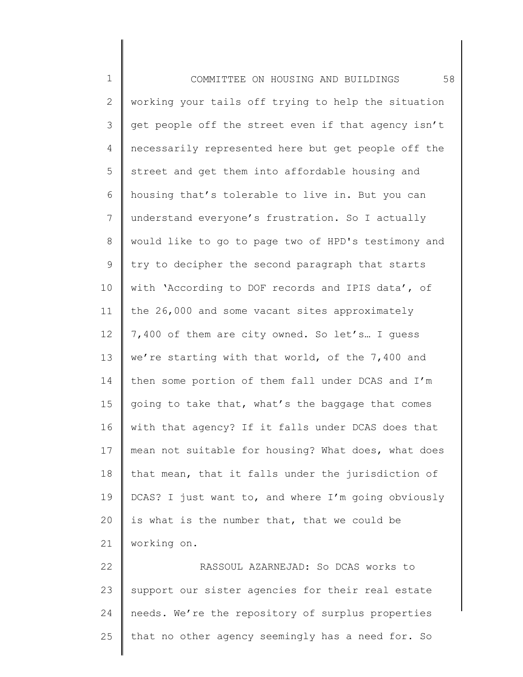1 2 3 4 5 6 7 8 9 10 11 12 13 14 15 16 17 18 19 20 21 22 23 24 COMMITTEE ON HOUSING AND BUILDINGS 58 working your tails off trying to help the situation get people off the street even if that agency isn't necessarily represented here but get people off the street and get them into affordable housing and housing that's tolerable to live in. But you can understand everyone's frustration. So I actually would like to go to page two of HPD's testimony and try to decipher the second paragraph that starts with 'According to DOF records and IPIS data', of the 26,000 and some vacant sites approximately 7,400 of them are city owned. So let's… I guess we're starting with that world, of the 7,400 and then some portion of them fall under DCAS and I'm going to take that, what's the baggage that comes with that agency? If it falls under DCAS does that mean not suitable for housing? What does, what does that mean, that it falls under the jurisdiction of DCAS? I just want to, and where I'm going obviously is what is the number that, that we could be working on. RASSOUL AZARNEJAD: So DCAS works to support our sister agencies for their real estate needs. We're the repository of surplus properties

that no other agency seemingly has a need for. So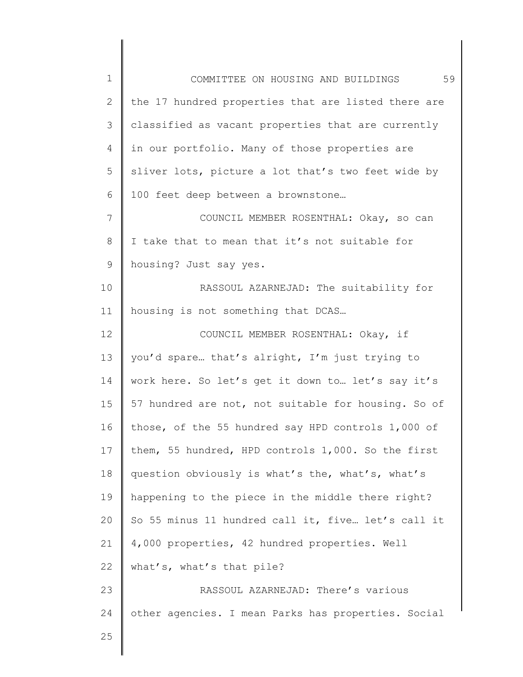| $\mathbf 1$    | 59<br>COMMITTEE ON HOUSING AND BUILDINGS            |
|----------------|-----------------------------------------------------|
| $\overline{2}$ | the 17 hundred properties that are listed there are |
| 3              | classified as vacant properties that are currently  |
| $\overline{4}$ | in our portfolio. Many of those properties are      |
| 5              | sliver lots, picture a lot that's two feet wide by  |
| 6              | 100 feet deep between a brownstone                  |
| $7\phantom{.}$ | COUNCIL MEMBER ROSENTHAL: Okay, so can              |
| 8              | I take that to mean that it's not suitable for      |
| 9              | housing? Just say yes.                              |
| 10             | RASSOUL AZARNEJAD: The suitability for              |
| 11             | housing is not something that DCAS                  |
| 12             | COUNCIL MEMBER ROSENTHAL: Okay, if                  |
| 13             | you'd spare that's alright, I'm just trying to      |
| 14             | work here. So let's get it down to let's say it's   |
| 15             | 57 hundred are not, not suitable for housing. So of |
| 16             | those, of the 55 hundred say HPD controls 1,000 of  |
| 17             | them, 55 hundred, HPD controls 1,000. So the first  |
| 18             | question obviously is what's the, what's, what's    |
| 19             | happening to the piece in the middle there right?   |
| 20             | So 55 minus 11 hundred call it, five let's call it  |
| 21             | 4,000 properties, 42 hundred properties. Well       |
| 22             | what's, what's that pile?                           |
| 23             | RASSOUL AZARNEJAD: There's various                  |
| 24             | other agencies. I mean Parks has properties. Social |
| 25             |                                                     |
|                |                                                     |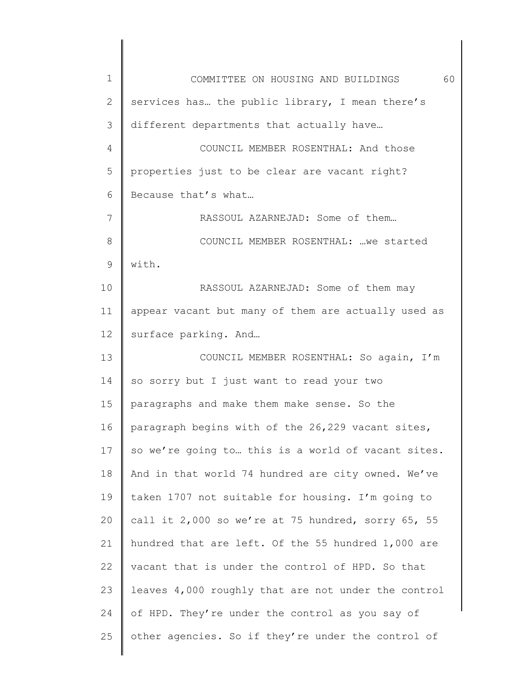| 1  | 60<br>COMMITTEE ON HOUSING AND BUILDINGS            |
|----|-----------------------------------------------------|
| 2  | services has the public library, I mean there's     |
| 3  | different departments that actually have            |
| 4  | COUNCIL MEMBER ROSENTHAL: And those                 |
| 5  | properties just to be clear are vacant right?       |
| 6  | Because that's what                                 |
| 7  | RASSOUL AZARNEJAD: Some of them                     |
| 8  | COUNCIL MEMBER ROSENTHAL:  we started               |
| 9  | with.                                               |
| 10 | RASSOUL AZARNEJAD: Some of them may                 |
| 11 | appear vacant but many of them are actually used as |
| 12 | surface parking. And                                |
| 13 | COUNCIL MEMBER ROSENTHAL: So again, I'm             |
| 14 | so sorry but I just want to read your two           |
| 15 | paragraphs and make them make sense. So the         |
| 16 | paragraph begins with of the 26,229 vacant sites,   |
| 17 | so we're going to this is a world of vacant sites.  |
| 18 | And in that world 74 hundred are city owned. We've  |
| 19 | taken 1707 not suitable for housing. I'm going to   |
| 20 | call it 2,000 so we're at 75 hundred, sorry 65, 55  |
| 21 | hundred that are left. Of the 55 hundred 1,000 are  |
| 22 | vacant that is under the control of HPD. So that    |
| 23 | leaves 4,000 roughly that are not under the control |
| 24 | of HPD. They're under the control as you say of     |
| 25 | other agencies. So if they're under the control of  |
|    |                                                     |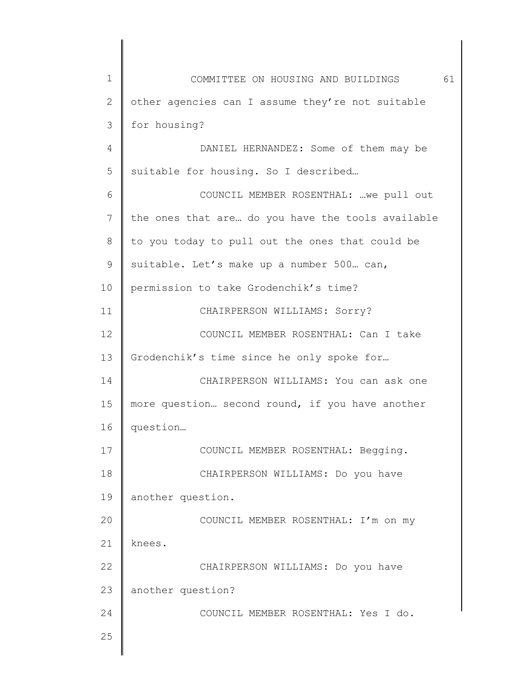| 1  | 61<br>COMMITTEE ON HOUSING AND BUILDINGS          |
|----|---------------------------------------------------|
| 2  | other agencies can I assume they're not suitable  |
| 3  | for housing?                                      |
| 4  | DANIEL HERNANDEZ: Some of them may be             |
| 5  | suitable for housing. So I described              |
| 6  | COUNCIL MEMBER ROSENTHAL:  we pull out            |
| 7  | the ones that are do you have the tools available |
| 8  | to you today to pull out the ones that could be   |
| 9  | suitable. Let's make up a number 500. can,        |
| 10 | permission to take Grodenchik's time?             |
| 11 | CHAIRPERSON WILLIAMS: Sorry?                      |
| 12 | COUNCIL MEMBER ROSENTHAL: Can I take              |
| 13 | Grodenchik's time since he only spoke for         |
| 14 | CHAIRPERSON WILLIAMS: You can ask one             |
| 15 | more question second round, if you have another   |
| 16 | question                                          |
| 17 | COUNCIL MEMBER ROSENTHAL: Begging.                |
| 18 | CHAIRPERSON WILLIAMS: Do you have                 |
| 19 | another question.                                 |
| 20 | COUNCIL MEMBER ROSENTHAL: I'm on my               |
| 21 | knees.                                            |
| 22 | CHAIRPERSON WILLIAMS: Do you have                 |
| 23 | another question?                                 |
| 24 | COUNCIL MEMBER ROSENTHAL: Yes I do.               |
| 25 |                                                   |
|    |                                                   |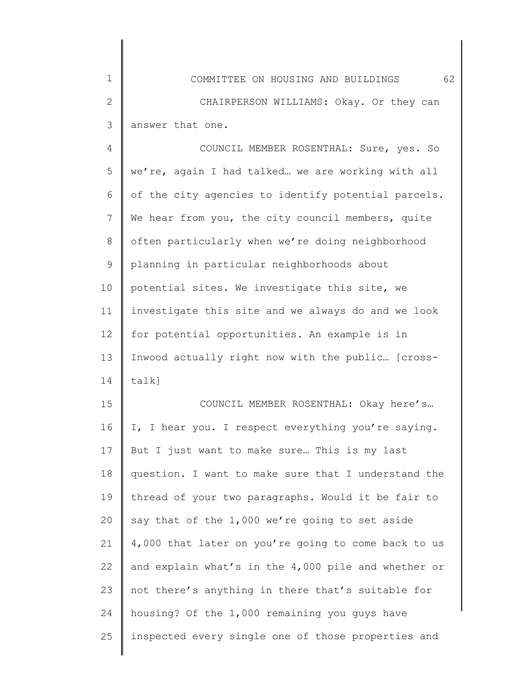| $\mathbf 1$ | 62<br>COMMITTEE ON HOUSING AND BUILDINGS            |
|-------------|-----------------------------------------------------|
| 2           | CHAIRPERSON WILLIAMS: Okay. Or they can             |
| 3           | answer that one.                                    |
| 4           | COUNCIL MEMBER ROSENTHAL: Sure, yes. So             |
| 5           | we're, again I had talked we are working with all   |
| 6           | of the city agencies to identify potential parcels. |
| 7           | We hear from you, the city council members, quite   |
| 8           | often particularly when we're doing neighborhood    |
| 9           | planning in particular neighborhoods about          |
| 10          | potential sites. We investigate this site, we       |
| 11          | investigate this site and we always do and we look  |
| 12          | for potential opportunities. An example is in       |
| 13          | Inwood actually right now with the public [cross-   |
| 14          | $talk$ ]                                            |
| 15          | COUNCIL MEMBER ROSENTHAL: Okay here's               |
| 16          | I, I hear you. I respect everything you're saying.  |
| 17          | But I just want to make sure This is my last        |
| 18          | question. I want to make sure that I understand the |
| 19          | thread of your two paragraphs. Would it be fair to  |
| 20          | say that of the 1,000 we're going to set aside      |
| 21          | 4,000 that later on you're going to come back to us |
| 22          | and explain what's in the 4,000 pile and whether or |
| 23          | not there's anything in there that's suitable for   |
| 24          | housing? Of the 1,000 remaining you guys have       |
| 25          | inspected every single one of those properties and  |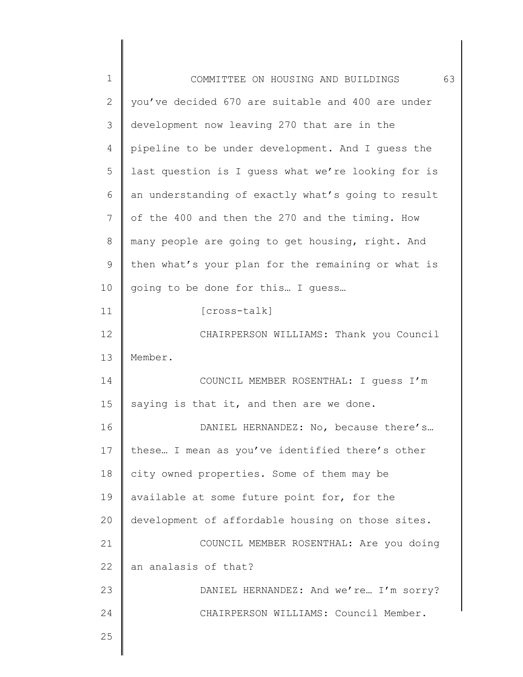| $\mathbf 1$   | 63<br>COMMITTEE ON HOUSING AND BUILDINGS           |
|---------------|----------------------------------------------------|
| 2             | you've decided 670 are suitable and 400 are under  |
| 3             | development now leaving 270 that are in the        |
| 4             | pipeline to be under development. And I guess the  |
| 5             | last question is I guess what we're looking for is |
| 6             | an understanding of exactly what's going to result |
| 7             | of the 400 and then the 270 and the timing. How    |
| 8             | many people are going to get housing, right. And   |
| $\mathcal{G}$ | then what's your plan for the remaining or what is |
| 10            | going to be done for this I guess                  |
| 11            | [cross-talk]                                       |
| 12            | CHAIRPERSON WILLIAMS: Thank you Council            |
| 13            | Member.                                            |
| 14            | COUNCIL MEMBER ROSENTHAL: I quess I'm              |
| 15            | saying is that it, and then are we done.           |
| 16            | DANIEL HERNANDEZ: No, because there's              |
| 17            | these I mean as you've identified there's other    |
| 18            | city owned properties. Some of them may be         |
| 19            | available at some future point for, for the        |
| 20            | development of affordable housing on those sites.  |
| 21            | COUNCIL MEMBER ROSENTHAL: Are you doing            |
| 22            | an analasis of that?                               |
| 23            | DANIEL HERNANDEZ: And we're I'm sorry?             |
| 24            | CHAIRPERSON WILLIAMS: Council Member.              |
| 25            |                                                    |
|               |                                                    |

 $\begin{array}{c} \hline \end{array}$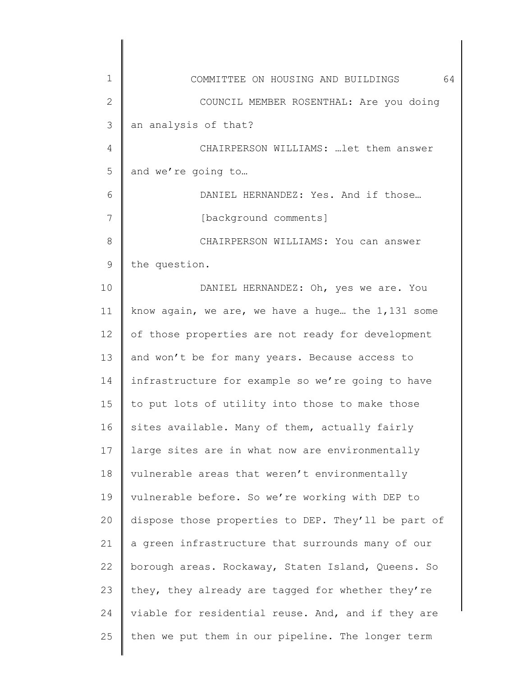| 1            | 64<br>COMMITTEE ON HOUSING AND BUILDINGS            |
|--------------|-----------------------------------------------------|
| $\mathbf{2}$ | COUNCIL MEMBER ROSENTHAL: Are you doing             |
| 3            | an analysis of that?                                |
| 4            | CHAIRPERSON WILLIAMS:  let them answer              |
| 5            | and we're going to                                  |
| 6            | DANIEL HERNANDEZ: Yes. And if those                 |
| 7            | [background comments]                               |
| 8            | CHAIRPERSON WILLIAMS: You can answer                |
| 9            | the question.                                       |
| 10           | DANIEL HERNANDEZ: Oh, yes we are. You               |
| 11           | know again, we are, we have a huge the 1,131 some   |
| 12           | of those properties are not ready for development   |
| 13           | and won't be for many years. Because access to      |
| 14           | infrastructure for example so we're going to have   |
| 15           | to put lots of utility into those to make those     |
| 16           | sites available. Many of them, actually fairly      |
| 17           | large sites are in what now are environmentally     |
| 18           | vulnerable areas that weren't environmentally       |
| 19           | vulnerable before. So we're working with DEP to     |
| 20           | dispose those properties to DEP. They'll be part of |
| 21           | a green infrastructure that surrounds many of our   |
| 22           | borough areas. Rockaway, Staten Island, Queens. So  |
| 23           | they, they already are tagged for whether they're   |
| 24           | viable for residential reuse. And, and if they are  |
| 25           | then we put them in our pipeline. The longer term   |
|              |                                                     |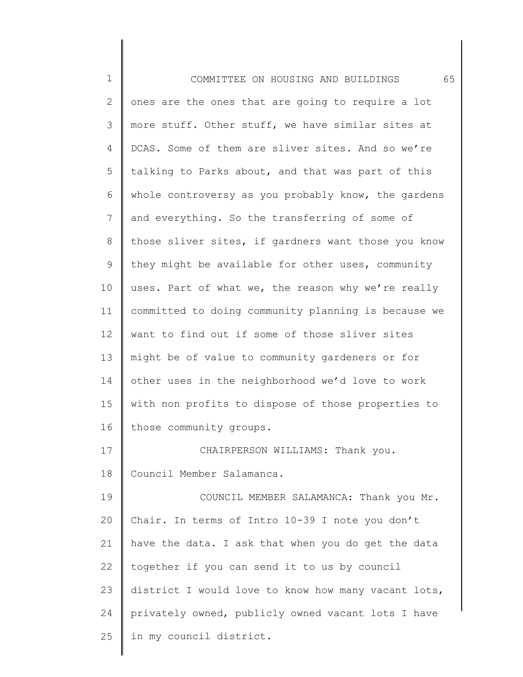1 2 3 4 5 6 7 8 9 10 11 12 13 14 15 16 17 18 19 20 21 22 23 24 25 COMMITTEE ON HOUSING AND BUILDINGS 65 ones are the ones that are going to require a lot more stuff. Other stuff, we have similar sites at DCAS. Some of them are sliver sites. And so we're talking to Parks about, and that was part of this whole controversy as you probably know, the gardens and everything. So the transferring of some of those sliver sites, if gardners want those you know they might be available for other uses, community uses. Part of what we, the reason why we're really committed to doing community planning is because we want to find out if some of those sliver sites might be of value to community gardeners or for other uses in the neighborhood we'd love to work with non profits to dispose of those properties to those community groups. CHAIRPERSON WILLIAMS: Thank you. Council Member Salamanca. COUNCIL MEMBER SALAMANCA: Thank you Mr. Chair. In terms of Intro 10-39 I note you don't have the data. I ask that when you do get the data together if you can send it to us by council district I would love to know how many vacant lots, privately owned, publicly owned vacant lots I have in my council district.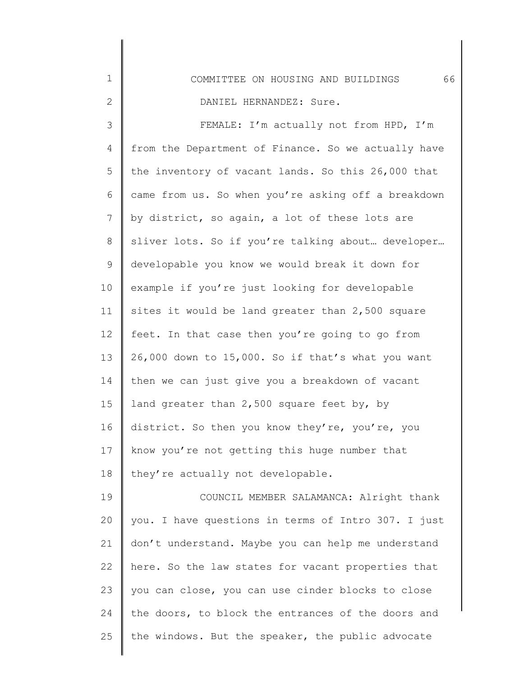| $\mathbf 1$ | 66<br>COMMITTEE ON HOUSING AND BUILDINGS            |
|-------------|-----------------------------------------------------|
| $\sqrt{2}$  | DANIEL HERNANDEZ: Sure.                             |
| $\mathsf 3$ | FEMALE: I'm actually not from HPD, I'm              |
| 4           | from the Department of Finance. So we actually have |
| 5           | the inventory of vacant lands. So this 26,000 that  |
| 6           | came from us. So when you're asking off a breakdown |
| 7           | by district, so again, a lot of these lots are      |
| 8           | sliver lots. So if you're talking about developer   |
| 9           | developable you know we would break it down for     |
| 10          | example if you're just looking for developable      |
| 11          | sites it would be land greater than 2,500 square    |
| 12          | feet. In that case then you're going to go from     |
| 13          | 26,000 down to 15,000. So if that's what you want   |
| 14          | then we can just give you a breakdown of vacant     |
| 15          | land greater than 2,500 square feet by, by          |
| 16          | district. So then you know they're, you're, you     |
| 17          | know you're not getting this huge number that       |
| 18          | they're actually not developable.                   |
| 19          | COUNCIL MEMBER SALAMANCA: Alright thank             |
| 20          | you. I have questions in terms of Intro 307. I just |
| 21          | don't understand. Maybe you can help me understand  |
| 22          | here. So the law states for vacant properties that  |
| 23          | you can close, you can use cinder blocks to close   |
| 24          | the doors, to block the entrances of the doors and  |
| 25          | the windows. But the speaker, the public advocate   |

∥ ∥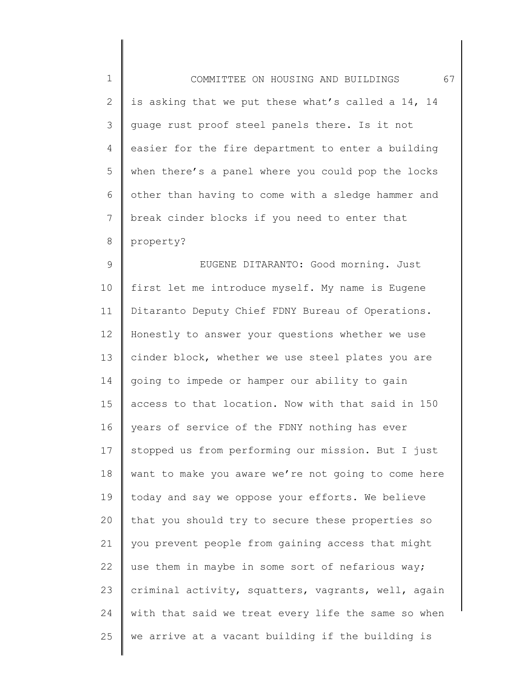| $\mathbf 1$    | 67<br>COMMITTEE ON HOUSING AND BUILDINGS            |
|----------------|-----------------------------------------------------|
| $\mathbf{2}$   | is asking that we put these what's called a 14, 14  |
| 3              | guage rust proof steel panels there. Is it not      |
| 4              | easier for the fire department to enter a building  |
| 5              | when there's a panel where you could pop the locks  |
| 6              | other than having to come with a sledge hammer and  |
| $\overline{7}$ | break cinder blocks if you need to enter that       |
| $8\,$          | property?                                           |
| $\mathcal{G}$  | EUGENE DITARANTO: Good morning. Just                |
| 10             | first let me introduce myself. My name is Eugene    |
| 11             | Ditaranto Deputy Chief FDNY Bureau of Operations.   |
| 12             | Honestly to answer your questions whether we use    |
| 13             | cinder block, whether we use steel plates you are   |
| 14             | going to impede or hamper our ability to gain       |
| 15             | access to that location. Now with that said in 150  |
| 16             | years of service of the FDNY nothing has ever       |
| 17             | stopped us from performing our mission. But I just  |
| 18             | want to make you aware we're not going to come here |
| 19             | today and say we oppose your efforts. We believe    |
| 20             | that you should try to secure these properties so   |
| 21             | you prevent people from gaining access that might   |
| 22             | use them in maybe in some sort of nefarious way;    |
| 23             | criminal activity, squatters, vagrants, well, again |
| 24             | with that said we treat every life the same so when |
| 25             | we arrive at a vacant building if the building is   |
|                |                                                     |

║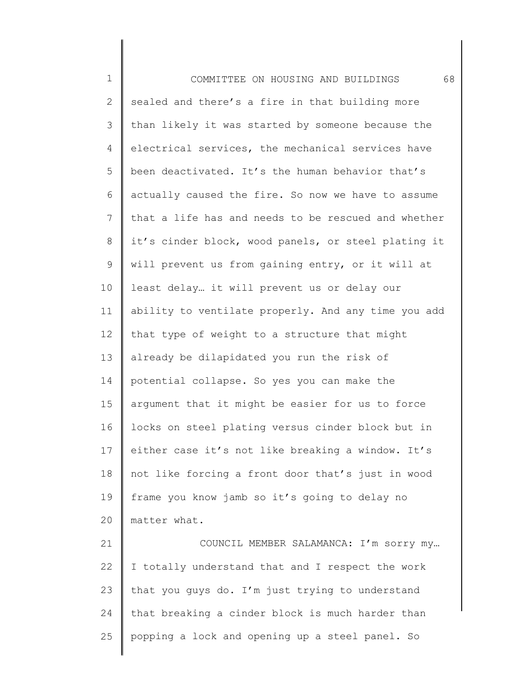1 2 3 4 5 6 7 8 9 10 11 12 13 14 15 16 17 18 19 20 21 22 23 COMMITTEE ON HOUSING AND BUILDINGS 68 sealed and there's a fire in that building more than likely it was started by someone because the electrical services, the mechanical services have been deactivated. It's the human behavior that's actually caused the fire. So now we have to assume that a life has and needs to be rescued and whether it's cinder block, wood panels, or steel plating it will prevent us from gaining entry, or it will at least delay… it will prevent us or delay our ability to ventilate properly. And any time you add that type of weight to a structure that might already be dilapidated you run the risk of potential collapse. So yes you can make the argument that it might be easier for us to force locks on steel plating versus cinder block but in either case it's not like breaking a window. It's not like forcing a front door that's just in wood frame you know jamb so it's going to delay no matter what. COUNCIL MEMBER SALAMANCA: I'm sorry my… I totally understand that and I respect the work that you guys do. I'm just trying to understand

that breaking a cinder block is much harder than

popping a lock and opening up a steel panel. So

24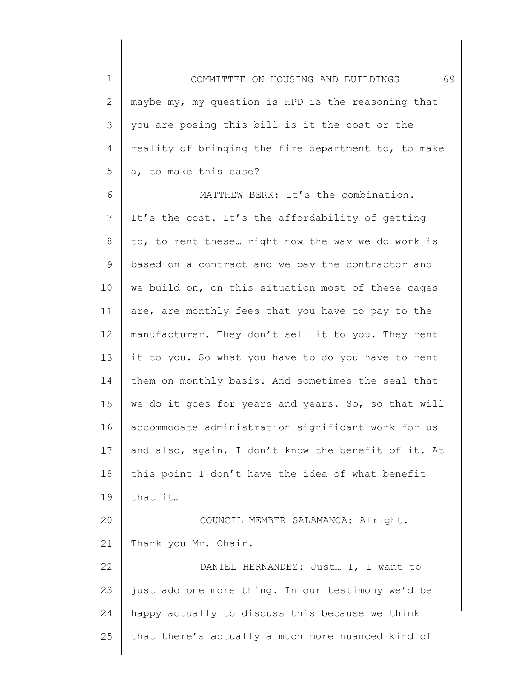1 2 3 4 5 6 7 8 9 10 11 12 13 14 15 16 17 18 19 20 21 22 23 24 25 COMMITTEE ON HOUSING AND BUILDINGS 69 maybe my, my question is HPD is the reasoning that you are posing this bill is it the cost or the reality of bringing the fire department to, to make a, to make this case? MATTHEW BERK: It's the combination. It's the cost. It's the affordability of getting to, to rent these… right now the way we do work is based on a contract and we pay the contractor and we build on, on this situation most of these cages are, are monthly fees that you have to pay to the manufacturer. They don't sell it to you. They rent it to you. So what you have to do you have to rent them on monthly basis. And sometimes the seal that we do it goes for years and years. So, so that will accommodate administration significant work for us and also, again, I don't know the benefit of it. At this point I don't have the idea of what benefit that it… COUNCIL MEMBER SALAMANCA: Alright. Thank you Mr. Chair. DANIEL HERNANDEZ: Just… I, I want to just add one more thing. In our testimony we'd be happy actually to discuss this because we think that there's actually a much more nuanced kind of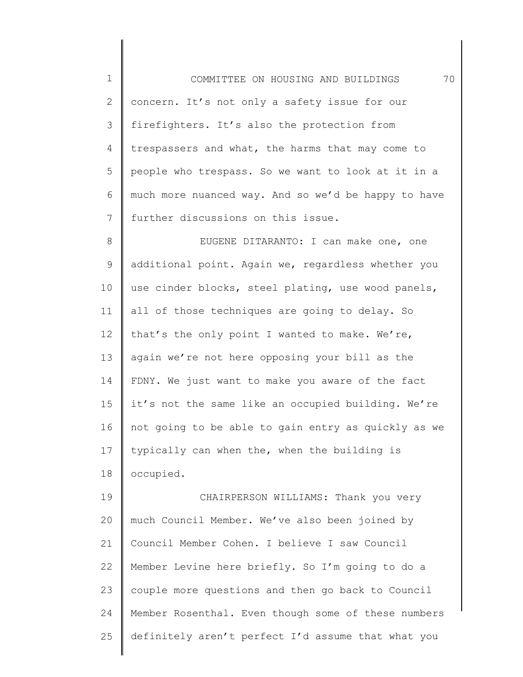1 2 3 4 5 6 7 COMMITTEE ON HOUSING AND BUILDINGS 70 concern. It's not only a safety issue for our firefighters. It's also the protection from trespassers and what, the harms that may come to people who trespass. So we want to look at it in a much more nuanced way. And so we'd be happy to have further discussions on this issue.

8 9 10 11 12 13 14 15 16 17 18 EUGENE DITARANTO: I can make one, one additional point. Again we, regardless whether you use cinder blocks, steel plating, use wood panels, all of those techniques are going to delay. So that's the only point I wanted to make. We're, again we're not here opposing your bill as the FDNY. We just want to make you aware of the fact it's not the same like an occupied building. We're not going to be able to gain entry as quickly as we typically can when the, when the building is occupied.

19 20 21 22 23 24 25 CHAIRPERSON WILLIAMS: Thank you very much Council Member. We've also been joined by Council Member Cohen. I believe I saw Council Member Levine here briefly. So I'm going to do a couple more questions and then go back to Council Member Rosenthal. Even though some of these numbers definitely aren't perfect I'd assume that what you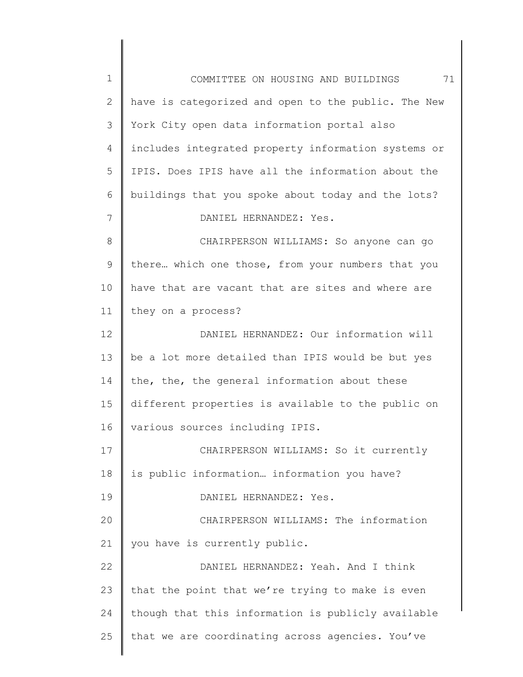| $\mathbf 1$    | COMMITTEE ON HOUSING AND BUILDINGS<br>71            |
|----------------|-----------------------------------------------------|
| $\overline{2}$ | have is categorized and open to the public. The New |
| 3              | York City open data information portal also         |
| 4              | includes integrated property information systems or |
| 5              | IPIS. Does IPIS have all the information about the  |
| 6              | buildings that you spoke about today and the lots?  |
| 7              | DANIEL HERNANDEZ: Yes.                              |
| 8              | CHAIRPERSON WILLIAMS: So anyone can go              |
| 9              | there which one those, from your numbers that you   |
| 10             | have that are vacant that are sites and where are   |
| 11             | they on a process?                                  |
| 12             | DANIEL HERNANDEZ: Our information will              |
| 13             | be a lot more detailed than IPIS would be but yes   |
| 14             | the, the, the general information about these       |
| 15             | different properties is available to the public on  |
| 16             | various sources including IPIS.                     |
| 17             | CHAIRPERSON WILLIAMS: So it currently               |
| 18             | is public information information you have?         |
| 19             | DANIEL HERNANDEZ: Yes.                              |
| 20             | CHAIRPERSON WILLIAMS: The information               |
| 21             | you have is currently public.                       |
| 22             | DANIEL HERNANDEZ: Yeah. And I think                 |
| 23             | that the point that we're trying to make is even    |
| 24             | though that this information is publicly available  |
| 25             | that we are coordinating across agencies. You've    |
|                |                                                     |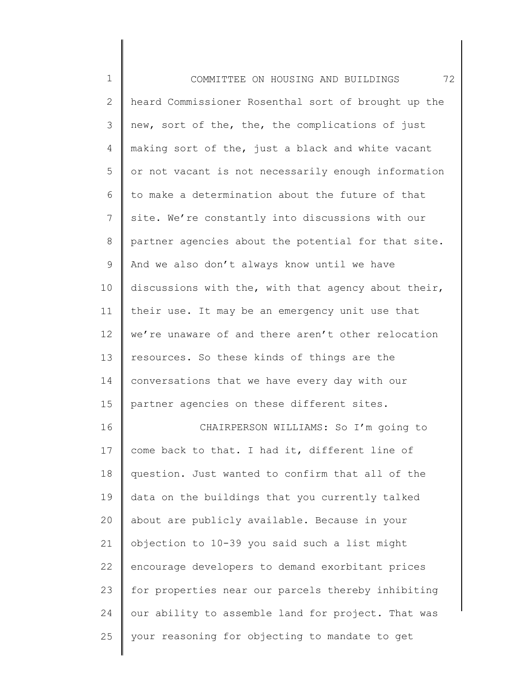| $\mathbf 1$  | 72<br>COMMITTEE ON HOUSING AND BUILDINGS            |
|--------------|-----------------------------------------------------|
| $\mathbf{2}$ | heard Commissioner Rosenthal sort of brought up the |
| 3            | new, sort of the, the, the complications of just    |
| 4            | making sort of the, just a black and white vacant   |
| 5            | or not vacant is not necessarily enough information |
| 6            | to make a determination about the future of that    |
| 7            | site. We're constantly into discussions with our    |
| 8            | partner agencies about the potential for that site. |
| 9            | And we also don't always know until we have         |
| 10           | discussions with the, with that agency about their, |
| 11           | their use. It may be an emergency unit use that     |
| 12           | we're unaware of and there aren't other relocation  |
| 13           | resources. So these kinds of things are the         |
| 14           | conversations that we have every day with our       |
| 15           | partner agencies on these different sites.          |
| 16           | CHAIRPERSON WILLIAMS: So I'm going to               |
| 17           | come back to that. I had it, different line of      |
| 18           | question. Just wanted to confirm that all of the    |
| 19           | data on the buildings that you currently talked     |
| 20           | about are publicly available. Because in your       |
| 21           | objection to 10-39 you said such a list might       |
| 22           | encourage developers to demand exorbitant prices    |
| 23           | for properties near our parcels thereby inhibiting  |
| 24           | our ability to assemble land for project. That was  |
| 25           | your reasoning for objecting to mandate to get      |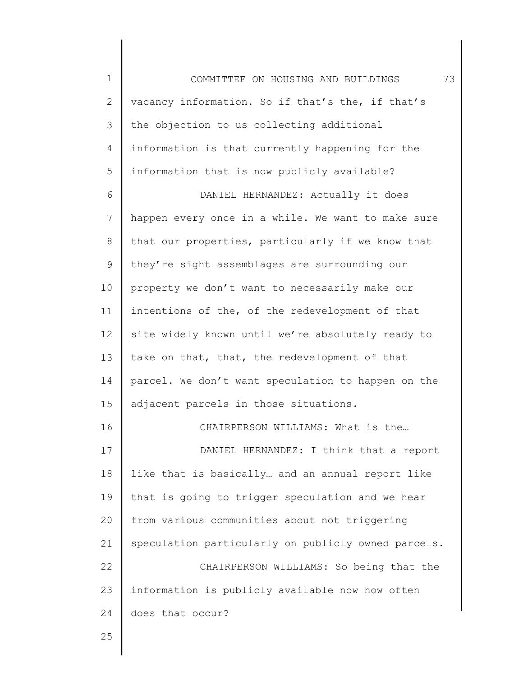1 2 3 4 5 6 7 8 9 10 11 12 13 14 15 16 17 18 19 20 21 22 COMMITTEE ON HOUSING AND BUILDINGS 73 vacancy information. So if that's the, if that's the objection to us collecting additional information is that currently happening for the information that is now publicly available? DANIEL HERNANDEZ: Actually it does happen every once in a while. We want to make sure that our properties, particularly if we know that they're sight assemblages are surrounding our property we don't want to necessarily make our intentions of the, of the redevelopment of that site widely known until we're absolutely ready to take on that, that, the redevelopment of that parcel. We don't want speculation to happen on the adjacent parcels in those situations. CHAIRPERSON WILLIAMS: What is the… DANIEL HERNANDEZ: I think that a report like that is basically… and an annual report like that is going to trigger speculation and we hear from various communities about not triggering speculation particularly on publicly owned parcels. CHAIRPERSON WILLIAMS: So being that the

23 24 information is publicly available now how often does that occur?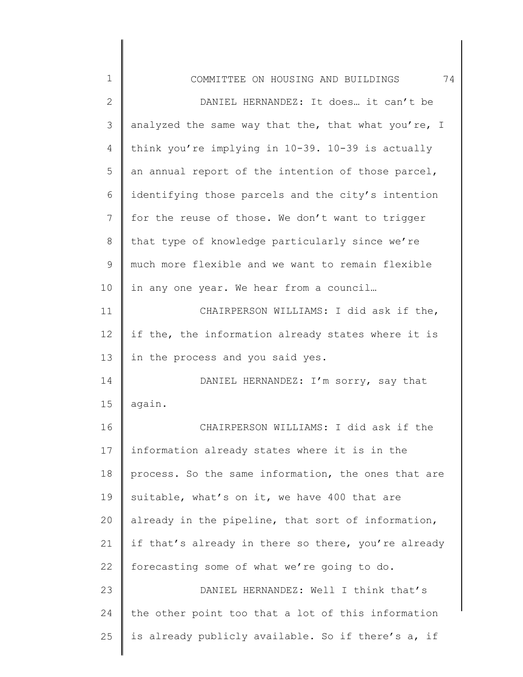| $\mathbf 1$  | 74<br>COMMITTEE ON HOUSING AND BUILDINGS            |
|--------------|-----------------------------------------------------|
| $\mathbf{2}$ | DANIEL HERNANDEZ: It does it can't be               |
| 3            | analyzed the same way that the, that what you're, I |
| 4            | think you're implying in 10-39. 10-39 is actually   |
| 5            | an annual report of the intention of those parcel,  |
| 6            | identifying those parcels and the city's intention  |
| 7            | for the reuse of those. We don't want to trigger    |
| 8            | that type of knowledge particularly since we're     |
| $\mathsf 9$  | much more flexible and we want to remain flexible   |
| 10           | in any one year. We hear from a council             |
| 11           | CHAIRPERSON WILLIAMS: I did ask if the,             |
| 12           | if the, the information already states where it is  |
| 13           | in the process and you said yes.                    |
| 14           | DANIEL HERNANDEZ: I'm sorry, say that               |
| 15           | again.                                              |
| 16           | CHAIRPERSON WILLIAMS: I did ask if the              |
| 17           |                                                     |
|              | information already states where it is in the       |
| 18           | process. So the same information, the ones that are |
| 19           | suitable, what's on it, we have 400 that are        |
| 20           | already in the pipeline, that sort of information,  |
| 21           | if that's already in there so there, you're already |
| 22           | forecasting some of what we're going to do.         |
| 23           | DANIEL HERNANDEZ: Well I think that's               |
| 24           | the other point too that a lot of this information  |
| 25           | is already publicly available. So if there's a, if  |
|              |                                                     |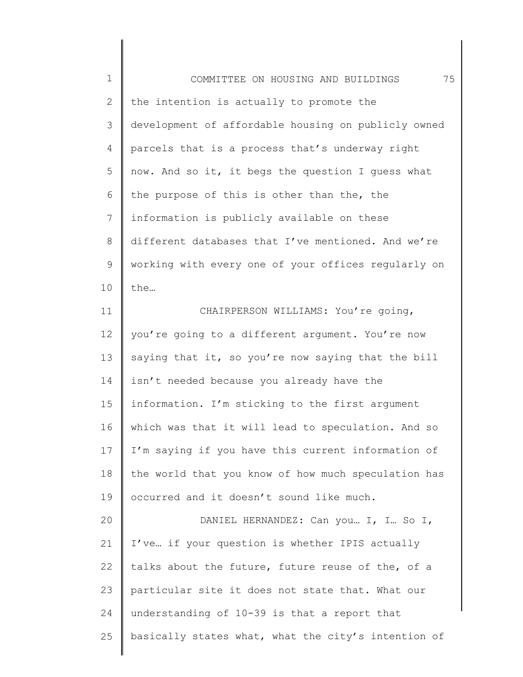1 2 3 4 5 6 7 8 9 10 11 12 13 14 15 16 17 18 COMMITTEE ON HOUSING AND BUILDINGS 75 the intention is actually to promote the development of affordable housing on publicly owned parcels that is a process that's underway right now. And so it, it begs the question I guess what the purpose of this is other than the, the information is publicly available on these different databases that I've mentioned. And we're working with every one of your offices regularly on the… CHAIRPERSON WILLIAMS: You're going, you're going to a different argument. You're now saying that it, so you're now saying that the bill isn't needed because you already have the information. I'm sticking to the first argument which was that it will lead to speculation. And so I'm saying if you have this current information of the world that you know of how much speculation has

20 21 22 23 24 25 DANIEL HERNANDEZ: Can you… I, I… So I, I've… if your question is whether IPIS actually talks about the future, future reuse of the, of a particular site it does not state that. What our understanding of 10-39 is that a report that basically states what, what the city's intention of

occurred and it doesn't sound like much.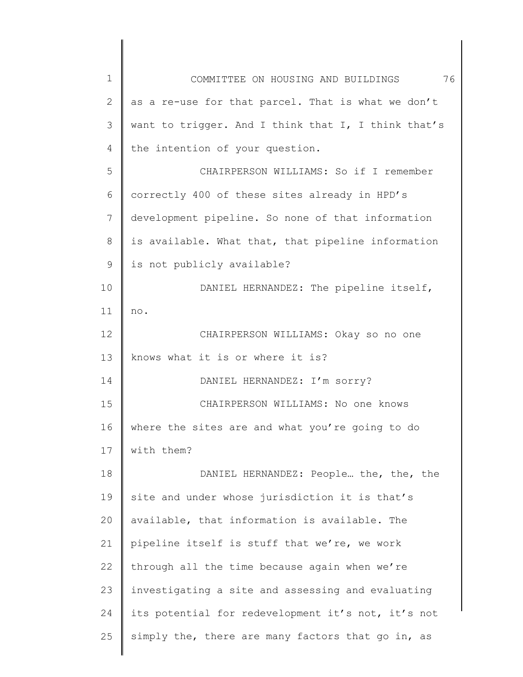| $\mathbf 1$  | 76<br>COMMITTEE ON HOUSING AND BUILDINGS            |
|--------------|-----------------------------------------------------|
| $\mathbf{2}$ | as a re-use for that parcel. That is what we don't  |
| 3            | want to trigger. And I think that I, I think that's |
| 4            | the intention of your question.                     |
| 5            | CHAIRPERSON WILLIAMS: So if I remember              |
| 6            | correctly 400 of these sites already in HPD's       |
| 7            | development pipeline. So none of that information   |
| $8\,$        | is available. What that, that pipeline information  |
| 9            | is not publicly available?                          |
| 10           | DANIEL HERNANDEZ: The pipeline itself,              |
| 11           | no.                                                 |
| 12           | CHAIRPERSON WILLIAMS: Okay so no one                |
| 13           | knows what it is or where it is?                    |
| 14           | DANIEL HERNANDEZ: I'm sorry?                        |
| 15           | CHAIRPERSON WILLIAMS: No one knows                  |
| 16           | where the sites are and what you're going to do     |
| 17           | with them?                                          |
| 18           | DANIEL HERNANDEZ: People the, the, the              |
| 19           | site and under whose jurisdiction it is that's      |
| 20           | available, that information is available. The       |
| 21           | pipeline itself is stuff that we're, we work        |
| 22           | through all the time because again when we're       |
| 23           | investigating a site and assessing and evaluating   |
| 24           | its potential for redevelopment it's not, it's not  |
| 25           | simply the, there are many factors that go in, as   |
|              |                                                     |

 $\begin{array}{c} \hline \end{array}$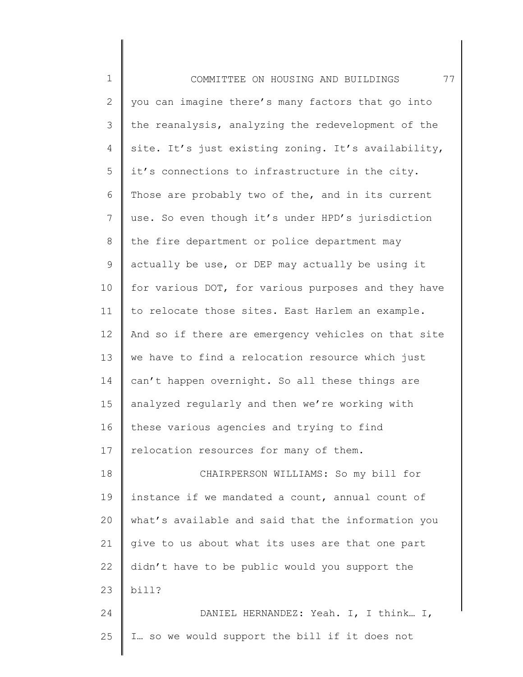| $\mathbf 1$    | 77<br>COMMITTEE ON HOUSING AND BUILDINGS            |
|----------------|-----------------------------------------------------|
| $\overline{2}$ | you can imagine there's many factors that go into   |
| 3              | the reanalysis, analyzing the redevelopment of the  |
| 4              | site. It's just existing zoning. It's availability, |
| 5              | it's connections to infrastructure in the city.     |
| 6              | Those are probably two of the, and in its current   |
| $7\phantom{.}$ | use. So even though it's under HPD's jurisdiction   |
| $8\,$          | the fire department or police department may        |
| $\mathsf 9$    | actually be use, or DEP may actually be using it    |
| 10             | for various DOT, for various purposes and they have |
| 11             | to relocate those sites. East Harlem an example.    |
| 12             | And so if there are emergency vehicles on that site |
| 13             | we have to find a relocation resource which just    |
| 14             | can't happen overnight. So all these things are     |
| 15             | analyzed regularly and then we're working with      |
| 16             | these various agencies and trying to find           |
| 17             | relocation resources for many of them.              |
| 18             | CHAIRPERSON WILLIAMS: So my bill for                |
| 19             | instance if we mandated a count, annual count of    |
| 20             | what's available and said that the information you  |
| 21             | give to us about what its uses are that one part    |
| 22             | didn't have to be public would you support the      |
| 23             | bill?                                               |
| 24             | DANIEL HERNANDEZ: Yeah. I, I think I,               |
| 25             | I so we would support the bill if it does not       |
|                |                                                     |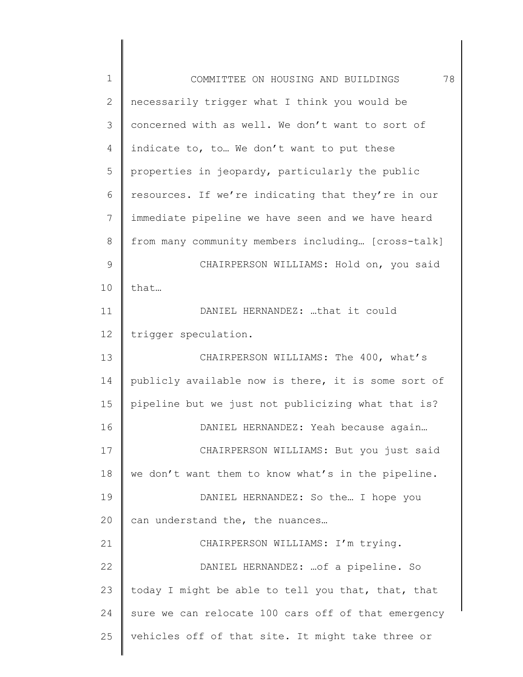| $\mathbf 1$    | 78<br>COMMITTEE ON HOUSING AND BUILDINGS            |
|----------------|-----------------------------------------------------|
| $\mathbf{2}$   | necessarily trigger what I think you would be       |
| 3              | concerned with as well. We don't want to sort of    |
| $\overline{4}$ | indicate to, to We don't want to put these          |
| 5              | properties in jeopardy, particularly the public     |
| 6              | resources. If we're indicating that they're in our  |
| 7              | immediate pipeline we have seen and we have heard   |
| 8              | from many community members including [cross-talk]  |
| $\mathsf 9$    | CHAIRPERSON WILLIAMS: Hold on, you said             |
| 10             | that                                                |
| 11             | DANIEL HERNANDEZ: that it could                     |
| 12             | trigger speculation.                                |
| 13             | CHAIRPERSON WILLIAMS: The 400, what's               |
| 14             | publicly available now is there, it is some sort of |
| 15             | pipeline but we just not publicizing what that is?  |
| 16             | DANIEL HERNANDEZ: Yeah because again                |
| 17             | CHAIRPERSON WILLIAMS: But you just said             |
| 18             | we don't want them to know what's in the pipeline.  |
| 19             | DANIEL HERNANDEZ: So the I hope you                 |
| 20             | can understand the, the nuances                     |
| 21             | CHAIRPERSON WILLIAMS: I'm trying.                   |
| 22             | DANIEL HERNANDEZ:  of a pipeline. So                |
| 23             | today I might be able to tell you that, that, that  |
| 24             | sure we can relocate 100 cars off of that emergency |
| 25             | vehicles off of that site. It might take three or   |
|                |                                                     |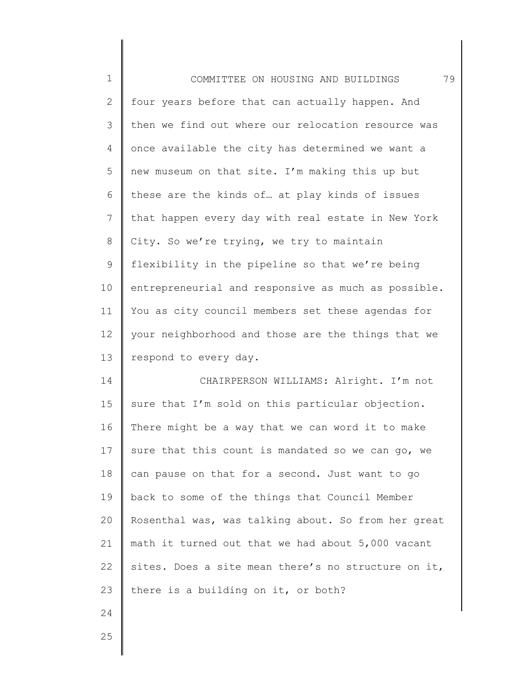| $\mathbf 1$    | 79<br>COMMITTEE ON HOUSING AND BUILDINGS            |
|----------------|-----------------------------------------------------|
| $\mathbf{2}$   | four years before that can actually happen. And     |
| 3              | then we find out where our relocation resource was  |
| $\overline{4}$ | once available the city has determined we want a    |
| 5              | new museum on that site. I'm making this up but     |
| 6              | these are the kinds of at play kinds of issues      |
| $\overline{7}$ | that happen every day with real estate in New York  |
| $8\,$          | City. So we're trying, we try to maintain           |
| $\mathsf 9$    | flexibility in the pipeline so that we're being     |
| 10             | entrepreneurial and responsive as much as possible. |
| 11             | You as city council members set these agendas for   |
| 12             | your neighborhood and those are the things that we  |
| 13             | respond to every day.                               |
| 14             | CHAIRPERSON WILLIAMS: Alright. I'm not              |
| 15             | sure that I'm sold on this particular objection.    |
| 16             | There might be a way that we can word it to make    |
| 17             | sure that this count is mandated so we can go, we   |
| 18             | can pause on that for a second. Just want to go     |
| 19             | back to some of the things that Council Member      |
| 20             | Rosenthal was, was talking about. So from her great |
| 21             | math it turned out that we had about 5,000 vacant   |
| 22             |                                                     |
|                | sites. Does a site mean there's no structure on it, |
| 23             | there is a building on it, or both?                 |

25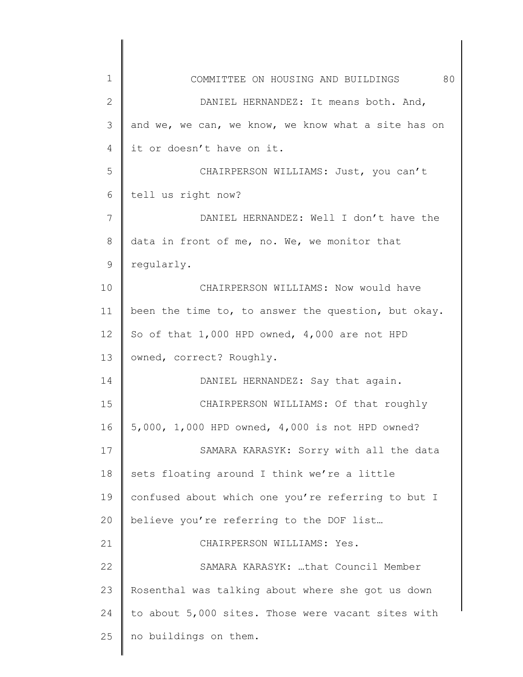| $\mathbf 1$  | 80<br>COMMITTEE ON HOUSING AND BUILDINGS            |
|--------------|-----------------------------------------------------|
| $\mathbf{2}$ | DANIEL HERNANDEZ: It means both. And,               |
| 3            | and we, we can, we know, we know what a site has on |
| 4            | it or doesn't have on it.                           |
| 5            | CHAIRPERSON WILLIAMS: Just, you can't               |
| 6            | tell us right now?                                  |
| 7            | DANIEL HERNANDEZ: Well I don't have the             |
| 8            | data in front of me, no. We, we monitor that        |
| 9            | regularly.                                          |
| 10           | CHAIRPERSON WILLIAMS: Now would have                |
| 11           | been the time to, to answer the question, but okay. |
| 12           | So of that $1,000$ HPD owned, $4,000$ are not HPD   |
| 13           | owned, correct? Roughly.                            |
| 14           | DANIEL HERNANDEZ: Say that again.                   |
| 15           | CHAIRPERSON WILLIAMS: Of that roughly               |
| 16           | 5,000, 1,000 HPD owned, 4,000 is not HPD owned?     |
| 17           | SAMARA KARASYK: Sorry with all the data             |
| 18           | sets floating around I think we're a little         |
| 19           | confused about which one you're referring to but I  |
| 20           | believe you're referring to the DOF list            |
| 21           | CHAIRPERSON WILLIAMS: Yes.                          |
| 22           | SAMARA KARASYK: that Council Member                 |
| 23           | Rosenthal was talking about where she got us down   |
| 24           | to about 5,000 sites. Those were vacant sites with  |
| 25           | no buildings on them.                               |
|              |                                                     |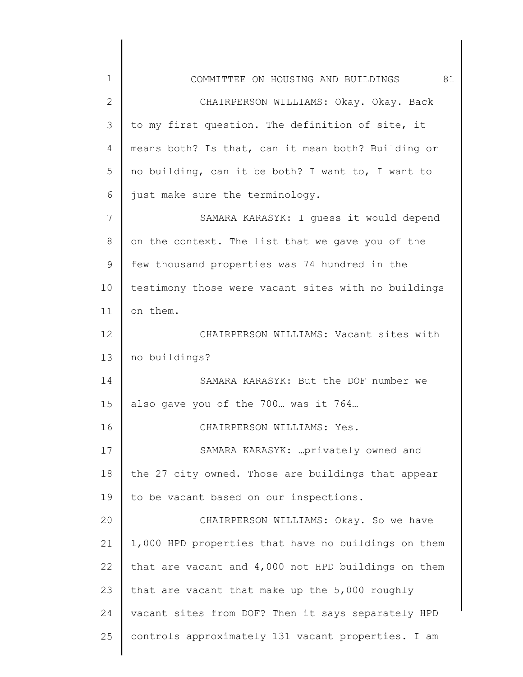| $\mathbf 1$  | 81<br>COMMITTEE ON HOUSING AND BUILDINGS            |
|--------------|-----------------------------------------------------|
| $\mathbf{2}$ | CHAIRPERSON WILLIAMS: Okay. Okay. Back              |
| 3            | to my first question. The definition of site, it    |
| 4            | means both? Is that, can it mean both? Building or  |
| 5            | no building, can it be both? I want to, I want to   |
| 6            | just make sure the terminology.                     |
| 7            | SAMARA KARASYK: I guess it would depend             |
| 8            | on the context. The list that we gave you of the    |
| 9            | few thousand properties was 74 hundred in the       |
| 10           | testimony those were vacant sites with no buildings |
| 11           | on them.                                            |
| 12           | CHAIRPERSON WILLIAMS: Vacant sites with             |
| 13           | no buildings?                                       |
| 14           | SAMARA KARASYK: But the DOF number we               |
| 15           | also gave you of the 700 was it 764                 |
| 16           | CHAIRPERSON WILLIAMS: Yes.                          |
| 17           | SAMARA KARASYK:  privately owned and                |
| 18           | the 27 city owned. Those are buildings that appear  |
| 19           | to be vacant based on our inspections.              |
| 20           | CHAIRPERSON WILLIAMS: Okay. So we have              |
| 21           | 1,000 HPD properties that have no buildings on them |
| 22           | that are vacant and 4,000 not HPD buildings on them |
| 23           | that are vacant that make up the 5,000 roughly      |
| 24           | vacant sites from DOF? Then it says separately HPD  |
| 25           | controls approximately 131 vacant properties. I am  |
|              |                                                     |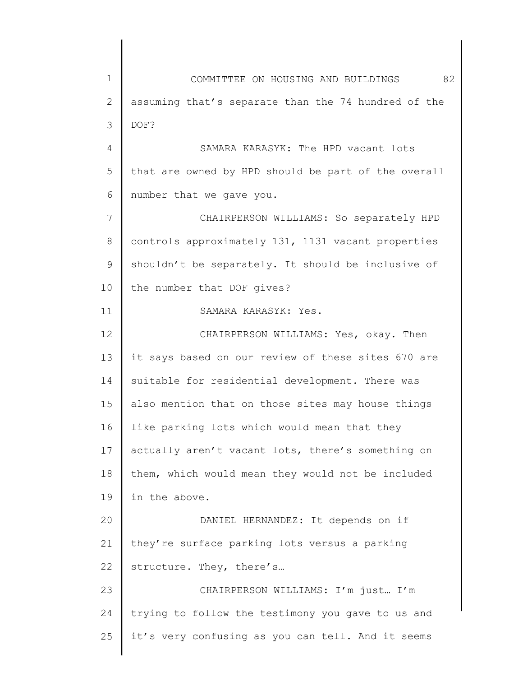1 2 3 4 5 6 7 8 9 10 11 12 13 14 15 16 17 18 19 20 21 22 23 24 25 COMMITTEE ON HOUSING AND BUILDINGS 82 assuming that's separate than the 74 hundred of the DOF? SAMARA KARASYK: The HPD vacant lots that are owned by HPD should be part of the overall number that we gave you. CHAIRPERSON WILLIAMS: So separately HPD controls approximately 131, 1131 vacant properties shouldn't be separately. It should be inclusive of the number that DOF gives? SAMARA KARASYK: Yes. CHAIRPERSON WILLIAMS: Yes, okay. Then it says based on our review of these sites 670 are suitable for residential development. There was also mention that on those sites may house things like parking lots which would mean that they actually aren't vacant lots, there's something on them, which would mean they would not be included in the above. DANIEL HERNANDEZ: It depends on if they're surface parking lots versus a parking structure. They, there's… CHAIRPERSON WILLIAMS: I'm just… I'm trying to follow the testimony you gave to us and it's very confusing as you can tell. And it seems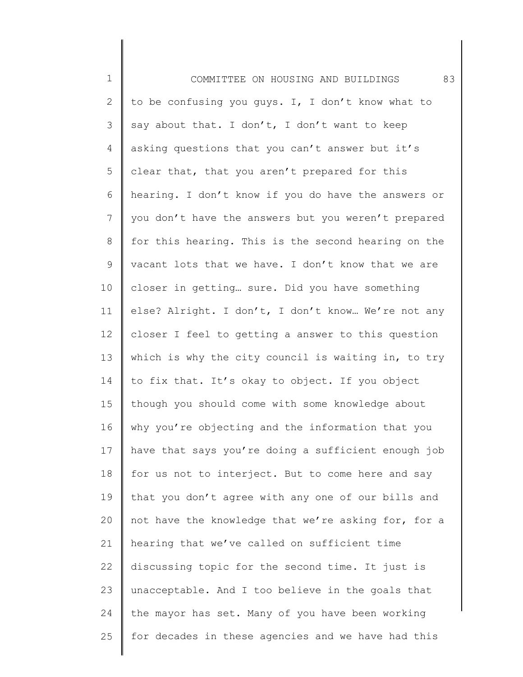1 2 3 4 5 6 7 8 9 10 11 12 13 14 15 16 17 18 19 20 21 22 23 24 25 COMMITTEE ON HOUSING AND BUILDINGS 83 to be confusing you guys. I, I don't know what to say about that. I don't, I don't want to keep asking questions that you can't answer but it's clear that, that you aren't prepared for this hearing. I don't know if you do have the answers or you don't have the answers but you weren't prepared for this hearing. This is the second hearing on the vacant lots that we have. I don't know that we are closer in getting… sure. Did you have something else? Alright. I don't, I don't know… We're not any closer I feel to getting a answer to this question which is why the city council is waiting in, to try to fix that. It's okay to object. If you object though you should come with some knowledge about why you're objecting and the information that you have that says you're doing a sufficient enough job for us not to interject. But to come here and say that you don't agree with any one of our bills and not have the knowledge that we're asking for, for a hearing that we've called on sufficient time discussing topic for the second time. It just is unacceptable. And I too believe in the goals that the mayor has set. Many of you have been working for decades in these agencies and we have had this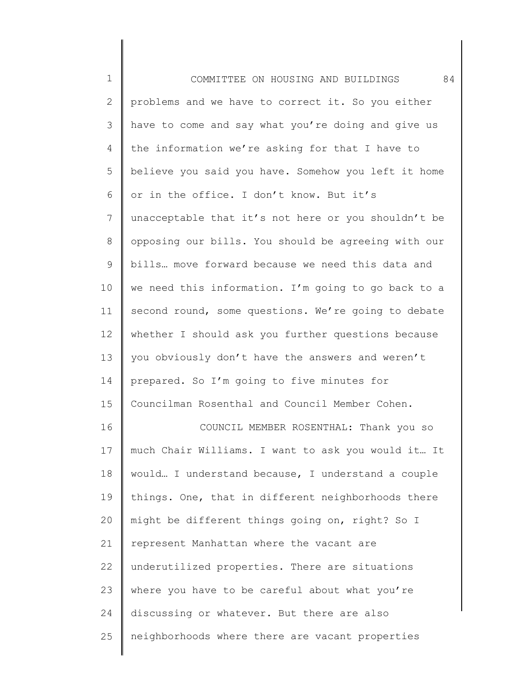| $\mathbf 1$  | 84<br>COMMITTEE ON HOUSING AND BUILDINGS            |
|--------------|-----------------------------------------------------|
| $\mathbf{2}$ | problems and we have to correct it. So you either   |
| 3            | have to come and say what you're doing and give us  |
| 4            | the information we're asking for that I have to     |
| 5            | believe you said you have. Somehow you left it home |
| 6            | or in the office. I don't know. But it's            |
| 7            | unacceptable that it's not here or you shouldn't be |
| 8            | opposing our bills. You should be agreeing with our |
| 9            | bills move forward because we need this data and    |
| 10           | we need this information. I'm going to go back to a |
| 11           | second round, some questions. We're going to debate |
| 12           | whether I should ask you further questions because  |
| 13           | you obviously don't have the answers and weren't    |
| 14           | prepared. So I'm going to five minutes for          |
| 15           | Councilman Rosenthal and Council Member Cohen.      |
| 16           | COUNCIL MEMBER ROSENTHAL: Thank you so              |
| 17           | much Chair Williams. I want to ask you would it It  |
| 18           | would I understand because, I understand a couple   |
| 19           | things. One, that in different neighborhoods there  |
| 20           | might be different things going on, right? So I     |
| 21           | represent Manhattan where the vacant are            |
| 22           | underutilized properties. There are situations      |
| 23           | where you have to be careful about what you're      |
| 24           | discussing or whatever. But there are also          |
| 25           | neighborhoods where there are vacant properties     |
|              |                                                     |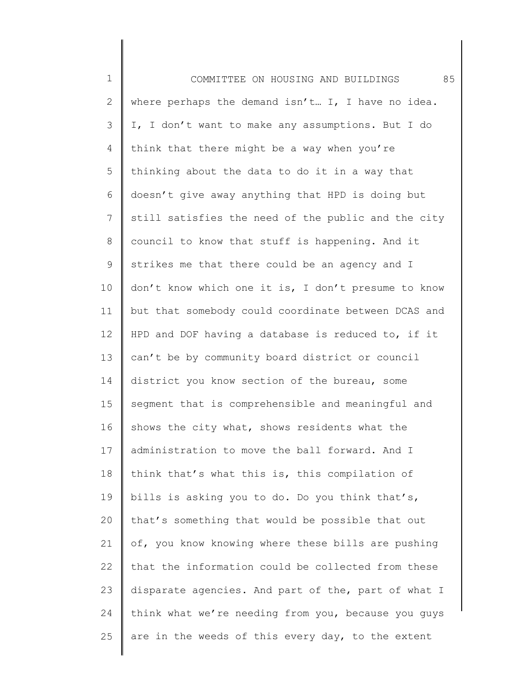1 2 3 4 5 6 7 8 9 10 11 12 13 14 15 16 17 18 19 20 21 22 23 24 25 COMMITTEE ON HOUSING AND BUILDINGS 85 where perhaps the demand isn't... I, I have no idea. I, I don't want to make any assumptions. But I do think that there might be a way when you're thinking about the data to do it in a way that doesn't give away anything that HPD is doing but still satisfies the need of the public and the city council to know that stuff is happening. And it strikes me that there could be an agency and I don't know which one it is, I don't presume to know but that somebody could coordinate between DCAS and HPD and DOF having a database is reduced to, if it can't be by community board district or council district you know section of the bureau, some segment that is comprehensible and meaningful and shows the city what, shows residents what the administration to move the ball forward. And I think that's what this is, this compilation of bills is asking you to do. Do you think that's, that's something that would be possible that out of, you know knowing where these bills are pushing that the information could be collected from these disparate agencies. And part of the, part of what I think what we're needing from you, because you guys are in the weeds of this every day, to the extent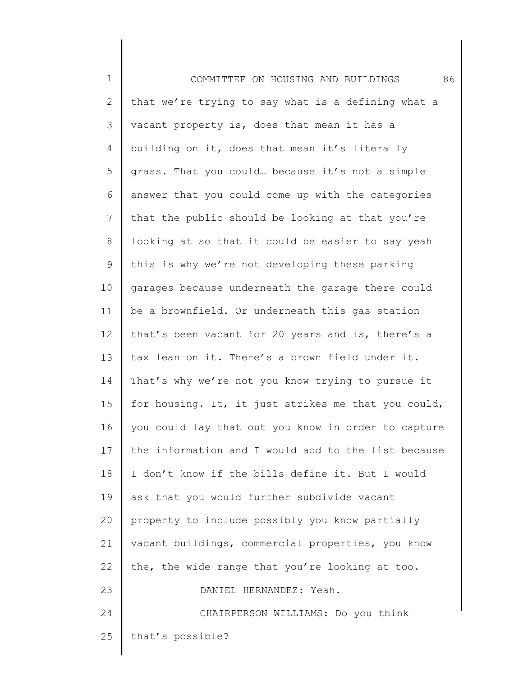| $\mathbf 1$  | 86<br>COMMITTEE ON HOUSING AND BUILDINGS            |
|--------------|-----------------------------------------------------|
| $\mathbf{2}$ | that we're trying to say what is a defining what a  |
| 3            | vacant property is, does that mean it has a         |
| 4            | building on it, does that mean it's literally       |
| 5            | grass. That you could because it's not a simple     |
| 6            | answer that you could come up with the categories   |
| 7            | that the public should be looking at that you're    |
| $\,8\,$      | looking at so that it could be easier to say yeah   |
| $\mathsf 9$  | this is why we're not developing these parking      |
| 10           | garages because underneath the garage there could   |
| 11           | be a brownfield. Or underneath this gas station     |
| 12           | that's been vacant for 20 years and is, there's a   |
| 13           | tax lean on it. There's a brown field under it.     |
| 14           | That's why we're not you know trying to pursue it   |
| 15           | for housing. It, it just strikes me that you could, |
| 16           | you could lay that out you know in order to capture |
| 17           | the information and I would add to the list because |
| 18           | I don't know if the bills define it. But I would    |
| 19           | ask that you would further subdivide vacant         |
| 20           | property to include possibly you know partially     |
| 21           | vacant buildings, commercial properties, you know   |
| 22           | the, the wide range that you're looking at too.     |
| 23           | DANIEL HERNANDEZ: Yeah.                             |
| 24           | CHAIRPERSON WILLIAMS: Do you think                  |
| 25           | that's possible?                                    |
|              |                                                     |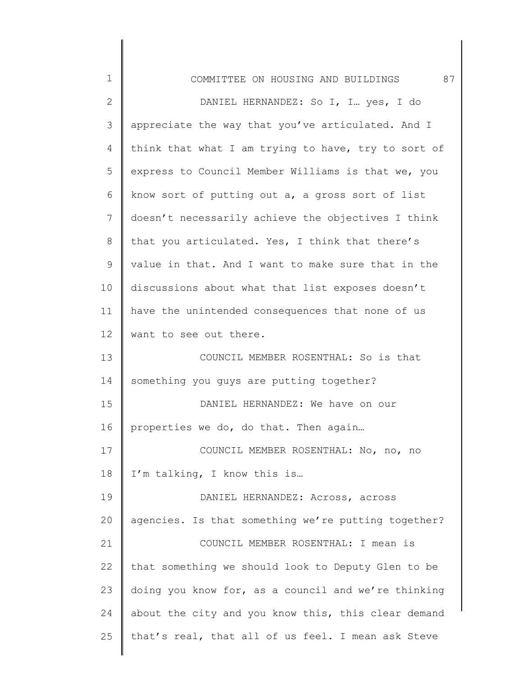| $\mathbf 1$  | 87<br>COMMITTEE ON HOUSING AND BUILDINGS            |
|--------------|-----------------------------------------------------|
| $\mathbf{2}$ | DANIEL HERNANDEZ: So I, I yes, I do                 |
| 3            | appreciate the way that you've articulated. And I   |
| 4            | think that what I am trying to have, try to sort of |
| 5            | express to Council Member Williams is that we, you  |
| 6            | know sort of putting out a, a gross sort of list    |
| 7            | doesn't necessarily achieve the objectives I think  |
| 8            | that you articulated. Yes, I think that there's     |
| $\mathsf 9$  | value in that. And I want to make sure that in the  |
| 10           | discussions about what that list exposes doesn't    |
| 11           | have the unintended consequences that none of us    |
| 12           | want to see out there.                              |
| 13           | COUNCIL MEMBER ROSENTHAL: So is that                |
| 14           | something you guys are putting together?            |
| 15           | DANIEL HERNANDEZ: We have on our                    |
| 16           | properties we do, do that. Then again               |
| 17           | COUNCIL MEMBER ROSENTHAL: No, no, no                |
| 18           | I'm talking, I know this is                         |
| 19           | DANIEL HERNANDEZ: Across, across                    |
| 20           | agencies. Is that something we're putting together? |
| 21           | COUNCIL MEMBER ROSENTHAL: I mean is                 |
| 22           | that something we should look to Deputy Glen to be  |
| 23           | doing you know for, as a council and we're thinking |
| 24           | about the city and you know this, this clear demand |
| 25           | that's real, that all of us feel. I mean ask Steve  |
|              |                                                     |

∥ ∥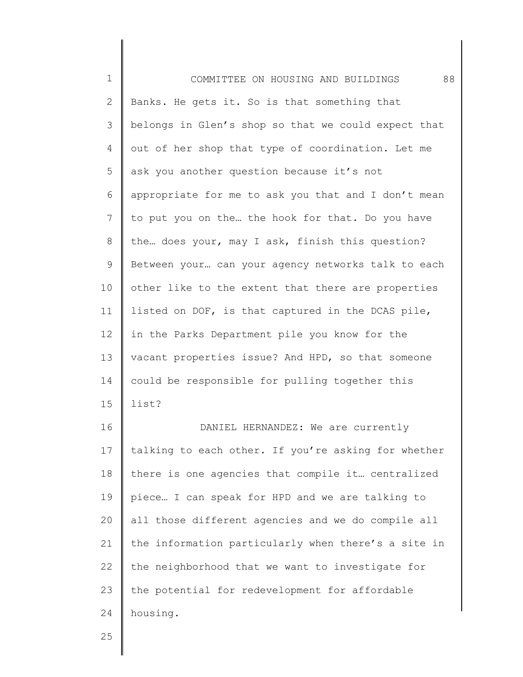1 2 3 4 5 6 7 8 9 10 11 12 13 14 15 16 17 18 19 20 21 22 23 24 COMMITTEE ON HOUSING AND BUILDINGS 88 Banks. He gets it. So is that something that belongs in Glen's shop so that we could expect that out of her shop that type of coordination. Let me ask you another question because it's not appropriate for me to ask you that and I don't mean to put you on the… the hook for that. Do you have the… does your, may I ask, finish this question? Between your… can your agency networks talk to each other like to the extent that there are properties listed on DOF, is that captured in the DCAS pile, in the Parks Department pile you know for the vacant properties issue? And HPD, so that someone could be responsible for pulling together this list? DANIEL HERNANDEZ: We are currently talking to each other. If you're asking for whether there is one agencies that compile it… centralized piece… I can speak for HPD and we are talking to all those different agencies and we do compile all the information particularly when there's a site in the neighborhood that we want to investigate for the potential for redevelopment for affordable housing.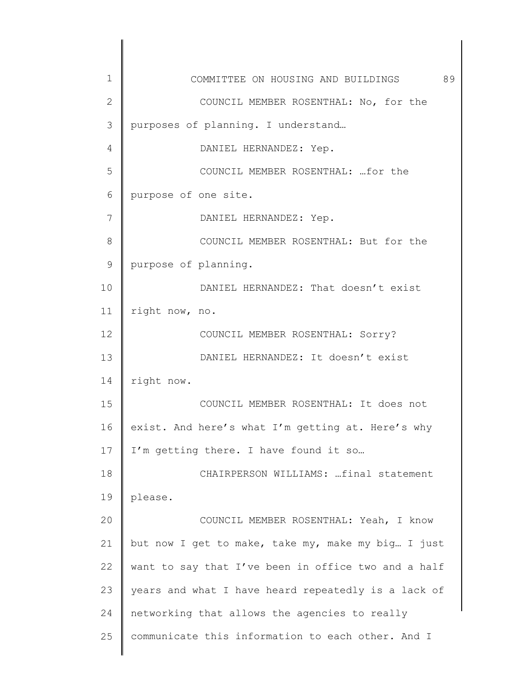| $\mathbf 1$ | 89<br>COMMITTEE ON HOUSING AND BUILDINGS            |
|-------------|-----------------------------------------------------|
| 2           | COUNCIL MEMBER ROSENTHAL: No, for the               |
| 3           | purposes of planning. I understand                  |
| 4           | DANIEL HERNANDEZ: Yep.                              |
| 5           | COUNCIL MEMBER ROSENTHAL:  for the                  |
| 6           | purpose of one site.                                |
| 7           | DANIEL HERNANDEZ: Yep.                              |
| 8           | COUNCIL MEMBER ROSENTHAL: But for the               |
| 9           | purpose of planning.                                |
| 10          | DANIEL HERNANDEZ: That doesn't exist                |
| 11          | right now, no.                                      |
| 12          | COUNCIL MEMBER ROSENTHAL: Sorry?                    |
| 13          | DANIEL HERNANDEZ: It doesn't exist                  |
| 14          | right now.                                          |
| 15          | COUNCIL MEMBER ROSENTHAL: It does not               |
| 16          | exist. And here's what I'm getting at. Here's why   |
| 17          | I'm getting there. I have found it so               |
| 18          | CHAIRPERSON WILLIAMS: final statement               |
| 19          | please.                                             |
| 20          | COUNCIL MEMBER ROSENTHAL: Yeah, I know              |
| 21          | but now I get to make, take my, make my big I just  |
| 22          | want to say that I've been in office two and a half |
| 23          | years and what I have heard repeatedly is a lack of |
| 24          | networking that allows the agencies to really       |
| 25          | communicate this information to each other. And I   |
|             |                                                     |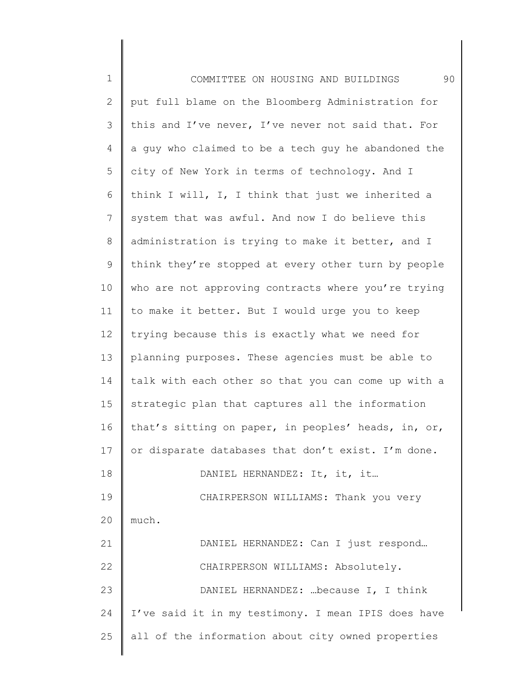| $\mathbf 1$  | 90<br>COMMITTEE ON HOUSING AND BUILDINGS            |
|--------------|-----------------------------------------------------|
| $\mathbf{2}$ | put full blame on the Bloomberg Administration for  |
| 3            | this and I've never, I've never not said that. For  |
| 4            | a guy who claimed to be a tech guy he abandoned the |
| 5            | city of New York in terms of technology. And I      |
| 6            | think I will, I, I think that just we inherited a   |
| 7            | system that was awful. And now I do believe this    |
| 8            | administration is trying to make it better, and I   |
| 9            | think they're stopped at every other turn by people |
| 10           | who are not approving contracts where you're trying |
| 11           | to make it better. But I would urge you to keep     |
| 12           | trying because this is exactly what we need for     |
| 13           | planning purposes. These agencies must be able to   |
| 14           | talk with each other so that you can come up with a |
| 15           | strategic plan that captures all the information    |
| 16           | that's sitting on paper, in peoples' heads, in, or, |
| 17           | or disparate databases that don't exist. I'm done.  |
| 18           | DANIEL HERNANDEZ: It, it, it                        |
| 19           | CHAIRPERSON WILLIAMS: Thank you very                |
| 20           | much.                                               |
| 21           | DANIEL HERNANDEZ: Can I just respond                |
| 22           | CHAIRPERSON WILLIAMS: Absolutely.                   |
| 23           | DANIEL HERNANDEZ:  because I, I think               |
| 24           | I've said it in my testimony. I mean IPIS does have |
| 25           | all of the information about city owned properties  |
|              |                                                     |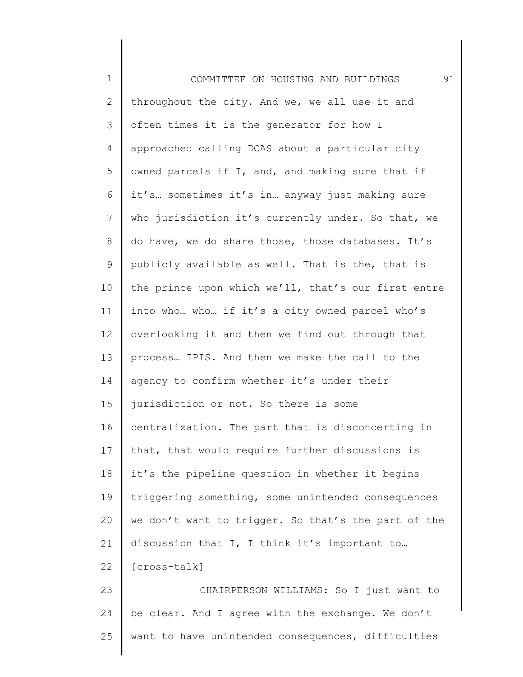| $\mathbf 1$  | 91<br>COMMITTEE ON HOUSING AND BUILDINGS            |
|--------------|-----------------------------------------------------|
| $\mathbf{2}$ | throughout the city. And we, we all use it and      |
| 3            | often times it is the generator for how I           |
| 4            | approached calling DCAS about a particular city     |
| 5            | owned parcels if I, and, and making sure that if    |
| 6            | it's sometimes it's in anyway just making sure      |
| 7            | who jurisdiction it's currently under. So that, we  |
| 8            | do have, we do share those, those databases. It's   |
| $\mathsf 9$  | publicly available as well. That is the, that is    |
| 10           | the prince upon which we'll, that's our first entre |
| 11           | into who who if it's a city owned parcel who's      |
| 12           | overlooking it and then we find out through that    |
| 13           | process IPIS. And then we make the call to the      |
| 14           | agency to confirm whether it's under their          |
| 15           | jurisdiction or not. So there is some               |
| 16           | centralization. The part that is disconcerting in   |
| 17           | that, that would require further discussions is     |
| 18           | it's the pipeline question in whether it begins     |
| 19           | triggering something, some unintended consequences  |
| 20           | we don't want to trigger. So that's the part of the |
| 21           | discussion that I, I think it's important to        |
| 22           | [cross-talk]                                        |
| 23           | CHAIRPERSON WILLIAMS: So I just want to             |
| 24           | be clear. And I agree with the exchange. We don't   |
| 25           | want to have unintended consequences, difficulties  |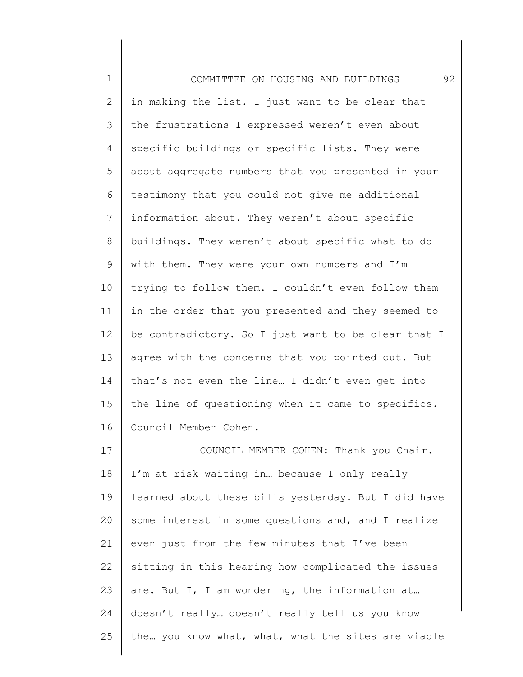1 2 3 4 5 6 7 8 9 10 11 12 13 14 15 16 17 18 19 20 21 COMMITTEE ON HOUSING AND BUILDINGS 92 in making the list. I just want to be clear that the frustrations I expressed weren't even about specific buildings or specific lists. They were about aggregate numbers that you presented in your testimony that you could not give me additional information about. They weren't about specific buildings. They weren't about specific what to do with them. They were your own numbers and I'm trying to follow them. I couldn't even follow them in the order that you presented and they seemed to be contradictory. So I just want to be clear that I agree with the concerns that you pointed out. But that's not even the line… I didn't even get into the line of questioning when it came to specifics. Council Member Cohen. COUNCIL MEMBER COHEN: Thank you Chair. I'm at risk waiting in… because I only really learned about these bills yesterday. But I did have some interest in some questions and, and I realize even just from the few minutes that I've been

22 23 24 sitting in this hearing how complicated the issues are. But I, I am wondering, the information at… doesn't really… doesn't really tell us you know

25 the… you know what, what, what the sites are viable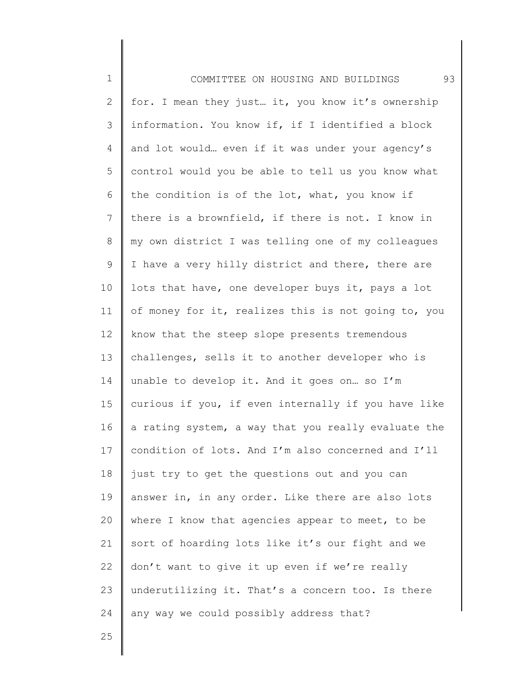1 2 3 4 5 6 7 8 9 10 11 12 13 14 15 16 17 18 19 20 21 22 23 24 COMMITTEE ON HOUSING AND BUILDINGS 93 for. I mean they just… it, you know it's ownership information. You know if, if I identified a block and lot would… even if it was under your agency's control would you be able to tell us you know what the condition is of the lot, what, you know if there is a brownfield, if there is not. I know in my own district I was telling one of my colleagues I have a very hilly district and there, there are lots that have, one developer buys it, pays a lot of money for it, realizes this is not going to, you know that the steep slope presents tremendous challenges, sells it to another developer who is unable to develop it. And it goes on… so I'm curious if you, if even internally if you have like a rating system, a way that you really evaluate the condition of lots. And I'm also concerned and I'll just try to get the questions out and you can answer in, in any order. Like there are also lots where I know that agencies appear to meet, to be sort of hoarding lots like it's our fight and we don't want to give it up even if we're really underutilizing it. That's a concern too. Is there any way we could possibly address that?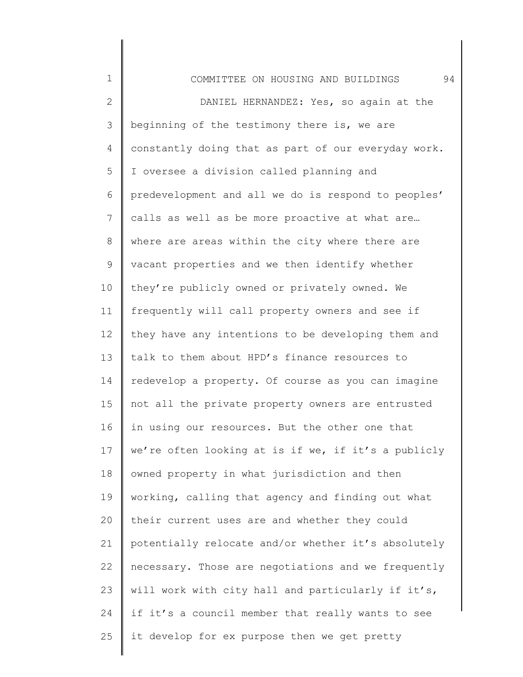| $\mathbf 1$    | 94<br>COMMITTEE ON HOUSING AND BUILDINGS            |
|----------------|-----------------------------------------------------|
| $\overline{2}$ | DANIEL HERNANDEZ: Yes, so again at the              |
| 3              | beginning of the testimony there is, we are         |
| 4              | constantly doing that as part of our everyday work. |
| 5              | I oversee a division called planning and            |
| 6              | predevelopment and all we do is respond to peoples' |
| $7\phantom{.}$ | calls as well as be more proactive at what are      |
| $\,8\,$        | where are areas within the city where there are     |
| 9              | vacant properties and we then identify whether      |
| 10             | they're publicly owned or privately owned. We       |
| 11             | frequently will call property owners and see if     |
| 12             | they have any intentions to be developing them and  |
| 13             | talk to them about HPD's finance resources to       |
| 14             | redevelop a property. Of course as you can imagine  |
| 15             | not all the private property owners are entrusted   |
| 16             | in using our resources. But the other one that      |
| 17             | we're often looking at is if we, if it's a publicly |
| 18             | owned property in what jurisdiction and then        |
| 19             | working, calling that agency and finding out what   |
| 20             | their current uses are and whether they could       |
| 21             | potentially relocate and/or whether it's absolutely |
| 22             | necessary. Those are negotiations and we frequently |
| 23             | will work with city hall and particularly if it's,  |
| 24             | if it's a council member that really wants to see   |
| 25             | it develop for ex purpose then we get pretty        |
|                |                                                     |

 $\begin{array}{c} \hline \end{array}$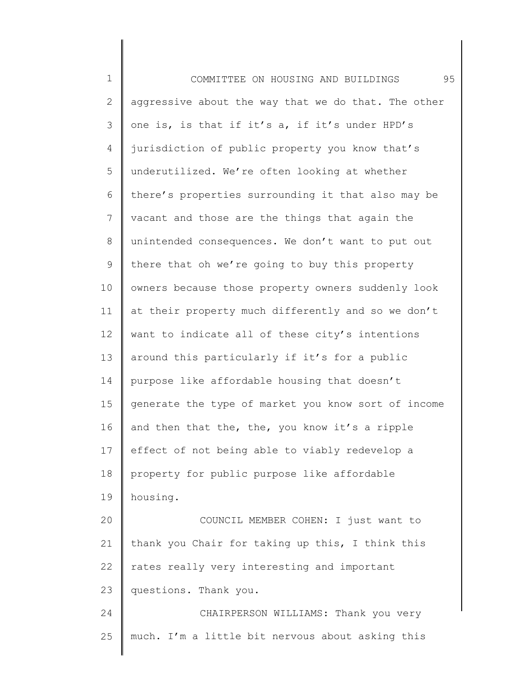1 2 3 4 5 6 7 8 9 10 11 12 13 14 15 16 17 18 19 20 21 22 23 24 25 COMMITTEE ON HOUSING AND BUILDINGS 95 aggressive about the way that we do that. The other one is, is that if it's a, if it's under HPD's jurisdiction of public property you know that's underutilized. We're often looking at whether there's properties surrounding it that also may be vacant and those are the things that again the unintended consequences. We don't want to put out there that oh we're going to buy this property owners because those property owners suddenly look at their property much differently and so we don't want to indicate all of these city's intentions around this particularly if it's for a public purpose like affordable housing that doesn't generate the type of market you know sort of income and then that the, the, you know it's a ripple effect of not being able to viably redevelop a property for public purpose like affordable housing. COUNCIL MEMBER COHEN: I just want to thank you Chair for taking up this, I think this rates really very interesting and important questions. Thank you. CHAIRPERSON WILLIAMS: Thank you very much. I'm a little bit nervous about asking this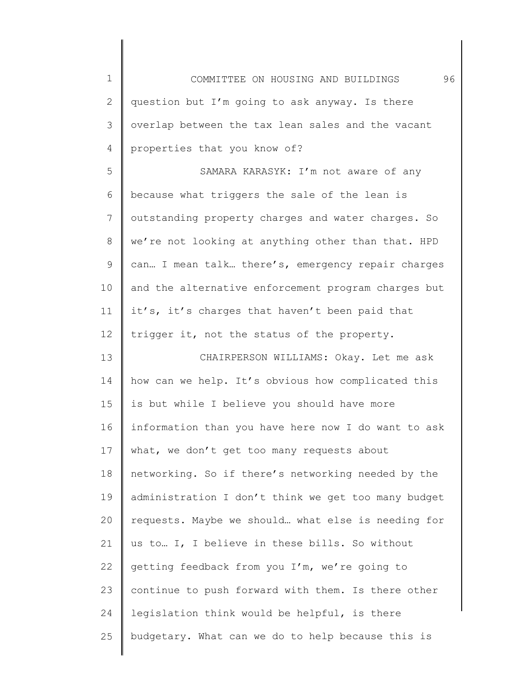| $\mathbf 1$  | 96<br>COMMITTEE ON HOUSING AND BUILDINGS            |
|--------------|-----------------------------------------------------|
| $\mathbf{2}$ | question but I'm going to ask anyway. Is there      |
| 3            | overlap between the tax lean sales and the vacant   |
| 4            | properties that you know of?                        |
| 5            | SAMARA KARASYK: I'm not aware of any                |
| 6            | because what triggers the sale of the lean is       |
| 7            | outstanding property charges and water charges. So  |
| 8            | we're not looking at anything other than that. HPD  |
| 9            | can I mean talk there's, emergency repair charges   |
| 10           | and the alternative enforcement program charges but |
| 11           | it's, it's charges that haven't been paid that      |
| 12           | trigger it, not the status of the property.         |
| 13           | CHAIRPERSON WILLIAMS: Okay. Let me ask              |
| 14           | how can we help. It's obvious how complicated this  |
| 15           | is but while I believe you should have more         |
| 16           | information than you have here now I do want to ask |
| 17           | what, we don't get too many requests about          |
| 18           | networking. So if there's networking needed by the  |
| 19           | administration I don't think we get too many budget |
| 20           | requests. Maybe we should what else is needing for  |
| 21           | us to I, I believe in these bills. So without       |
| 22           | getting feedback from you I'm, we're going to       |
| 23           | continue to push forward with them. Is there other  |
| 24           | legislation think would be helpful, is there        |
| 25           | budgetary. What can we do to help because this is   |
|              |                                                     |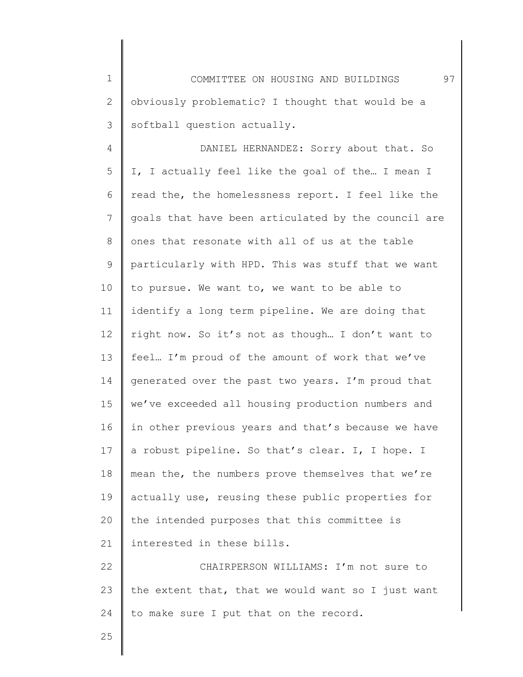1 2 3 COMMITTEE ON HOUSING AND BUILDINGS 97 obviously problematic? I thought that would be a softball question actually.

4 5 6 7 8 9 10 11 12 13 14 15 16 17 18 19 20 21 22 DANIEL HERNANDEZ: Sorry about that. So I, I actually feel like the goal of the… I mean I read the, the homelessness report. I feel like the goals that have been articulated by the council are ones that resonate with all of us at the table particularly with HPD. This was stuff that we want to pursue. We want to, we want to be able to identify a long term pipeline. We are doing that right now. So it's not as though… I don't want to feel… I'm proud of the amount of work that we've generated over the past two years. I'm proud that we've exceeded all housing production numbers and in other previous years and that's because we have a robust pipeline. So that's clear. I, I hope. I mean the, the numbers prove themselves that we're actually use, reusing these public properties for the intended purposes that this committee is interested in these bills. CHAIRPERSON WILLIAMS: I'm not sure to

23 24 the extent that, that we would want so I just want to make sure I put that on the record.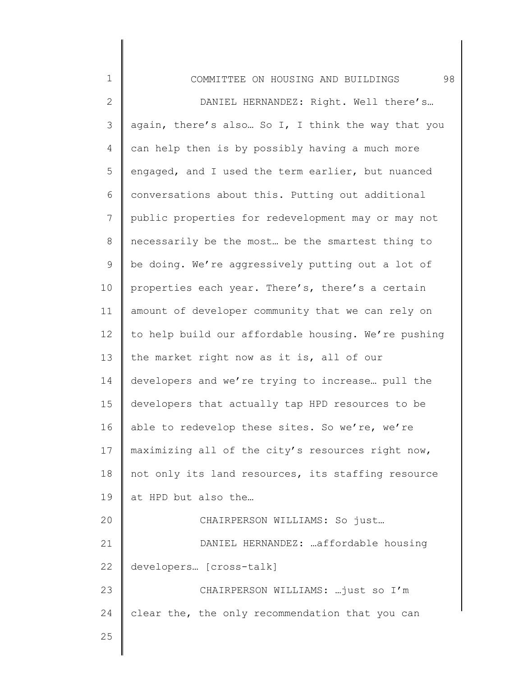| $\mathbf 1$    | 98<br>COMMITTEE ON HOUSING AND BUILDINGS            |
|----------------|-----------------------------------------------------|
| $\mathbf{2}$   | DANIEL HERNANDEZ: Right. Well there's               |
| 3              | again, there's also So I, I think the way that you  |
| 4              | can help then is by possibly having a much more     |
| 5              | engaged, and I used the term earlier, but nuanced   |
| 6              | conversations about this. Putting out additional    |
| $\overline{7}$ | public properties for redevelopment may or may not  |
| 8              | necessarily be the most be the smartest thing to    |
| 9              | be doing. We're aggressively putting out a lot of   |
| 10             | properties each year. There's, there's a certain    |
| 11             | amount of developer community that we can rely on   |
| 12             | to help build our affordable housing. We're pushing |
| 13             | the market right now as it is, all of our           |
| 14             | developers and we're trying to increase pull the    |
| 15             | developers that actually tap HPD resources to be    |
| 16             | able to redevelop these sites. So we're, we're      |
| 17             | maximizing all of the city's resources right now,   |
| 18             | not only its land resources, its staffing resource  |
| 19             | at HPD but also the                                 |
| 20             | CHAIRPERSON WILLIAMS: So just                       |
| 21             | DANIEL HERNANDEZ:  affordable housing               |
| 22             | developers [cross-talk]                             |
| 23             | CHAIRPERSON WILLIAMS:  just so I'm                  |
| 24             | clear the, the only recommendation that you can     |
| 25             |                                                     |
|                |                                                     |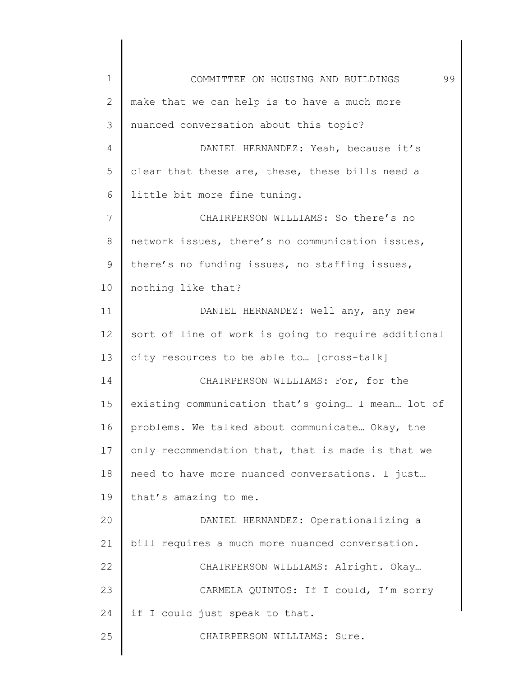| $\mathbf 1$ | 99<br>COMMITTEE ON HOUSING AND BUILDINGS            |
|-------------|-----------------------------------------------------|
| 2           | make that we can help is to have a much more        |
| 3           | nuanced conversation about this topic?              |
| 4           | DANIEL HERNANDEZ: Yeah, because it's                |
| 5           | clear that these are, these, these bills need a     |
| 6           | little bit more fine tuning.                        |
| 7           | CHAIRPERSON WILLIAMS: So there's no                 |
| 8           | network issues, there's no communication issues,    |
| 9           | there's no funding issues, no staffing issues,      |
| 10          | nothing like that?                                  |
| 11          | DANIEL HERNANDEZ: Well any, any new                 |
| 12          | sort of line of work is going to require additional |
| 13          | city resources to be able to [cross-talk]           |
| 14          | CHAIRPERSON WILLIAMS: For, for the                  |
| 15          | existing communication that's going I mean lot of   |
| 16          | problems. We talked about communicate Okay, the     |
| 17          | only recommendation that, that is made is that we   |
| 18          | need to have more nuanced conversations. I just     |
| 19          | that's amazing to me.                               |
| 20          | DANIEL HERNANDEZ: Operationalizing a                |
| 21          | bill requires a much more nuanced conversation.     |
| 22          | CHAIRPERSON WILLIAMS: Alright. Okay                 |
| 23          | CARMELA QUINTOS: If I could, I'm sorry              |
| 24          | if I could just speak to that.                      |
| 25          | CHAIRPERSON WILLIAMS: Sure.                         |
|             |                                                     |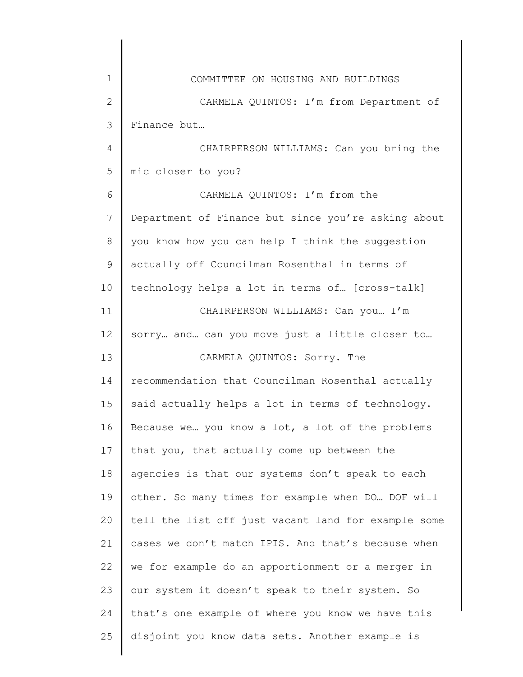| $\mathbf 1$  | COMMITTEE ON HOUSING AND BUILDINGS                  |
|--------------|-----------------------------------------------------|
| $\mathbf{2}$ | CARMELA QUINTOS: I'm from Department of             |
| 3            | Finance but                                         |
| 4            | CHAIRPERSON WILLIAMS: Can you bring the             |
| 5            | mic closer to you?                                  |
| 6            | CARMELA QUINTOS: I'm from the                       |
| 7            | Department of Finance but since you're asking about |
| 8            | you know how you can help I think the suggestion    |
| 9            | actually off Councilman Rosenthal in terms of       |
| 10           | technology helps a lot in terms of [cross-talk]     |
| 11           | CHAIRPERSON WILLIAMS: Can you I'm                   |
| 12           | sorry and can you move just a little closer to      |
| 13           | CARMELA QUINTOS: Sorry. The                         |
| 14           | recommendation that Councilman Rosenthal actually   |
| 15           | said actually helps a lot in terms of technology.   |
| 16           | Because we you know a lot, a lot of the problems    |
| 17           | that you, that actually come up between the         |
| 18           | agencies is that our systems don't speak to each    |
| 19           | other. So many times for example when DO  DOF will  |
| 20           | tell the list off just vacant land for example some |
| 21           | cases we don't match IPIS. And that's because when  |
| 22           | we for example do an apportionment or a merger in   |
| 23           | our system it doesn't speak to their system. So     |
| 24           | that's one example of where you know we have this   |
| 25           | disjoint you know data sets. Another example is     |
|              |                                                     |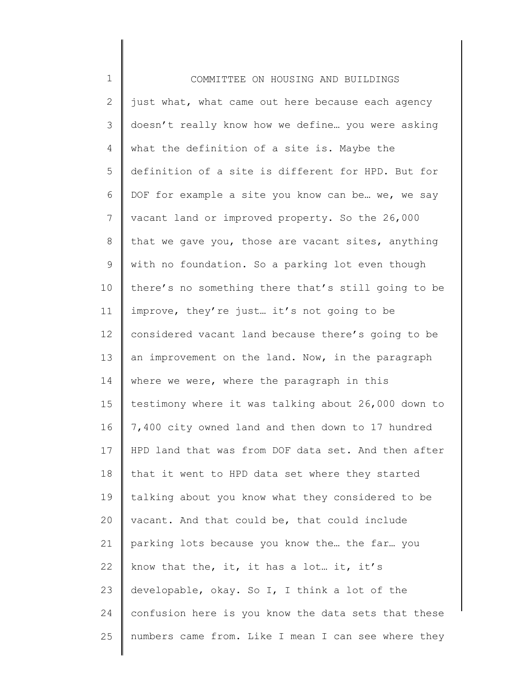| $\mathbf 1$    | COMMITTEE ON HOUSING AND BUILDINGS                  |
|----------------|-----------------------------------------------------|
| $\overline{2}$ | just what, what came out here because each agency   |
| 3              | doesn't really know how we define you were asking   |
| 4              | what the definition of a site is. Maybe the         |
| 5              | definition of a site is different for HPD. But for  |
| 6              | DOF for example a site you know can be we, we say   |
| 7              | vacant land or improved property. So the 26,000     |
| 8              | that we gave you, those are vacant sites, anything  |
| 9              | with no foundation. So a parking lot even though    |
| 10             | there's no something there that's still going to be |
| 11             | improve, they're just it's not going to be          |
| 12             | considered vacant land because there's going to be  |
| 13             | an improvement on the land. Now, in the paragraph   |
| 14             | where we were, where the paragraph in this          |
| 15             | testimony where it was talking about 26,000 down to |
| 16             | 7,400 city owned land and then down to 17 hundred   |
| 17             | HPD land that was from DOF data set. And then after |
| 18             | that it went to HPD data set where they started     |
| 19             | talking about you know what they considered to be   |
| 20             | vacant. And that could be, that could include       |
| 21             | parking lots because you know the the far you       |
| 22             | know that the, it, it has a lot it, it's            |
| 23             | developable, okay. So I, I think a lot of the       |
| 24             | confusion here is you know the data sets that these |
| 25             | numbers came from. Like I mean I can see where they |
|                |                                                     |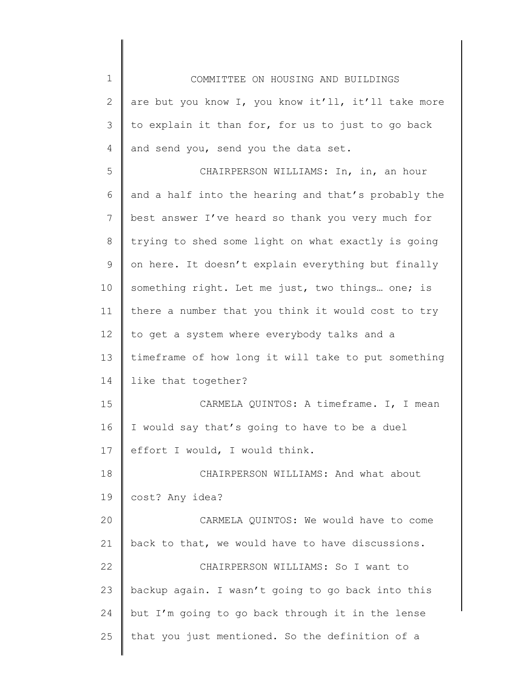1 2 3 4 5 6 7 8 9 10 11 12 13 14 15 16 17 18 19 20 21 22 23 24 25 COMMITTEE ON HOUSING AND BUILDINGS are but you know I, you know it'll, it'll take more to explain it than for, for us to just to go back and send you, send you the data set. CHAIRPERSON WILLIAMS: In, in, an hour and a half into the hearing and that's probably the best answer I've heard so thank you very much for trying to shed some light on what exactly is going on here. It doesn't explain everything but finally something right. Let me just, two things… one; is there a number that you think it would cost to try to get a system where everybody talks and a timeframe of how long it will take to put something like that together? CARMELA QUINTOS: A timeframe. I, I mean I would say that's going to have to be a duel effort I would, I would think. CHAIRPERSON WILLIAMS: And what about cost? Any idea? CARMELA QUINTOS: We would have to come back to that, we would have to have discussions. CHAIRPERSON WILLIAMS: So I want to backup again. I wasn't going to go back into this but I'm going to go back through it in the lense that you just mentioned. So the definition of a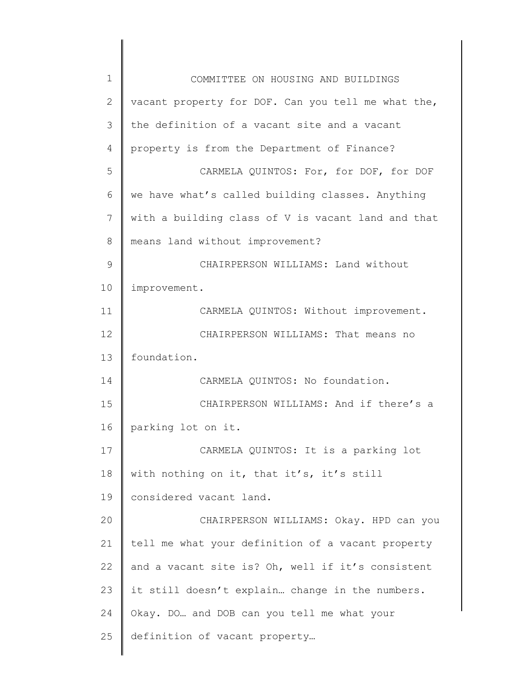| $\mathbf 1$   | COMMITTEE ON HOUSING AND BUILDINGS                 |
|---------------|----------------------------------------------------|
| 2             | vacant property for DOF. Can you tell me what the, |
| 3             | the definition of a vacant site and a vacant       |
| 4             | property is from the Department of Finance?        |
| 5             | CARMELA QUINTOS: For, for DOF, for DOF             |
| 6             | we have what's called building classes. Anything   |
| 7             | with a building class of V is vacant land and that |
| 8             | means land without improvement?                    |
| $\mathcal{G}$ | CHAIRPERSON WILLIAMS: Land without                 |
| 10            | improvement.                                       |
| 11            | CARMELA QUINTOS: Without improvement.              |
| 12            | CHAIRPERSON WILLIAMS: That means no                |
| 13            | foundation.                                        |
| 14            | CARMELA QUINTOS: No foundation.                    |
| 15            | CHAIRPERSON WILLIAMS: And if there's a             |
| 16            | parking lot on it.                                 |
| 17            | CARMELA QUINTOS: It is a parking lot               |
| 18            | with nothing on it, that it's, it's still          |
| 19            | considered vacant land.                            |
| 20            | CHAIRPERSON WILLIAMS: Okay. HPD can you            |
| 21            | tell me what your definition of a vacant property  |
| 22            | and a vacant site is? Oh, well if it's consistent  |
| 23            | it still doesn't explain change in the numbers.    |
| 24            | Okay. DO and DOB can you tell me what your         |
| 25            | definition of vacant property                      |
|               |                                                    |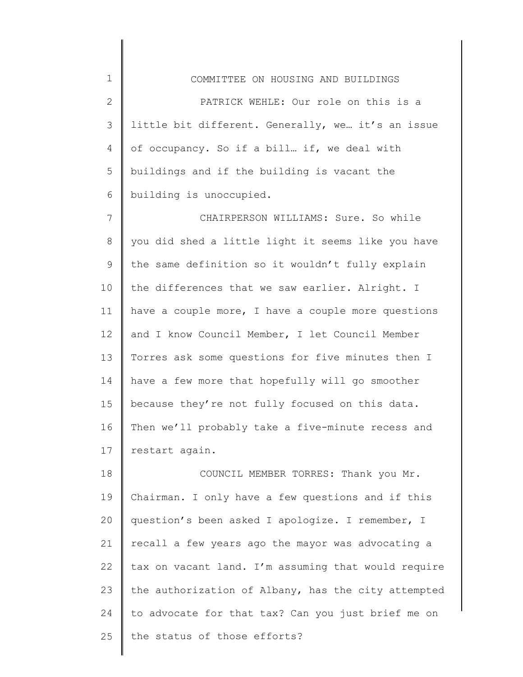1 2 3 4 5 6 COMMITTEE ON HOUSING AND BUILDINGS PATRICK WEHLE: Our role on this is a little bit different. Generally, we… it's an issue of occupancy. So if a bill… if, we deal with buildings and if the building is vacant the building is unoccupied.

7 8 9 10 11 12 13 14 15 16 17 CHAIRPERSON WILLIAMS: Sure. So while you did shed a little light it seems like you have the same definition so it wouldn't fully explain the differences that we saw earlier. Alright. I have a couple more, I have a couple more questions and I know Council Member, I let Council Member Torres ask some questions for five minutes then I have a few more that hopefully will go smoother because they're not fully focused on this data. Then we'll probably take a five-minute recess and restart again.

18 19 20 21 22 23 24 25 COUNCIL MEMBER TORRES: Thank you Mr. Chairman. I only have a few questions and if this question's been asked I apologize. I remember, I recall a few years ago the mayor was advocating a tax on vacant land. I'm assuming that would require the authorization of Albany, has the city attempted to advocate for that tax? Can you just brief me on the status of those efforts?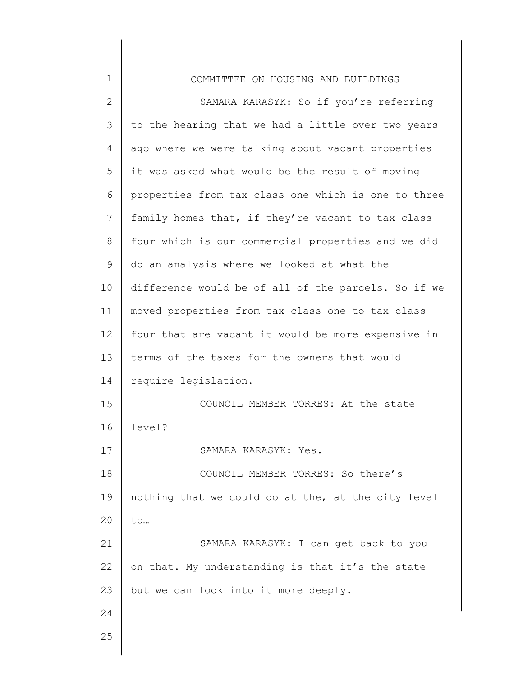| $\mathbf 1$  | COMMITTEE ON HOUSING AND BUILDINGS                  |
|--------------|-----------------------------------------------------|
| $\mathbf{2}$ | SAMARA KARASYK: So if you're referring              |
| 3            | to the hearing that we had a little over two years  |
| 4            | ago where we were talking about vacant properties   |
| 5            | it was asked what would be the result of moving     |
| 6            | properties from tax class one which is one to three |
| 7            | family homes that, if they're vacant to tax class   |
| $8\,$        | four which is our commercial properties and we did  |
| $\mathsf 9$  | do an analysis where we looked at what the          |
| 10           | difference would be of all of the parcels. So if we |
| 11           | moved properties from tax class one to tax class    |
| 12           | four that are vacant it would be more expensive in  |
| 13           | terms of the taxes for the owners that would        |
| 14           | require legislation.                                |
| 15           | COUNCIL MEMBER TORRES: At the state                 |
| 16           | level?                                              |
| 17           | SAMARA KARASYK: Yes.                                |
| 18           | COUNCIL MEMBER TORRES: So there's                   |
| 19           | nothing that we could do at the, at the city level  |
| 20           | to                                                  |
| 21           | SAMARA KARASYK: I can get back to you               |
| 22           | on that. My understanding is that it's the state    |
| 23           | but we can look into it more deeply.                |
| 24           |                                                     |
| 25           |                                                     |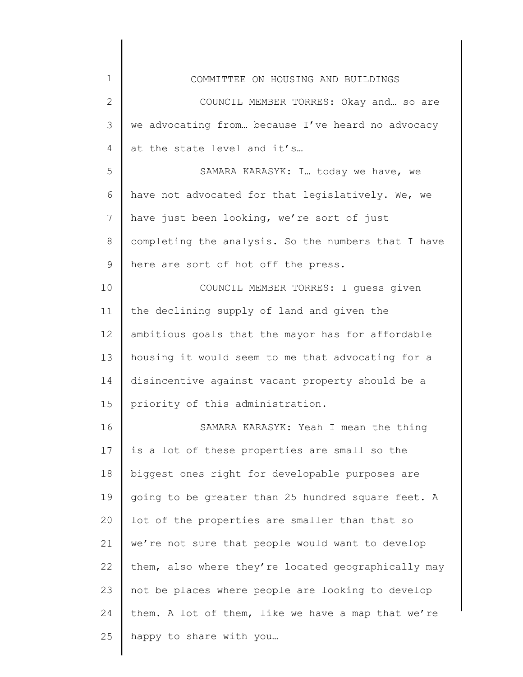| $\mathbf 1$  | COMMITTEE ON HOUSING AND BUILDINGS                  |
|--------------|-----------------------------------------------------|
| $\mathbf{2}$ | COUNCIL MEMBER TORRES: Okay and so are              |
| 3            | we advocating from because I've heard no advocacy   |
| 4            | at the state level and it's                         |
| 5            | SAMARA KARASYK: I today we have, we                 |
| 6            | have not advocated for that legislatively. We, we   |
| 7            | have just been looking, we're sort of just          |
| $8\,$        | completing the analysis. So the numbers that I have |
| 9            | here are sort of hot off the press.                 |
| 10           | COUNCIL MEMBER TORRES: I quess given                |
| 11           | the declining supply of land and given the          |
| 12           | ambitious goals that the mayor has for affordable   |
| 13           | housing it would seem to me that advocating for a   |
| 14           | disincentive against vacant property should be a    |
| 15           | priority of this administration.                    |
| 16           | SAMARA KARASYK: Yeah I mean the thing               |
| 17           | is a lot of these properties are small so the       |
| 18           | biggest ones right for developable purposes are     |
| 19           | going to be greater than 25 hundred square feet. A  |
| 20           | lot of the properties are smaller than that so      |
| 21           | we're not sure that people would want to develop    |
| 22           | them, also where they're located geographically may |
| 23           | not be places where people are looking to develop   |
| 24           | them. A lot of them, like we have a map that we're  |
| 25           | happy to share with you                             |
|              |                                                     |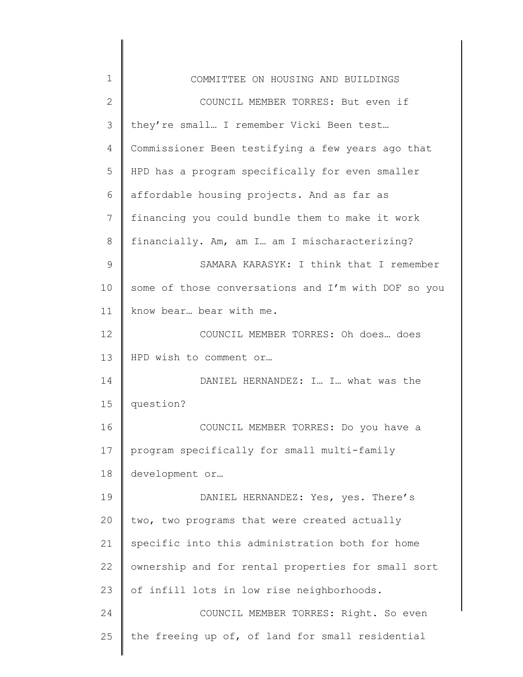| 1            | COMMITTEE ON HOUSING AND BUILDINGS                  |
|--------------|-----------------------------------------------------|
| $\mathbf{2}$ | COUNCIL MEMBER TORRES: But even if                  |
| 3            | they're small I remember Vicki Been test            |
| 4            | Commissioner Been testifying a few years ago that   |
| 5            | HPD has a program specifically for even smaller     |
| 6            | affordable housing projects. And as far as          |
| 7            | financing you could bundle them to make it work     |
| 8            | financially. Am, am I. am I mischaracterizing?      |
| $\mathsf 9$  | SAMARA KARASYK: I think that I remember             |
| 10           | some of those conversations and I'm with DOF so you |
| 11           | know bear bear with me.                             |
| 12           | COUNCIL MEMBER TORRES: Oh does does                 |
| 13           | HPD wish to comment or                              |
| 14           | DANIEL HERNANDEZ: I I what was the                  |
| 15           | question?                                           |
| 16           | COUNCIL MEMBER TORRES: Do you have a                |
| 17           | program specifically for small multi-family         |
| 18           | development or                                      |
| 19           | DANIEL HERNANDEZ: Yes, yes. There's                 |
| 20           | two, two programs that were created actually        |
| 21           | specific into this administration both for home     |
| 22           | ownership and for rental properties for small sort  |
| 23           | of infill lots in low rise neighborhoods.           |
| 24           | COUNCIL MEMBER TORRES: Right. So even               |
| 25           | the freeing up of, of land for small residential    |
|              |                                                     |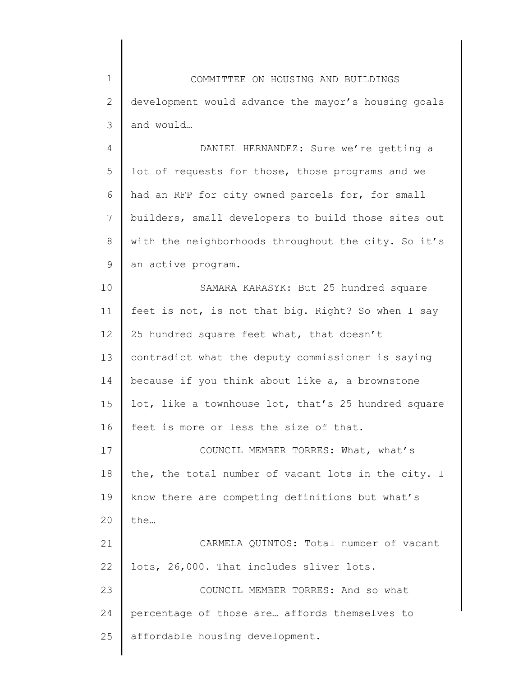1 2 3 4 COMMITTEE ON HOUSING AND BUILDINGS development would advance the mayor's housing goals and would… DANIEL HERNANDEZ: Sure we're getting a

5 6 7 8 9 lot of requests for those, those programs and we had an RFP for city owned parcels for, for small builders, small developers to build those sites out with the neighborhoods throughout the city. So it's an active program.

10 11 12 13 14 15 16 SAMARA KARASYK: But 25 hundred square feet is not, is not that big. Right? So when I say 25 hundred square feet what, that doesn't contradict what the deputy commissioner is saying because if you think about like a, a brownstone lot, like a townhouse lot, that's 25 hundred square feet is more or less the size of that.

17 18 19 20 COUNCIL MEMBER TORRES: What, what's the, the total number of vacant lots in the city. I know there are competing definitions but what's the…

21 22 23 CARMELA QUINTOS: Total number of vacant lots, 26,000. That includes sliver lots. COUNCIL MEMBER TORRES: And so what

25 percentage of those are… affords themselves to affordable housing development.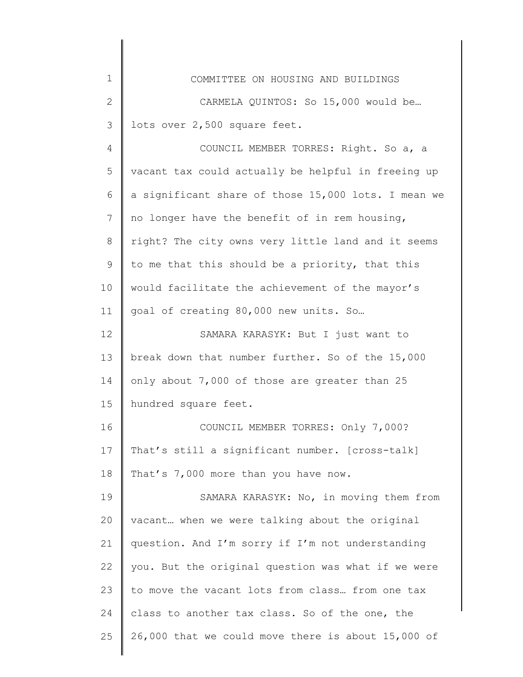| $\mathbf 1$  | COMMITTEE ON HOUSING AND BUILDINGS                  |
|--------------|-----------------------------------------------------|
| $\mathbf{2}$ | CARMELA QUINTOS: So 15,000 would be                 |
| 3            | lots over 2,500 square feet.                        |
| 4            | COUNCIL MEMBER TORRES: Right. So a, a               |
| 5            | vacant tax could actually be helpful in freeing up  |
| 6            | a significant share of those 15,000 lots. I mean we |
| 7            | no longer have the benefit of in rem housing,       |
| $8\,$        | right? The city owns very little land and it seems  |
| 9            | to me that this should be a priority, that this     |
| 10           | would facilitate the achievement of the mayor's     |
| 11           | goal of creating 80,000 new units. So               |
| 12           | SAMARA KARASYK: But I just want to                  |
| 13           | break down that number further. So of the 15,000    |
| 14           | only about 7,000 of those are greater than 25       |
| 15           | hundred square feet.                                |
| 16           | COUNCIL MEMBER TORRES: Only 7,000?                  |
| 17           | That's still a significant number. [cross-talk]     |
| 18           | That's 7,000 more than you have now.                |
| 19           | SAMARA KARASYK: No, in moving them from             |
| 20           | vacant when we were talking about the original      |
| 21           | question. And I'm sorry if I'm not understanding    |
| 22           | you. But the original question was what if we were  |
| 23           | to move the vacant lots from class from one tax     |
| 24           | class to another tax class. So of the one, the      |
| 25           | 26,000 that we could move there is about 15,000 of  |
|              |                                                     |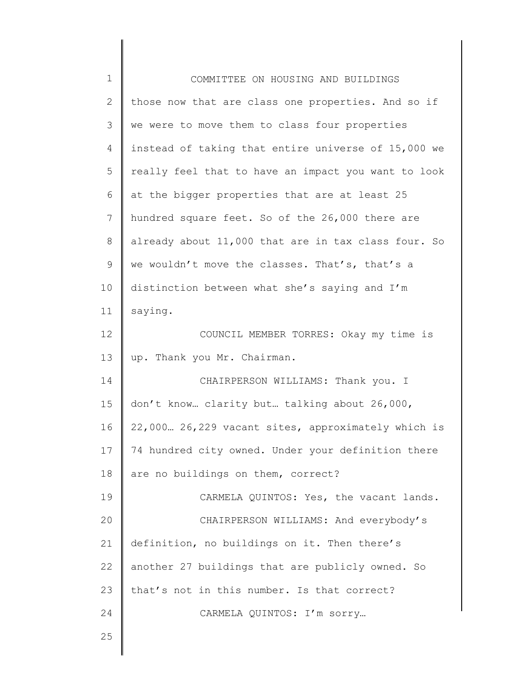| $\mathbf 1$  | COMMITTEE ON HOUSING AND BUILDINGS                  |
|--------------|-----------------------------------------------------|
| $\mathbf{2}$ | those now that are class one properties. And so if  |
| 3            | we were to move them to class four properties       |
| 4            | instead of taking that entire universe of 15,000 we |
| 5            | really feel that to have an impact you want to look |
| 6            | at the bigger properties that are at least 25       |
| 7            | hundred square feet. So of the 26,000 there are     |
| $8\,$        | already about 11,000 that are in tax class four. So |
| 9            | we wouldn't move the classes. That's, that's a      |
| 10           | distinction between what she's saying and I'm       |
| 11           | saying.                                             |
| 12           | COUNCIL MEMBER TORRES: Okay my time is              |
| 13           | up. Thank you Mr. Chairman.                         |
| 14           | CHAIRPERSON WILLIAMS: Thank you. I                  |
| 15           | don't know clarity but talking about 26,000,        |
| 16           | 22,000. 26,229 vacant sites, approximately which is |
| 17           | 74 hundred city owned. Under your definition there  |
| 18           | are no buildings on them, correct?                  |
| 19           | CARMELA QUINTOS: Yes, the vacant lands.             |
| 20           | CHAIRPERSON WILLIAMS: And everybody's               |
| 21           | definition, no buildings on it. Then there's        |
| 22           | another 27 buildings that are publicly owned. So    |
| 23           | that's not in this number. Is that correct?         |
| 24           | CARMELA QUINTOS: I'm sorry                          |
| 25           |                                                     |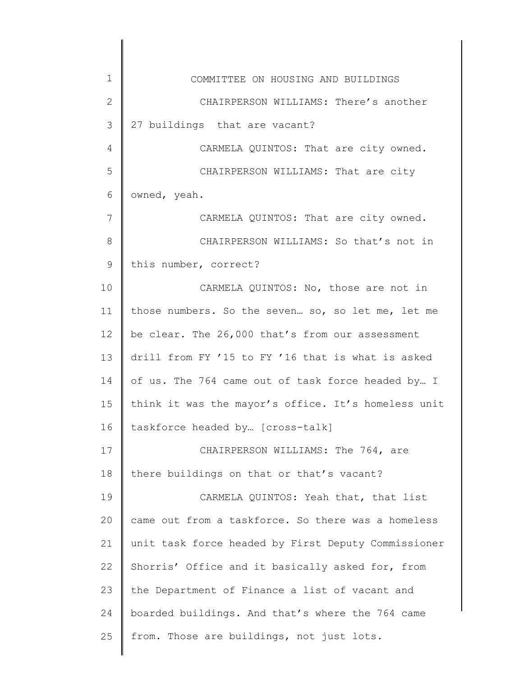| $\mathbf 1$  | COMMITTEE ON HOUSING AND BUILDINGS                  |
|--------------|-----------------------------------------------------|
| $\mathbf{2}$ | CHAIRPERSON WILLIAMS: There's another               |
| 3            | 27 buildings that are vacant?                       |
| 4            | CARMELA QUINTOS: That are city owned.               |
| 5            | CHAIRPERSON WILLIAMS: That are city                 |
| 6            | owned, yeah.                                        |
| 7            | CARMELA QUINTOS: That are city owned.               |
| 8            | CHAIRPERSON WILLIAMS: So that's not in              |
| 9            | this number, correct?                               |
| 10           | CARMELA QUINTOS: No, those are not in               |
| 11           | those numbers. So the seven so, so let me, let me   |
| 12           | be clear. The 26,000 that's from our assessment     |
| 13           | drill from FY '15 to FY '16 that is what is asked   |
| 14           | of us. The 764 came out of task force headed by I   |
| 15           | think it was the mayor's office. It's homeless unit |
| 16           | taskforce headed by [cross-talk]                    |
| 17           | CHAIRPERSON WILLIAMS: The 764, are                  |
| 18           | there buildings on that or that's vacant?           |
| 19           | CARMELA QUINTOS: Yeah that, that list               |
| 20           | came out from a taskforce. So there was a homeless  |
| 21           | unit task force headed by First Deputy Commissioner |
| 22           | Shorris' Office and it basically asked for, from    |
| 23           | the Department of Finance a list of vacant and      |
| 24           | boarded buildings. And that's where the 764 came    |
| 25           | from. Those are buildings, not just lots.           |
|              |                                                     |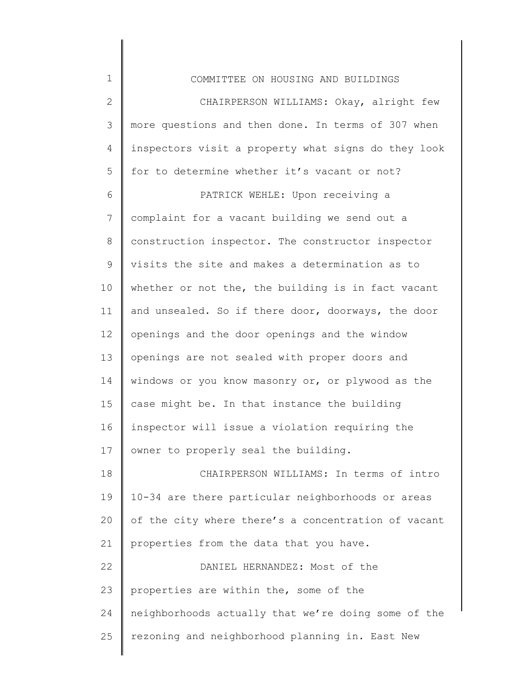| $\mathbf 1$  | COMMITTEE ON HOUSING AND BUILDINGS                  |
|--------------|-----------------------------------------------------|
| $\mathbf{2}$ | CHAIRPERSON WILLIAMS: Okay, alright few             |
| 3            | more questions and then done. In terms of 307 when  |
| 4            | inspectors visit a property what signs do they look |
| 5            | for to determine whether it's vacant or not?        |
| 6            | PATRICK WEHLE: Upon receiving a                     |
| 7            | complaint for a vacant building we send out a       |
| $\,8\,$      | construction inspector. The constructor inspector   |
| 9            | visits the site and makes a determination as to     |
| 10           | whether or not the, the building is in fact vacant  |
| 11           | and unsealed. So if there door, doorways, the door  |
| 12           | openings and the door openings and the window       |
| 13           | openings are not sealed with proper doors and       |
| 14           | windows or you know masonry or, or plywood as the   |
| 15           | case might be. In that instance the building        |
| 16           | inspector will issue a violation requiring the      |
| 17           | owner to properly seal the building.                |
| 18           | CHAIRPERSON WILLIAMS: In terms of intro             |
| 19           | 10-34 are there particular neighborhoods or areas   |
| 20           | of the city where there's a concentration of vacant |
| 21           | properties from the data that you have.             |
| 22           | DANIEL HERNANDEZ: Most of the                       |
| 23           | properties are within the, some of the              |
| 24           | neighborhoods actually that we're doing some of the |
| 25           | rezoning and neighborhood planning in. East New     |
|              |                                                     |

∥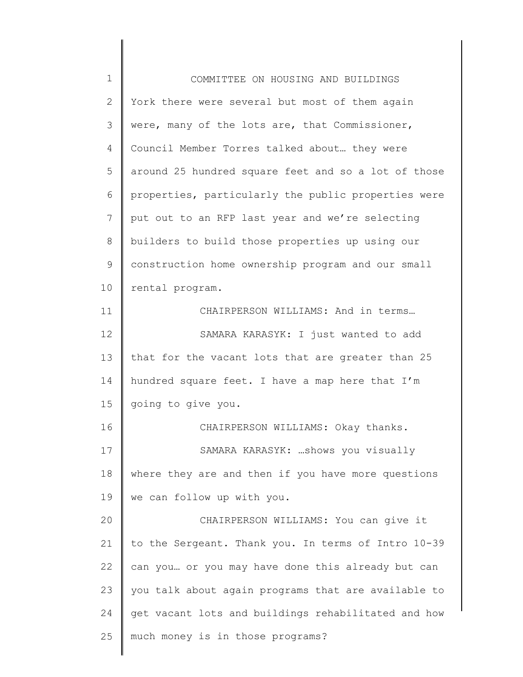| $\mathbf 1$  | COMMITTEE ON HOUSING AND BUILDINGS                  |
|--------------|-----------------------------------------------------|
| $\mathbf{2}$ | York there were several but most of them again      |
| 3            | were, many of the lots are, that Commissioner,      |
| 4            | Council Member Torres talked about they were        |
| 5            | around 25 hundred square feet and so a lot of those |
| 6            | properties, particularly the public properties were |
| 7            | put out to an RFP last year and we're selecting     |
| 8            | builders to build those properties up using our     |
| $\mathsf 9$  | construction home ownership program and our small   |
| 10           | rental program.                                     |
| 11           | CHAIRPERSON WILLIAMS: And in terms                  |
| 12           | SAMARA KARASYK: I just wanted to add                |
| 13           | that for the vacant lots that are greater than 25   |
| 14           | hundred square feet. I have a map here that I'm     |
| 15           | going to give you.                                  |
| 16           | CHAIRPERSON WILLIAMS: Okay thanks.                  |
| 17           | SAMARA KARASYK: shows you visually                  |
| 18           | where they are and then if you have more questions  |
| 19           | we can follow up with you.                          |
| 20           | CHAIRPERSON WILLIAMS: You can give it               |
| 21           | to the Sergeant. Thank you. In terms of Intro 10-39 |
| 22           | can you or you may have done this already but can   |
| 23           | you talk about again programs that are available to |
| 24           | get vacant lots and buildings rehabilitated and how |
| 25           | much money is in those programs?                    |
|              |                                                     |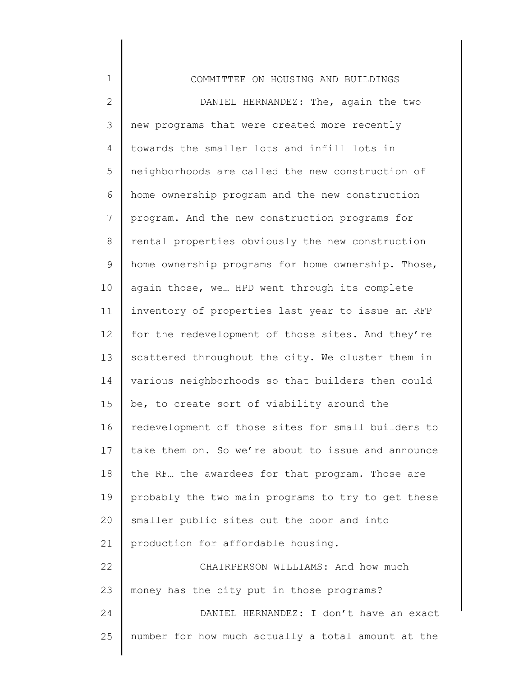| $\mathbf 1$    | COMMITTEE ON HOUSING AND BUILDINGS                 |
|----------------|----------------------------------------------------|
| $\mathbf{2}$   | DANIEL HERNANDEZ: The, again the two               |
| 3              | new programs that were created more recently       |
| 4              | towards the smaller lots and infill lots in        |
| 5              | neighborhoods are called the new construction of   |
| 6              | home ownership program and the new construction    |
| $7\phantom{.}$ | program. And the new construction programs for     |
| 8              | rental properties obviously the new construction   |
| 9              | home ownership programs for home ownership. Those, |
| 10             | again those, we HPD went through its complete      |
| 11             | inventory of properties last year to issue an RFP  |
| 12             | for the redevelopment of those sites. And they're  |
| 13             | scattered throughout the city. We cluster them in  |
| 14             | various neighborhoods so that builders then could  |
| 15             | be, to create sort of viability around the         |
| 16             | redevelopment of those sites for small builders to |
| 17             | take them on. So we're about to issue and announce |
| 18             | the RF the awardees for that program. Those are    |
| 19             | probably the two main programs to try to get these |
| 20             | smaller public sites out the door and into         |
| 21             | production for affordable housing.                 |
| 22             | CHAIRPERSON WILLIAMS: And how much                 |
| 23             | money has the city put in those programs?          |
| 24             | DANIEL HERNANDEZ: I don't have an exact            |
| 25             | number for how much actually a total amount at the |
|                |                                                    |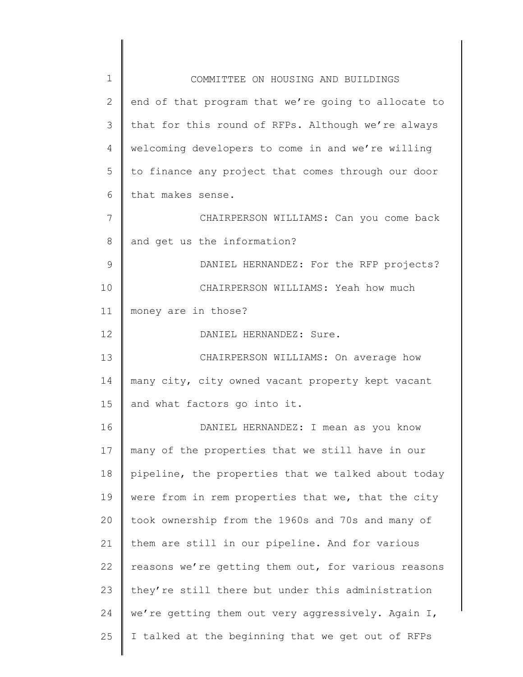| $\mathbf 1$   | COMMITTEE ON HOUSING AND BUILDINGS                  |
|---------------|-----------------------------------------------------|
| 2             | end of that program that we're going to allocate to |
| 3             | that for this round of RFPs. Although we're always  |
| 4             | welcoming developers to come in and we're willing   |
| 5             | to finance any project that comes through our door  |
| 6             | that makes sense.                                   |
| 7             | CHAIRPERSON WILLIAMS: Can you come back             |
| 8             | and get us the information?                         |
| $\mathcal{G}$ | DANIEL HERNANDEZ: For the RFP projects?             |
| 10            | CHAIRPERSON WILLIAMS: Yeah how much                 |
| 11            | money are in those?                                 |
| 12            | DANIEL HERNANDEZ: Sure.                             |
| 13            | CHAIRPERSON WILLIAMS: On average how                |
| 14            | many city, city owned vacant property kept vacant   |
| 15            | and what factors go into it.                        |
| 16            | DANIEL HERNANDEZ: I mean as you know                |
| 17            | many of the properties that we still have in our    |
| 18            | pipeline, the properties that we talked about today |
| 19            | were from in rem properties that we, that the city  |
| 20            | took ownership from the 1960s and 70s and many of   |
| 21            | them are still in our pipeline. And for various     |
| 22            | reasons we're getting them out, for various reasons |
| 23            | they're still there but under this administration   |
| 24            | we're getting them out very aggressively. Again I,  |
| 25            | I talked at the beginning that we get out of RFPs   |
|               |                                                     |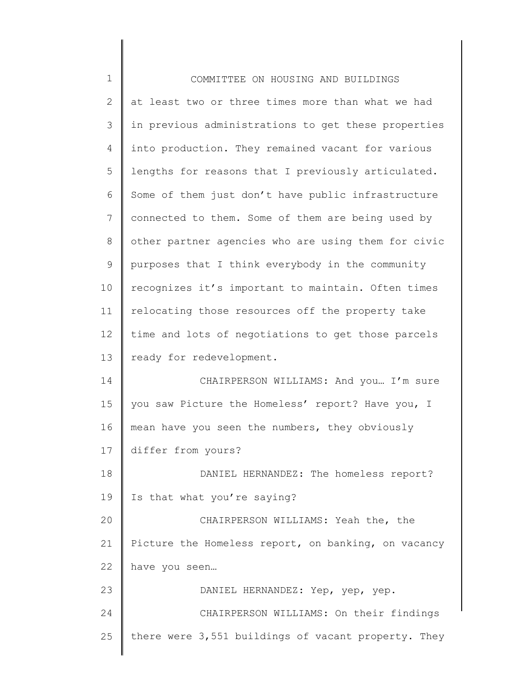| $\mathbf 1$   | COMMITTEE ON HOUSING AND BUILDINGS                  |
|---------------|-----------------------------------------------------|
| $\mathbf{2}$  | at least two or three times more than what we had   |
| $\mathcal{S}$ | in previous administrations to get these properties |
| 4             | into production. They remained vacant for various   |
| 5             | lengths for reasons that I previously articulated.  |
| 6             | Some of them just don't have public infrastructure  |
| 7             | connected to them. Some of them are being used by   |
| $8\,$         | other partner agencies who are using them for civic |
| 9             | purposes that I think everybody in the community    |
| 10            | recognizes it's important to maintain. Often times  |
| 11            | relocating those resources off the property take    |
| 12            | time and lots of negotiations to get those parcels  |
| 13            | ready for redevelopment.                            |
| 14            | CHAIRPERSON WILLIAMS: And you I'm sure              |
| 15            | you saw Picture the Homeless' report? Have you, I   |
| 16            | mean have you seen the numbers, they obviously      |
| 17            | differ from yours?                                  |
| 18            | DANIEL HERNANDEZ: The homeless report?              |
| 19            | Is that what you're saying?                         |
| 20            | CHAIRPERSON WILLIAMS: Yeah the, the                 |
| 21            | Picture the Homeless report, on banking, on vacancy |
| 22            | have you seen                                       |
| 23            | DANIEL HERNANDEZ: Yep, yep, yep.                    |
| 24            | CHAIRPERSON WILLIAMS: On their findings             |
| 25            | there were 3,551 buildings of vacant property. They |
|               |                                                     |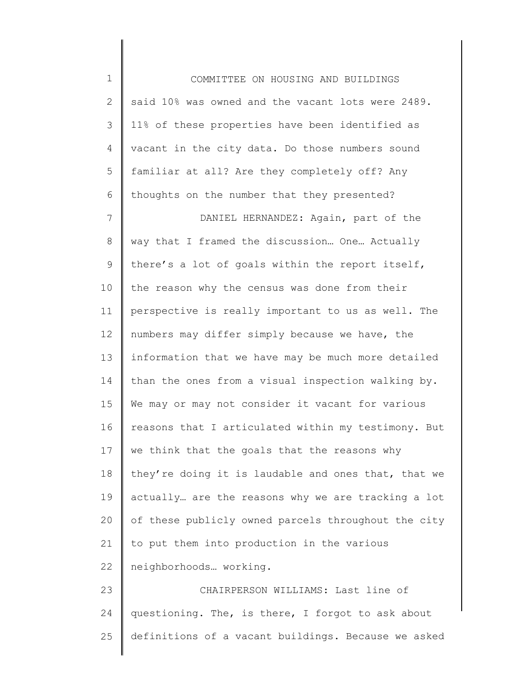1 2 3 4 5 6 7 8 9 10 11 12 13 14 15 16 17 18 19 20 21 22 23 24 25 COMMITTEE ON HOUSING AND BUILDINGS said 10% was owned and the vacant lots were 2489. 11% of these properties have been identified as vacant in the city data. Do those numbers sound familiar at all? Are they completely off? Any thoughts on the number that they presented? DANIEL HERNANDEZ: Again, part of the way that I framed the discussion… One… Actually there's a lot of goals within the report itself, the reason why the census was done from their perspective is really important to us as well. The numbers may differ simply because we have, the information that we have may be much more detailed than the ones from a visual inspection walking by. We may or may not consider it vacant for various reasons that I articulated within my testimony. But we think that the goals that the reasons why they're doing it is laudable and ones that, that we actually… are the reasons why we are tracking a lot of these publicly owned parcels throughout the city to put them into production in the various neighborhoods… working. CHAIRPERSON WILLIAMS: Last line of questioning. The, is there, I forgot to ask about definitions of a vacant buildings. Because we asked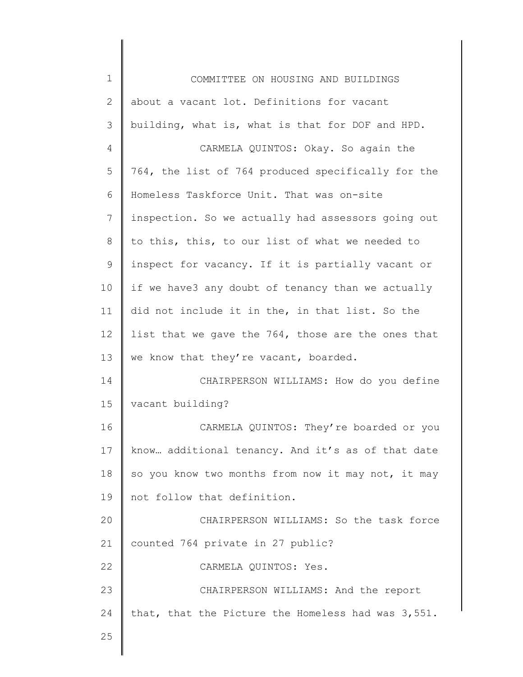| $\mathbf 1$  | COMMITTEE ON HOUSING AND BUILDINGS                 |
|--------------|----------------------------------------------------|
| $\mathbf{2}$ | about a vacant lot. Definitions for vacant         |
| 3            | building, what is, what is that for DOF and HPD.   |
| 4            | CARMELA QUINTOS: Okay. So again the                |
| 5            | 764, the list of 764 produced specifically for the |
| 6            | Homeless Taskforce Unit. That was on-site          |
| 7            | inspection. So we actually had assessors going out |
| $\,8\,$      | to this, this, to our list of what we needed to    |
| $\mathsf 9$  | inspect for vacancy. If it is partially vacant or  |
| 10           | if we have3 any doubt of tenancy than we actually  |
| 11           | did not include it in the, in that list. So the    |
| 12           | list that we gave the 764, those are the ones that |
| 13           | we know that they're vacant, boarded.              |
| 14           | CHAIRPERSON WILLIAMS: How do you define            |
| 15           | vacant building?                                   |
| 16           | CARMELA QUINTOS: They're boarded or you            |
| 17           | know additional tenancy. And it's as of that date  |
| 18           | so you know two months from now it may not, it may |
| 19           | not follow that definition.                        |
| 20           | CHAIRPERSON WILLIAMS: So the task force            |
| 21           | counted 764 private in 27 public?                  |
| 22           | CARMELA QUINTOS: Yes.                              |
| 23           | CHAIRPERSON WILLIAMS: And the report               |
| 24           | that, that the Picture the Homeless had was 3,551. |
| 25           |                                                    |
|              |                                                    |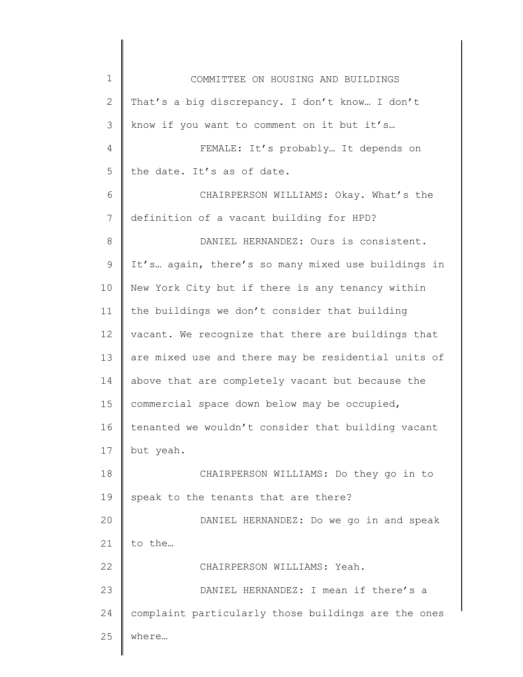| $\mathbf 1$  | COMMITTEE ON HOUSING AND BUILDINGS                  |
|--------------|-----------------------------------------------------|
| $\mathbf{2}$ | That's a big discrepancy. I don't know I don't      |
| 3            | know if you want to comment on it but it's          |
| 4            | FEMALE: It's probably It depends on                 |
| 5            | the date. It's as of date.                          |
| 6            | CHAIRPERSON WILLIAMS: Okay. What's the              |
| 7            | definition of a vacant building for HPD?            |
| $8\,$        | DANIEL HERNANDEZ: Ours is consistent.               |
| $\mathsf 9$  | It's again, there's so many mixed use buildings in  |
| 10           | New York City but if there is any tenancy within    |
| 11           | the buildings we don't consider that building       |
| 12           | vacant. We recognize that there are buildings that  |
| 13           | are mixed use and there may be residential units of |
| 14           | above that are completely vacant but because the    |
| 15           | commercial space down below may be occupied,        |
| 16           | tenanted we wouldn't consider that building vacant  |
| 17           | but yeah.                                           |
| 18           | CHAIRPERSON WILLIAMS: Do they go in to              |
| 19           | speak to the tenants that are there?                |
| 20           | DANIEL HERNANDEZ: Do we go in and speak             |
| 21           | to the                                              |
| 22           | CHAIRPERSON WILLIAMS: Yeah.                         |
| 23           | DANIEL HERNANDEZ: I mean if there's a               |
| 24           | complaint particularly those buildings are the ones |
| 25           | where                                               |
|              |                                                     |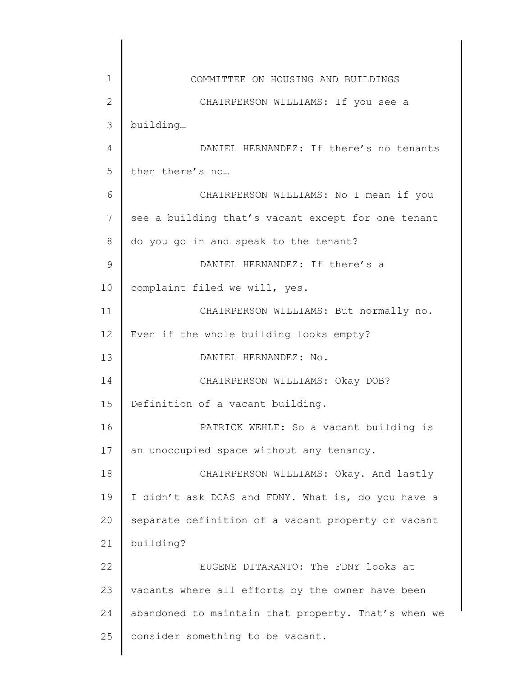| 1            | COMMITTEE ON HOUSING AND BUILDINGS                  |
|--------------|-----------------------------------------------------|
| $\mathbf{2}$ | CHAIRPERSON WILLIAMS: If you see a                  |
| 3            | building                                            |
| 4            | DANIEL HERNANDEZ: If there's no tenants             |
| 5            | then there's no                                     |
| 6            | CHAIRPERSON WILLIAMS: No I mean if you              |
| 7            | see a building that's vacant except for one tenant  |
| 8            | do you go in and speak to the tenant?               |
| 9            | DANIEL HERNANDEZ: If there's a                      |
| 10           | complaint filed we will, yes.                       |
| 11           | CHAIRPERSON WILLIAMS: But normally no.              |
| 12           | Even if the whole building looks empty?             |
| 13           | DANIEL HERNANDEZ: No.                               |
| 14           | CHAIRPERSON WILLIAMS: Okay DOB?                     |
| 15           | Definition of a vacant building.                    |
| 16           | PATRICK WEHLE: So a vacant building is              |
| 17           | an unoccupied space without any tenancy.            |
| 18           | CHAIRPERSON WILLIAMS: Okay. And lastly              |
| 19           | I didn't ask DCAS and FDNY. What is, do you have a  |
| 20           | separate definition of a vacant property or vacant  |
| 21           | building?                                           |
| 22           | EUGENE DITARANTO: The FDNY looks at                 |
| 23           | vacants where all efforts by the owner have been    |
| 24           | abandoned to maintain that property. That's when we |
| 25           | consider something to be vacant.                    |
|              |                                                     |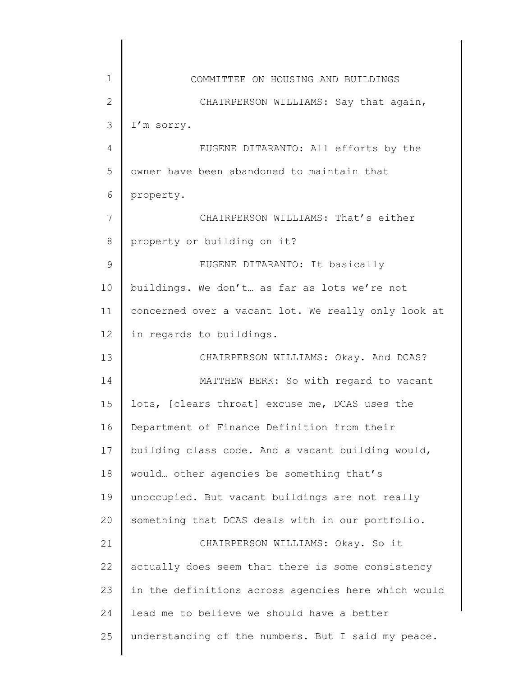| $\mathbf 1$  | COMMITTEE ON HOUSING AND BUILDINGS                  |
|--------------|-----------------------------------------------------|
| $\mathbf{2}$ | CHAIRPERSON WILLIAMS: Say that again,               |
| 3            | I'm sorry.                                          |
| 4            | EUGENE DITARANTO: All efforts by the                |
| 5            | owner have been abandoned to maintain that          |
| 6            | property.                                           |
| 7            | CHAIRPERSON WILLIAMS: That's either                 |
| 8            | property or building on it?                         |
| 9            | EUGENE DITARANTO: It basically                      |
| 10           | buildings. We don't as far as lots we're not        |
| 11           | concerned over a vacant lot. We really only look at |
| 12           | in regards to buildings.                            |
| 13           | CHAIRPERSON WILLIAMS: Okay. And DCAS?               |
| 14           | MATTHEW BERK: So with regard to vacant              |
| 15           | lots, [clears throat] excuse me, DCAS uses the      |
| 16           | Department of Finance Definition from their         |
| 17           | building class code. And a vacant building would,   |
| 18           | would other agencies be something that's            |
| 19           | unoccupied. But vacant buildings are not really     |
| 20           | something that DCAS deals with in our portfolio.    |
| 21           | CHAIRPERSON WILLIAMS: Okay. So it                   |
| 22           | actually does seem that there is some consistency   |
| 23           | in the definitions across agencies here which would |
| 24           | lead me to believe we should have a better          |
| 25           | understanding of the numbers. But I said my peace.  |
|              |                                                     |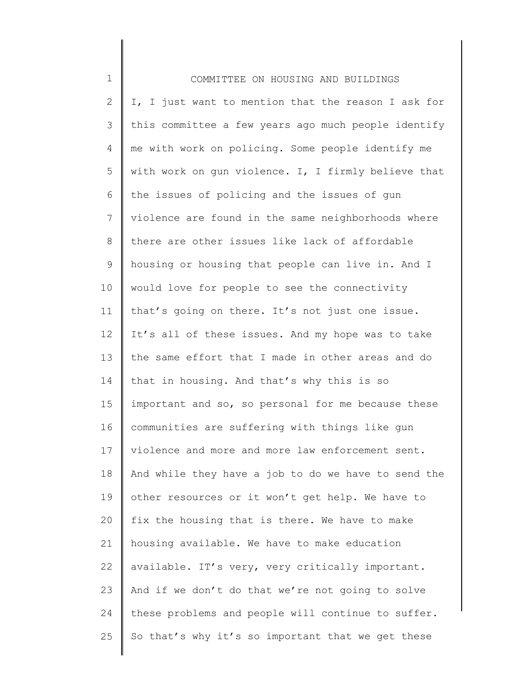| $\mathbf 1$    | COMMITTEE ON HOUSING AND BUILDINGS                  |
|----------------|-----------------------------------------------------|
| $\overline{2}$ | I, I just want to mention that the reason I ask for |
| 3              | this committee a few years ago much people identify |
| 4              | me with work on policing. Some people identify me   |
| 5              | with work on gun violence. I, I firmly believe that |
| 6              | the issues of policing and the issues of gun        |
| 7              | violence are found in the same neighborhoods where  |
| 8              | there are other issues like lack of affordable      |
| $\mathsf 9$    | housing or housing that people can live in. And I   |
| 10             | would love for people to see the connectivity       |
| 11             | that's going on there. It's not just one issue.     |
| 12             | It's all of these issues. And my hope was to take   |
| 13             | the same effort that I made in other areas and do   |
| 14             | that in housing. And that's why this is so          |
| 15             | important and so, so personal for me because these  |
| 16             | communities are suffering with things like gun      |
| 17             | violence and more and more law enforcement sent.    |
| 18             | And while they have a job to do we have to send the |
| 19             | other resources or it won't get help. We have to    |
| 20             | fix the housing that is there. We have to make      |
| 21             | housing available. We have to make education        |
| 22             | available. IT's very, very critically important.    |
| 23             | And if we don't do that we're not going to solve    |
| 24             | these problems and people will continue to suffer.  |
| 25             | So that's why it's so important that we get these   |
|                |                                                     |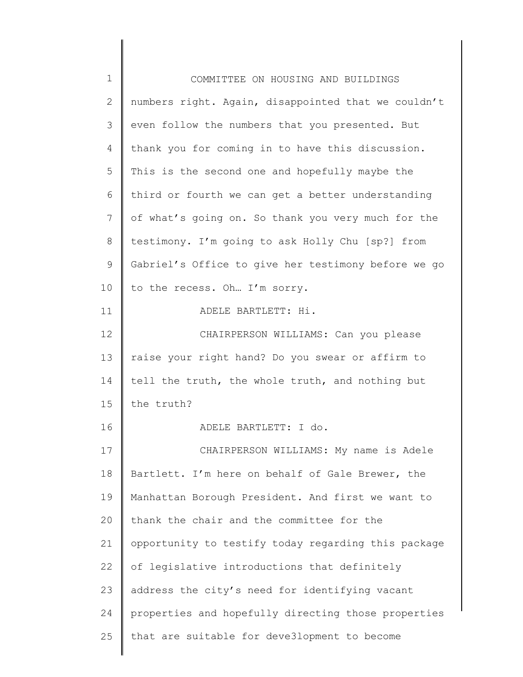| $\mathbf 1$  | COMMITTEE ON HOUSING AND BUILDINGS                  |
|--------------|-----------------------------------------------------|
| $\mathbf{2}$ | numbers right. Again, disappointed that we couldn't |
| 3            | even follow the numbers that you presented. But     |
| 4            | thank you for coming in to have this discussion.    |
| 5            | This is the second one and hopefully maybe the      |
| 6            | third or fourth we can get a better understanding   |
| 7            | of what's going on. So thank you very much for the  |
| 8            | testimony. I'm going to ask Holly Chu [sp?] from    |
| 9            | Gabriel's Office to give her testimony before we go |
| 10           | to the recess. Oh I'm sorry.                        |
| 11           | ADELE BARTLETT: Hi.                                 |
| 12           | CHAIRPERSON WILLIAMS: Can you please                |
| 13           | raise your right hand? Do you swear or affirm to    |
| 14           | tell the truth, the whole truth, and nothing but    |
| 15           | the truth?                                          |
| 16           | ADELE BARTLETT: I do.                               |
| 17           | CHAIRPERSON WILLIAMS: My name is Adele              |
| 18           | Bartlett. I'm here on behalf of Gale Brewer, the    |
| 19           | Manhattan Borough President. And first we want to   |
| 20           | thank the chair and the committee for the           |
| 21           | opportunity to testify today regarding this package |
| 22           | of legislative introductions that definitely        |
| 23           | address the city's need for identifying vacant      |
| 24           | properties and hopefully directing those properties |
| 25           | that are suitable for deve3lopment to become        |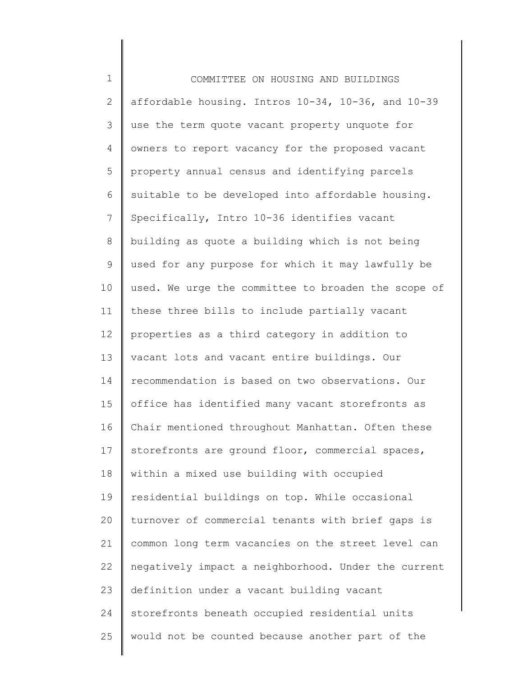| $\mathbf 1$  | COMMITTEE ON HOUSING AND BUILDINGS                  |
|--------------|-----------------------------------------------------|
| $\mathbf{2}$ | affordable housing. Intros 10-34, 10-36, and 10-39  |
| 3            | use the term quote vacant property unquote for      |
| 4            | owners to report vacancy for the proposed vacant    |
| 5            | property annual census and identifying parcels      |
| 6            | suitable to be developed into affordable housing.   |
| 7            | Specifically, Intro 10-36 identifies vacant         |
| $\,8\,$      | building as quote a building which is not being     |
| 9            | used for any purpose for which it may lawfully be   |
| 10           | used. We urge the committee to broaden the scope of |
| 11           | these three bills to include partially vacant       |
| 12           | properties as a third category in addition to       |
| 13           | vacant lots and vacant entire buildings. Our        |
| 14           | recommendation is based on two observations. Our    |
| 15           | office has identified many vacant storefronts as    |
| 16           | Chair mentioned throughout Manhattan. Often these   |
| 17           | storefronts are ground floor, commercial spaces,    |
| 18           | within a mixed use building with occupied           |
| 19           | residential buildings on top. While occasional      |
| 20           | turnover of commercial tenants with brief gaps is   |
| 21           | common long term vacancies on the street level can  |
| 22           | negatively impact a neighborhood. Under the current |
| 23           | definition under a vacant building vacant           |
| 24           | storefronts beneath occupied residential units      |
| 25           | would not be counted because another part of the    |
|              |                                                     |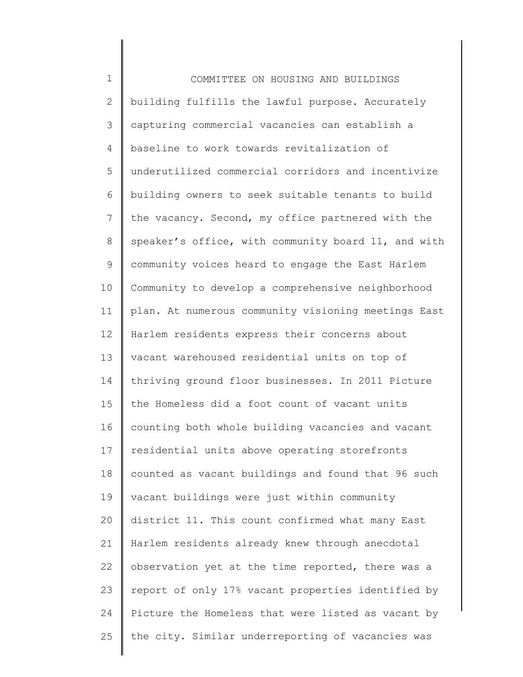1 2 3 4 5 6 7 8 9 10 11 12 13 14 15 16 17 18 19 20 21 22 23 24 25 COMMITTEE ON HOUSING AND BUILDINGS building fulfills the lawful purpose. Accurately capturing commercial vacancies can establish a baseline to work towards revitalization of underutilized commercial corridors and incentivize building owners to seek suitable tenants to build the vacancy. Second, my office partnered with the speaker's office, with community board 11, and with community voices heard to engage the East Harlem Community to develop a comprehensive neighborhood plan. At numerous community visioning meetings East Harlem residents express their concerns about vacant warehoused residential units on top of thriving ground floor businesses. In 2011 Picture the Homeless did a foot count of vacant units counting both whole building vacancies and vacant residential units above operating storefronts counted as vacant buildings and found that 96 such vacant buildings were just within community district 11. This count confirmed what many East Harlem residents already knew through anecdotal observation yet at the time reported, there was a report of only 17% vacant properties identified by Picture the Homeless that were listed as vacant by the city. Similar underreporting of vacancies was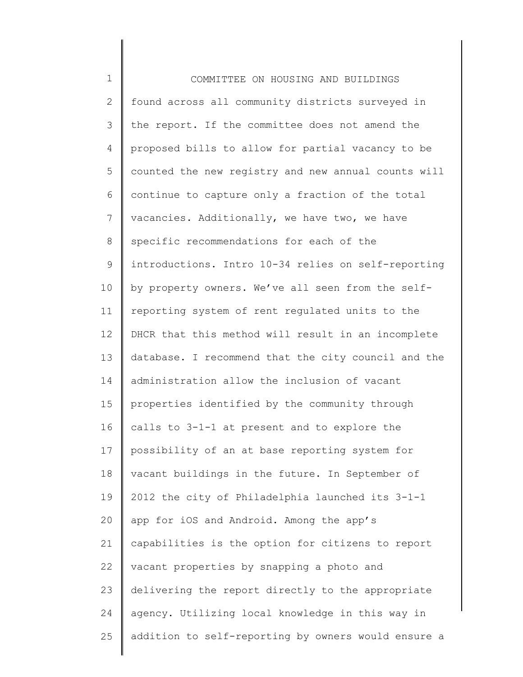1 2 3 4 5 6 7 8 9 10 11 12 13 14 15 16 17 18 19 20 21 22 23 24 25 COMMITTEE ON HOUSING AND BUILDINGS found across all community districts surveyed in the report. If the committee does not amend the proposed bills to allow for partial vacancy to be counted the new registry and new annual counts will continue to capture only a fraction of the total vacancies. Additionally, we have two, we have specific recommendations for each of the introductions. Intro 10-34 relies on self-reporting by property owners. We've all seen from the selfreporting system of rent regulated units to the DHCR that this method will result in an incomplete database. I recommend that the city council and the administration allow the inclusion of vacant properties identified by the community through calls to 3-1-1 at present and to explore the possibility of an at base reporting system for vacant buildings in the future. In September of 2012 the city of Philadelphia launched its 3-1-1 app for iOS and Android. Among the app's capabilities is the option for citizens to report vacant properties by snapping a photo and delivering the report directly to the appropriate agency. Utilizing local knowledge in this way in addition to self-reporting by owners would ensure a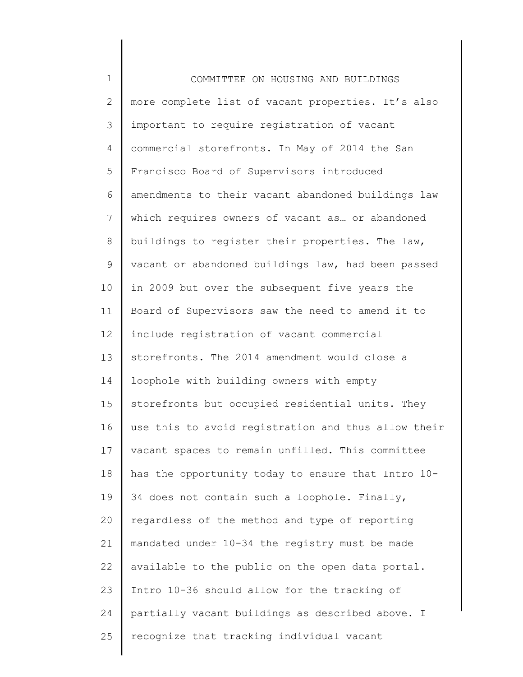1 2 3 4 5 6 7 8 9 10 11 12 13 14 15 16 17 18 19 20 21 22 23 24 25 COMMITTEE ON HOUSING AND BUILDINGS more complete list of vacant properties. It's also important to require registration of vacant commercial storefronts. In May of 2014 the San Francisco Board of Supervisors introduced amendments to their vacant abandoned buildings law which requires owners of vacant as… or abandoned buildings to register their properties. The law, vacant or abandoned buildings law, had been passed in 2009 but over the subsequent five years the Board of Supervisors saw the need to amend it to include registration of vacant commercial storefronts. The 2014 amendment would close a loophole with building owners with empty storefronts but occupied residential units. They use this to avoid registration and thus allow their vacant spaces to remain unfilled. This committee has the opportunity today to ensure that Intro 10- 34 does not contain such a loophole. Finally, regardless of the method and type of reporting mandated under 10-34 the registry must be made available to the public on the open data portal. Intro 10-36 should allow for the tracking of partially vacant buildings as described above. I recognize that tracking individual vacant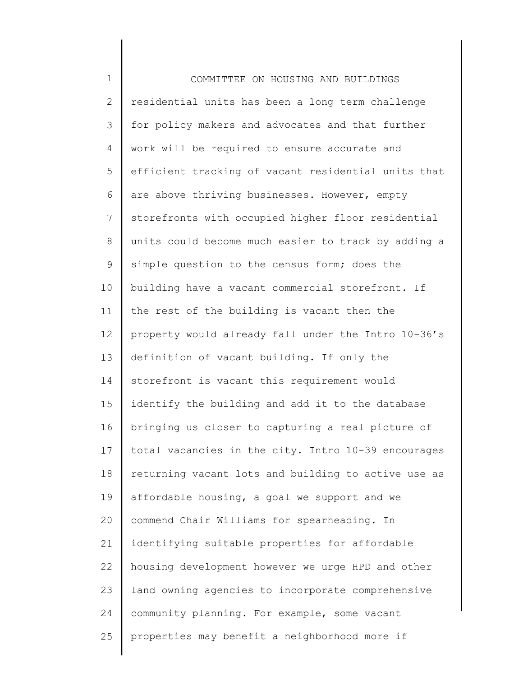| $\mathbf 1$    | COMMITTEE ON HOUSING AND BUILDINGS                  |
|----------------|-----------------------------------------------------|
| $\overline{2}$ | residential units has been a long term challenge    |
| 3              | for policy makers and advocates and that further    |
| 4              | work will be required to ensure accurate and        |
| 5              | efficient tracking of vacant residential units that |
| 6              | are above thriving businesses. However, empty       |
| $\overline{7}$ | storefronts with occupied higher floor residential  |
| $8\,$          | units could become much easier to track by adding a |
| $\mathsf 9$    | simple question to the census form; does the        |
| 10             | building have a vacant commercial storefront. If    |
| 11             | the rest of the building is vacant then the         |
| 12             | property would already fall under the Intro 10-36's |
| 13             | definition of vacant building. If only the          |
| 14             | storefront is vacant this requirement would         |
| 15             | identify the building and add it to the database    |
| 16             | bringing us closer to capturing a real picture of   |
| 17             | total vacancies in the city. Intro 10-39 encourages |
| 18             | returning vacant lots and building to active use as |
| 19             | affordable housing, a goal we support and we        |
| 20             | commend Chair Williams for spearheading. In         |
| 21             | identifying suitable properties for affordable      |
| 22             | housing development however we urge HPD and other   |
| 23             | land owning agencies to incorporate comprehensive   |
| 24             | community planning. For example, some vacant        |
| 25             | properties may benefit a neighborhood more if       |
|                |                                                     |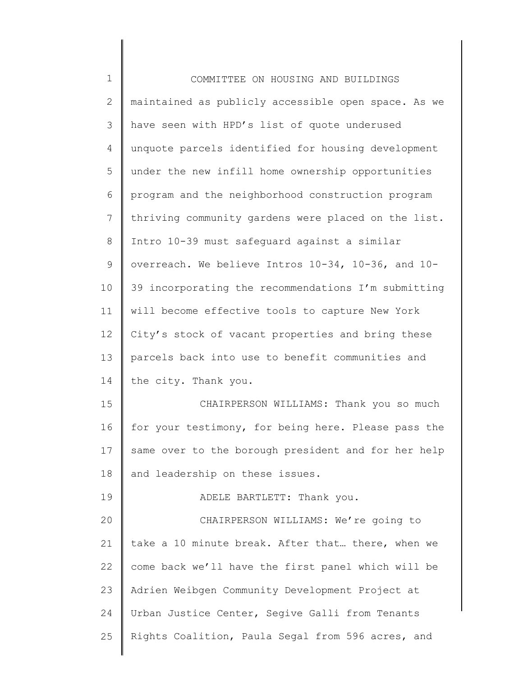| $\mathbf 1$  | COMMITTEE ON HOUSING AND BUILDINGS                  |
|--------------|-----------------------------------------------------|
| $\mathbf{2}$ | maintained as publicly accessible open space. As we |
| 3            | have seen with HPD's list of quote underused        |
| 4            | unquote parcels identified for housing development  |
| 5            | under the new infill home ownership opportunities   |
| 6            | program and the neighborhood construction program   |
| 7            | thriving community gardens were placed on the list. |
| 8            | Intro 10-39 must safequard against a similar        |
| $\mathsf 9$  | overreach. We believe Intros 10-34, 10-36, and 10-  |
| 10           | 39 incorporating the recommendations I'm submitting |
| 11           | will become effective tools to capture New York     |
| 12           | City's stock of vacant properties and bring these   |
| 13           | parcels back into use to benefit communities and    |
| 14           | the city. Thank you.                                |
| 15           | CHAIRPERSON WILLIAMS: Thank you so much             |
| 16           | for your testimony, for being here. Please pass the |
| 17           | same over to the borough president and for her help |
| 18           | and leadership on these issues.                     |
| 19           | ADELE BARTLETT: Thank you.                          |
| 20           | CHAIRPERSON WILLIAMS: We're going to                |
| 21           | take a 10 minute break. After that there, when we   |
| 22           | come back we'll have the first panel which will be  |
| 23           | Adrien Weibgen Community Development Project at     |
| 24           | Urban Justice Center, Segive Galli from Tenants     |
| 25           | Rights Coalition, Paula Segal from 596 acres, and   |
|              |                                                     |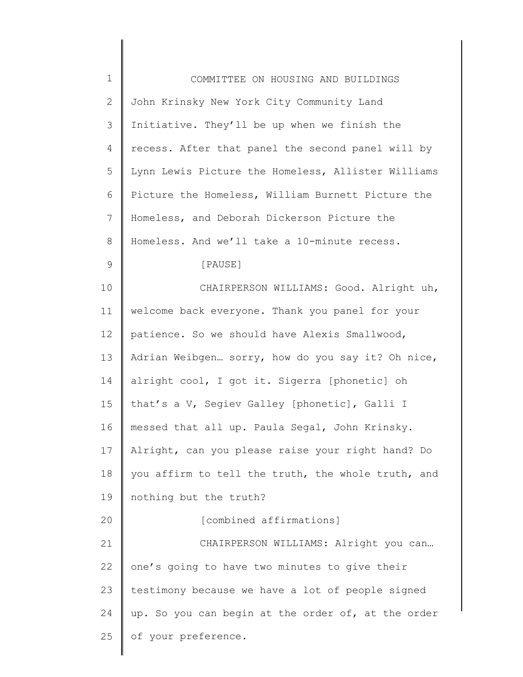| $\mathbf 1$ | COMMITTEE ON HOUSING AND BUILDINGS                 |
|-------------|----------------------------------------------------|
| 2           | John Krinsky New York City Community Land          |
| 3           | Initiative. They'll be up when we finish the       |
| 4           | recess. After that panel the second panel will by  |
| 5           | Lynn Lewis Picture the Homeless, Allister Williams |
| 6           | Picture the Homeless, William Burnett Picture the  |
| 7           | Homeless, and Deborah Dickerson Picture the        |
| 8           | Homeless. And we'll take a 10-minute recess.       |
| 9           | [PAUSE]                                            |
| 10          | CHAIRPERSON WILLIAMS: Good. Alright uh,            |
| 11          | welcome back everyone. Thank you panel for your    |
| 12          | patience. So we should have Alexis Smallwood,      |
| 13          | Adrian Weibgen sorry, how do you say it? Oh nice,  |
| 14          | alright cool, I got it. Sigerra [phonetic] oh      |
| 15          | that's a V, Segiev Galley [phonetic], Galli I      |
| 16          | messed that all up. Paula Segal, John Krinsky.     |
| 17          | Alright, can you please raise your right hand? Do  |
| 18          | you affirm to tell the truth, the whole truth, and |
| 19          | nothing but the truth?                             |
| 20          | [combined affirmations]                            |
| 21          | CHAIRPERSON WILLIAMS: Alright you can              |
| 22          | one's going to have two minutes to give their      |
| 23          | testimony because we have a lot of people signed   |
| 24          | up. So you can begin at the order of, at the order |
| 25          | of your preference.                                |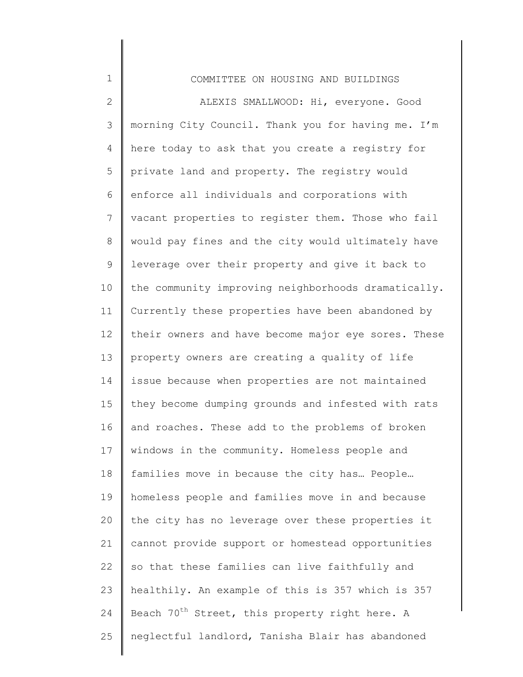| $\mathbf 1$  | COMMITTEE ON HOUSING AND BUILDINGS                         |
|--------------|------------------------------------------------------------|
| $\mathbf{2}$ | ALEXIS SMALLWOOD: Hi, everyone. Good                       |
| 3            | morning City Council. Thank you for having me. I'm         |
| 4            | here today to ask that you create a registry for           |
| 5            | private land and property. The registry would              |
| 6            | enforce all individuals and corporations with              |
| 7            | vacant properties to register them. Those who fail         |
| 8            | would pay fines and the city would ultimately have         |
| 9            | leverage over their property and give it back to           |
| 10           | the community improving neighborhoods dramatically.        |
| 11           | Currently these properties have been abandoned by          |
| 12           | their owners and have become major eye sores. These        |
| 13           | property owners are creating a quality of life             |
| 14           | issue because when properties are not maintained           |
| 15           | they become dumping grounds and infested with rats         |
| 16           | and roaches. These add to the problems of broken           |
| 17           | windows in the community. Homeless people and              |
| 18           | families move in because the city has People               |
| 19           | homeless people and families move in and because           |
| 20           | the city has no leverage over these properties it          |
| 21           | cannot provide support or homestead opportunities          |
| 22           | so that these families can live faithfully and             |
| 23           | healthily. An example of this is 357 which is 357          |
| 24           | Beach 70 <sup>th</sup> Street, this property right here. A |
| 25           | neglectful landlord, Tanisha Blair has abandoned           |
|              |                                                            |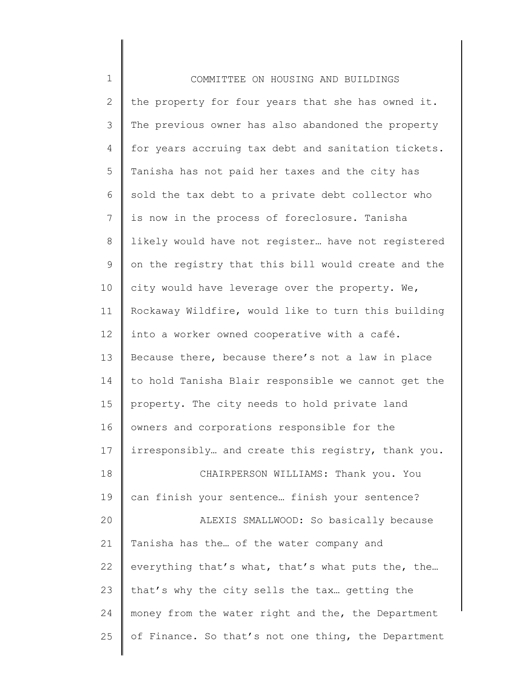| $\mathbf 1$    | COMMITTEE ON HOUSING AND BUILDINGS                  |
|----------------|-----------------------------------------------------|
| $\overline{2}$ | the property for four years that she has owned it.  |
| 3              | The previous owner has also abandoned the property  |
| 4              | for years accruing tax debt and sanitation tickets. |
| 5              | Tanisha has not paid her taxes and the city has     |
| 6              | sold the tax debt to a private debt collector who   |
| $7\phantom{.}$ | is now in the process of foreclosure. Tanisha       |
| $\,8\,$        | likely would have not register have not registered  |
| $\mathsf 9$    | on the registry that this bill would create and the |
| 10             | city would have leverage over the property. We,     |
| 11             | Rockaway Wildfire, would like to turn this building |
| 12             | into a worker owned cooperative with a café.        |
| 13             | Because there, because there's not a law in place   |
| 14             | to hold Tanisha Blair responsible we cannot get the |
| 15             | property. The city needs to hold private land       |
| 16             | owners and corporations responsible for the         |
| 17             | irresponsibly and create this registry, thank you.  |
| 18             | CHAIRPERSON WILLIAMS: Thank you. You                |
| 19             | can finish your sentence finish your sentence?      |
| 20             | ALEXIS SMALLWOOD: So basically because              |
| 21             | Tanisha has the of the water company and            |
| 22             | everything that's what, that's what puts the, the   |
| 23             | that's why the city sells the tax getting the       |
| 24             | money from the water right and the, the Department  |
| 25             | of Finance. So that's not one thing, the Department |
|                |                                                     |

∥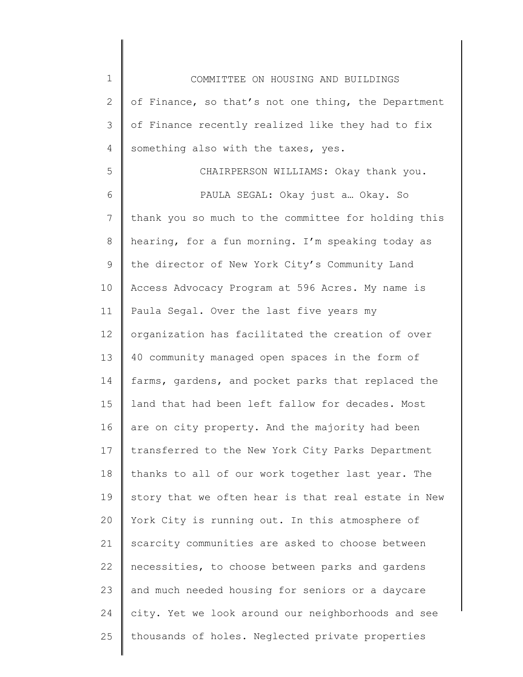1 2 3 4 5 6 7 8 9 10 11 12 13 14 15 16 17 18 19 20 21 22 23 24 25 COMMITTEE ON HOUSING AND BUILDINGS of Finance, so that's not one thing, the Department of Finance recently realized like they had to fix something also with the taxes, yes. CHAIRPERSON WILLIAMS: Okay thank you. PAULA SEGAL: Okay just a… Okay. So thank you so much to the committee for holding this hearing, for a fun morning. I'm speaking today as the director of New York City's Community Land Access Advocacy Program at 596 Acres. My name is Paula Segal. Over the last five years my organization has facilitated the creation of over 40 community managed open spaces in the form of farms, gardens, and pocket parks that replaced the land that had been left fallow for decades. Most are on city property. And the majority had been transferred to the New York City Parks Department thanks to all of our work together last year. The story that we often hear is that real estate in New York City is running out. In this atmosphere of scarcity communities are asked to choose between necessities, to choose between parks and gardens and much needed housing for seniors or a daycare city. Yet we look around our neighborhoods and see thousands of holes. Neglected private properties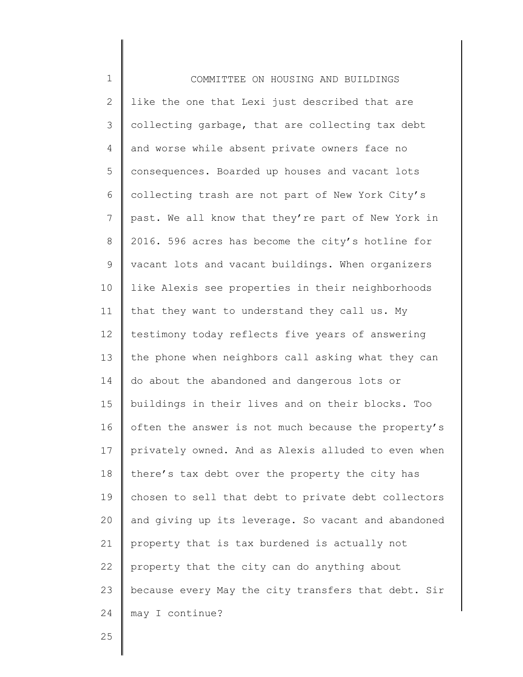1 2 3 4 5 6 7 8 9 10 11 12 13 14 15 16 17 18 19 20 21 22 23 24 COMMITTEE ON HOUSING AND BUILDINGS like the one that Lexi just described that are collecting garbage, that are collecting tax debt and worse while absent private owners face no consequences. Boarded up houses and vacant lots collecting trash are not part of New York City's past. We all know that they're part of New York in 2016. 596 acres has become the city's hotline for vacant lots and vacant buildings. When organizers like Alexis see properties in their neighborhoods that they want to understand they call us. My testimony today reflects five years of answering the phone when neighbors call asking what they can do about the abandoned and dangerous lots or buildings in their lives and on their blocks. Too often the answer is not much because the property's privately owned. And as Alexis alluded to even when there's tax debt over the property the city has chosen to sell that debt to private debt collectors and giving up its leverage. So vacant and abandoned property that is tax burdened is actually not property that the city can do anything about because every May the city transfers that debt. Sir may I continue?

25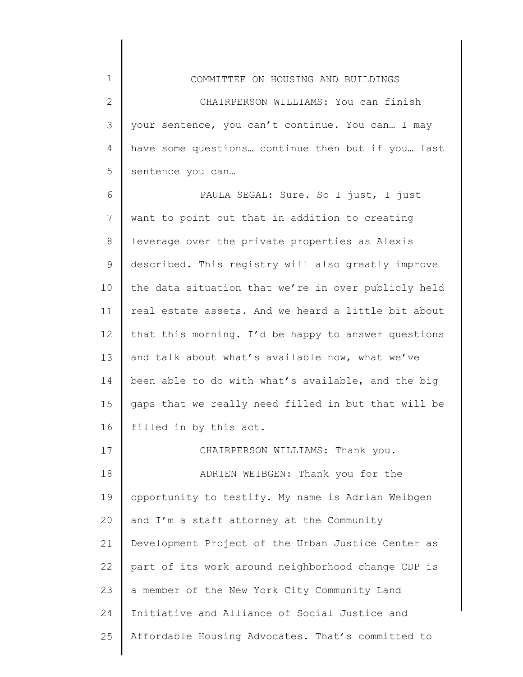1 2 3 4 5 COMMITTEE ON HOUSING AND BUILDINGS CHAIRPERSON WILLIAMS: You can finish your sentence, you can't continue. You can… I may have some questions… continue then but if you… last sentence you can…

6 7 8 9 10 11 12 13 14 15 16 PAULA SEGAL: Sure. So I just, I just want to point out that in addition to creating leverage over the private properties as Alexis described. This registry will also greatly improve the data situation that we're in over publicly held real estate assets. And we heard a little bit about that this morning. I'd be happy to answer questions and talk about what's available now, what we've been able to do with what's available, and the big gaps that we really need filled in but that will be filled in by this act.

17 18 19 20 21 22 23 24 25 CHAIRPERSON WILLIAMS: Thank you. ADRIEN WEIBGEN: Thank you for the opportunity to testify. My name is Adrian Weibgen and I'm a staff attorney at the Community Development Project of the Urban Justice Center as part of its work around neighborhood change CDP is a member of the New York City Community Land Initiative and Alliance of Social Justice and Affordable Housing Advocates. That's committed to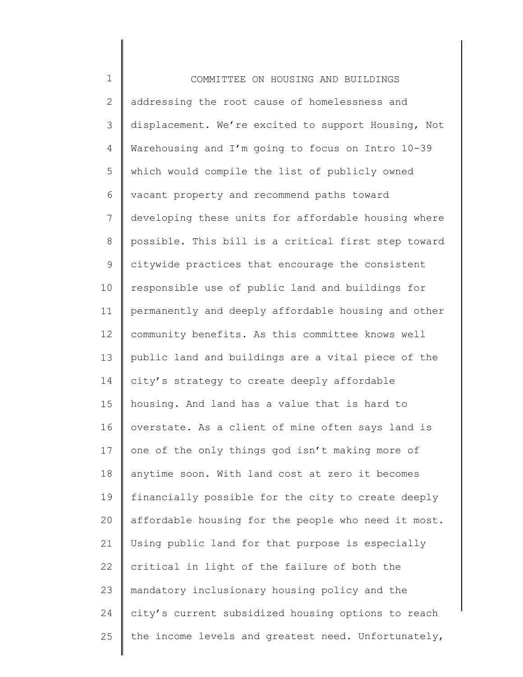1 2 3 4 5 6 7 8 9 10 11 12 13 14 15 16 17 18 19 20 21 22 23 24 25 COMMITTEE ON HOUSING AND BUILDINGS addressing the root cause of homelessness and displacement. We're excited to support Housing, Not Warehousing and I'm going to focus on Intro 10-39 which would compile the list of publicly owned vacant property and recommend paths toward developing these units for affordable housing where possible. This bill is a critical first step toward citywide practices that encourage the consistent responsible use of public land and buildings for permanently and deeply affordable housing and other community benefits. As this committee knows well public land and buildings are a vital piece of the city's strategy to create deeply affordable housing. And land has a value that is hard to overstate. As a client of mine often says land is one of the only things god isn't making more of anytime soon. With land cost at zero it becomes financially possible for the city to create deeply affordable housing for the people who need it most. Using public land for that purpose is especially critical in light of the failure of both the mandatory inclusionary housing policy and the city's current subsidized housing options to reach the income levels and greatest need. Unfortunately,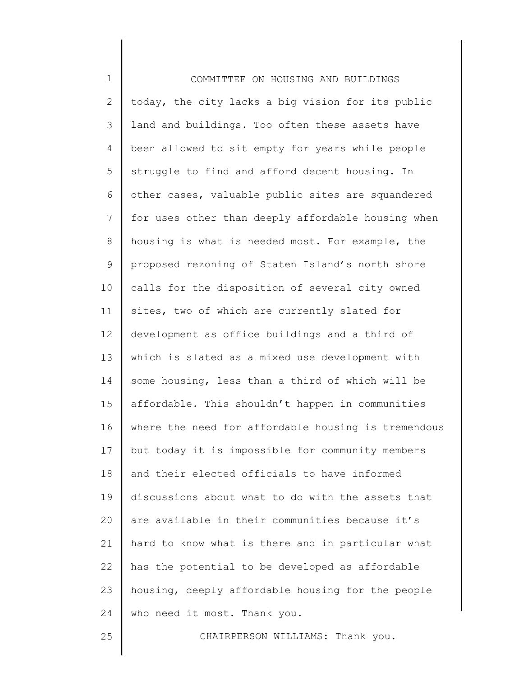1 2 3 4 5 6 7 8 9 10 11 12 13 14 15 16 17 18 19 20 21 22 23 24 25 COMMITTEE ON HOUSING AND BUILDINGS today, the city lacks a big vision for its public land and buildings. Too often these assets have been allowed to sit empty for years while people struggle to find and afford decent housing. In other cases, valuable public sites are squandered for uses other than deeply affordable housing when housing is what is needed most. For example, the proposed rezoning of Staten Island's north shore calls for the disposition of several city owned sites, two of which are currently slated for development as office buildings and a third of which is slated as a mixed use development with some housing, less than a third of which will be affordable. This shouldn't happen in communities where the need for affordable housing is tremendous but today it is impossible for community members and their elected officials to have informed discussions about what to do with the assets that are available in their communities because it's hard to know what is there and in particular what has the potential to be developed as affordable housing, deeply affordable housing for the people who need it most. Thank you. CHAIRPERSON WILLIAMS: Thank you.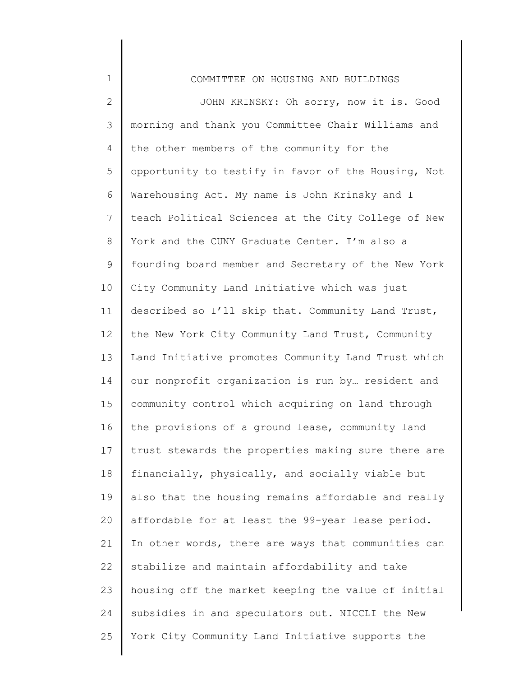| $\mathbf 1$  | COMMITTEE ON HOUSING AND BUILDINGS                  |
|--------------|-----------------------------------------------------|
| $\mathbf{2}$ | JOHN KRINSKY: Oh sorry, now it is. Good             |
| 3            | morning and thank you Committee Chair Williams and  |
| 4            | the other members of the community for the          |
| 5            | opportunity to testify in favor of the Housing, Not |
| 6            | Warehousing Act. My name is John Krinsky and I      |
| 7            | teach Political Sciences at the City College of New |
| 8            | York and the CUNY Graduate Center. I'm also a       |
| $\mathsf 9$  | founding board member and Secretary of the New York |
| 10           | City Community Land Initiative which was just       |
| 11           | described so I'll skip that. Community Land Trust,  |
| 12           | the New York City Community Land Trust, Community   |
| 13           | Land Initiative promotes Community Land Trust which |
| 14           | our nonprofit organization is run by resident and   |
| 15           | community control which acquiring on land through   |
| 16           | the provisions of a ground lease, community land    |
| 17           | trust stewards the properties making sure there are |
| 18           | financially, physically, and socially viable but    |
| 19           | also that the housing remains affordable and really |
| 20           | affordable for at least the 99-year lease period.   |
| 21           | In other words, there are ways that communities can |
| 22           | stabilize and maintain affordability and take       |
| 23           | housing off the market keeping the value of initial |
| 24           | subsidies in and speculators out. NICCLI the New    |
| 25           | York City Community Land Initiative supports the    |
|              |                                                     |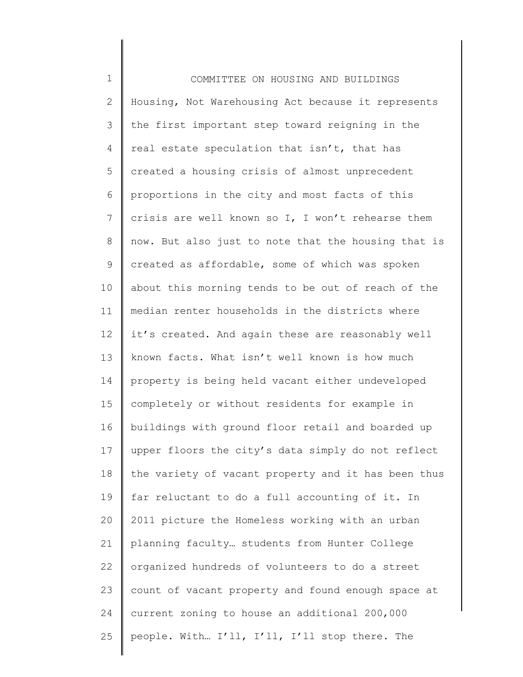1 2 3 4 5 6 7 8 9 10 11 12 13 14 15 16 17 18 19 20 21 22 23 24 25 COMMITTEE ON HOUSING AND BUILDINGS Housing, Not Warehousing Act because it represents the first important step toward reigning in the real estate speculation that isn't, that has created a housing crisis of almost unprecedent proportions in the city and most facts of this crisis are well known so I, I won't rehearse them now. But also just to note that the housing that is created as affordable, some of which was spoken about this morning tends to be out of reach of the median renter households in the districts where it's created. And again these are reasonably well known facts. What isn't well known is how much property is being held vacant either undeveloped completely or without residents for example in buildings with ground floor retail and boarded up upper floors the city's data simply do not reflect the variety of vacant property and it has been thus far reluctant to do a full accounting of it. In 2011 picture the Homeless working with an urban planning faculty… students from Hunter College organized hundreds of volunteers to do a street count of vacant property and found enough space at current zoning to house an additional 200,000 people. With… I'll, I'll, I'll stop there. The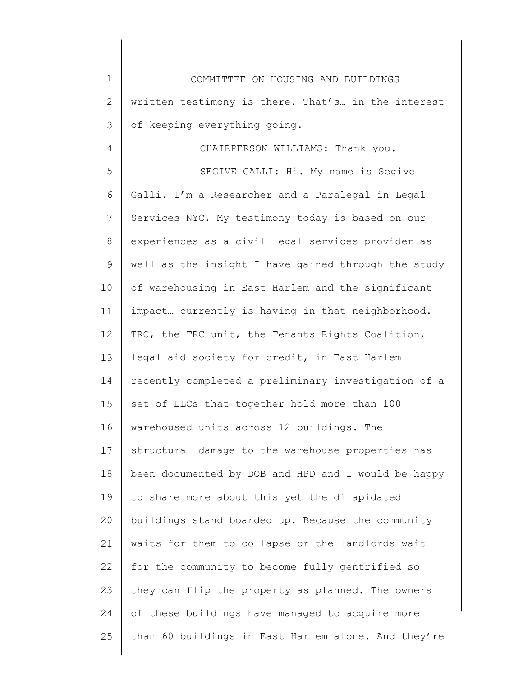| $\mathbf 1$  | COMMITTEE ON HOUSING AND BUILDINGS                  |
|--------------|-----------------------------------------------------|
| $\mathbf{2}$ | written testimony is there. That's in the interest  |
| 3            | of keeping everything going.                        |
| 4            | CHAIRPERSON WILLIAMS: Thank you.                    |
| 5            | SEGIVE GALLI: Hi. My name is Segive                 |
| 6            | Galli. I'm a Researcher and a Paralegal in Legal    |
| 7            | Services NYC. My testimony today is based on our    |
| 8            | experiences as a civil legal services provider as   |
| 9            | well as the insight I have gained through the study |
| 10           | of warehousing in East Harlem and the significant   |
| 11           | impact currently is having in that neighborhood.    |
| 12           | TRC, the TRC unit, the Tenants Rights Coalition,    |
| 13           | legal aid society for credit, in East Harlem        |
| 14           | recently completed a preliminary investigation of a |
| 15           | set of LLCs that together hold more than 100        |
| 16           | warehoused units across 12 buildings. The           |
| 17           | structural damage to the warehouse properties has   |
| 18           | been documented by DOB and HPD and I would be happy |
| 19           | to share more about this yet the dilapidated        |
| 20           | buildings stand boarded up. Because the community   |
| 21           | waits for them to collapse or the landlords wait    |
| 22           | for the community to become fully gentrified so     |
| 23           | they can flip the property as planned. The owners   |
| 24           | of these buildings have managed to acquire more     |
| 25           | than 60 buildings in East Harlem alone. And they're |
|              |                                                     |

 $\begin{array}{c} \hline \end{array}$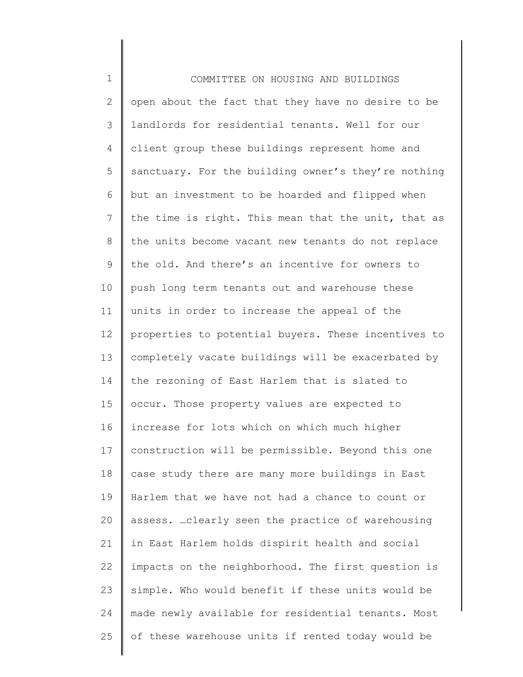| $\mathbf 1$    | COMMITTEE ON HOUSING AND BUILDINGS                  |
|----------------|-----------------------------------------------------|
| $\overline{2}$ | open about the fact that they have no desire to be  |
| 3              | landlords for residential tenants. Well for our     |
| 4              | client group these buildings represent home and     |
| 5              | sanctuary. For the building owner's they're nothing |
| 6              | but an investment to be hoarded and flipped when    |
| 7              | the time is right. This mean that the unit, that as |
| 8              | the units become vacant new tenants do not replace  |
| 9              | the old. And there's an incentive for owners to     |
| 10             | push long term tenants out and warehouse these      |
| 11             | units in order to increase the appeal of the        |
| 12             | properties to potential buyers. These incentives to |
| 13             | completely vacate buildings will be exacerbated by  |
| 14             | the rezoning of East Harlem that is slated to       |
| 15             | occur. Those property values are expected to        |
| 16             | increase for lots which on which much higher        |
| 17             | construction will be permissible. Beyond this one   |
| 18             | case study there are many more buildings in East    |
| 19             | Harlem that we have not had a chance to count or    |
| 20             | assess.  clearly seen the practice of warehousing   |
| 21             | in East Harlem holds dispirit health and social     |
| 22             | impacts on the neighborhood. The first question is  |
| 23             | simple. Who would benefit if these units would be   |
| 24             | made newly available for residential tenants. Most  |
| 25             | of these warehouse units if rented today would be   |
|                |                                                     |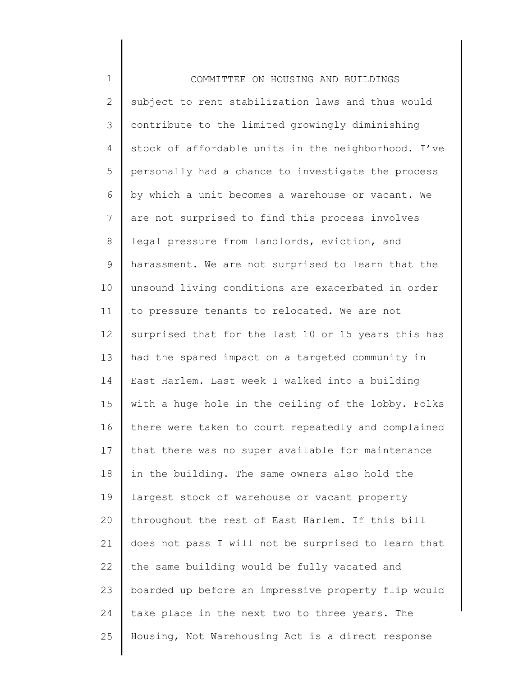1 2 3 4 5 6 7 8 9 10 11 12 13 14 15 16 17 18 19 20 21 22 23 24 25 COMMITTEE ON HOUSING AND BUILDINGS subject to rent stabilization laws and thus would contribute to the limited growingly diminishing stock of affordable units in the neighborhood. I've personally had a chance to investigate the process by which a unit becomes a warehouse or vacant. We are not surprised to find this process involves legal pressure from landlords, eviction, and harassment. We are not surprised to learn that the unsound living conditions are exacerbated in order to pressure tenants to relocated. We are not surprised that for the last 10 or 15 years this has had the spared impact on a targeted community in East Harlem. Last week I walked into a building with a huge hole in the ceiling of the lobby. Folks there were taken to court repeatedly and complained that there was no super available for maintenance in the building. The same owners also hold the largest stock of warehouse or vacant property throughout the rest of East Harlem. If this bill does not pass I will not be surprised to learn that the same building would be fully vacated and boarded up before an impressive property flip would take place in the next two to three years. The Housing, Not Warehousing Act is a direct response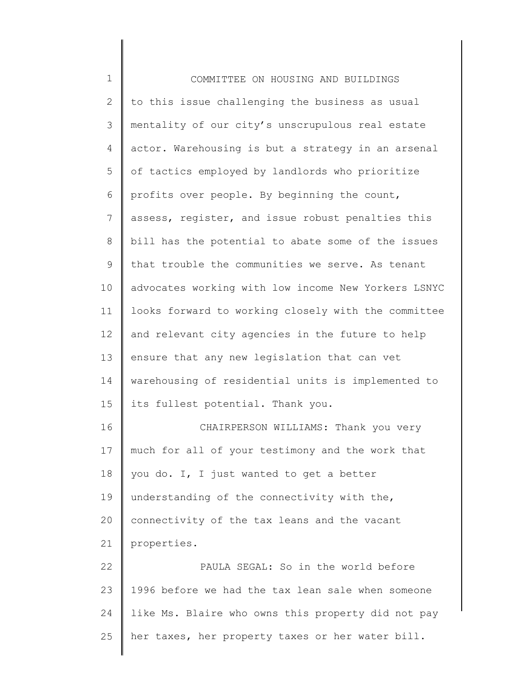| $\mathbf 1$    | COMMITTEE ON HOUSING AND BUILDINGS                  |
|----------------|-----------------------------------------------------|
| $\mathbf{2}$   | to this issue challenging the business as usual     |
| $\mathcal{S}$  | mentality of our city's unscrupulous real estate    |
| 4              | actor. Warehousing is but a strategy in an arsenal  |
| 5              | of tactics employed by landlords who prioritize     |
| 6              | profits over people. By beginning the count,        |
| $\overline{7}$ | assess, register, and issue robust penalties this   |
| $8\,$          | bill has the potential to abate some of the issues  |
| 9              | that trouble the communities we serve. As tenant    |
| 10             | advocates working with low income New Yorkers LSNYC |
| 11             | looks forward to working closely with the committee |
| 12             | and relevant city agencies in the future to help    |
| 13             | ensure that any new legislation that can vet        |
| 14             | warehousing of residential units is implemented to  |
| 15             | its fullest potential. Thank you.                   |
| 16             | CHAIRPERSON WILLIAMS: Thank you very                |
| 17             | much for all of your testimony and the work that    |
| 18             | you do. I, I just wanted to get a better            |
| 19             | understanding of the connectivity with the,         |
| 20             | connectivity of the tax leans and the vacant        |
| 21             | properties.                                         |
| 22             | PAULA SEGAL: So in the world before                 |
| 23             | 1996 before we had the tax lean sale when someone   |
| 24             | like Ms. Blaire who owns this property did not pay  |
| 25             | her taxes, her property taxes or her water bill.    |
|                |                                                     |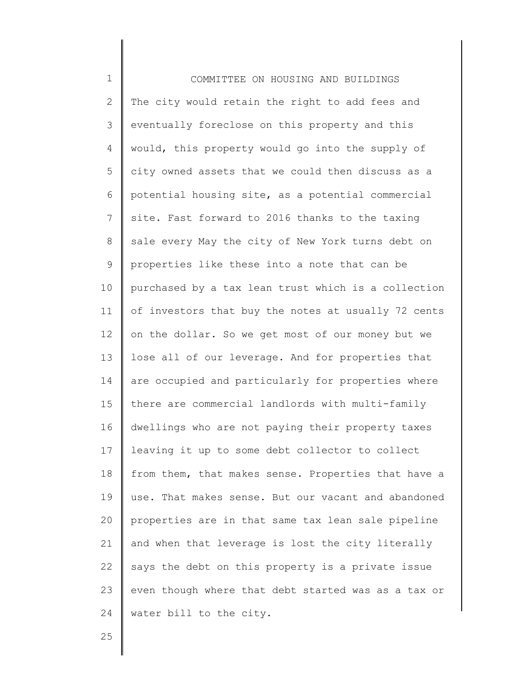1 2 3 4 5 6 7 8 9 10 11 12 13 14 15 16 17 18 19 20 21 22 23 24 COMMITTEE ON HOUSING AND BUILDINGS The city would retain the right to add fees and eventually foreclose on this property and this would, this property would go into the supply of city owned assets that we could then discuss as a potential housing site, as a potential commercial site. Fast forward to 2016 thanks to the taxing sale every May the city of New York turns debt on properties like these into a note that can be purchased by a tax lean trust which is a collection of investors that buy the notes at usually 72 cents on the dollar. So we get most of our money but we lose all of our leverage. And for properties that are occupied and particularly for properties where there are commercial landlords with multi-family dwellings who are not paying their property taxes leaving it up to some debt collector to collect from them, that makes sense. Properties that have a use. That makes sense. But our vacant and abandoned properties are in that same tax lean sale pipeline and when that leverage is lost the city literally says the debt on this property is a private issue even though where that debt started was as a tax or water bill to the city.

25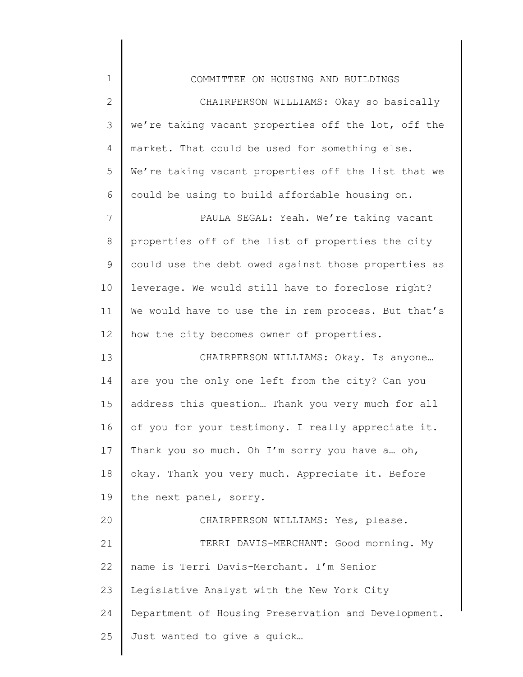| $\mathbf 1$    | COMMITTEE ON HOUSING AND BUILDINGS                  |
|----------------|-----------------------------------------------------|
| $\mathbf{2}$   | CHAIRPERSON WILLIAMS: Okay so basically             |
| $\mathfrak{Z}$ | we're taking vacant properties off the lot, off the |
| 4              | market. That could be used for something else.      |
| 5              | We're taking vacant properties off the list that we |
| 6              | could be using to build affordable housing on.      |
| $7\phantom{.}$ | PAULA SEGAL: Yeah. We're taking vacant              |
| $\,8\,$        | properties off of the list of properties the city   |
| $\mathsf 9$    | could use the debt owed against those properties as |
| 10             | leverage. We would still have to foreclose right?   |
| 11             | We would have to use the in rem process. But that's |
| 12             | how the city becomes owner of properties.           |
| 13             | CHAIRPERSON WILLIAMS: Okay. Is anyone               |
| 14             | are you the only one left from the city? Can you    |
| 15             | address this question Thank you very much for all   |
| 16             | of you for your testimony. I really appreciate it.  |
| 17             | Thank you so much. Oh I'm sorry you have a oh,      |
| 18             | okay. Thank you very much. Appreciate it. Before    |
| 19             | the next panel, sorry.                              |
| 20             | CHAIRPERSON WILLIAMS: Yes, please.                  |
| 21             | TERRI DAVIS-MERCHANT: Good morning. My              |
| 22             | name is Terri Davis-Merchant. I'm Senior            |
| 23             | Legislative Analyst with the New York City          |
| 24             | Department of Housing Preservation and Development. |
| 25             | Just wanted to give a quick                         |
|                |                                                     |

║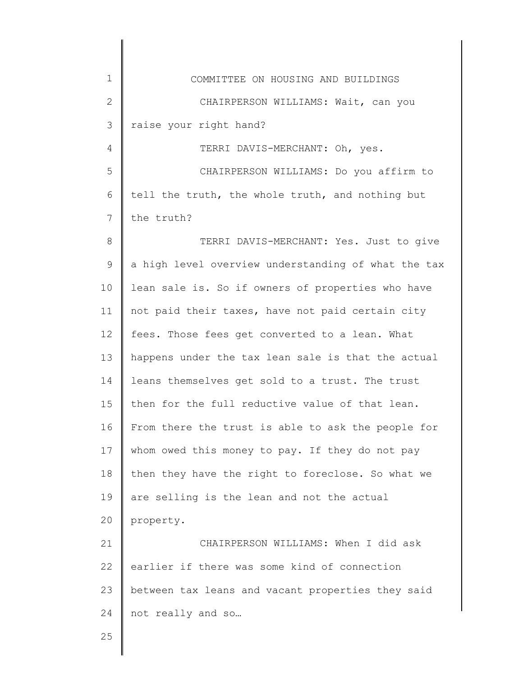| $\mathbf 1$  | COMMITTEE ON HOUSING AND BUILDINGS                  |
|--------------|-----------------------------------------------------|
| $\mathbf{2}$ | CHAIRPERSON WILLIAMS: Wait, can you                 |
| 3            | raise your right hand?                              |
| 4            | TERRI DAVIS-MERCHANT: Oh, yes.                      |
| 5            | CHAIRPERSON WILLIAMS: Do you affirm to              |
| 6            | tell the truth, the whole truth, and nothing but    |
| 7            | the truth?                                          |
| $\,8\,$      | TERRI DAVIS-MERCHANT: Yes. Just to give             |
| $\mathsf 9$  | a high level overview understanding of what the tax |
| 10           | lean sale is. So if owners of properties who have   |
| 11           | not paid their taxes, have not paid certain city    |
| 12           | fees. Those fees get converted to a lean. What      |
| 13           | happens under the tax lean sale is that the actual  |
| 14           | leans themselves get sold to a trust. The trust     |
| 15           | then for the full reductive value of that lean.     |
| 16           | From there the trust is able to ask the people for  |
| 17           | whom owed this money to pay. If they do not pay     |
| 18           | then they have the right to foreclose. So what we   |
| 19           | are selling is the lean and not the actual          |
| 20           | property.                                           |
| 21           | CHAIRPERSON WILLIAMS: When I did ask                |
| 22           | earlier if there was some kind of connection        |
| 23           | between tax leans and vacant properties they said   |
| 24           | not really and so                                   |
| 25           |                                                     |
|              |                                                     |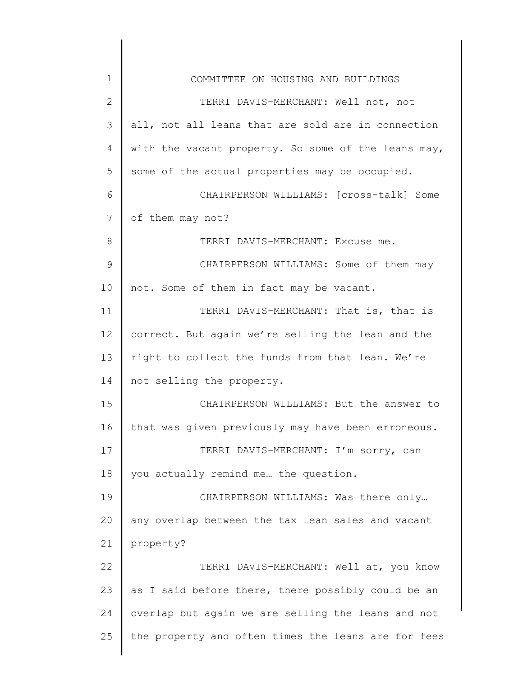| $\mathbf 1$     | COMMITTEE ON HOUSING AND BUILDINGS                  |
|-----------------|-----------------------------------------------------|
| $\mathbf{2}$    | TERRI DAVIS-MERCHANT: Well not, not                 |
| $\mathfrak{Z}$  | all, not all leans that are sold are in connection  |
| 4               | with the vacant property. So some of the leans may, |
| 5               | some of the actual properties may be occupied.      |
| 6               | CHAIRPERSON WILLIAMS: [cross-talk] Some             |
| $7\phantom{.0}$ | of them may not?                                    |
| 8               | TERRI DAVIS-MERCHANT: Excuse me.                    |
| 9               | CHAIRPERSON WILLIAMS: Some of them may              |
| 10              | not. Some of them in fact may be vacant.            |
| 11              | TERRI DAVIS-MERCHANT: That is, that is              |
| 12              | correct. But again we're selling the lean and the   |
| 13              | right to collect the funds from that lean. We're    |
| 14              | not selling the property.                           |
| 15              | CHAIRPERSON WILLIAMS: But the answer to             |
| 16              | that was given previously may have been erroneous.  |
| 17              | TERRI DAVIS-MERCHANT: I'm sorry, can                |
| 18              | you actually remind me the question.                |
| 19              | CHAIRPERSON WILLIAMS: Was there only                |
| 20              | any overlap between the tax lean sales and vacant   |
| 21              | property?                                           |
| 22              | TERRI DAVIS-MERCHANT: Well at, you know             |
| 23              | as I said before there, there possibly could be an  |
| 24              | overlap but again we are selling the leans and not  |
| 25              | the property and often times the leans are for fees |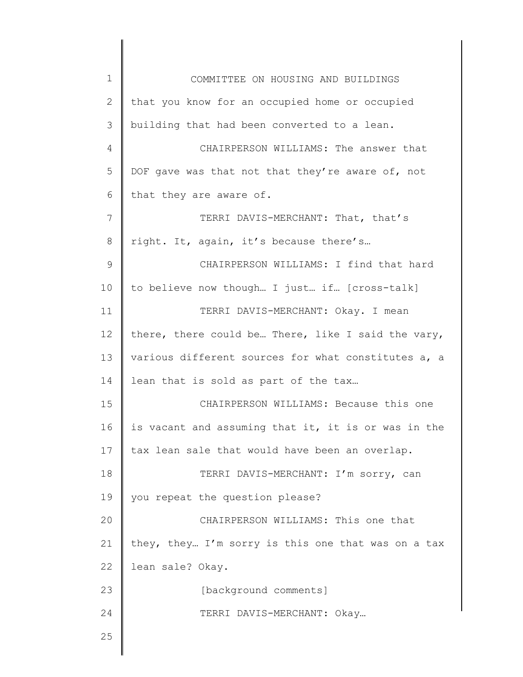| $\mathbf 1$    | COMMITTEE ON HOUSING AND BUILDINGS                  |
|----------------|-----------------------------------------------------|
| $\overline{2}$ | that you know for an occupied home or occupied      |
| 3              | building that had been converted to a lean.         |
| 4              | CHAIRPERSON WILLIAMS: The answer that               |
| 5              | DOF gave was that not that they're aware of, not    |
| 6              | that they are aware of.                             |
| $\overline{7}$ | TERRI DAVIS-MERCHANT: That, that's                  |
| 8              | right. It, again, it's because there's              |
| $\mathsf 9$    | CHAIRPERSON WILLIAMS: I find that hard              |
| 10             | to believe now though I just if [cross-talk]        |
| 11             | TERRI DAVIS-MERCHANT: Okay. I mean                  |
| 12             | there, there could be There, like I said the vary,  |
| 13             | various different sources for what constitutes a, a |
| 14             | lean that is sold as part of the tax                |
| 15             | CHAIRPERSON WILLIAMS: Because this one              |
| 16             | is vacant and assuming that it, it is or was in the |
| 17             | tax lean sale that would have been an overlap.      |
| 18             | TERRI DAVIS-MERCHANT: I'm sorry, can                |
| 19             | you repeat the question please?                     |
| 20             | CHAIRPERSON WILLIAMS: This one that                 |
| 21             | they, they I'm sorry is this one that was on a tax  |
| 22             | lean sale? Okay.                                    |
| 23             | [background comments]                               |
| 24             | TERRI DAVIS-MERCHANT: Okay                          |
| 25             |                                                     |
|                |                                                     |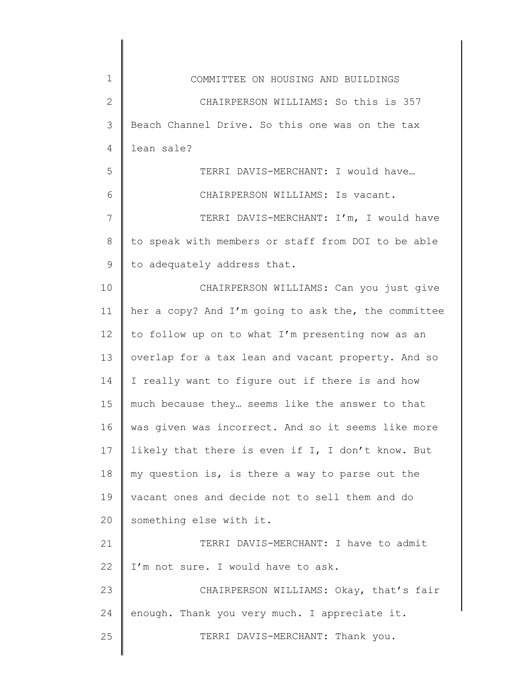| $\mathbf 1$  | COMMITTEE ON HOUSING AND BUILDINGS                  |
|--------------|-----------------------------------------------------|
| $\mathbf{2}$ | CHAIRPERSON WILLIAMS: So this is 357                |
| 3            | Beach Channel Drive. So this one was on the tax     |
| 4            | lean sale?                                          |
| 5            | TERRI DAVIS-MERCHANT: I would have                  |
| 6            | CHAIRPERSON WILLIAMS: Is vacant.                    |
| 7            | TERRI DAVIS-MERCHANT: I'm, I would have             |
| 8            | to speak with members or staff from DOI to be able  |
| 9            | to adequately address that.                         |
| 10           | CHAIRPERSON WILLIAMS: Can you just give             |
| 11           | her a copy? And I'm going to ask the, the committee |
| 12           | to follow up on to what I'm presenting now as an    |
| 13           | overlap for a tax lean and vacant property. And so  |
| 14           | I really want to figure out if there is and how     |
| 15           | much because they seems like the answer to that     |
| 16           | was given was incorrect. And so it seems like more  |
| 17           | likely that there is even if I, I don't know. But   |
| 18           | my question is, is there a way to parse out the     |
| 19           | vacant ones and decide not to sell them and do      |
| 20           | something else with it.                             |
| 21           | TERRI DAVIS-MERCHANT: I have to admit               |
| 22           | I'm not sure. I would have to ask.                  |
| 23           | CHAIRPERSON WILLIAMS: Okay, that's fair             |
| 24           | enough. Thank you very much. I appreciate it.       |
| 25           | TERRI DAVIS-MERCHANT: Thank you.                    |
|              |                                                     |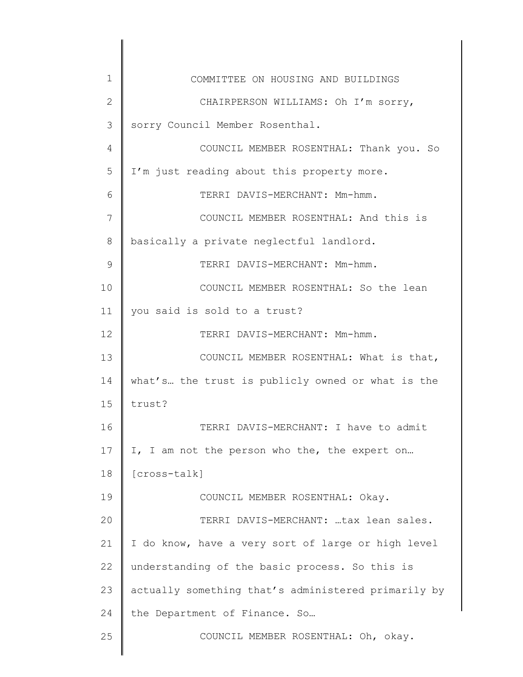| 1            | COMMITTEE ON HOUSING AND BUILDINGS                  |
|--------------|-----------------------------------------------------|
| $\mathbf{2}$ | CHAIRPERSON WILLIAMS: Oh I'm sorry,                 |
| 3            | sorry Council Member Rosenthal.                     |
| 4            | COUNCIL MEMBER ROSENTHAL: Thank you. So             |
| 5            | I'm just reading about this property more.          |
| 6            | TERRI DAVIS-MERCHANT: Mm-hmm.                       |
| 7            | COUNCIL MEMBER ROSENTHAL: And this is               |
| 8            | basically a private neglectful landlord.            |
| 9            | TERRI DAVIS-MERCHANT: Mm-hmm.                       |
| 10           | COUNCIL MEMBER ROSENTHAL: So the lean               |
| 11           | you said is sold to a trust?                        |
| 12           | TERRI DAVIS-MERCHANT: Mm-hmm.                       |
| 13           | COUNCIL MEMBER ROSENTHAL: What is that,             |
| 14           | what's the trust is publicly owned or what is the   |
| 15           | trust?                                              |
| 16           | TERRI DAVIS-MERCHANT: I have to admit               |
| 17           | I, I am not the person who the, the expert on       |
| 18           | [cross-talk]                                        |
| 19           | COUNCIL MEMBER ROSENTHAL: Okay.                     |
| 20           | TERRI DAVIS-MERCHANT: tax lean sales.               |
| 21           | I do know, have a very sort of large or high level  |
| 22           | understanding of the basic process. So this is      |
| 23           | actually something that's administered primarily by |
| 24           | the Department of Finance. So                       |
| 25           | COUNCIL MEMBER ROSENTHAL: Oh, okay.                 |
|              |                                                     |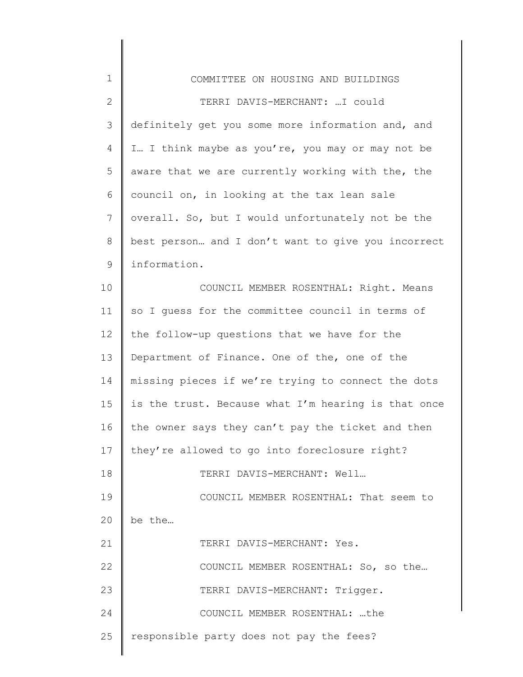| $\mathbf 1$  | COMMITTEE ON HOUSING AND BUILDINGS                  |
|--------------|-----------------------------------------------------|
| $\mathbf{2}$ | TERRI DAVIS-MERCHANT:  I could                      |
| 3            | definitely get you some more information and, and   |
| 4            | I I think maybe as you're, you may or may not be    |
| 5            | aware that we are currently working with the, the   |
| 6            | council on, in looking at the tax lean sale         |
| 7            | overall. So, but I would unfortunately not be the   |
| 8            | best person and I don't want to give you incorrect  |
| $\mathsf 9$  | information.                                        |
| 10           | COUNCIL MEMBER ROSENTHAL: Right. Means              |
| 11           | so I guess for the committee council in terms of    |
| 12           | the follow-up questions that we have for the        |
| 13           | Department of Finance. One of the, one of the       |
| 14           | missing pieces if we're trying to connect the dots  |
| 15           | is the trust. Because what I'm hearing is that once |
| 16           | the owner says they can't pay the ticket and then   |
| 17           | they're allowed to go into foreclosure right?       |
| 18           | TERRI DAVIS-MERCHANT: Well                          |
| 19           | COUNCIL MEMBER ROSENTHAL: That seem to              |
| 20           | be the                                              |
| 21           | TERRI DAVIS-MERCHANT: Yes.                          |
| 22           | COUNCIL MEMBER ROSENTHAL: So, so the                |
| 23           | TERRI DAVIS-MERCHANT: Trigger.                      |
| 24           | COUNCIL MEMBER ROSENTHAL: the                       |
| 25           | responsible party does not pay the fees?            |
|              |                                                     |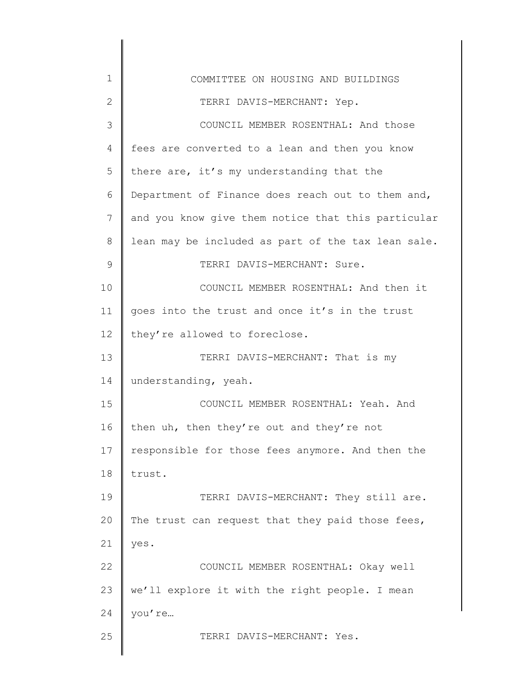| $\mathbf 1$  | COMMITTEE ON HOUSING AND BUILDINGS                 |
|--------------|----------------------------------------------------|
| $\mathbf{2}$ | TERRI DAVIS-MERCHANT: Yep.                         |
| 3            | COUNCIL MEMBER ROSENTHAL: And those                |
| 4            | fees are converted to a lean and then you know     |
| 5            | there are, it's my understanding that the          |
| 6            | Department of Finance does reach out to them and,  |
| 7            | and you know give them notice that this particular |
| $8\,$        | lean may be included as part of the tax lean sale. |
| 9            | TERRI DAVIS-MERCHANT: Sure.                        |
| 10           | COUNCIL MEMBER ROSENTHAL: And then it              |
| 11           | goes into the trust and once it's in the trust     |
| 12           | they're allowed to foreclose.                      |
| 13           | TERRI DAVIS-MERCHANT: That is my                   |
| 14           | understanding, yeah.                               |
| 15           | COUNCIL MEMBER ROSENTHAL: Yeah. And                |
| 16           | then uh, then they're out and they're not          |
| 17           | responsible for those fees anymore. And then the   |
| 18           | trust.                                             |
| 19           | TERRI DAVIS-MERCHANT: They still are.              |
| 20           | The trust can request that they paid those fees,   |
| 21           | yes.                                               |
| 22           | COUNCIL MEMBER ROSENTHAL: Okay well                |
| 23           | we'll explore it with the right people. I mean     |
| 24           | you're                                             |
| 25           | TERRI DAVIS-MERCHANT: Yes.                         |
|              |                                                    |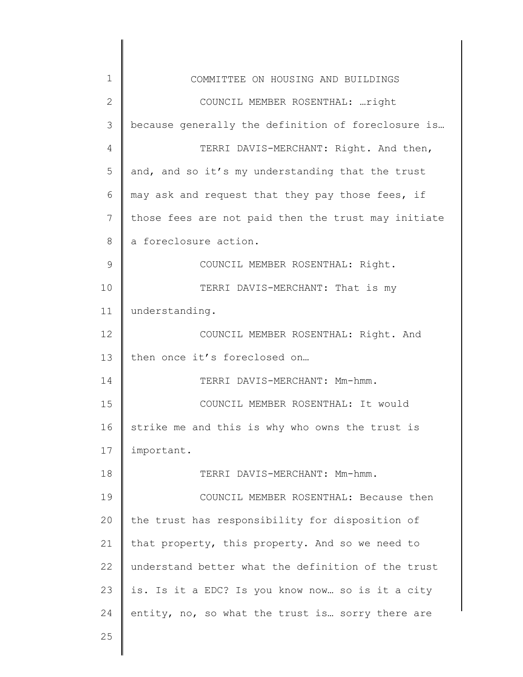| $\mathbf 1$    | COMMITTEE ON HOUSING AND BUILDINGS                  |
|----------------|-----------------------------------------------------|
| $\overline{2}$ | COUNCIL MEMBER ROSENTHAL: right                     |
| 3              | because generally the definition of foreclosure is  |
| 4              | TERRI DAVIS-MERCHANT: Right. And then,              |
| 5              | and, and so it's my understanding that the trust    |
| 6              | may ask and request that they pay those fees, if    |
| 7              | those fees are not paid then the trust may initiate |
| 8              | a foreclosure action.                               |
| $\mathsf 9$    | COUNCIL MEMBER ROSENTHAL: Right.                    |
| 10             | TERRI DAVIS-MERCHANT: That is my                    |
| 11             | understanding.                                      |
| 12             | COUNCIL MEMBER ROSENTHAL: Right. And                |
| 13             | then once it's foreclosed on                        |
| 14             | TERRI DAVIS-MERCHANT: Mm-hmm.                       |
| 15             | COUNCIL MEMBER ROSENTHAL: It would                  |
| 16             | strike me and this is why who owns the trust is     |
| 17             | important.                                          |
| 18             | TERRI DAVIS-MERCHANT: Mm-hmm.                       |
| 19             | COUNCIL MEMBER ROSENTHAL: Because then              |
| 20             | the trust has responsibility for disposition of     |
| 21             | that property, this property. And so we need to     |
| 22             | understand better what the definition of the trust  |
| 23             | is. Is it a EDC? Is you know now so is it a city    |
| 24             | entity, no, so what the trust is sorry there are    |
| 25             |                                                     |
|                |                                                     |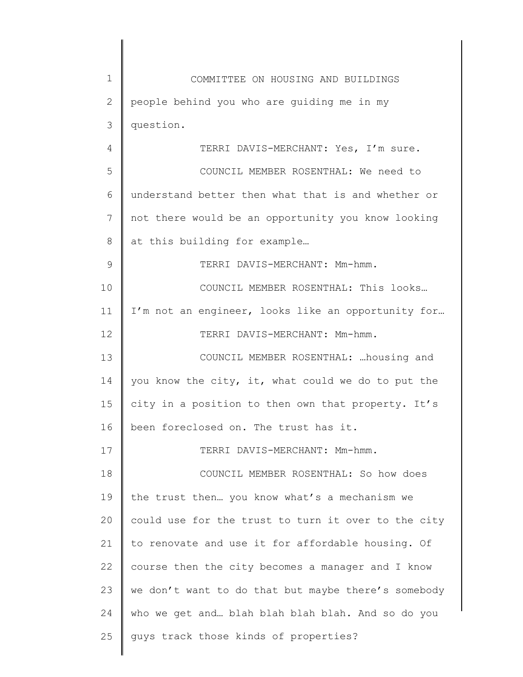| 1            | COMMITTEE ON HOUSING AND BUILDINGS                  |
|--------------|-----------------------------------------------------|
| $\mathbf{2}$ | people behind you who are guiding me in my          |
| 3            | question.                                           |
| 4            | TERRI DAVIS-MERCHANT: Yes, I'm sure.                |
| 5            | COUNCIL MEMBER ROSENTHAL: We need to                |
| 6            | understand better then what that is and whether or  |
| 7            | not there would be an opportunity you know looking  |
| 8            | at this building for example                        |
| 9            | TERRI DAVIS-MERCHANT: Mm-hmm.                       |
| 10           | COUNCIL MEMBER ROSENTHAL: This looks                |
| 11           | I'm not an engineer, looks like an opportunity for  |
| 12           | TERRI DAVIS-MERCHANT: Mm-hmm.                       |
| 13           | COUNCIL MEMBER ROSENTHAL:  housing and              |
| 14           | you know the city, it, what could we do to put the  |
| 15           | city in a position to then own that property. It's  |
| 16           | been foreclosed on. The trust has it.               |
| 17           | TERRI DAVIS-MERCHANT: Mm-hmm.                       |
| 18           | COUNCIL MEMBER ROSENTHAL: So how does               |
| 19           | the trust then you know what's a mechanism we       |
| 20           | could use for the trust to turn it over to the city |
| 21           | to renovate and use it for affordable housing. Of   |
| 22           | course then the city becomes a manager and I know   |
| 23           | we don't want to do that but maybe there's somebody |
| 24           | who we get and blah blah blah blah. And so do you   |
| 25           | guys track those kinds of properties?               |
|              |                                                     |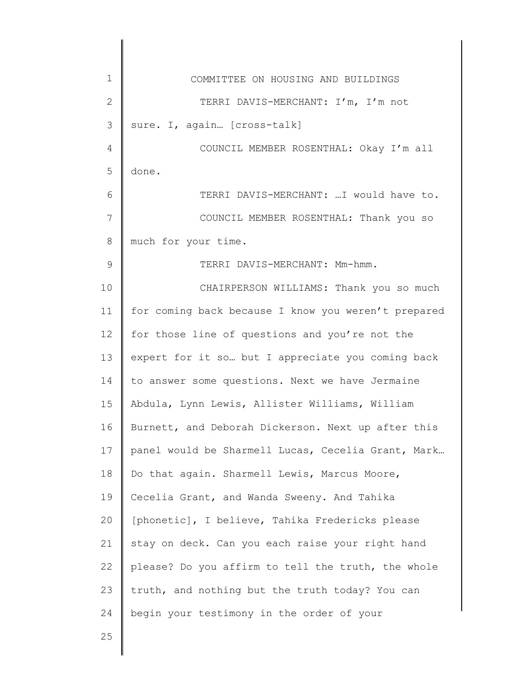| $\mathbf 1$<br>COMMITTEE ON HOUSING AND BUILDINGS<br>$\mathbf{2}$<br>TERRI DAVIS-MERCHANT: I'm, I'm not<br>3<br>sure. I, again [cross-talk]<br>$\overline{4}$<br>COUNCIL MEMBER ROSENTHAL: Okay I'm all<br>5<br>done.<br>TERRI DAVIS-MERCHANT:  I would have to.<br>6<br>7<br>COUNCIL MEMBER ROSENTHAL: Thank you so<br>8<br>much for your time.<br>$\mathcal{G}$<br>TERRI DAVIS-MERCHANT: Mm-hmm.<br>10<br>CHAIRPERSON WILLIAMS: Thank you so much<br>for coming back because I know you weren't prepared<br>11<br>12 <sup>°</sup><br>for those line of questions and you're not the<br>13<br>expert for it so but I appreciate you coming back<br>to answer some questions. Next we have Jermaine<br>14<br>15<br>Abdula, Lynn Lewis, Allister Williams, William<br>16<br>Burnett, and Deborah Dickerson. Next up after this<br>17<br>18<br>Do that again. Sharmell Lewis, Marcus Moore,<br>19<br>Cecelia Grant, and Wanda Sweeny. And Tahika<br>[phonetic], I believe, Tahika Fredericks please<br>20<br>stay on deck. Can you each raise your right hand<br>21<br>please? Do you affirm to tell the truth, the whole<br>22<br>23<br>truth, and nothing but the truth today? You can<br>begin your testimony in the order of your<br>24 |    |                                                    |
|-------------------------------------------------------------------------------------------------------------------------------------------------------------------------------------------------------------------------------------------------------------------------------------------------------------------------------------------------------------------------------------------------------------------------------------------------------------------------------------------------------------------------------------------------------------------------------------------------------------------------------------------------------------------------------------------------------------------------------------------------------------------------------------------------------------------------------------------------------------------------------------------------------------------------------------------------------------------------------------------------------------------------------------------------------------------------------------------------------------------------------------------------------------------------------------------------------------------------------------------|----|----------------------------------------------------|
|                                                                                                                                                                                                                                                                                                                                                                                                                                                                                                                                                                                                                                                                                                                                                                                                                                                                                                                                                                                                                                                                                                                                                                                                                                           |    |                                                    |
|                                                                                                                                                                                                                                                                                                                                                                                                                                                                                                                                                                                                                                                                                                                                                                                                                                                                                                                                                                                                                                                                                                                                                                                                                                           |    |                                                    |
|                                                                                                                                                                                                                                                                                                                                                                                                                                                                                                                                                                                                                                                                                                                                                                                                                                                                                                                                                                                                                                                                                                                                                                                                                                           |    |                                                    |
|                                                                                                                                                                                                                                                                                                                                                                                                                                                                                                                                                                                                                                                                                                                                                                                                                                                                                                                                                                                                                                                                                                                                                                                                                                           |    |                                                    |
|                                                                                                                                                                                                                                                                                                                                                                                                                                                                                                                                                                                                                                                                                                                                                                                                                                                                                                                                                                                                                                                                                                                                                                                                                                           |    |                                                    |
|                                                                                                                                                                                                                                                                                                                                                                                                                                                                                                                                                                                                                                                                                                                                                                                                                                                                                                                                                                                                                                                                                                                                                                                                                                           |    |                                                    |
|                                                                                                                                                                                                                                                                                                                                                                                                                                                                                                                                                                                                                                                                                                                                                                                                                                                                                                                                                                                                                                                                                                                                                                                                                                           |    |                                                    |
|                                                                                                                                                                                                                                                                                                                                                                                                                                                                                                                                                                                                                                                                                                                                                                                                                                                                                                                                                                                                                                                                                                                                                                                                                                           |    |                                                    |
|                                                                                                                                                                                                                                                                                                                                                                                                                                                                                                                                                                                                                                                                                                                                                                                                                                                                                                                                                                                                                                                                                                                                                                                                                                           |    |                                                    |
|                                                                                                                                                                                                                                                                                                                                                                                                                                                                                                                                                                                                                                                                                                                                                                                                                                                                                                                                                                                                                                                                                                                                                                                                                                           |    |                                                    |
|                                                                                                                                                                                                                                                                                                                                                                                                                                                                                                                                                                                                                                                                                                                                                                                                                                                                                                                                                                                                                                                                                                                                                                                                                                           |    |                                                    |
|                                                                                                                                                                                                                                                                                                                                                                                                                                                                                                                                                                                                                                                                                                                                                                                                                                                                                                                                                                                                                                                                                                                                                                                                                                           |    |                                                    |
|                                                                                                                                                                                                                                                                                                                                                                                                                                                                                                                                                                                                                                                                                                                                                                                                                                                                                                                                                                                                                                                                                                                                                                                                                                           |    |                                                    |
|                                                                                                                                                                                                                                                                                                                                                                                                                                                                                                                                                                                                                                                                                                                                                                                                                                                                                                                                                                                                                                                                                                                                                                                                                                           |    |                                                    |
|                                                                                                                                                                                                                                                                                                                                                                                                                                                                                                                                                                                                                                                                                                                                                                                                                                                                                                                                                                                                                                                                                                                                                                                                                                           |    |                                                    |
|                                                                                                                                                                                                                                                                                                                                                                                                                                                                                                                                                                                                                                                                                                                                                                                                                                                                                                                                                                                                                                                                                                                                                                                                                                           |    |                                                    |
|                                                                                                                                                                                                                                                                                                                                                                                                                                                                                                                                                                                                                                                                                                                                                                                                                                                                                                                                                                                                                                                                                                                                                                                                                                           |    | panel would be Sharmell Lucas, Cecelia Grant, Mark |
|                                                                                                                                                                                                                                                                                                                                                                                                                                                                                                                                                                                                                                                                                                                                                                                                                                                                                                                                                                                                                                                                                                                                                                                                                                           |    |                                                    |
|                                                                                                                                                                                                                                                                                                                                                                                                                                                                                                                                                                                                                                                                                                                                                                                                                                                                                                                                                                                                                                                                                                                                                                                                                                           |    |                                                    |
|                                                                                                                                                                                                                                                                                                                                                                                                                                                                                                                                                                                                                                                                                                                                                                                                                                                                                                                                                                                                                                                                                                                                                                                                                                           |    |                                                    |
|                                                                                                                                                                                                                                                                                                                                                                                                                                                                                                                                                                                                                                                                                                                                                                                                                                                                                                                                                                                                                                                                                                                                                                                                                                           |    |                                                    |
|                                                                                                                                                                                                                                                                                                                                                                                                                                                                                                                                                                                                                                                                                                                                                                                                                                                                                                                                                                                                                                                                                                                                                                                                                                           |    |                                                    |
|                                                                                                                                                                                                                                                                                                                                                                                                                                                                                                                                                                                                                                                                                                                                                                                                                                                                                                                                                                                                                                                                                                                                                                                                                                           |    |                                                    |
|                                                                                                                                                                                                                                                                                                                                                                                                                                                                                                                                                                                                                                                                                                                                                                                                                                                                                                                                                                                                                                                                                                                                                                                                                                           |    |                                                    |
|                                                                                                                                                                                                                                                                                                                                                                                                                                                                                                                                                                                                                                                                                                                                                                                                                                                                                                                                                                                                                                                                                                                                                                                                                                           | 25 |                                                    |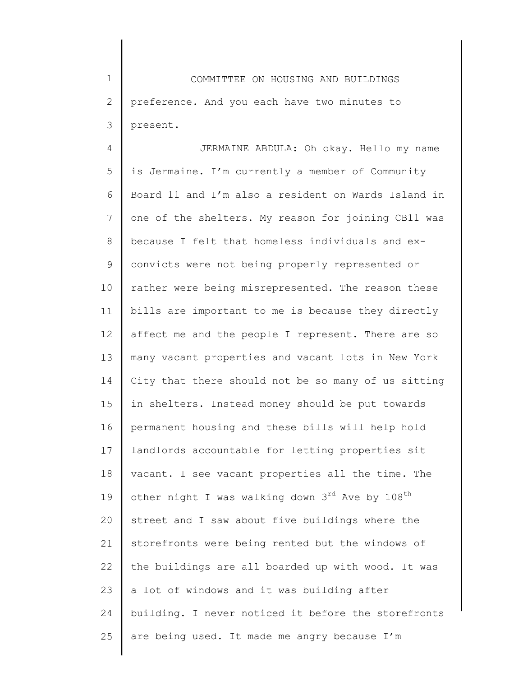1 2 3 COMMITTEE ON HOUSING AND BUILDINGS preference. And you each have two minutes to present.

4 5 6 7 8 9 10 11 12 13 14 15 16 17 18 19 20 21 22 23 24 25 JERMAINE ABDULA: Oh okay. Hello my name is Jermaine. I'm currently a member of Community Board 11 and I'm also a resident on Wards Island in one of the shelters. My reason for joining CB11 was because I felt that homeless individuals and exconvicts were not being properly represented or rather were being misrepresented. The reason these bills are important to me is because they directly affect me and the people I represent. There are so many vacant properties and vacant lots in New York City that there should not be so many of us sitting in shelters. Instead money should be put towards permanent housing and these bills will help hold landlords accountable for letting properties sit vacant. I see vacant properties all the time. The other night I was walking down  $3^{rd}$  Ave by  $108^{th}$ street and I saw about five buildings where the storefronts were being rented but the windows of the buildings are all boarded up with wood. It was a lot of windows and it was building after building. I never noticed it before the storefronts are being used. It made me angry because I'm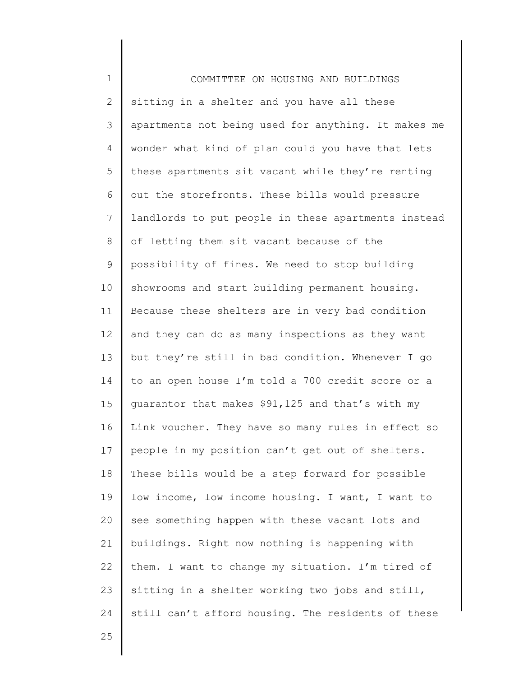| $\mathbf 1$  | COMMITTEE ON HOUSING AND BUILDINGS                  |
|--------------|-----------------------------------------------------|
| $\mathbf{2}$ | sitting in a shelter and you have all these         |
| 3            | apartments not being used for anything. It makes me |
| 4            | wonder what kind of plan could you have that lets   |
| 5            | these apartments sit vacant while they're renting   |
| 6            | out the storefronts. These bills would pressure     |
| 7            | landlords to put people in these apartments instead |
| $\,8\,$      | of letting them sit vacant because of the           |
| 9            | possibility of fines. We need to stop building      |
| 10           | showrooms and start building permanent housing.     |
| 11           | Because these shelters are in very bad condition    |
| 12           | and they can do as many inspections as they want    |
| 13           | but they're still in bad condition. Whenever I go   |
| 14           | to an open house I'm told a 700 credit score or a   |
| 15           | guarantor that makes \$91,125 and that's with my    |
| 16           | Link voucher. They have so many rules in effect so  |
| 17           | people in my position can't get out of shelters.    |
| 18           | These bills would be a step forward for possible    |
| 19           | low income, low income housing. I want, I want to   |
| 20           | see something happen with these vacant lots and     |
| 21           | buildings. Right now nothing is happening with      |
| 22           | them. I want to change my situation. I'm tired of   |
| 23           | sitting in a shelter working two jobs and still,    |
| 24           | still can't afford housing. The residents of these  |
| 25           |                                                     |

25

 $\mathsf I$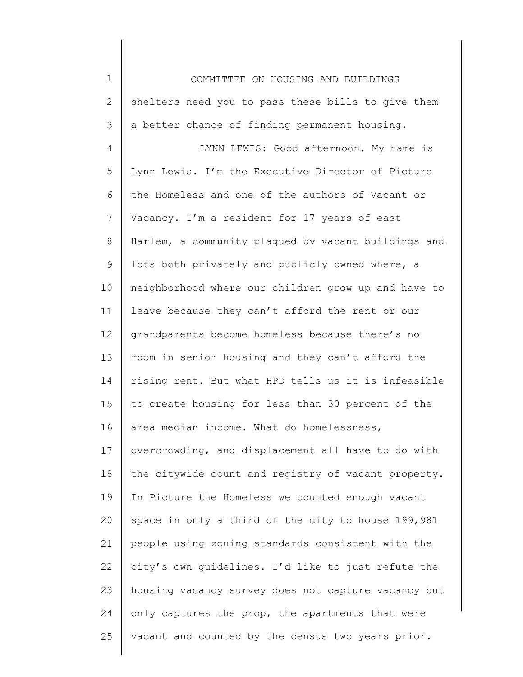1 2 3 4 5 6 7 8 9 10 11 12 13 14 15 16 17 18 19 20 21 22 23 24 25 COMMITTEE ON HOUSING AND BUILDINGS shelters need you to pass these bills to give them a better chance of finding permanent housing. LYNN LEWIS: Good afternoon. My name is Lynn Lewis. I'm the Executive Director of Picture the Homeless and one of the authors of Vacant or Vacancy. I'm a resident for 17 years of east Harlem, a community plagued by vacant buildings and lots both privately and publicly owned where, a neighborhood where our children grow up and have to leave because they can't afford the rent or our grandparents become homeless because there's no room in senior housing and they can't afford the rising rent. But what HPD tells us it is infeasible to create housing for less than 30 percent of the area median income. What do homelessness, overcrowding, and displacement all have to do with the citywide count and registry of vacant property. In Picture the Homeless we counted enough vacant space in only a third of the city to house 199,981 people using zoning standards consistent with the city's own guidelines. I'd like to just refute the housing vacancy survey does not capture vacancy but only captures the prop, the apartments that were vacant and counted by the census two years prior.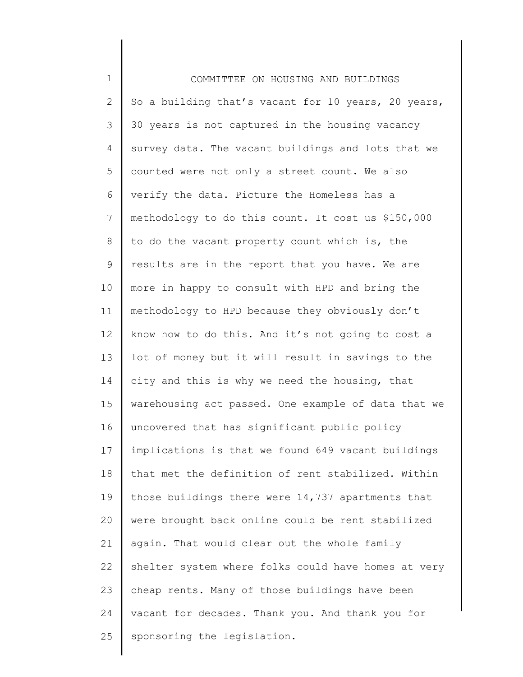1 2 3 4 5 6 7 8 9 10 11 12 13 14 15 16 17 18 19 20 21 22 23 24 25 COMMITTEE ON HOUSING AND BUILDINGS So a building that's vacant for 10 years, 20 years, 30 years is not captured in the housing vacancy survey data. The vacant buildings and lots that we counted were not only a street count. We also verify the data. Picture the Homeless has a methodology to do this count. It cost us \$150,000 to do the vacant property count which is, the results are in the report that you have. We are more in happy to consult with HPD and bring the methodology to HPD because they obviously don't know how to do this. And it's not going to cost a lot of money but it will result in savings to the city and this is why we need the housing, that warehousing act passed. One example of data that we uncovered that has significant public policy implications is that we found 649 vacant buildings that met the definition of rent stabilized. Within those buildings there were 14,737 apartments that were brought back online could be rent stabilized again. That would clear out the whole family shelter system where folks could have homes at very cheap rents. Many of those buildings have been vacant for decades. Thank you. And thank you for sponsoring the legislation.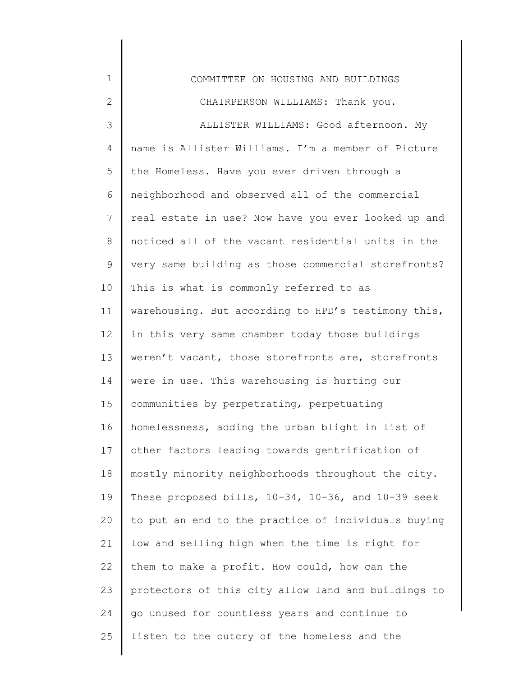| $\mathbf 1$  | COMMITTEE ON HOUSING AND BUILDINGS                  |
|--------------|-----------------------------------------------------|
| $\mathbf{2}$ | CHAIRPERSON WILLIAMS: Thank you.                    |
| 3            | ALLISTER WILLIAMS: Good afternoon. My               |
| 4            | name is Allister Williams. I'm a member of Picture  |
| 5            | the Homeless. Have you ever driven through a        |
| 6            | neighborhood and observed all of the commercial     |
| 7            | real estate in use? Now have you ever looked up and |
| 8            | noticed all of the vacant residential units in the  |
| $\mathsf 9$  | very same building as those commercial storefronts? |
| 10           | This is what is commonly referred to as             |
| 11           | warehousing. But according to HPD's testimony this, |
| 12           | in this very same chamber today those buildings     |
| 13           | weren't vacant, those storefronts are, storefronts  |
| 14           | were in use. This warehousing is hurting our        |
| 15           | communities by perpetrating, perpetuating           |
| 16           | homelessness, adding the urban blight in list of    |
| 17           | other factors leading towards gentrification of     |
| 18           | mostly minority neighborhoods throughout the city.  |
| 19           | These proposed bills, 10-34, 10-36, and 10-39 seek  |
| 20           | to put an end to the practice of individuals buying |
| 21           | low and selling high when the time is right for     |
| 22           | them to make a profit. How could, how can the       |
| 23           | protectors of this city allow land and buildings to |
| 24           | go unused for countless years and continue to       |
| 25           | listen to the outcry of the homeless and the        |
|              |                                                     |

║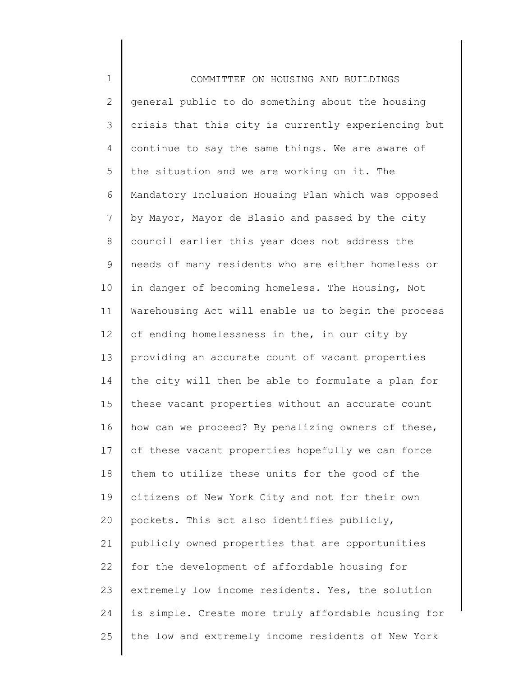1 2 3 4 5 6 7 8 9 10 11 12 13 14 15 16 17 18 19 20 21 22 23 24 25 COMMITTEE ON HOUSING AND BUILDINGS general public to do something about the housing crisis that this city is currently experiencing but continue to say the same things. We are aware of the situation and we are working on it. The Mandatory Inclusion Housing Plan which was opposed by Mayor, Mayor de Blasio and passed by the city council earlier this year does not address the needs of many residents who are either homeless or in danger of becoming homeless. The Housing, Not Warehousing Act will enable us to begin the process of ending homelessness in the, in our city by providing an accurate count of vacant properties the city will then be able to formulate a plan for these vacant properties without an accurate count how can we proceed? By penalizing owners of these, of these vacant properties hopefully we can force them to utilize these units for the good of the citizens of New York City and not for their own pockets. This act also identifies publicly, publicly owned properties that are opportunities for the development of affordable housing for extremely low income residents. Yes, the solution is simple. Create more truly affordable housing for the low and extremely income residents of New York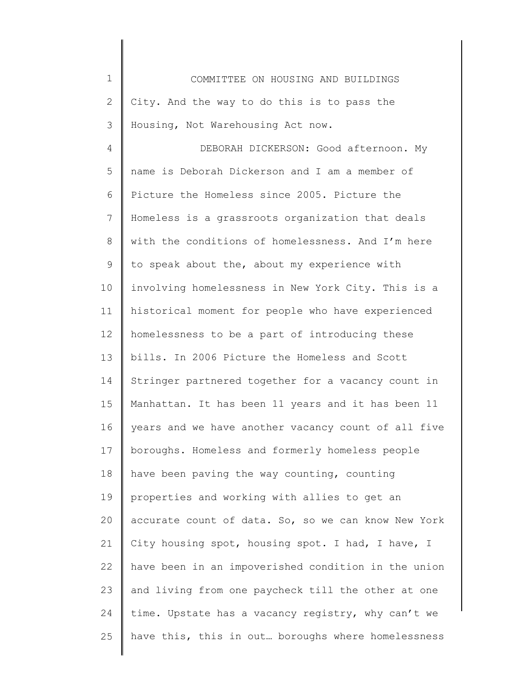| $1\,$          | COMMITTEE ON HOUSING AND BUILDINGS                  |
|----------------|-----------------------------------------------------|
| $\mathbf{2}$   | City. And the way to do this is to pass the         |
| 3              | Housing, Not Warehousing Act now.                   |
| 4              | DEBORAH DICKERSON: Good afternoon. My               |
| 5              | name is Deborah Dickerson and I am a member of      |
| 6              | Picture the Homeless since 2005. Picture the        |
| $\overline{7}$ | Homeless is a grassroots organization that deals    |
| $8\,$          | with the conditions of homelessness. And I'm here   |
| $\mathsf 9$    | to speak about the, about my experience with        |
| 10             | involving homelessness in New York City. This is a  |
| 11             | historical moment for people who have experienced   |
| 12             | homelessness to be a part of introducing these      |
| 13             | bills. In 2006 Picture the Homeless and Scott       |
| 14             | Stringer partnered together for a vacancy count in  |
| 15             | Manhattan. It has been 11 years and it has been 11  |
| 16             | years and we have another vacancy count of all five |
| 17             | boroughs. Homeless and formerly homeless people     |
| 18             | have been paving the way counting, counting         |
| 19             | properties and working with allies to get an        |
| 20             | accurate count of data. So, so we can know New York |
| 21             | City housing spot, housing spot. I had, I have, I   |
| 22             | have been in an impoverished condition in the union |
| 23             | and living from one paycheck till the other at one  |
| 24             | time. Upstate has a vacancy registry, why can't we  |
| 25             | have this, this in out boroughs where homelessness  |
|                |                                                     |

I ∥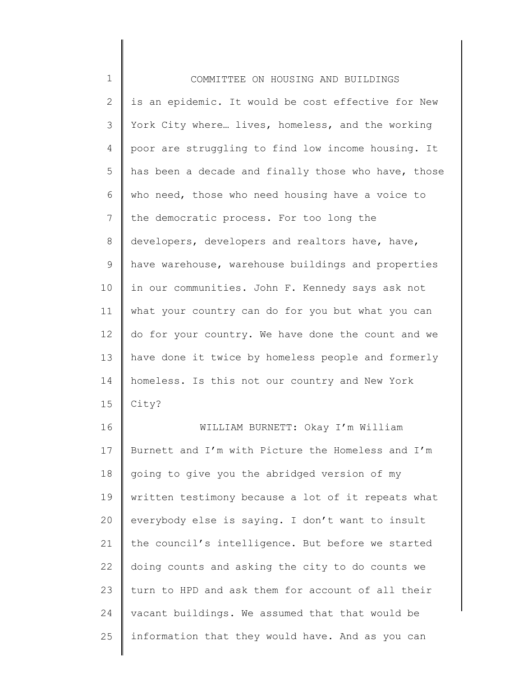| $1\,$          | COMMITTEE ON HOUSING AND BUILDINGS                  |
|----------------|-----------------------------------------------------|
| $\mathbf{2}$   | is an epidemic. It would be cost effective for New  |
| 3              | York City where lives, homeless, and the working    |
| 4              | poor are struggling to find low income housing. It  |
| 5              | has been a decade and finally those who have, those |
| 6              | who need, those who need housing have a voice to    |
| $\overline{7}$ | the democratic process. For too long the            |
| $\,8\,$        | developers, developers and realtors have, have,     |
| $\mathsf 9$    | have warehouse, warehouse buildings and properties  |
| 10             | in our communities. John F. Kennedy says ask not    |
| 11             | what your country can do for you but what you can   |
| 12             | do for your country. We have done the count and we  |
| 13             | have done it twice by homeless people and formerly  |
| 14             | homeless. Is this not our country and New York      |
| 15             | City?                                               |
| 16             | WILLIAM BURNETT: Okay I'm William                   |
| 17             | Burnett and I'm with Picture the Homeless and I'm   |
| 18             | going to give you the abridged version of my        |
| 19             | written testimony because a lot of it repeats what  |
| 20             | everybody else is saying. I don't want to insult    |
| 21             | the council's intelligence. But before we started   |
| 22             | doing counts and asking the city to do counts we    |
| 23             | turn to HPD and ask them for account of all their   |
| 24             | vacant buildings. We assumed that that would be     |
| 25             | information that they would have. And as you can    |
|                |                                                     |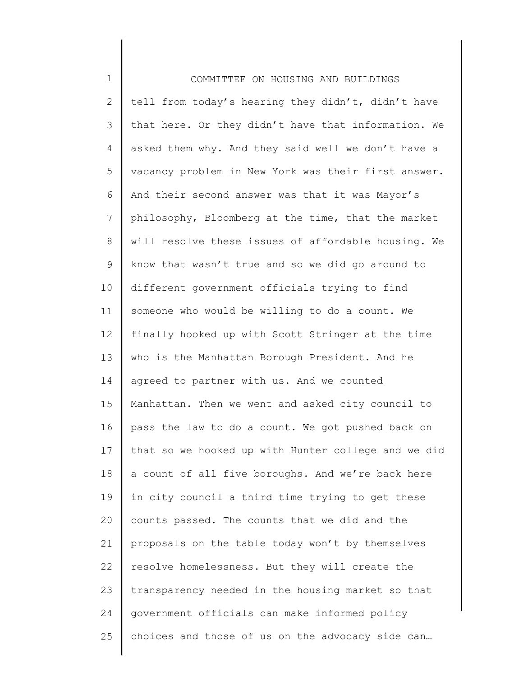1 2 3 4 5 6 7 8 9 10 11 12 13 14 15 16 17 18 19 20 21 22 23 24 25 COMMITTEE ON HOUSING AND BUILDINGS tell from today's hearing they didn't, didn't have that here. Or they didn't have that information. We asked them why. And they said well we don't have a vacancy problem in New York was their first answer. And their second answer was that it was Mayor's philosophy, Bloomberg at the time, that the market will resolve these issues of affordable housing. We know that wasn't true and so we did go around to different government officials trying to find someone who would be willing to do a count. We finally hooked up with Scott Stringer at the time who is the Manhattan Borough President. And he agreed to partner with us. And we counted Manhattan. Then we went and asked city council to pass the law to do a count. We got pushed back on that so we hooked up with Hunter college and we did a count of all five boroughs. And we're back here in city council a third time trying to get these counts passed. The counts that we did and the proposals on the table today won't by themselves resolve homelessness. But they will create the transparency needed in the housing market so that government officials can make informed policy choices and those of us on the advocacy side can…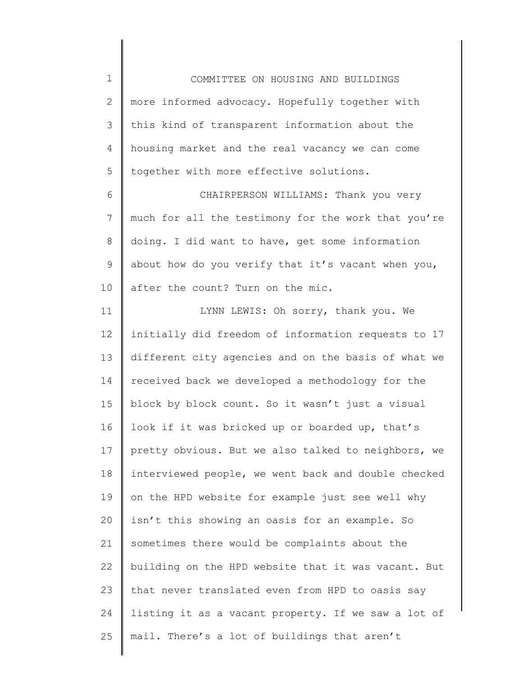1 2 3 4 5 COMMITTEE ON HOUSING AND BUILDINGS more informed advocacy. Hopefully together with this kind of transparent information about the housing market and the real vacancy we can come together with more effective solutions.

6 7 8 9 10 CHAIRPERSON WILLIAMS: Thank you very much for all the testimony for the work that you're doing. I did want to have, get some information about how do you verify that it's vacant when you, after the count? Turn on the mic.

11 12 13 14 15 16 17 18 19 20 21 22 23 24 25 LYNN LEWIS: Oh sorry, thank you. We initially did freedom of information requests to 17 different city agencies and on the basis of what we received back we developed a methodology for the block by block count. So it wasn't just a visual look if it was bricked up or boarded up, that's pretty obvious. But we also talked to neighbors, we interviewed people, we went back and double checked on the HPD website for example just see well why isn't this showing an oasis for an example. So sometimes there would be complaints about the building on the HPD website that it was vacant. But that never translated even from HPD to oasis say listing it as a vacant property. If we saw a lot of mail. There's a lot of buildings that aren't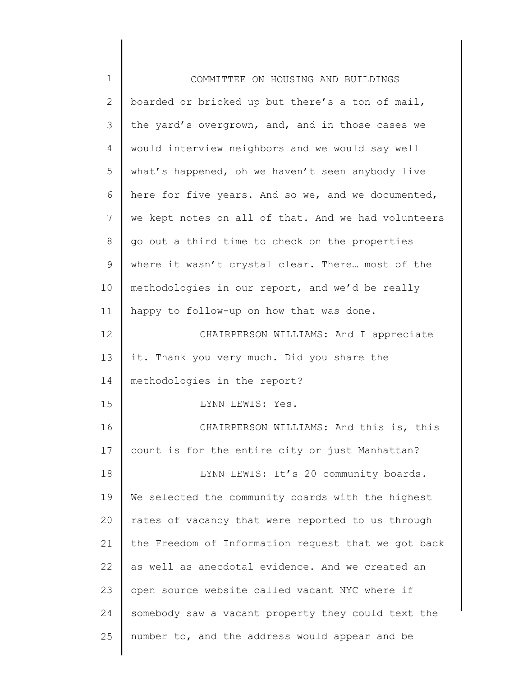| $\mathbf 1$  | COMMITTEE ON HOUSING AND BUILDINGS                  |
|--------------|-----------------------------------------------------|
| $\mathbf{2}$ | boarded or bricked up but there's a ton of mail,    |
| 3            | the yard's overgrown, and, and in those cases we    |
| 4            | would interview neighbors and we would say well     |
| 5            | what's happened, oh we haven't seen anybody live    |
| 6            | here for five years. And so we, and we documented,  |
| 7            | we kept notes on all of that. And we had volunteers |
| 8            | go out a third time to check on the properties      |
| 9            | where it wasn't crystal clear. There most of the    |
| 10           | methodologies in our report, and we'd be really     |
| 11           | happy to follow-up on how that was done.            |
| 12           | CHAIRPERSON WILLIAMS: And I appreciate              |
| 13           | it. Thank you very much. Did you share the          |
| 14           | methodologies in the report?                        |
| 15           | LYNN LEWIS: Yes.                                    |
| 16           | CHAIRPERSON WILLIAMS: And this is, this             |
| 17           | count is for the entire city or just Manhattan?     |
| 18           | LYNN LEWIS: It's 20 community boards.               |
| 19           | We selected the community boards with the highest   |
| 20           | rates of vacancy that were reported to us through   |
| 21           | the Freedom of Information request that we got back |
| 22           | as well as anecdotal evidence. And we created an    |
| 23           | open source website called vacant NYC where if      |
| 24           | somebody saw a vacant property they could text the  |
| 25           | number to, and the address would appear and be      |
|              |                                                     |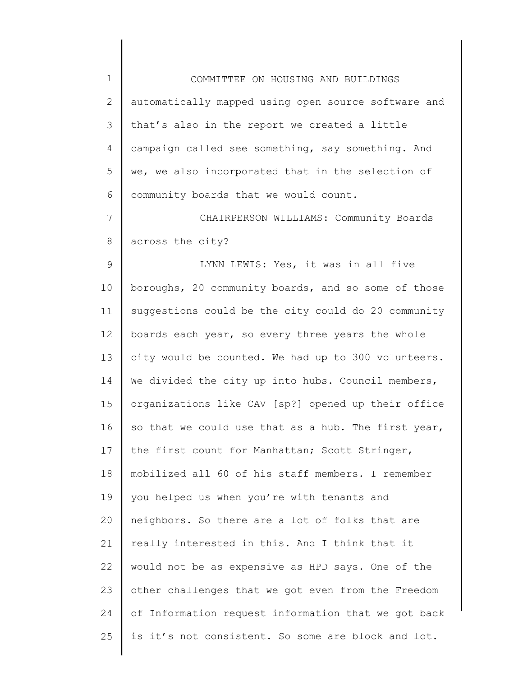| $\mathbf 1$  | COMMITTEE ON HOUSING AND BUILDINGS                  |
|--------------|-----------------------------------------------------|
| $\mathbf{2}$ | automatically mapped using open source software and |
| 3            | that's also in the report we created a little       |
| 4            | campaign called see something, say something. And   |
| 5            | we, we also incorporated that in the selection of   |
| 6            | community boards that we would count.               |
| 7            | CHAIRPERSON WILLIAMS: Community Boards              |
| $\,8\,$      | across the city?                                    |
| $\mathsf 9$  | LYNN LEWIS: Yes, it was in all five                 |
| 10           | boroughs, 20 community boards, and so some of those |
| 11           | suggestions could be the city could do 20 community |
| 12           | boards each year, so every three years the whole    |
| 13           | city would be counted. We had up to 300 volunteers. |
| 14           | We divided the city up into hubs. Council members,  |
| 15           | organizations like CAV [sp?] opened up their office |
| 16           | so that we could use that as a hub. The first year, |
| 17           | the first count for Manhattan; Scott Stringer,      |
| 18           | mobilized all 60 of his staff members. I remember   |
| 19           | you helped us when you're with tenants and          |
| 20           | neighbors. So there are a lot of folks that are     |
| 21           | really interested in this. And I think that it      |
| 22           | would not be as expensive as HPD says. One of the   |
| 23           | other challenges that we got even from the Freedom  |
| 24           | of Information request information that we got back |
| 25           | is it's not consistent. So some are block and lot.  |
|              |                                                     |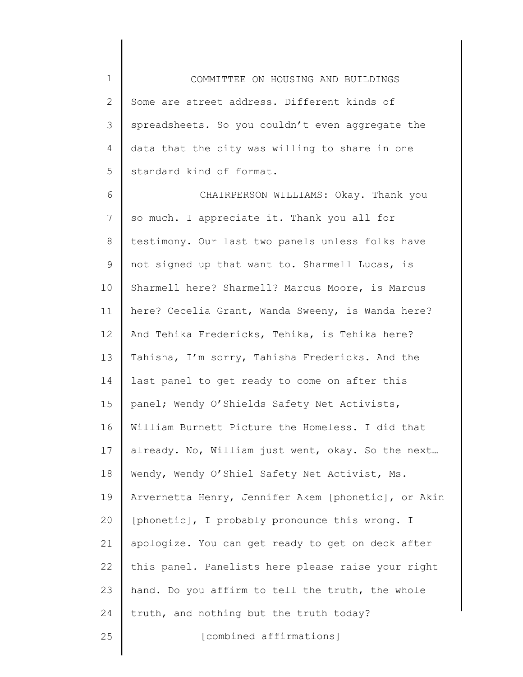1 2 3 4 5 COMMITTEE ON HOUSING AND BUILDINGS Some are street address. Different kinds of spreadsheets. So you couldn't even aggregate the data that the city was willing to share in one standard kind of format.

6 7 8 9 10 11 12 13 14 15 16 17 18 19 20 21 22 23 24 25 CHAIRPERSON WILLIAMS: Okay. Thank you so much. I appreciate it. Thank you all for testimony. Our last two panels unless folks have not signed up that want to. Sharmell Lucas, is Sharmell here? Sharmell? Marcus Moore, is Marcus here? Cecelia Grant, Wanda Sweeny, is Wanda here? And Tehika Fredericks, Tehika, is Tehika here? Tahisha, I'm sorry, Tahisha Fredericks. And the last panel to get ready to come on after this panel; Wendy O'Shields Safety Net Activists, William Burnett Picture the Homeless. I did that already. No, William just went, okay. So the next… Wendy, Wendy O'Shiel Safety Net Activist, Ms. Arvernetta Henry, Jennifer Akem [phonetic], or Akin [phonetic], I probably pronounce this wrong. I apologize. You can get ready to get on deck after this panel. Panelists here please raise your right hand. Do you affirm to tell the truth, the whole truth, and nothing but the truth today? [combined affirmations]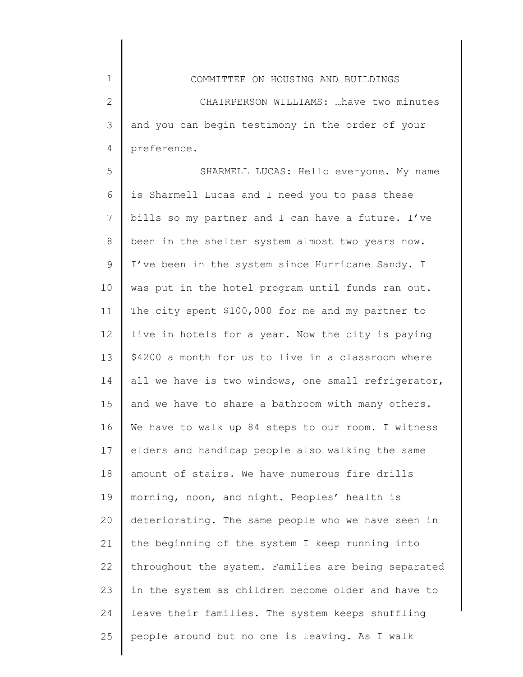1

2

3

4

preference.

5 6 7 8 9 10 11 12 13 14 15 16 17 18 19 20 21 22 23 24 25 SHARMELL LUCAS: Hello everyone. My name is Sharmell Lucas and I need you to pass these bills so my partner and I can have a future. I've been in the shelter system almost two years now. I've been in the system since Hurricane Sandy. I was put in the hotel program until funds ran out. The city spent \$100,000 for me and my partner to live in hotels for a year. Now the city is paying \$4200 a month for us to live in a classroom where all we have is two windows, one small refrigerator, and we have to share a bathroom with many others. We have to walk up 84 steps to our room. I witness elders and handicap people also walking the same amount of stairs. We have numerous fire drills morning, noon, and night. Peoples' health is deteriorating. The same people who we have seen in the beginning of the system I keep running into throughout the system. Families are being separated in the system as children become older and have to leave their families. The system keeps shuffling people around but no one is leaving. As I walk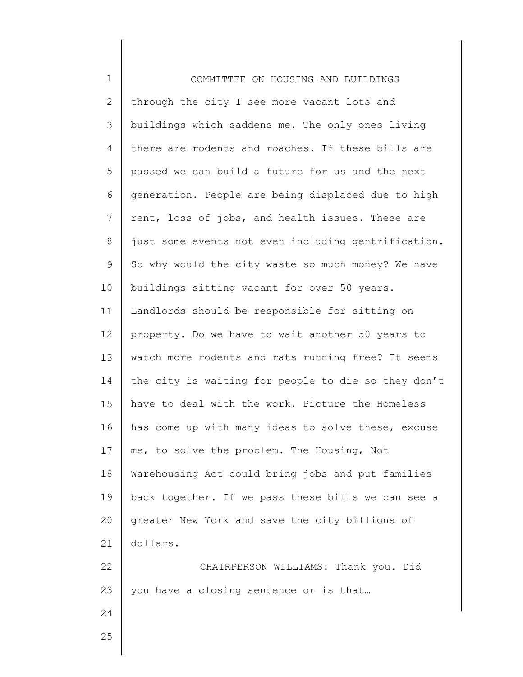| $1\,$        | COMMITTEE ON HOUSING AND BUILDINGS                  |
|--------------|-----------------------------------------------------|
| $\mathbf{2}$ | through the city I see more vacant lots and         |
| 3            | buildings which saddens me. The only ones living    |
| 4            | there are rodents and roaches. If these bills are   |
| 5            | passed we can build a future for us and the next    |
| 6            | generation. People are being displaced due to high  |
| 7            | rent, loss of jobs, and health issues. These are    |
| $\,8\,$      | just some events not even including gentrification. |
| $\mathsf 9$  | So why would the city waste so much money? We have  |
| 10           | buildings sitting vacant for over 50 years.         |
| 11           | Landlords should be responsible for sitting on      |
| 12           | property. Do we have to wait another 50 years to    |
| 13           | watch more rodents and rats running free? It seems  |
| 14           | the city is waiting for people to die so they don't |
| 15           | have to deal with the work. Picture the Homeless    |
| 16           | has come up with many ideas to solve these, excuse  |
| 17           | me, to solve the problem. The Housing, Not          |
| 18           | Warehousing Act could bring jobs and put families   |
| 19           | back together. If we pass these bills we can see a  |
| 20           | greater New York and save the city billions of      |
| 21           | dollars.                                            |
| 22           | CHAIRPERSON WILLIAMS: Thank you. Did                |
| 23           | you have a closing sentence or is that              |
| 24           |                                                     |
| 25           |                                                     |
|              |                                                     |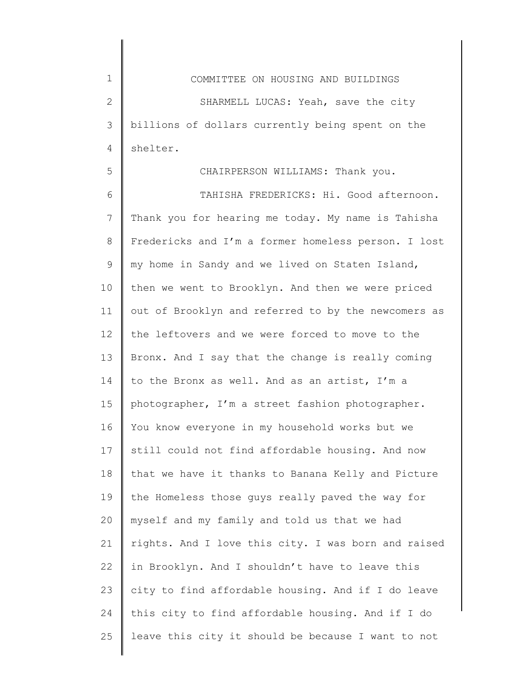1 2 3 4 COMMITTEE ON HOUSING AND BUILDINGS SHARMELL LUCAS: Yeah, save the city billions of dollars currently being spent on the shelter.

5

## CHAIRPERSON WILLIAMS: Thank you.

6 7 8 9 10 11 12 13 14 15 16 17 18 19 20 21 22 23 24 25 TAHISHA FREDERICKS: Hi. Good afternoon. Thank you for hearing me today. My name is Tahisha Fredericks and I'm a former homeless person. I lost my home in Sandy and we lived on Staten Island, then we went to Brooklyn. And then we were priced out of Brooklyn and referred to by the newcomers as the leftovers and we were forced to move to the Bronx. And I say that the change is really coming to the Bronx as well. And as an artist, I'm a photographer, I'm a street fashion photographer. You know everyone in my household works but we still could not find affordable housing. And now that we have it thanks to Banana Kelly and Picture the Homeless those guys really paved the way for myself and my family and told us that we had rights. And I love this city. I was born and raised in Brooklyn. And I shouldn't have to leave this city to find affordable housing. And if I do leave this city to find affordable housing. And if I do leave this city it should be because I want to not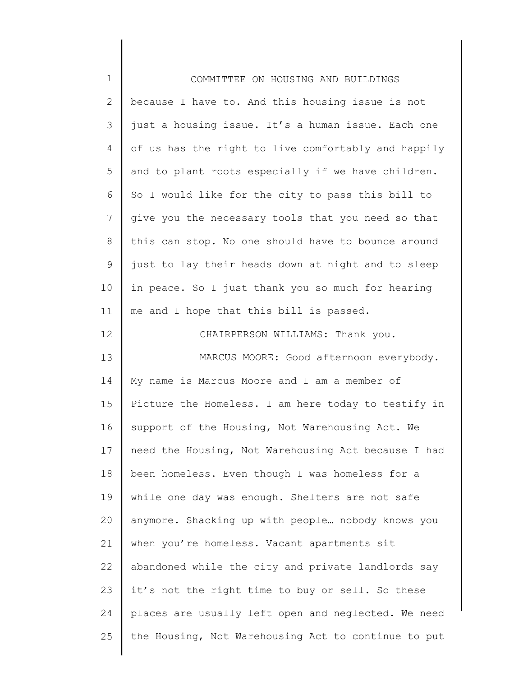| $1\,$          | COMMITTEE ON HOUSING AND BUILDINGS                  |
|----------------|-----------------------------------------------------|
| $\overline{2}$ | because I have to. And this housing issue is not    |
| 3              | just a housing issue. It's a human issue. Each one  |
| 4              | of us has the right to live comfortably and happily |
| 5              | and to plant roots especially if we have children.  |
| 6              | So I would like for the city to pass this bill to   |
| 7              | give you the necessary tools that you need so that  |
| 8              | this can stop. No one should have to bounce around  |
| $\mathsf 9$    | just to lay their heads down at night and to sleep  |
| 10             | in peace. So I just thank you so much for hearing   |
| 11             | me and I hope that this bill is passed.             |
| 12             | CHAIRPERSON WILLIAMS: Thank you.                    |
| 13             | MARCUS MOORE: Good afternoon everybody.             |
| 14             | My name is Marcus Moore and I am a member of        |
| 15             | Picture the Homeless. I am here today to testify in |
| 16             | support of the Housing, Not Warehousing Act. We     |
| 17             | need the Housing, Not Warehousing Act because I had |
| 18             | been homeless. Even though I was homeless for a     |
| 19             | while one day was enough. Shelters are not safe     |
| 20             | anymore. Shacking up with people nobody knows you   |
| 21             | when you're homeless. Vacant apartments sit         |
| 22             | abandoned while the city and private landlords say  |
| 23             | it's not the right time to buy or sell. So these    |
| 24             | places are usually left open and neglected. We need |
| 25             | the Housing, Not Warehousing Act to continue to put |
|                |                                                     |

║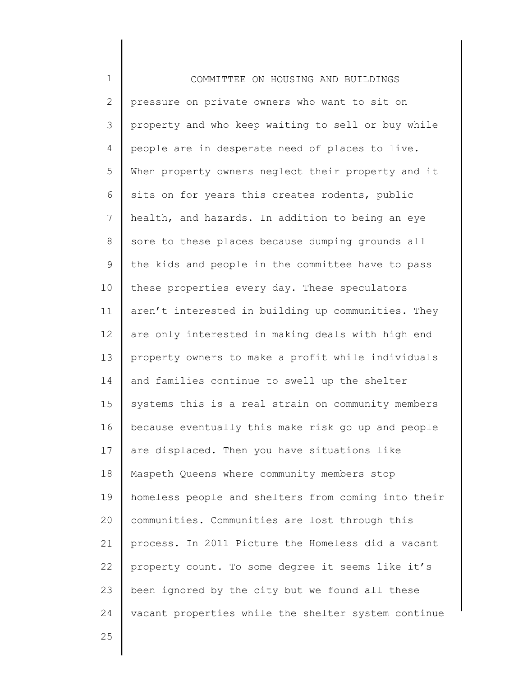| $\mathbf 1$  | COMMITTEE ON HOUSING AND BUILDINGS                  |
|--------------|-----------------------------------------------------|
| $\mathbf{2}$ | pressure on private owners who want to sit on       |
| 3            | property and who keep waiting to sell or buy while  |
| 4            | people are in desperate need of places to live.     |
| 5            | When property owners neglect their property and it  |
| 6            | sits on for years this creates rodents, public      |
| 7            | health, and hazards. In addition to being an eye    |
| $\,8\,$      | sore to these places because dumping grounds all    |
| $\mathsf 9$  | the kids and people in the committee have to pass   |
| 10           | these properties every day. These speculators       |
| 11           | aren't interested in building up communities. They  |
| 12           | are only interested in making deals with high end   |
| 13           | property owners to make a profit while individuals  |
| 14           | and families continue to swell up the shelter       |
| 15           | systems this is a real strain on community members  |
| 16           | because eventually this make risk go up and people  |
| 17           | are displaced. Then you have situations like        |
| 18           | Maspeth Queens where community members stop         |
| 19           | homeless people and shelters from coming into their |
| 20           | communities. Communities are lost through this      |
| 21           | process. In 2011 Picture the Homeless did a vacant  |
| 22           | property count. To some degree it seems like it's   |
| 23           | been ignored by the city but we found all these     |
| 24           | vacant properties while the shelter system continue |
|              |                                                     |

25

Ι

 $\mathsf I$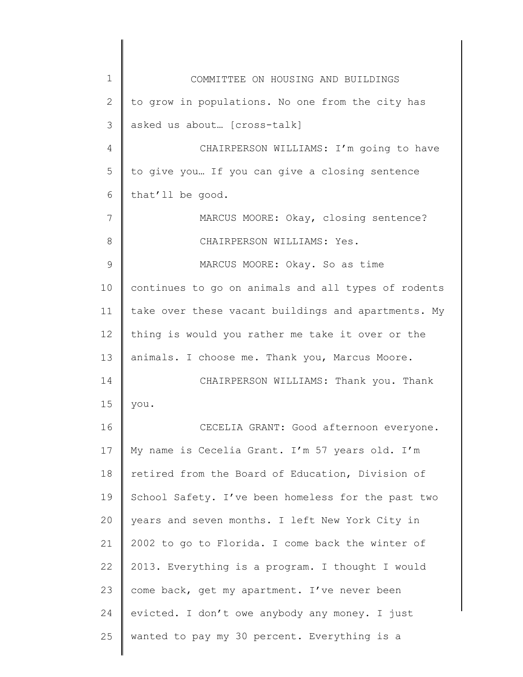| $\mathbf 1$   | COMMITTEE ON HOUSING AND BUILDINGS                  |
|---------------|-----------------------------------------------------|
| $\mathbf{2}$  | to grow in populations. No one from the city has    |
| 3             | asked us about [cross-talk]                         |
| 4             | CHAIRPERSON WILLIAMS: I'm going to have             |
| 5             | to give you If you can give a closing sentence      |
| 6             | that'll be good.                                    |
| 7             | MARCUS MOORE: Okay, closing sentence?               |
| 8             | CHAIRPERSON WILLIAMS: Yes.                          |
| $\mathcal{G}$ | MARCUS MOORE: Okay. So as time                      |
| 10            | continues to go on animals and all types of rodents |
| 11            | take over these vacant buildings and apartments. My |
| 12            | thing is would you rather me take it over or the    |
| 13            | animals. I choose me. Thank you, Marcus Moore.      |
| 14            | CHAIRPERSON WILLIAMS: Thank you. Thank              |
| 15            | you.                                                |
| 16            | CECELIA GRANT: Good afternoon everyone.             |
| 17            | My name is Cecelia Grant. I'm 57 years old. I'm     |
| 18            | retired from the Board of Education, Division of    |
| 19            | School Safety. I've been homeless for the past two  |
| 20            | years and seven months. I left New York City in     |
| 21            | 2002 to go to Florida. I come back the winter of    |
| 22            | 2013. Everything is a program. I thought I would    |
| 23            | come back, get my apartment. I've never been        |
| 24            | evicted. I don't owe anybody any money. I just      |
| 25            | wanted to pay my 30 percent. Everything is a        |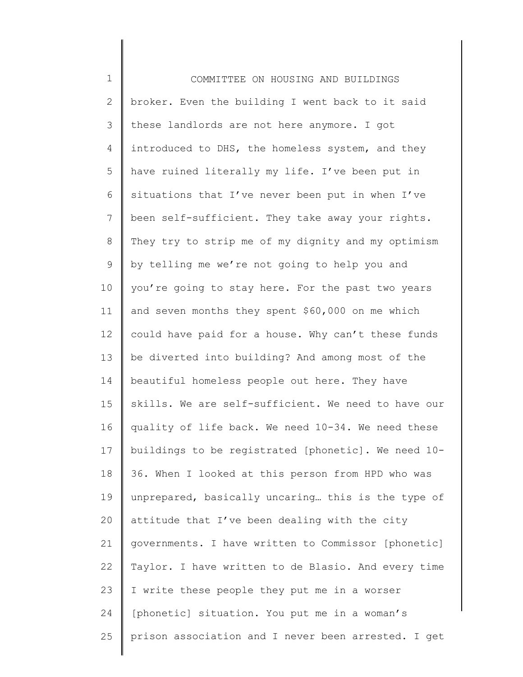1 2 3 4 5 6 7 8 9 10 11 12 13 14 15 16 17 18 19 20 21 22 23 24 25 COMMITTEE ON HOUSING AND BUILDINGS broker. Even the building I went back to it said these landlords are not here anymore. I got introduced to DHS, the homeless system, and they have ruined literally my life. I've been put in situations that I've never been put in when I've been self-sufficient. They take away your rights. They try to strip me of my dignity and my optimism by telling me we're not going to help you and you're going to stay here. For the past two years and seven months they spent \$60,000 on me which could have paid for a house. Why can't these funds be diverted into building? And among most of the beautiful homeless people out here. They have skills. We are self-sufficient. We need to have our quality of life back. We need 10-34. We need these buildings to be registrated [phonetic]. We need 10- 36. When I looked at this person from HPD who was unprepared, basically uncaring… this is the type of attitude that I've been dealing with the city governments. I have written to Commissor [phonetic] Taylor. I have written to de Blasio. And every time I write these people they put me in a worser [phonetic] situation. You put me in a woman's prison association and I never been arrested. I get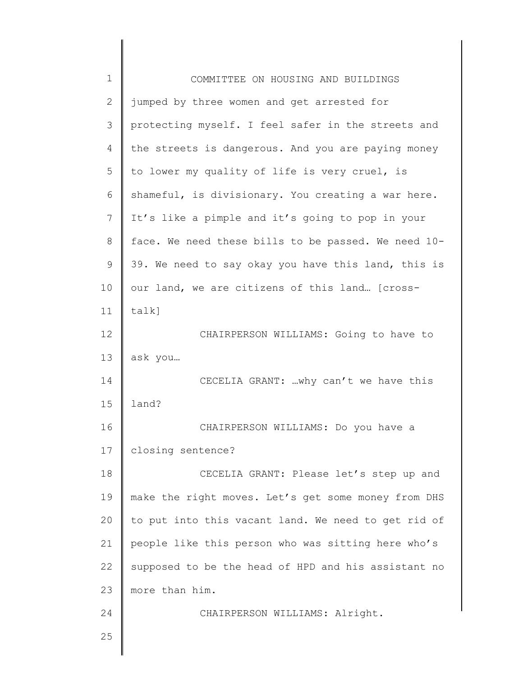| $\mathbf 1$    | COMMITTEE ON HOUSING AND BUILDINGS                  |
|----------------|-----------------------------------------------------|
| 2              | jumped by three women and get arrested for          |
| 3              | protecting myself. I feel safer in the streets and  |
| $\overline{4}$ | the streets is dangerous. And you are paying money  |
| 5              | to lower my quality of life is very cruel, is       |
| 6              | shameful, is divisionary. You creating a war here.  |
| 7              | It's like a pimple and it's going to pop in your    |
| 8              | face. We need these bills to be passed. We need 10- |
| 9              | 39. We need to say okay you have this land, this is |
| 10             | our land, we are citizens of this land [cross-      |
| 11             | talk]                                               |
| 12             | CHAIRPERSON WILLIAMS: Going to have to              |
| 13             | ask you                                             |
| 14             | CECELIA GRANT: why can't we have this               |
| 15             | land?                                               |
| 16             | CHAIRPERSON WILLIAMS: Do you have a                 |
| 17             | closing sentence?                                   |
| 18             | CECELIA GRANT: Please let's step up and             |
| 19             | make the right moves. Let's get some money from DHS |
| 20             | to put into this vacant land. We need to get rid of |
| 21             | people like this person who was sitting here who's  |
| 22             | supposed to be the head of HPD and his assistant no |
| 23             | more than him.                                      |
| 24             | CHAIRPERSON WILLIAMS: Alright.                      |
| 25             |                                                     |
|                |                                                     |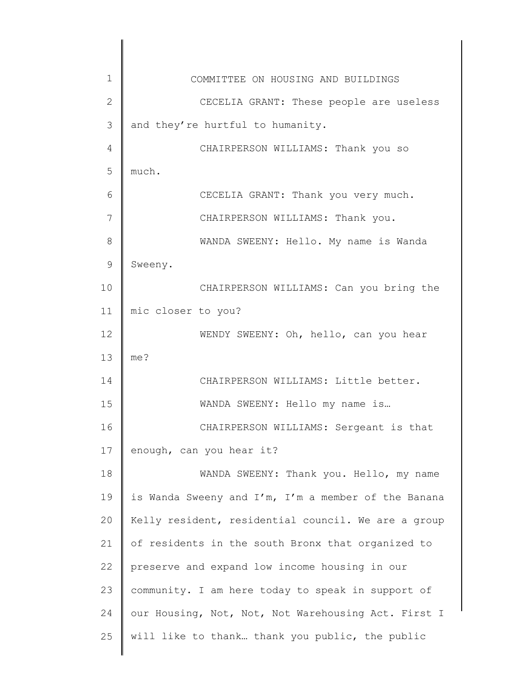| $\mathbf{1}$   | COMMITTEE ON HOUSING AND BUILDINGS                  |
|----------------|-----------------------------------------------------|
| $\mathbf{2}$   | CECELIA GRANT: These people are useless             |
| 3              | and they're hurtful to humanity.                    |
| $\overline{4}$ | CHAIRPERSON WILLIAMS: Thank you so                  |
| 5              | much.                                               |
| 6              | CECELIA GRANT: Thank you very much.                 |
| 7              | CHAIRPERSON WILLIAMS: Thank you.                    |
| 8              | WANDA SWEENY: Hello. My name is Wanda               |
| 9              | Sweeny.                                             |
| 10             | CHAIRPERSON WILLIAMS: Can you bring the             |
| 11             | mic closer to you?                                  |
| 12             | WENDY SWEENY: Oh, hello, can you hear               |
| 13             | me?                                                 |
| 14             | CHAIRPERSON WILLIAMS: Little better.                |
| 15             | WANDA SWEENY: Hello my name is                      |
| 16             | CHAIRPERSON WILLIAMS: Sergeant is that              |
| 17             | enough, can you hear it?                            |
| 18             | WANDA SWEENY: Thank you. Hello, my name             |
| 19             | is Wanda Sweeny and I'm, I'm a member of the Banana |
| 20             | Kelly resident, residential council. We are a group |
| 21             | of residents in the south Bronx that organized to   |
| 22             | preserve and expand low income housing in our       |
| 23             | community. I am here today to speak in support of   |
| 24             | our Housing, Not, Not, Not Warehousing Act. First I |
| 25             | will like to thank thank you public, the public     |
|                |                                                     |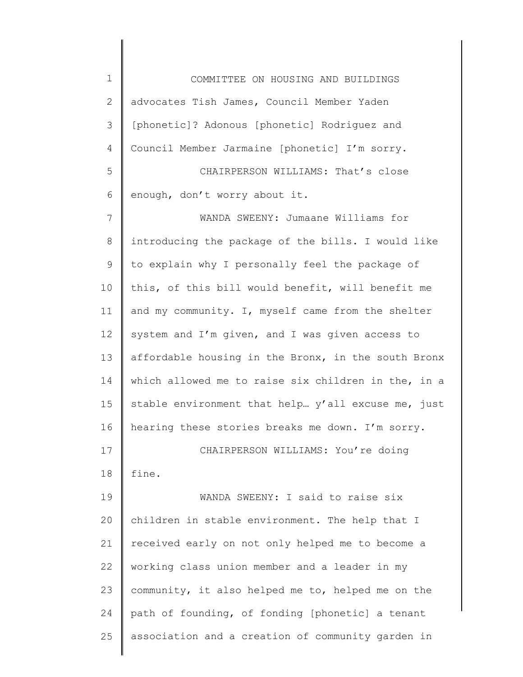| $\mathbf 1$    | COMMITTEE ON HOUSING AND BUILDINGS                  |
|----------------|-----------------------------------------------------|
| $\mathbf{2}$   | advocates Tish James, Council Member Yaden          |
| 3              | [phonetic]? Adonous [phonetic] Rodriguez and        |
| $\overline{4}$ | Council Member Jarmaine [phonetic] I'm sorry.       |
| 5              | CHAIRPERSON WILLIAMS: That's close                  |
| 6              | enough, don't worry about it.                       |
| $\overline{7}$ | WANDA SWEENY: Jumaane Williams for                  |
| $8\,$          | introducing the package of the bills. I would like  |
| $\mathsf 9$    | to explain why I personally feel the package of     |
| 10             | this, of this bill would benefit, will benefit me   |
| 11             | and my community. I, myself came from the shelter   |
| 12             | system and I'm given, and I was given access to     |
| 13             | affordable housing in the Bronx, in the south Bronx |
| 14             | which allowed me to raise six children in the, in a |
| 15             | stable environment that help y'all excuse me, just  |
| 16             | hearing these stories breaks me down. I'm sorry.    |
| 17             | CHAIRPERSON WILLIAMS: You're doing                  |
| 18             | fine.                                               |
| 19             | WANDA SWEENY: I said to raise six                   |
| 20             | children in stable environment. The help that I     |
| 21             | received early on not only helped me to become a    |
| 22             | working class union member and a leader in my       |
| 23             | community, it also helped me to, helped me on the   |
| 24             | path of founding, of fonding [phonetic] a tenant    |
| 25             | association and a creation of community garden in   |
|                |                                                     |

 $\begin{array}{c} \hline \end{array}$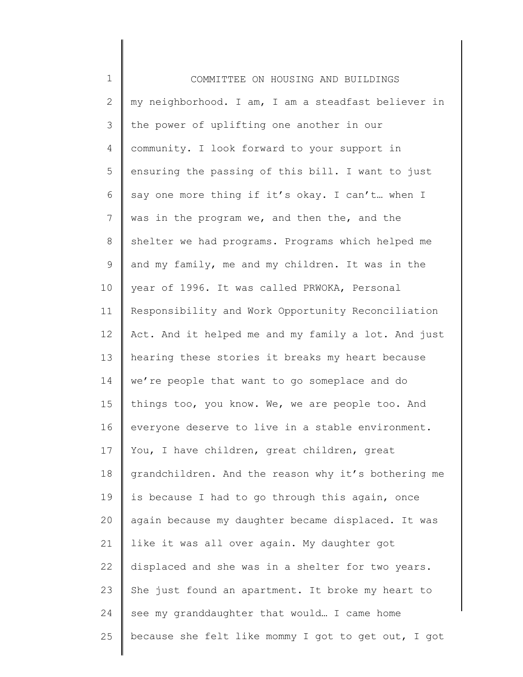| $\mathbf 1$  | COMMITTEE ON HOUSING AND BUILDINGS                  |
|--------------|-----------------------------------------------------|
| $\mathbf{2}$ | my neighborhood. I am, I am a steadfast believer in |
| 3            | the power of uplifting one another in our           |
| 4            | community. I look forward to your support in        |
| 5            | ensuring the passing of this bill. I want to just   |
| 6            | say one more thing if it's okay. I can't when I     |
| 7            | was in the program we, and then the, and the        |
| $\,8\,$      | shelter we had programs. Programs which helped me   |
| 9            | and my family, me and my children. It was in the    |
| 10           | year of 1996. It was called PRWOKA, Personal        |
| 11           | Responsibility and Work Opportunity Reconciliation  |
| 12           | Act. And it helped me and my family a lot. And just |
| 13           | hearing these stories it breaks my heart because    |
| 14           | we're people that want to go someplace and do       |
| 15           | things too, you know. We, we are people too. And    |
| 16           | everyone deserve to live in a stable environment.   |
| 17           | You, I have children, great children, great         |
| 18           | grandchildren. And the reason why it's bothering me |
| 19           | is because I had to go through this again, once     |
| 20           | again because my daughter became displaced. It was  |
| 21           | like it was all over again. My daughter got         |
| 22           | displaced and she was in a shelter for two years.   |
| 23           | She just found an apartment. It broke my heart to   |
| 24           | see my granddaughter that would I came home         |
| 25           | because she felt like mommy I got to get out, I got |
|              |                                                     |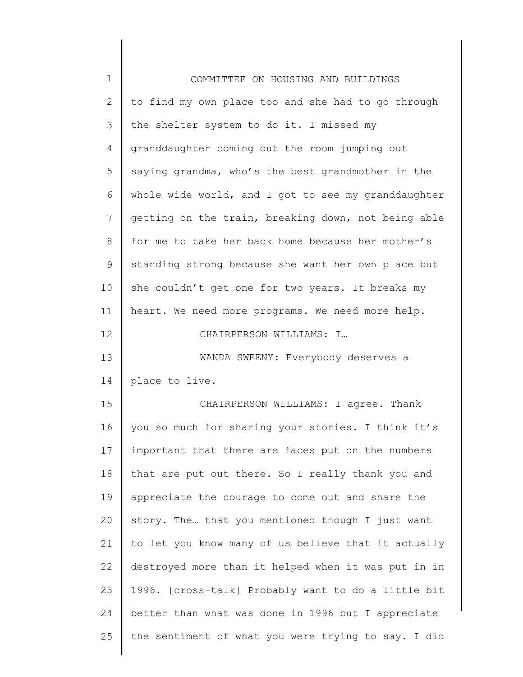| $\mathbf 1$  | COMMITTEE ON HOUSING AND BUILDINGS                  |
|--------------|-----------------------------------------------------|
| $\mathbf{2}$ | to find my own place too and she had to go through  |
| 3            | the shelter system to do it. I missed my            |
| 4            | granddaughter coming out the room jumping out       |
| 5            | saying grandma, who's the best grandmother in the   |
| 6            | whole wide world, and I got to see my granddaughter |
| 7            | getting on the train, breaking down, not being able |
| 8            | for me to take her back home because her mother's   |
| $\mathsf 9$  | standing strong because she want her own place but  |
| 10           | she couldn't get one for two years. It breaks my    |
| 11           | heart. We need more programs. We need more help.    |
| 12           | CHAIRPERSON WILLIAMS: I                             |
| 13           | WANDA SWEENY: Everybody deserves a                  |
| 14           | place to live.                                      |
| 15           | CHAIRPERSON WILLIAMS: I agree. Thank                |
| 16           | you so much for sharing your stories. I think it's  |
| 17           | important that there are faces put on the numbers   |
| 18           | that are put out there. So I really thank you and   |
| 19           | appreciate the courage to come out and share the    |
| 20           | story. The that you mentioned though I just want    |
| 21           | to let you know many of us believe that it actually |
| 22           | destroyed more than it helped when it was put in in |
| 23           | 1996. [cross-talk] Probably want to do a little bit |
| 24           | better than what was done in 1996 but I appreciate  |
| 25           | the sentiment of what you were trying to say. I did |
|              |                                                     |

 $\begin{array}{c} \hline \end{array}$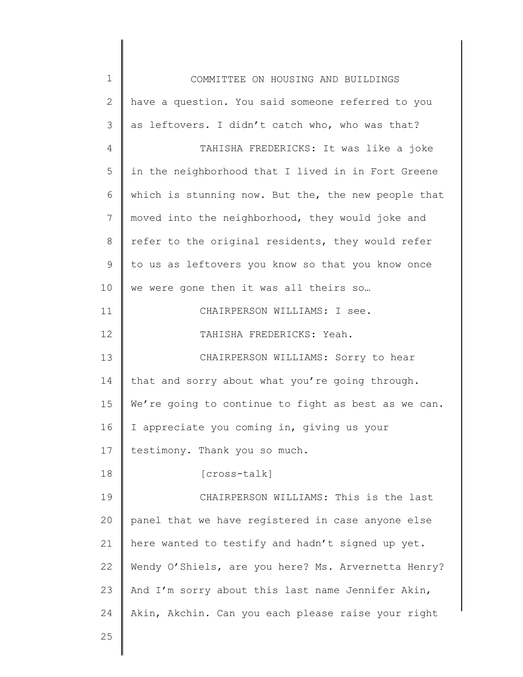| $\mathbf 1$ | COMMITTEE ON HOUSING AND BUILDINGS                  |
|-------------|-----------------------------------------------------|
| 2           | have a question. You said someone referred to you   |
| 3           | as leftovers. I didn't catch who, who was that?     |
| 4           | TAHISHA FREDERICKS: It was like a joke              |
| 5           | in the neighborhood that I lived in in Fort Greene  |
| 6           | which is stunning now. But the, the new people that |
| 7           | moved into the neighborhood, they would joke and    |
| 8           | refer to the original residents, they would refer   |
| 9           | to us as leftovers you know so that you know once   |
| 10          | we were gone then it was all theirs so              |
| 11          | CHAIRPERSON WILLIAMS: I see.                        |
| 12          | TAHISHA FREDERICKS: Yeah.                           |
| 13          | CHAIRPERSON WILLIAMS: Sorry to hear                 |
| 14          | that and sorry about what you're going through.     |
| 15          | We're going to continue to fight as best as we can. |
| 16          | I appreciate you coming in, giving us your          |
| 17          | testimony. Thank you so much.                       |
| 18          | [cross-talk]                                        |
| 19          | CHAIRPERSON WILLIAMS: This is the last              |
| 20          | panel that we have registered in case anyone else   |
| 21          | here wanted to testify and hadn't signed up yet.    |
| 22          | Wendy O'Shiels, are you here? Ms. Arvernetta Henry? |
| 23          | And I'm sorry about this last name Jennifer Akin,   |
| 24          | Akin, Akchin. Can you each please raise your right  |
| 25          |                                                     |
|             |                                                     |

 $\mathsf I$ ∥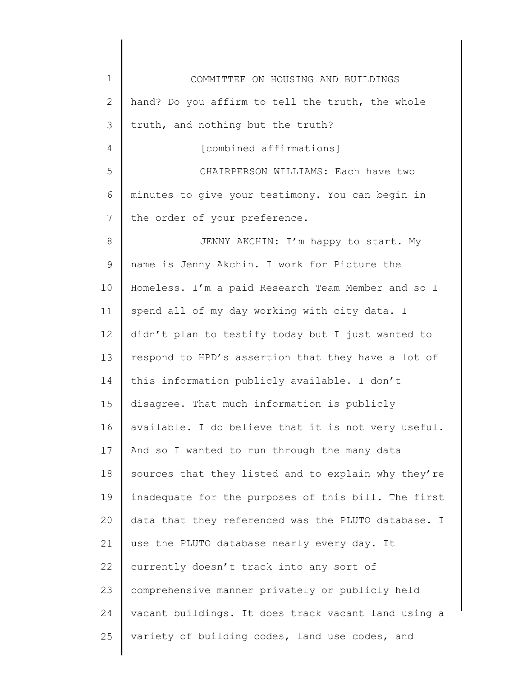| $\mathbf 1$     | COMMITTEE ON HOUSING AND BUILDINGS                  |
|-----------------|-----------------------------------------------------|
| 2               | hand? Do you affirm to tell the truth, the whole    |
| 3               | truth, and nothing but the truth?                   |
| 4               | [combined affirmations]                             |
| 5               | CHAIRPERSON WILLIAMS: Each have two                 |
| 6               | minutes to give your testimony. You can begin in    |
| 7               | the order of your preference.                       |
| 8               | JENNY AKCHIN: I'm happy to start. My                |
| 9               | name is Jenny Akchin. I work for Picture the        |
| 10              | Homeless. I'm a paid Research Team Member and so I  |
| 11              | spend all of my day working with city data. I       |
| 12 <sup>°</sup> | didn't plan to testify today but I just wanted to   |
| 13              | respond to HPD's assertion that they have a lot of  |
| 14              | this information publicly available. I don't        |
| 15              | disagree. That much information is publicly         |
| 16              | available. I do believe that it is not very useful. |
| 17              | And so I wanted to run through the many data        |
| 18              | sources that they listed and to explain why they're |
| 19              | inadequate for the purposes of this bill. The first |
| 20              | data that they referenced was the PLUTO database. I |
| 21              | use the PLUTO database nearly every day. It         |
| 22              | currently doesn't track into any sort of            |
| 23              | comprehensive manner privately or publicly held     |
| 24              | vacant buildings. It does track vacant land using a |
| 25              | variety of building codes, land use codes, and      |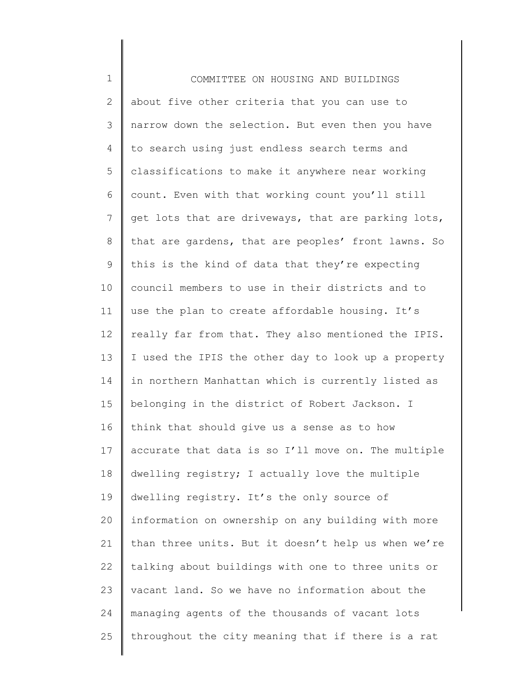| $1\,$        | COMMITTEE ON HOUSING AND BUILDINGS                  |
|--------------|-----------------------------------------------------|
| $\mathbf{2}$ | about five other criteria that you can use to       |
| 3            | narrow down the selection. But even then you have   |
| 4            | to search using just endless search terms and       |
| 5            | classifications to make it anywhere near working    |
| 6            | count. Even with that working count you'll still    |
| 7            | get lots that are driveways, that are parking lots, |
| $\,8\,$      | that are gardens, that are peoples' front lawns. So |
| $\mathsf 9$  | this is the kind of data that they're expecting     |
| 10           | council members to use in their districts and to    |
| 11           | use the plan to create affordable housing. It's     |
| 12           | really far from that. They also mentioned the IPIS. |
| 13           | I used the IPIS the other day to look up a property |
| 14           | in northern Manhattan which is currently listed as  |
| 15           | belonging in the district of Robert Jackson. I      |
| 16           | think that should give us a sense as to how         |
| 17           | accurate that data is so I'll move on. The multiple |
| 18           | dwelling registry; I actually love the multiple     |
| 19           | dwelling registry. It's the only source of          |
| 20           | information on ownership on any building with more  |
| 21           | than three units. But it doesn't help us when we're |
| 22           | talking about buildings with one to three units or  |
| 23           | vacant land. So we have no information about the    |
| 24           | managing agents of the thousands of vacant lots     |
| 25           | throughout the city meaning that if there is a rat  |
|              |                                                     |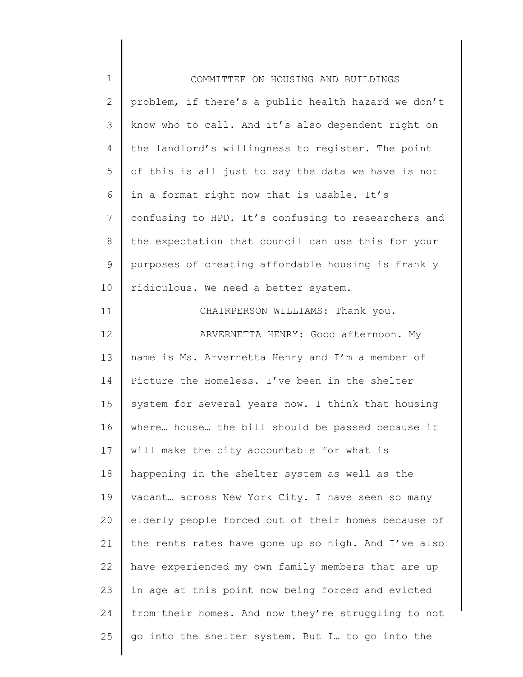| $\mathbf 1$  | COMMITTEE ON HOUSING AND BUILDINGS                  |
|--------------|-----------------------------------------------------|
| $\mathbf{2}$ | problem, if there's a public health hazard we don't |
| 3            | know who to call. And it's also dependent right on  |
| 4            | the landlord's willingness to register. The point   |
| 5            | of this is all just to say the data we have is not  |
| 6            | in a format right now that is usable. It's          |
| 7            | confusing to HPD. It's confusing to researchers and |
| $8\,$        | the expectation that council can use this for your  |
| $\mathsf 9$  | purposes of creating affordable housing is frankly  |
| 10           | ridiculous. We need a better system.                |
| 11           | CHAIRPERSON WILLIAMS: Thank you.                    |
| 12           | ARVERNETTA HENRY: Good afternoon. My                |
| 13           | name is Ms. Arvernetta Henry and I'm a member of    |
| 14           | Picture the Homeless. I've been in the shelter      |
| 15           | system for several years now. I think that housing  |
| 16           | where house the bill should be passed because it    |
| 17           | will make the city accountable for what is          |
| 18           | happening in the shelter system as well as the      |
| 19           | vacant across New York City. I have seen so many    |
| 20           | elderly people forced out of their homes because of |
| 21           | the rents rates have gone up so high. And I've also |
| 22           | have experienced my own family members that are up  |
| 23           | in age at this point now being forced and evicted   |
| 24           | from their homes. And now they're struggling to not |
| 25           | go into the shelter system. But I to go into the    |
|              |                                                     |

║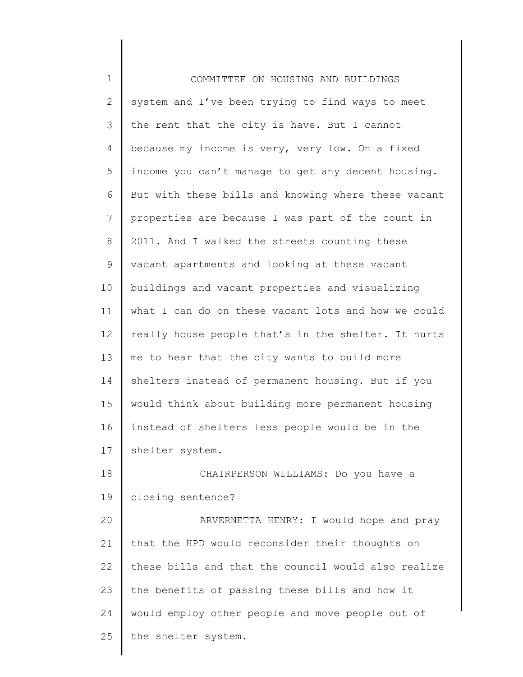| $\mathbf 1$    | COMMITTEE ON HOUSING AND BUILDINGS                  |
|----------------|-----------------------------------------------------|
| $\mathbf{2}$   | system and I've been trying to find ways to meet    |
| $\mathcal{S}$  | the rent that the city is have. But I cannot        |
| 4              | because my income is very, very low. On a fixed     |
| 5              | income you can't manage to get any decent housing.  |
| 6              | But with these bills and knowing where these vacant |
| $7\phantom{.}$ | properties are because I was part of the count in   |
| $8\,$          | 2011. And I walked the streets counting these       |
| 9              | vacant apartments and looking at these vacant       |
| 10             | buildings and vacant properties and visualizing     |
| 11             | what I can do on these vacant lots and how we could |
| 12             | really house people that's in the shelter. It hurts |
| 13             | me to hear that the city wants to build more        |
| 14             | shelters instead of permanent housing. But if you   |
| 15             | would think about building more permanent housing   |
| 16             | instead of shelters less people would be in the     |
| 17             | shelter system.                                     |
| 18             | CHAIRPERSON WILLIAMS: Do you have a                 |
| 19             | closing sentence?                                   |
| 20             | ARVERNETTA HENRY: I would hope and pray             |
| 21             | that the HPD would reconsider their thoughts on     |
| 22             | these bills and that the council would also realize |
| 23             | the benefits of passing these bills and how it      |
| 24             | would employ other people and move people out of    |
| 25             | the shelter system.                                 |
|                |                                                     |

║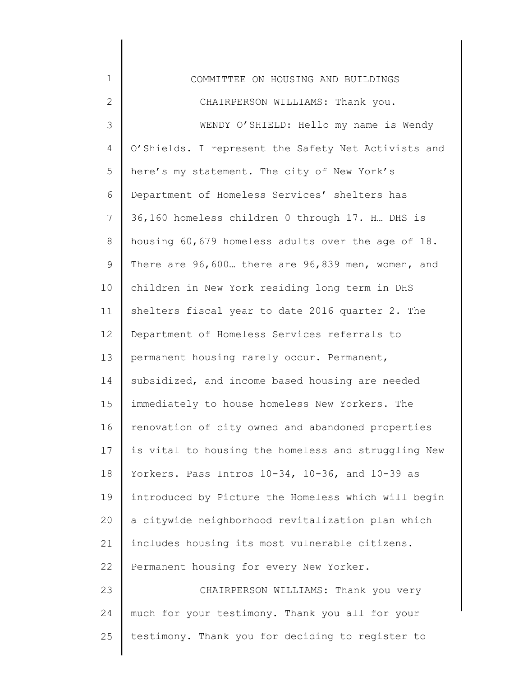| $\mathbf 1$    | COMMITTEE ON HOUSING AND BUILDINGS                  |
|----------------|-----------------------------------------------------|
| $\mathbf{2}$   | CHAIRPERSON WILLIAMS: Thank you.                    |
| 3              | WENDY O'SHIELD: Hello my name is Wendy              |
| 4              | O'Shields. I represent the Safety Net Activists and |
| 5              | here's my statement. The city of New York's         |
| 6              | Department of Homeless Services' shelters has       |
| $\overline{7}$ | 36,160 homeless children 0 through 17. H. DHS is    |
| 8              | housing 60,679 homeless adults over the age of 18.  |
| $\mathsf 9$    | There are 96,600 there are 96,839 men, women, and   |
| 10             | children in New York residing long term in DHS      |
| 11             | shelters fiscal year to date 2016 quarter 2. The    |
| 12             | Department of Homeless Services referrals to        |
| 13             | permanent housing rarely occur. Permanent,          |
| 14             | subsidized, and income based housing are needed     |
| 15             | immediately to house homeless New Yorkers. The      |
| 16             | renovation of city owned and abandoned properties   |
| 17             | is vital to housing the homeless and struggling New |
| 18             | Yorkers. Pass Intros 10-34, 10-36, and 10-39 as     |
| 19             | introduced by Picture the Homeless which will begin |
| 20             | a citywide neighborhood revitalization plan which   |
| 21             | includes housing its most vulnerable citizens.      |
| 22             | Permanent housing for every New Yorker.             |
| 23             | CHAIRPERSON WILLIAMS: Thank you very                |
| 24             | much for your testimony. Thank you all for your     |
| 25             | testimony. Thank you for deciding to register to    |
|                |                                                     |

║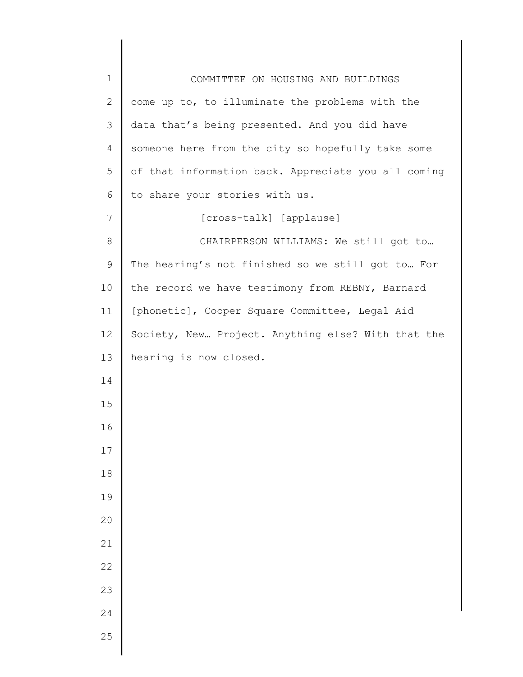| $\mathbf{2}$<br>come up to, to illuminate the problems with the<br>3<br>data that's being presented. And you did have<br>someone here from the city so hopefully take some<br>4<br>5<br>of that information back. Appreciate you all coming |  |
|---------------------------------------------------------------------------------------------------------------------------------------------------------------------------------------------------------------------------------------------|--|
|                                                                                                                                                                                                                                             |  |
|                                                                                                                                                                                                                                             |  |
|                                                                                                                                                                                                                                             |  |
|                                                                                                                                                                                                                                             |  |
| to share your stories with us.<br>6                                                                                                                                                                                                         |  |
| $7\phantom{.}$<br>[cross-talk] [applause]                                                                                                                                                                                                   |  |
| $\,8\,$<br>CHAIRPERSON WILLIAMS: We still got to                                                                                                                                                                                            |  |
| $\mathsf 9$<br>The hearing's not finished so we still got to For                                                                                                                                                                            |  |
| 10<br>the record we have testimony from REBNY, Barnard                                                                                                                                                                                      |  |
| [phonetic], Cooper Square Committee, Legal Aid<br>11                                                                                                                                                                                        |  |
| 12<br>Society, New Project. Anything else? With that the                                                                                                                                                                                    |  |
| 13<br>hearing is now closed.                                                                                                                                                                                                                |  |
| 14                                                                                                                                                                                                                                          |  |
| 15                                                                                                                                                                                                                                          |  |
| 16                                                                                                                                                                                                                                          |  |
| $17\,$                                                                                                                                                                                                                                      |  |
| 18                                                                                                                                                                                                                                          |  |
| 19                                                                                                                                                                                                                                          |  |
| 20                                                                                                                                                                                                                                          |  |
| 21                                                                                                                                                                                                                                          |  |
| 22                                                                                                                                                                                                                                          |  |
| 23                                                                                                                                                                                                                                          |  |
| 24                                                                                                                                                                                                                                          |  |
| 25                                                                                                                                                                                                                                          |  |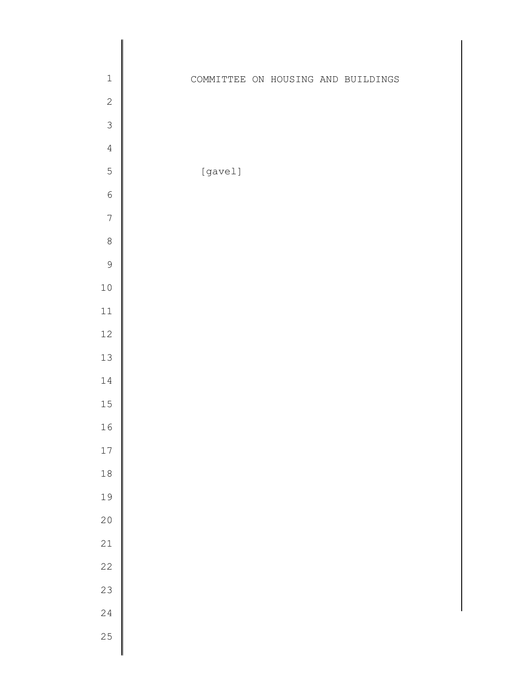